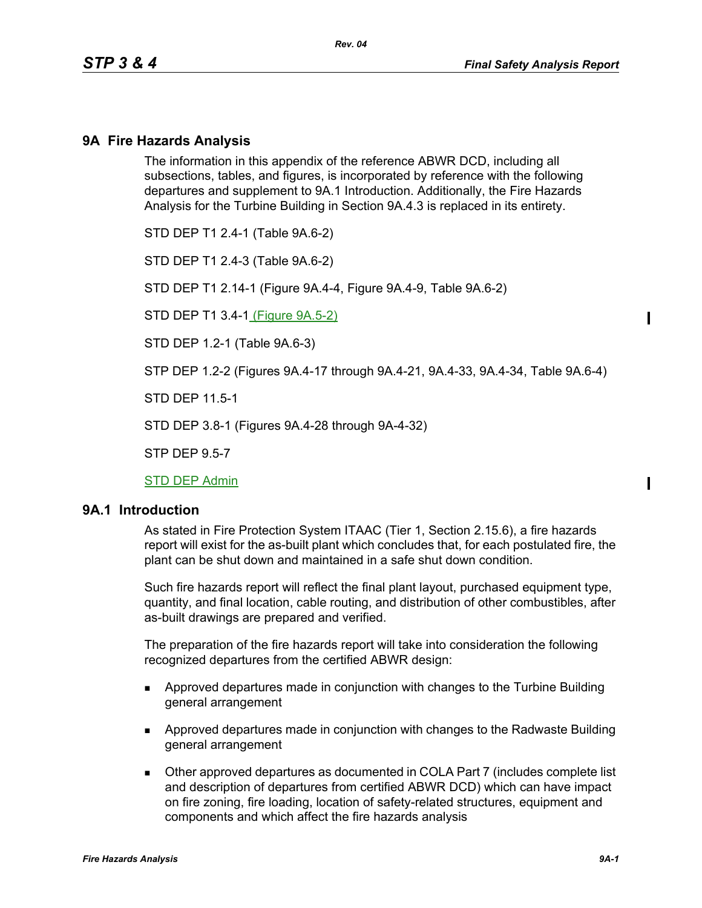## **9A Fire Hazards Analysis**

The information in this appendix of the reference ABWR DCD, including all subsections, tables, and figures, is incorporated by reference with the following departures and supplement to 9A.1 Introduction. Additionally, the Fire Hazards Analysis for the Turbine Building in Section 9A.4.3 is replaced in its entirety.

STD DEP T1 2.4-1 (Table 9A.6-2)

STD DEP T1 2.4-3 (Table 9A.6-2)

STD DEP T1 2.14-1 (Figure 9A.4-4, Figure 9A.4-9, Table 9A.6-2)

STD DEP T1 3.4-1 (Figure 9A.5-2)

STD DEP 1.2-1 (Table 9A.6-3)

STP DEP 1.2-2 (Figures 9A.4-17 through 9A.4-21, 9A.4-33, 9A.4-34, Table 9A.6-4)

STD DEP 11.5-1

STD DEP 3.8-1 (Figures 9A.4-28 through 9A-4-32)

STP DEP 9.5-7

STD DEP Admin

#### **9A.1 Introduction**

As stated in Fire Protection System ITAAC (Tier 1, Section 2.15.6), a fire hazards report will exist for the as-built plant which concludes that, for each postulated fire, the plant can be shut down and maintained in a safe shut down condition.

Such fire hazards report will reflect the final plant layout, purchased equipment type, quantity, and final location, cable routing, and distribution of other combustibles, after as-built drawings are prepared and verified.

The preparation of the fire hazards report will take into consideration the following recognized departures from the certified ABWR design:

- **Approved departures made in conjunction with changes to the Turbine Building** general arrangement
- Approved departures made in conjunction with changes to the Radwaste Building general arrangement
- Other approved departures as documented in COLA Part 7 (includes complete list and description of departures from certified ABWR DCD) which can have impact on fire zoning, fire loading, location of safety-related structures, equipment and components and which affect the fire hazards analysis

 $\blacksquare$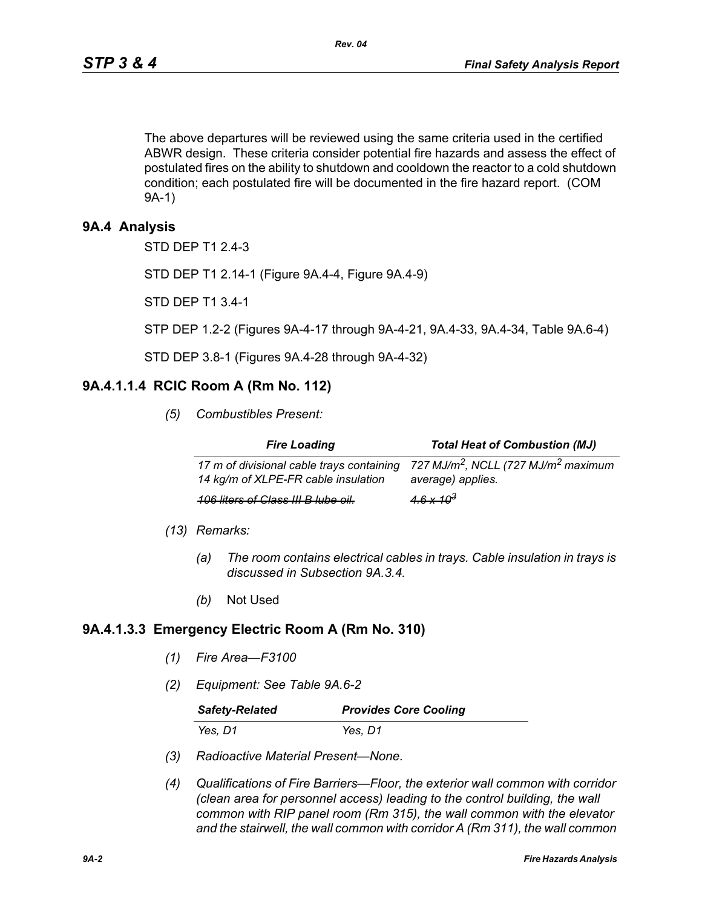The above departures will be reviewed using the same criteria used in the certified ABWR design. These criteria consider potential fire hazards and assess the effect of postulated fires on the ability to shutdown and cooldown the reactor to a cold shutdown condition; each postulated fire will be documented in the fire hazard report. (COM 9A-1)

## **9A.4 Analysis**

STD DEP T1 2.4-3

STD DEP T1 2.14-1 (Figure 9A.4-4, Figure 9A.4-9)

STD DEP T1 3.4-1

STP DEP 1.2-2 (Figures 9A-4-17 through 9A-4-21, 9A.4-33, 9A.4-34, Table 9A.6-4)

STD DEP 3.8-1 (Figures 9A.4-28 through 9A-4-32)

#### **9A.4.1.1.4 RCIC Room A (Rm No. 112)**

*(5) Combustibles Present:*

| <b>Fire Loading</b>                                                              | <b>Total Heat of Combustion (MJ)</b>                                             |
|----------------------------------------------------------------------------------|----------------------------------------------------------------------------------|
| 17 m of divisional cable trays containing<br>14 kg/m of XLPE-FR cable insulation | 727 MJ/m <sup>2</sup> , NCLL (727 MJ/m <sup>2</sup> maximum<br>average) applies. |
| <b>106 liters of Class III B lube oil.</b>                                       | $4.6 \times 10^3$                                                                |

- *(13) Remarks:*
	- *(a) The room contains electrical cables in trays. Cable insulation in trays is discussed in Subsection 9A.3.4.*
	- *(b)* Not Used

#### **9A.4.1.3.3 Emergency Electric Room A (Rm No. 310)**

- *(1) Fire Area—F3100*
- *(2) Equipment: See Table 9A.6-2*

| <b>Safety-Related</b> | <b>Provides Core Cooling</b> |
|-----------------------|------------------------------|
| Yes, D1               | Yes, D1                      |

- *(3) Radioactive Material Present—None.*
- *(4) Qualifications of Fire Barriers—Floor, the exterior wall common with corridor (clean area for personnel access) leading to the control building, the wall common with RIP panel room (Rm 315), the wall common with the elevator and the stairwell, the wall common with corridor A (Rm 311), the wall common*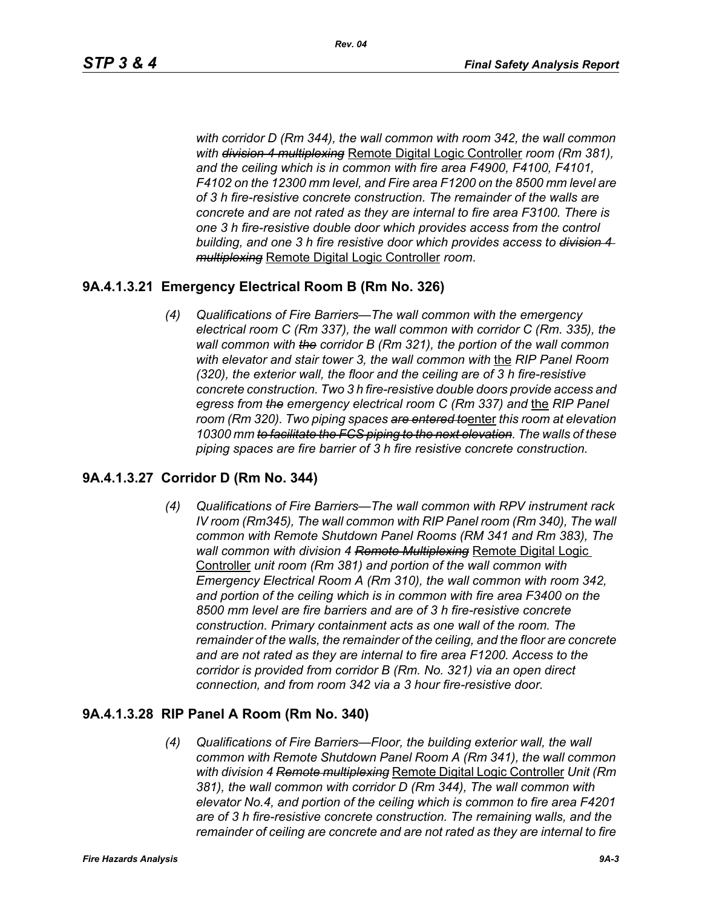*with corridor D (Rm 344), the wall common with room 342, the wall common with division 4 multiplexing* Remote Digital Logic Controller *room (Rm 381), and the ceiling which is in common with fire area F4900, F4100, F4101, F4102 on the 12300 mm level, and Fire area F1200 on the 8500 mm level are of 3 h fire-resistive concrete construction. The remainder of the walls are concrete and are not rated as they are internal to fire area F3100. There is one 3 h fire-resistive double door which provides access from the control building, and one 3 h fire resistive door which provides access to division 4 multiplexing* Remote Digital Logic Controller *room*.

# **9A.4.1.3.21 Emergency Electrical Room B (Rm No. 326)**

*(4) Qualifications of Fire Barriers—The wall common with the emergency electrical room C (Rm 337), the wall common with corridor C (Rm. 335), the wall common with the corridor B (Rm 321), the portion of the wall common with elevator and stair tower 3, the wall common with* the *RIP Panel Room (320), the exterior wall, the floor and the ceiling are of 3 h fire-resistive concrete construction. Two 3 h fire-resistive double doors provide access and egress from the emergency electrical room C (Rm 337) and* the *RIP Panel room (Rm 320). Two piping spaces are entered to*enter *this room at elevation 10300 mm to facilitate the FCS piping to the next elevation. The walls of these piping spaces are fire barrier of 3 h fire resistive concrete construction.*

## **9A.4.1.3.27 Corridor D (Rm No. 344)**

*(4) Qualifications of Fire Barriers—The wall common with RPV instrument rack IV room (Rm345), The wall common with RIP Panel room (Rm 340), The wall common with Remote Shutdown Panel Rooms (RM 341 and Rm 383), The wall common with division 4 Remote Multiplexing* Remote Digital Logic Controller *unit room (Rm 381) and portion of the wall common with Emergency Electrical Room A (Rm 310), the wall common with room 342, and portion of the ceiling which is in common with fire area F3400 on the 8500 mm level are fire barriers and are of 3 h fire-resistive concrete construction. Primary containment acts as one wall of the room. The remainder of the walls, the remainder of the ceiling, and the floor are concrete and are not rated as they are internal to fire area F1200. Access to the corridor is provided from corridor B (Rm. No. 321) via an open direct connection, and from room 342 via a 3 hour fire-resistive door.*

## **9A.4.1.3.28 RIP Panel A Room (Rm No. 340)**

*(4) Qualifications of Fire Barriers—Floor, the building exterior wall, the wall common with Remote Shutdown Panel Room A (Rm 341), the wall common with division 4 Remote multiplexing* Remote Digital Logic Controller *Unit (Rm 381), the wall common with corridor D (Rm 344), The wall common with elevator No.4, and portion of the ceiling which is common to fire area F4201 are of 3 h fire-resistive concrete construction. The remaining walls, and the remainder of ceiling are concrete and are not rated as they are internal to fire*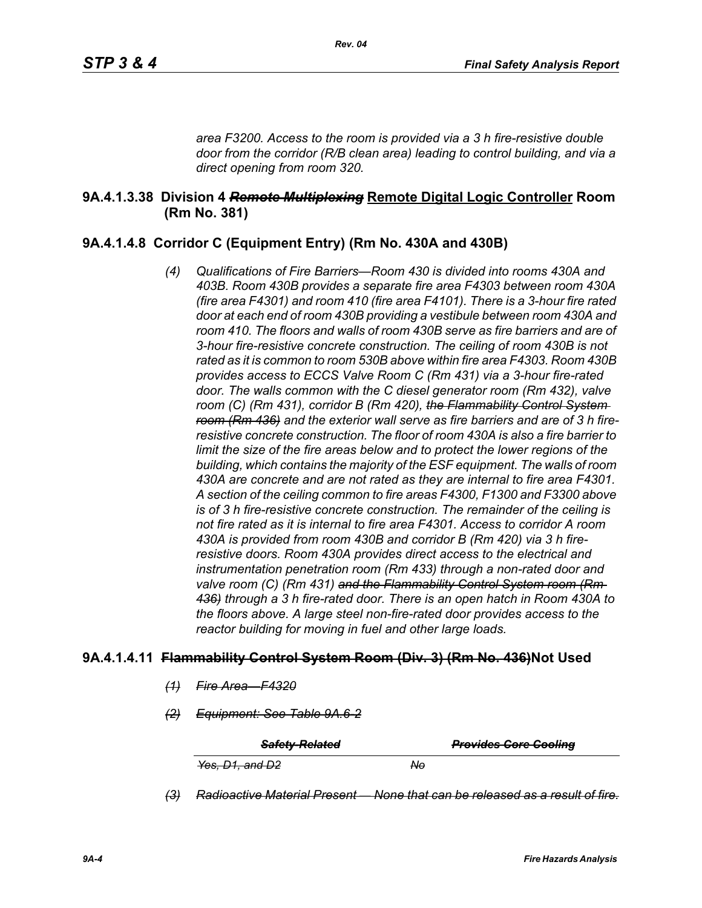*area F3200. Access to the room is provided via a 3 h fire-resistive double door from the corridor (R/B clean area) leading to control building, and via a direct opening from room 320.*

## **9A.4.1.3.38 Division 4** *Remote Multiplexing* **Remote Digital Logic Controller Room (Rm No. 381)**

# **9A.4.1.4.8 Corridor C (Equipment Entry) (Rm No. 430A and 430B)**

*(4) Qualifications of Fire Barriers—Room 430 is divided into rooms 430A and 403B. Room 430B provides a separate fire area F4303 between room 430A (fire area F4301) and room 410 (fire area F4101). There is a 3-hour fire rated door at each end of room 430B providing a vestibule between room 430A and*  room 410. The floors and walls of room 430B serve as fire barriers and are of *3-hour fire-resistive concrete construction. The ceiling of room 430B is not rated as it is common to room 530B above within fire area F4303. Room 430B provides access to ECCS Valve Room C (Rm 431) via a 3-hour fire-rated door. The walls common with the C diesel generator room (Rm 432), valve room (C) (Rm 431), corridor B (Rm 420), the Flammability Control System room (Rm 436) and the exterior wall serve as fire barriers and are of 3 h fireresistive concrete construction. The floor of room 430A is also a fire barrier to limit the size of the fire areas below and to protect the lower regions of the building, which contains the majority of the ESF equipment. The walls of room 430A are concrete and are not rated as they are internal to fire area F4301. A section of the ceiling common to fire areas F4300, F1300 and F3300 above is of 3 h fire-resistive concrete construction. The remainder of the ceiling is not fire rated as it is internal to fire area F4301. Access to corridor A room 430A is provided from room 430B and corridor B (Rm 420) via 3 h fireresistive doors. Room 430A provides direct access to the electrical and instrumentation penetration room (Rm 433) through a non-rated door and valve room (C) (Rm 431) and the Flammability Control System room (Rm 436) through a 3 h fire-rated door. There is an open hatch in Room 430A to the floors above. A large steel non-fire-rated door provides access to the reactor building for moving in fuel and other large loads.*

#### **9A.4.1.4.11 Flammability Control System Room (Div. 3) (Rm No. 436)Not Used**

- *(1) Fire Area—F4320*
- *(2) Equipment: See Table 9A.6-2*

| <b>Safety-Related</b> | <b>Provides Core Cooling</b> |
|-----------------------|------------------------------|
| Yes, D1, and D2       | No.                          |

*(3) Radioactive Material Present — None that can be released as a result of fire.*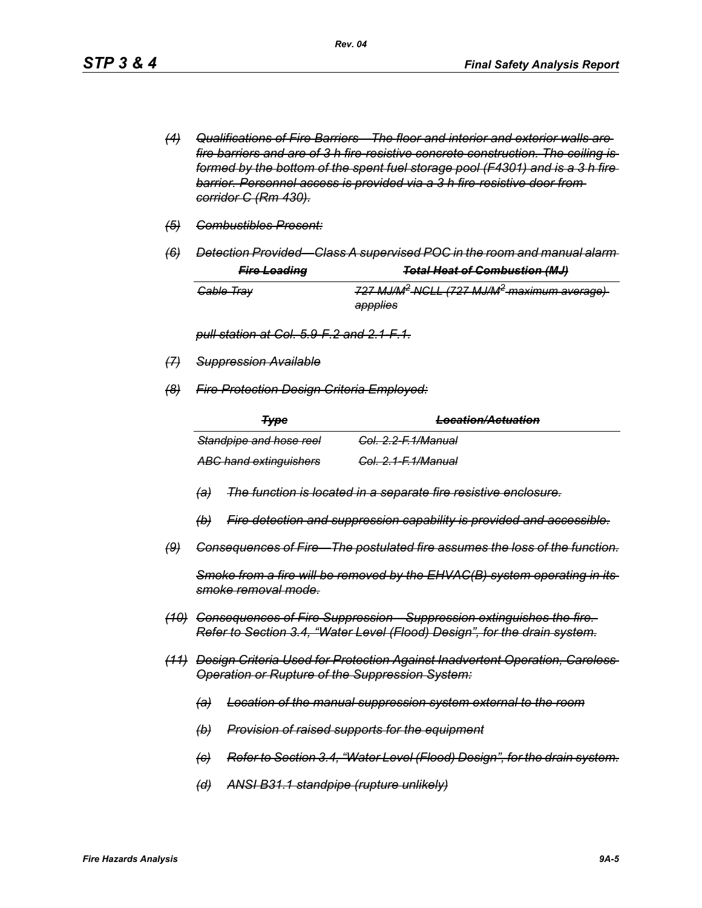- *(4) Qualifications of Fire Barriers—The floor and interior and exterior walls are fire barriers and are of 3 h fire-resistive concrete construction. The ceiling is formed by the bottom of the spent fuel storage pool (F4301) and is a 3 h fire barrier. Personnel access is provided via a 3 h fire-resistive door from corridor C (Rm 430).*
- *(5) Combustibles Present:*
- *(6) Detection Provided—Class A supervised POC in the room and manual alarm*

| <b>Fire Loading</b>   | <b>Total Heat of Combustion (MJ)</b>                                 |
|-----------------------|----------------------------------------------------------------------|
| <del>Cable Tray</del> | 727 MJ/M <sup>2</sup> -NGLL (727 MJ/M <sup>2</sup> -maximum average) |
|                       | appplies                                                             |

*pull station at Col. 5.9-F.2 and 2.1-F.1.*

- *(7) Suppression Available*
- *(8) Fire Protection Design Criteria Employed:*

| <del>Type</del>               | <b>Location/Actuation</b>      |
|-------------------------------|--------------------------------|
| Standpipe and hose reel       | <del>Col. 2.2-F.1/Manual</del> |
| <b>ABC hand extinguishers</b> | <del>Col. 2.1-F.1/Manual</del> |

- *(a) The function is located in a separate fire resistive enclosure.*
- *(b) Fire detection and suppression capability is provided and accessible.*
- *(9) Consequences of Fire—The postulated fire assumes the loss of the function.*

*Smoke from a fire will be removed by the EHVAC(B) system operating in its smoke removal mode.*

- *(10) Consequences of Fire Suppression—Suppression extinguishes the fire. Refer to Section 3.4, "Water Level (Flood) Design", for the drain system.*
- *(11) Design Criteria Used for Protection Against Inadvertent Operation, Careless Operation or Rupture of the Suppression System:*
	- *(a) Location of the manual suppression system external to the room*
	- *(b) Provision of raised supports for the equipment*
	- *(c) Refer to Section 3.4, "Water Level (Flood) Design", for the drain system.*
	- *(d) ANSI B31.1 standpipe (rupture unlikely)*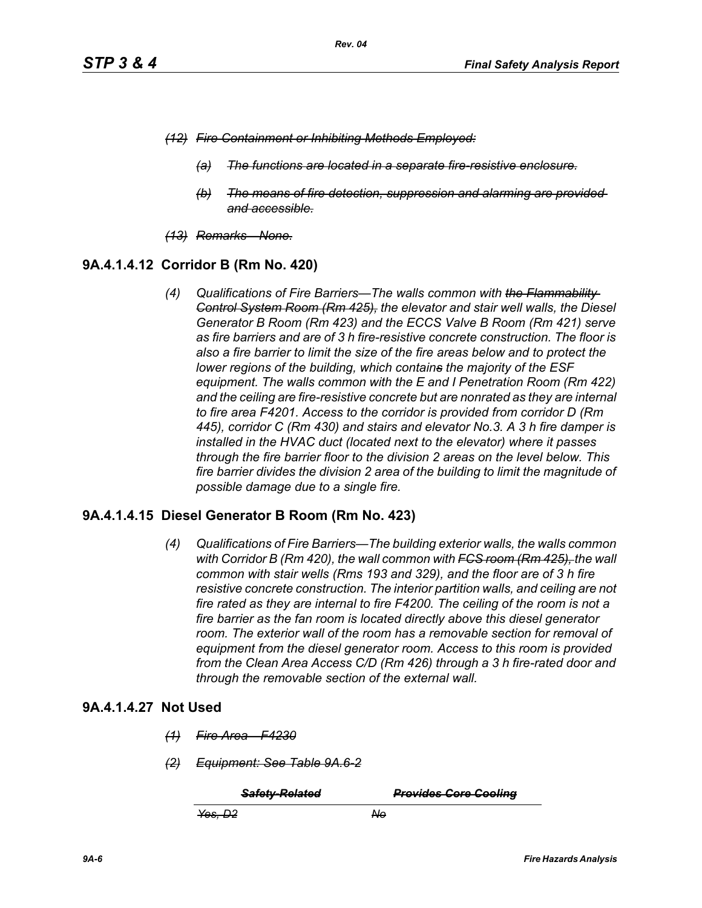- *(12) Fire Containment or Inhibiting Methods Employed:*
	- *(a) The functions are located in a separate fire-resistive enclosure.*
	- *(b) The means of fire detection, suppression and alarming are provided and accessible.*
- *(13) Remarks—None.*

## **9A.4.1.4.12 Corridor B (Rm No. 420)**

*(4) Qualifications of Fire Barriers—The walls common with the Flammability Control System Room (Rm 425), the elevator and stair well walls, the Diesel Generator B Room (Rm 423) and the ECCS Valve B Room (Rm 421) serve as fire barriers and are of 3 h fire-resistive concrete construction. The floor is also a fire barrier to limit the size of the fire areas below and to protect the lower regions of the building, which contains the majority of the ESF equipment. The walls common with the E and I Penetration Room (Rm 422) and the ceiling are fire-resistive concrete but are nonrated as they are internal to fire area F4201. Access to the corridor is provided from corridor D (Rm 445), corridor C (Rm 430) and stairs and elevator No.3. A 3 h fire damper is installed in the HVAC duct (located next to the elevator) where it passes through the fire barrier floor to the division 2 areas on the level below. This fire barrier divides the division 2 area of the building to limit the magnitude of possible damage due to a single fire.*

## **9A.4.1.4.15 Diesel Generator B Room (Rm No. 423)**

*(4) Qualifications of Fire Barriers—The building exterior walls, the walls common with Corridor B (Rm 420), the wall common with FCS room (Rm 425), the wall common with stair wells (Rms 193 and 329), and the floor are of 3 h fire resistive concrete construction. The interior partition walls, and ceiling are not fire rated as they are internal to fire F4200. The ceiling of the room is not a fire barrier as the fan room is located directly above this diesel generator*  room. The exterior wall of the room has a removable section for removal of *equipment from the diesel generator room. Access to this room is provided from the Clean Area Access C/D (Rm 426) through a 3 h fire-rated door and through the removable section of the external wall.*

#### **9A.4.1.4.27 Not Used**

- *(1) Fire Area—F4230*
- *(2) Equipment: See Table 9A.6-2*

*Safety-Related Provides Core Cooling*

*Yes, D2 No*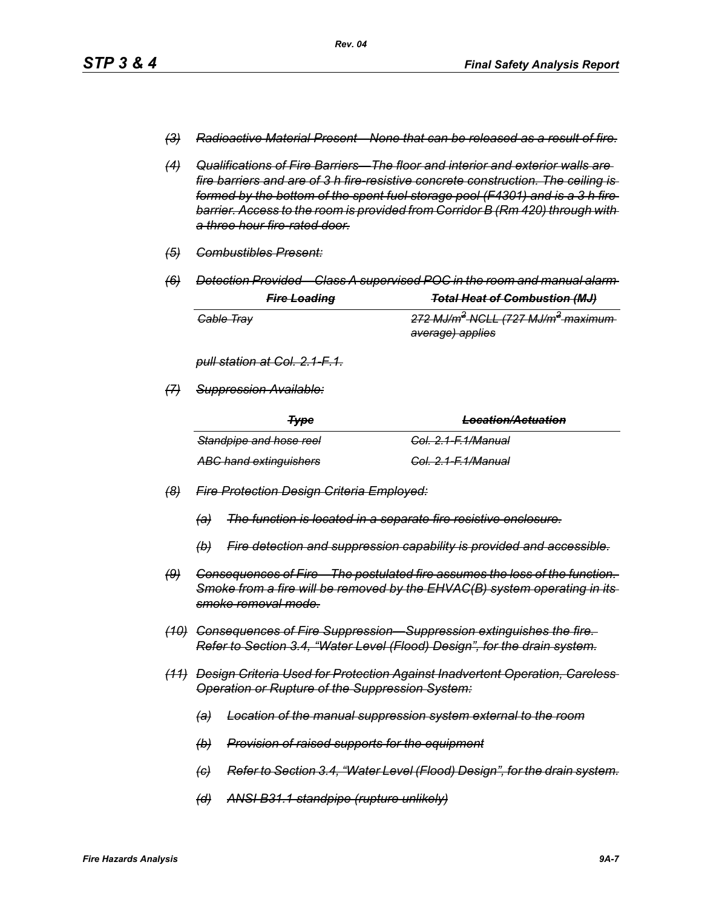- *(3) Radioactive Material Present—None that can be released as a result of fire.*
- *(4) Qualifications of Fire Barriers—The floor and interior and exterior walls are fire barriers and are of 3 h fire-resistive concrete construction. The ceiling is formed by the bottom of the spent fuel storage pool (F4301) and is a 3 h fire barrier. Access to the room is provided from Corridor B (Rm 420) through with a three hour fire-rated door.*
- *(5) Combustibles Present:*
- *(6) Detection Provided—Class A supervised POC in the room and manual alarm*

|                       | <b>Fire Loading</b> | <b>Total Heat of Combustion (MJ)</b>                      |
|-----------------------|---------------------|-----------------------------------------------------------|
| <del>Cable Tray</del> |                     | 272 MJ/m <sup>2</sup> NGLL (727 MJ/m <sup>2</sup> maximum |
|                       |                     | <del>average) applies</del>                               |

*pull station at Col. 2.1-F.1.*

*(7) Suppression Available:*

| <b>Type</b>                   | I ocation/Actuation<br><del>Locanom Acidanom</del> |
|-------------------------------|----------------------------------------------------|
| Standpipe and hose reel       | <del>Col. 2.1-F.1/Manual</del>                     |
| <b>ABC hand extinguishers</b> | <del>Col. 2.1-F.1/Manual</del>                     |

- *(8) Fire Protection Design Criteria Employed:*
	- *(a) The function is located in a separate fire resistive enclosure.*
	- *(b) Fire detection and suppression capability is provided and accessible.*
- *(9) Consequences of Fire—The postulated fire assumes the loss of the function. Smoke from a fire will be removed by the EHVAC(B) system operating in its smoke removal mode.*
- *(10) Consequences of Fire Suppression—Suppression extinguishes the fire. Refer to Section 3.4, "Water Level (Flood) Design", for the drain system.*
- *(11) Design Criteria Used for Protection Against Inadvertent Operation, Careless Operation or Rupture of the Suppression System:*
	- *(a) Location of the manual suppression system external to the room*
	- *(b) Provision of raised supports for the equipment*
	- *(c) Refer to Section 3.4, "Water Level (Flood) Design", for the drain system.*
	- *(d) ANSI B31.1 standpipe (rupture unlikely)*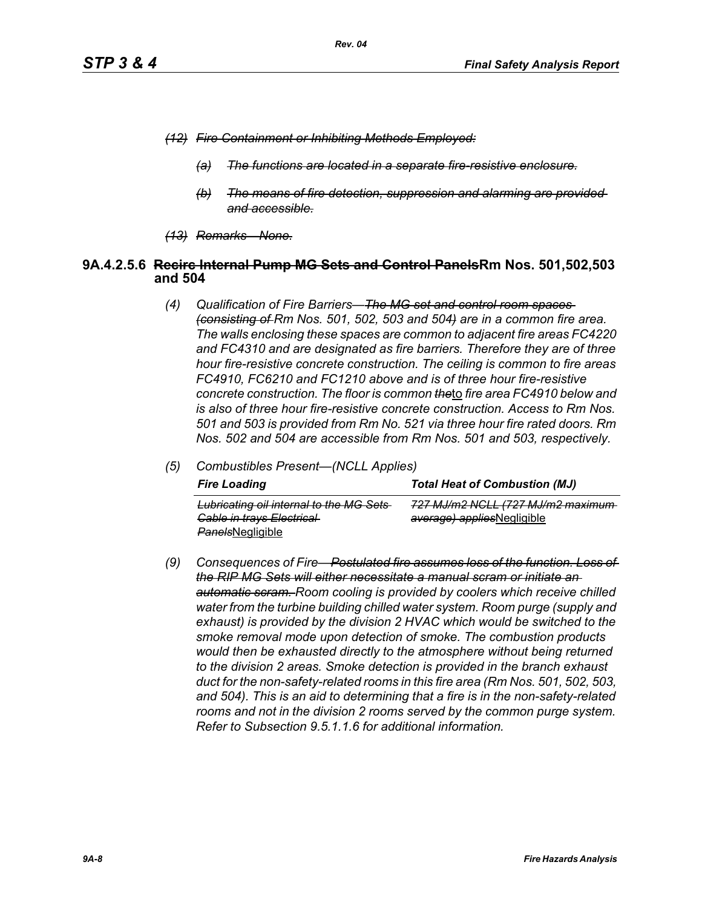- *(12) Fire Containment or Inhibiting Methods Employed:*
	- *(a) The functions are located in a separate fire-resistive enclosure.*
	- *(b) The means of fire detection, suppression and alarming are provided and accessible.*
- *(13) Remarks—None.*

#### **9A.4.2.5.6 Recirc Internal Pump MG Sets and Control PanelsRm Nos. 501,502,503 and 504**

- *(4) Qualification of Fire Barriers—The MG set and control room spaces (consisting of Rm Nos. 501, 502, 503 and 504) are in a common fire area. The walls enclosing these spaces are common to adjacent fire areas FC4220 and FC4310 and are designated as fire barriers. Therefore they are of three hour fire-resistive concrete construction. The ceiling is common to fire areas FC4910, FC6210 and FC1210 above and is of three hour fire-resistive concrete construction. The floor is common the*to *fire area FC4910 below and is also of three hour fire-resistive concrete construction. Access to Rm Nos. 501 and 503 is provided from Rm No. 521 via three hour fire rated doors. Rm Nos. 502 and 504 are accessible from Rm Nos. 501 and 503, respectively.*
- *(5) Combustibles Present—(NCLL Applies)*

| <b>Fire Loading</b>                                                                                    | <b>Total Heat of Combustion (MJ)</b>                            |
|--------------------------------------------------------------------------------------------------------|-----------------------------------------------------------------|
| Lubricating oil internal to the MG Sets<br><b>Gable in trays Electrical</b><br><b>PanelsNegligible</b> | 727 MJ/m2 NGLL (727 MJ/m2 maximum<br>average) appliesNegligible |

*(9) Consequences of Fire—Postulated fire assumes loss of the function. Loss of the RIP MG Sets will either necessitate a manual scram or initiate an automatic scram. Room cooling is provided by coolers which receive chilled water from the turbine building chilled water system. Room purge (supply and exhaust) is provided by the division 2 HVAC which would be switched to the smoke removal mode upon detection of smoke. The combustion products would then be exhausted directly to the atmosphere without being returned to the division 2 areas. Smoke detection is provided in the branch exhaust duct for the non-safety-related rooms in this fire area (Rm Nos. 501, 502, 503, and 504). This is an aid to determining that a fire is in the non-safety-related rooms and not in the division 2 rooms served by the common purge system. Refer to Subsection 9.5.1.1.6 for additional information.*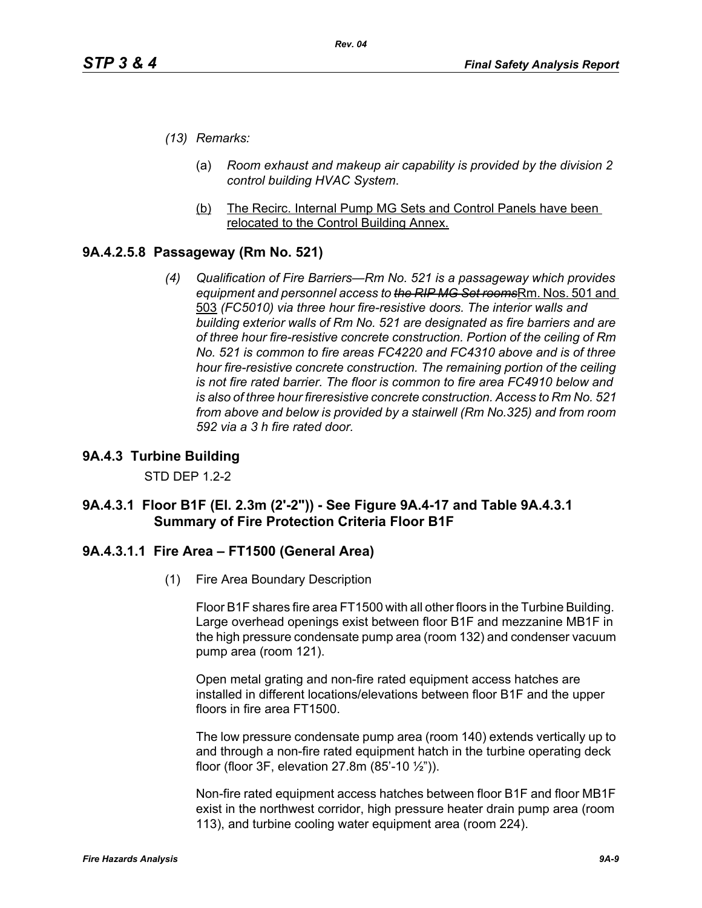- *(13) Remarks:*
	- (a) *Room exhaust and makeup air capability is provided by the division 2 control building HVAC System*.
	- (b) The Recirc. Internal Pump MG Sets and Control Panels have been relocated to the Control Building Annex.

# **9A.4.2.5.8 Passageway (Rm No. 521)**

*(4) Qualification of Fire Barriers—Rm No. 521 is a passageway which provides equipment and personnel access to the RIP MG Set rooms*Rm. Nos. 501 and 503 *(FC5010) via three hour fire-resistive doors. The interior walls and building exterior walls of Rm No. 521 are designated as fire barriers and are of three hour fire-resistive concrete construction. Portion of the ceiling of Rm No. 521 is common to fire areas FC4220 and FC4310 above and is of three hour fire-resistive concrete construction. The remaining portion of the ceiling is not fire rated barrier. The floor is common to fire area FC4910 below and is also of three hour fireresistive concrete construction. Access to Rm No. 521 from above and below is provided by a stairwell (Rm No.325) and from room 592 via a 3 h fire rated door.*

## **9A.4.3 Turbine Building**

STD DEP 1.2-2

## **9A.4.3.1 Floor B1F (El. 2.3m (2'-2")) - See Figure 9A.4-17 and Table 9A.4.3.1 Summary of Fire Protection Criteria Floor B1F**

## **9A.4.3.1.1 Fire Area – FT1500 (General Area)**

(1) Fire Area Boundary Description

Floor B1F shares fire area FT1500 with all other floors in the Turbine Building. Large overhead openings exist between floor B1F and mezzanine MB1F in the high pressure condensate pump area (room 132) and condenser vacuum pump area (room 121).

Open metal grating and non-fire rated equipment access hatches are installed in different locations/elevations between floor B1F and the upper floors in fire area FT1500.

The low pressure condensate pump area (room 140) extends vertically up to and through a non-fire rated equipment hatch in the turbine operating deck floor (floor 3F, elevation 27.8m (85'-10 ½")).

Non-fire rated equipment access hatches between floor B1F and floor MB1F exist in the northwest corridor, high pressure heater drain pump area (room 113), and turbine cooling water equipment area (room 224).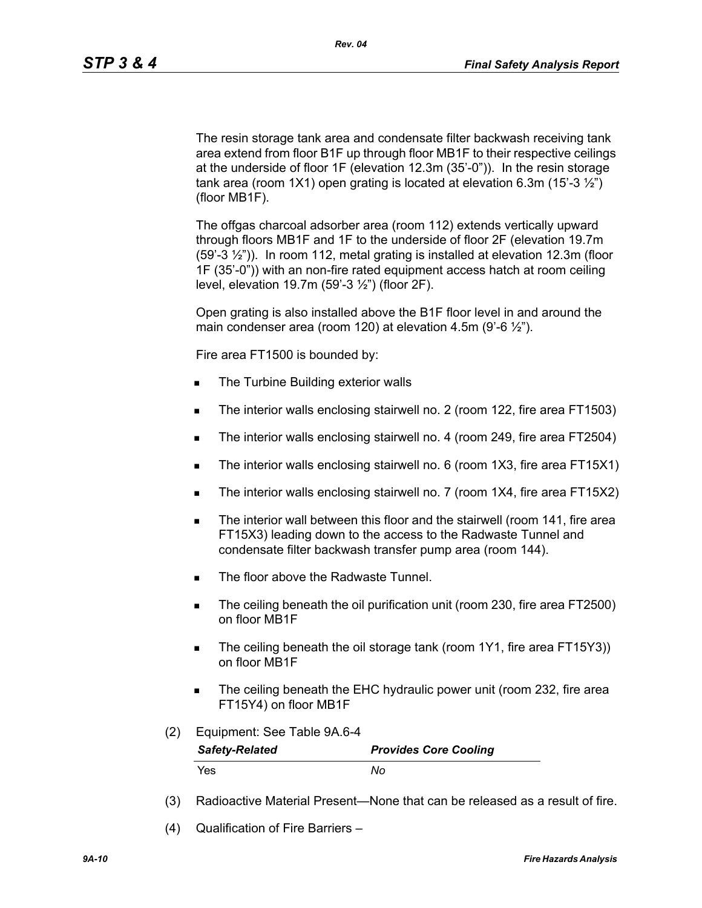The resin storage tank area and condensate filter backwash receiving tank area extend from floor B1F up through floor MB1F to their respective ceilings at the underside of floor 1F (elevation 12.3m (35'-0")). In the resin storage tank area (room 1X1) open grating is located at elevation 6.3m (15'-3 $\frac{1}{2}$ ") (floor MB1F).

The offgas charcoal adsorber area (room 112) extends vertically upward through floors MB1F and 1F to the underside of floor 2F (elevation 19.7m (59'-3 ½")). In room 112, metal grating is installed at elevation 12.3m (floor 1F (35'-0")) with an non-fire rated equipment access hatch at room ceiling level, elevation 19.7m (59'-3 ½") (floor 2F).

Open grating is also installed above the B1F floor level in and around the main condenser area (room 120) at elevation 4.5m (9'-6 $\frac{1}{2}$ ").

Fire area FT1500 is bounded by:

- The Turbine Building exterior walls
- The interior walls enclosing stairwell no. 2 (room 122, fire area FT1503)
- The interior walls enclosing stairwell no. 4 (room 249, fire area FT2504)
- The interior walls enclosing stairwell no. 6 (room 1X3, fire area FT15X1)
- The interior walls enclosing stairwell no. 7 (room 1X4, fire area FT15X2)
- The interior wall between this floor and the stairwell (room 141, fire area FT15X3) leading down to the access to the Radwaste Tunnel and condensate filter backwash transfer pump area (room 144).
- The floor above the Radwaste Tunnel.
- The ceiling beneath the oil purification unit (room 230, fire area FT2500) on floor MB1F
- The ceiling beneath the oil storage tank (room 1Y1, fire area FT15Y3)) on floor MB1F
- The ceiling beneath the EHC hydraulic power unit (room 232, fire area FT15Y4) on floor MB1F
- (2) Equipment: See Table 9A.6-4

| <b>Safety-Related</b> | <b>Provides Core Cooling</b> |
|-----------------------|------------------------------|
| Yes.                  | Nο                           |

- (3) Radioactive Material Present—None that can be released as a result of fire.
- (4) Qualification of Fire Barriers –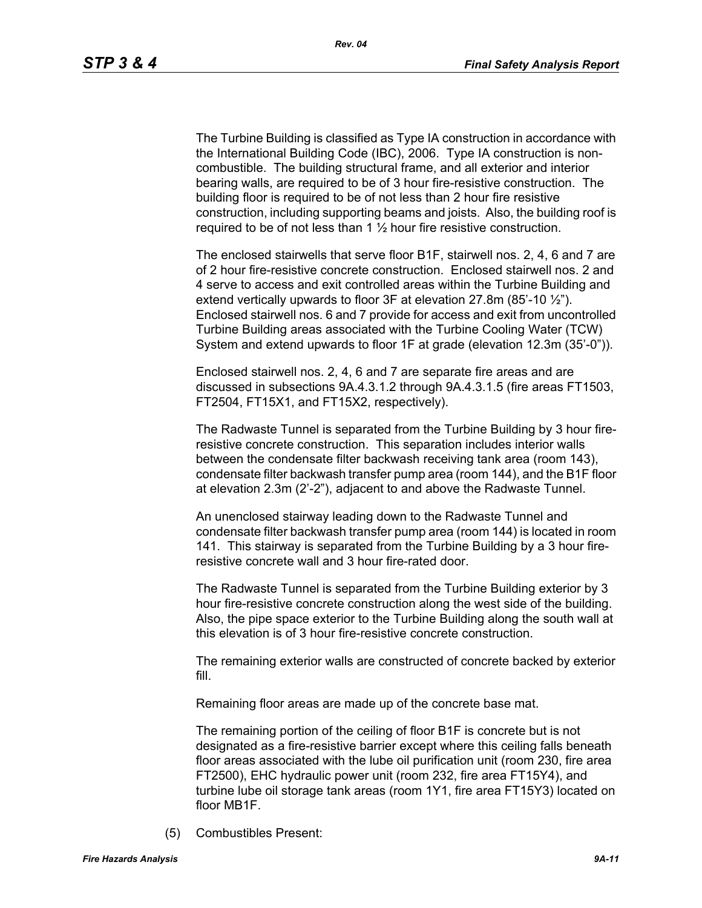The Turbine Building is classified as Type IA construction in accordance with the International Building Code (IBC), 2006. Type IA construction is noncombustible. The building structural frame, and all exterior and interior bearing walls, are required to be of 3 hour fire-resistive construction. The building floor is required to be of not less than 2 hour fire resistive construction, including supporting beams and joists. Also, the building roof is required to be of not less than 1  $\frac{1}{2}$  hour fire resistive construction.

The enclosed stairwells that serve floor B1F, stairwell nos. 2, 4, 6 and 7 are of 2 hour fire-resistive concrete construction. Enclosed stairwell nos. 2 and 4 serve to access and exit controlled areas within the Turbine Building and extend vertically upwards to floor  $3F$  at elevation 27.8m (85'-10  $\frac{1}{2}$ "). Enclosed stairwell nos. 6 and 7 provide for access and exit from uncontrolled Turbine Building areas associated with the Turbine Cooling Water (TCW) System and extend upwards to floor 1F at grade (elevation 12.3m (35'-0")).

Enclosed stairwell nos. 2, 4, 6 and 7 are separate fire areas and are discussed in subsections 9A.4.3.1.2 through 9A.4.3.1.5 (fire areas FT1503, FT2504, FT15X1, and FT15X2, respectively).

The Radwaste Tunnel is separated from the Turbine Building by 3 hour fireresistive concrete construction. This separation includes interior walls between the condensate filter backwash receiving tank area (room 143), condensate filter backwash transfer pump area (room 144), and the B1F floor at elevation 2.3m (2'-2"), adjacent to and above the Radwaste Tunnel.

An unenclosed stairway leading down to the Radwaste Tunnel and condensate filter backwash transfer pump area (room 144) is located in room 141. This stairway is separated from the Turbine Building by a 3 hour fireresistive concrete wall and 3 hour fire-rated door.

The Radwaste Tunnel is separated from the Turbine Building exterior by 3 hour fire-resistive concrete construction along the west side of the building. Also, the pipe space exterior to the Turbine Building along the south wall at this elevation is of 3 hour fire-resistive concrete construction.

The remaining exterior walls are constructed of concrete backed by exterior fill.

Remaining floor areas are made up of the concrete base mat.

The remaining portion of the ceiling of floor B1F is concrete but is not designated as a fire-resistive barrier except where this ceiling falls beneath floor areas associated with the lube oil purification unit (room 230, fire area FT2500), EHC hydraulic power unit (room 232, fire area FT15Y4), and turbine lube oil storage tank areas (room 1Y1, fire area FT15Y3) located on floor MB1F.

(5) Combustibles Present: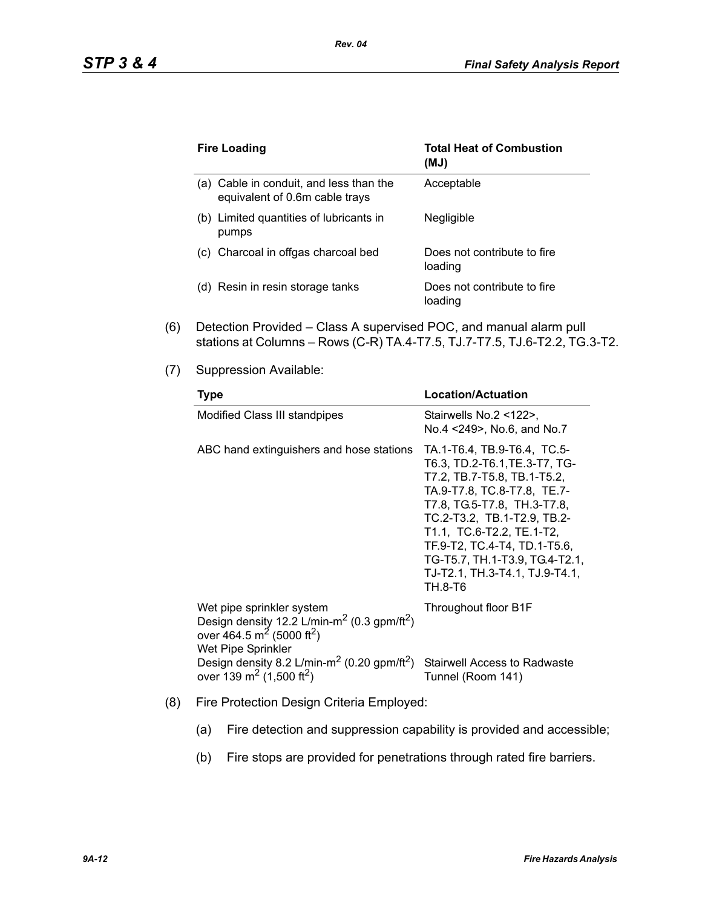| <b>Fire Loading</b>                                                       | <b>Total Heat of Combustion</b><br>(MJ) |
|---------------------------------------------------------------------------|-----------------------------------------|
| (a) Cable in conduit, and less than the<br>equivalent of 0.6m cable trays | Acceptable                              |
| Limited quantities of lubricants in<br>(b)<br>pumps                       | <b>Negligible</b>                       |
| (c) Charcoal in offgas charcoal bed                                       | Does not contribute to fire<br>loading  |
| (d) Resin in resin storage tanks                                          | Does not contribute to fire<br>loading  |

*Rev. 04*

- (6) Detection Provided Class A supervised POC, and manual alarm pull stations at Columns – Rows (C-R) TA.4-T7.5, TJ.7-T7.5, TJ.6-T2.2, TG.3-T2.
- (7) Suppression Available:

| <b>Type</b>                                                                                                                                                                                                                                                                                            | <b>Location/Actuation</b>                                                                                                                                                                                                                                                                                                            |
|--------------------------------------------------------------------------------------------------------------------------------------------------------------------------------------------------------------------------------------------------------------------------------------------------------|--------------------------------------------------------------------------------------------------------------------------------------------------------------------------------------------------------------------------------------------------------------------------------------------------------------------------------------|
| Modified Class III standpipes                                                                                                                                                                                                                                                                          | Stairwells No.2 <122>,<br>No.4 <249>, No.6, and No.7                                                                                                                                                                                                                                                                                 |
| ABC hand extinguishers and hose stations                                                                                                                                                                                                                                                               | TA.1-T6.4, TB.9-T6.4, TC.5-<br>T6.3, TD.2-T6.1, TE.3-T7, TG-<br>T7.2, TB.7-T5.8, TB.1-T5.2,<br>TA.9-T7.8, TC.8-T7.8, TE.7-<br>T7.8, TG.5-T7.8, TH.3-T7.8,<br>TC.2-T3.2, TB.1-T2.9, TB.2-<br>T1.1, TC.6-T2.2, TE.1-T2,<br>TF.9-T2, TC.4-T4, TD.1-T5.6,<br>TG-T5.7, TH.1-T3.9, TG.4-T2.1,<br>TJ-T2.1, TH.3-T4.1, TJ.9-T4.1,<br>TH.8-T6 |
| Wet pipe sprinkler system<br>Design density 12.2 L/min-m <sup>2</sup> (0.3 gpm/ft <sup>2</sup> )<br>over 464.5 m <sup>2</sup> (5000 ft <sup>2</sup> )<br>Wet Pipe Sprinkler<br>Design density 8.2 L/min-m <sup>2</sup> (0.20 gpm/ft <sup>2</sup> )<br>over 139 m <sup>2</sup> (1,500 ft <sup>2</sup> ) | Throughout floor B1F<br><b>Stairwell Access to Radwaste</b><br>Tunnel (Room 141)                                                                                                                                                                                                                                                     |

- (8) Fire Protection Design Criteria Employed:
	- (a) Fire detection and suppression capability is provided and accessible;
	- (b) Fire stops are provided for penetrations through rated fire barriers.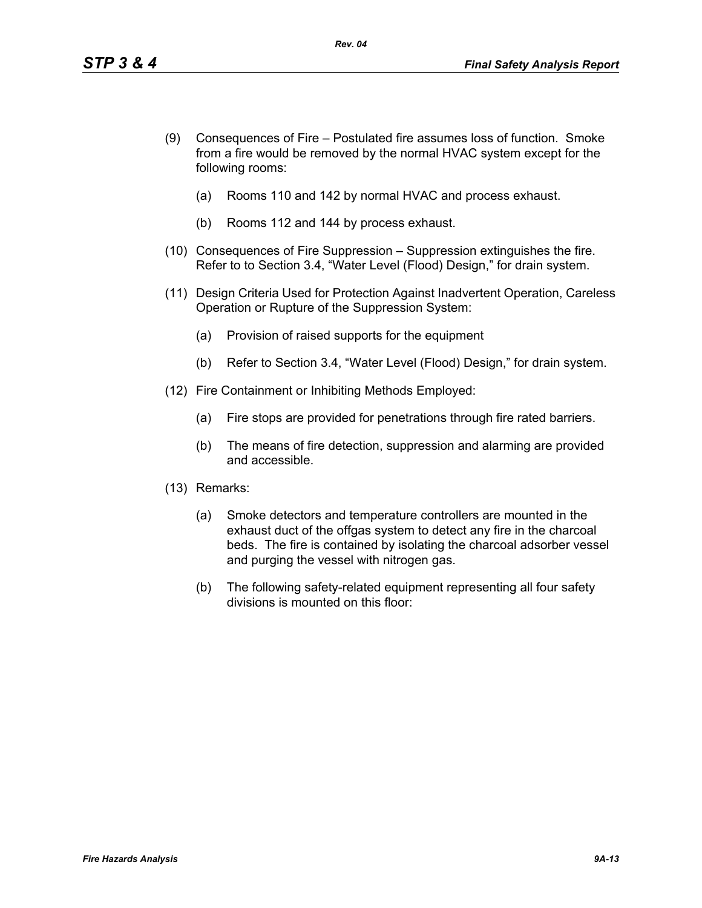- (9) Consequences of Fire Postulated fire assumes loss of function. Smoke from a fire would be removed by the normal HVAC system except for the following rooms:
	- (a) Rooms 110 and 142 by normal HVAC and process exhaust.
	- (b) Rooms 112 and 144 by process exhaust.
- (10) Consequences of Fire Suppression Suppression extinguishes the fire. Refer to to Section 3.4, "Water Level (Flood) Design," for drain system.
- (11) Design Criteria Used for Protection Against Inadvertent Operation, Careless Operation or Rupture of the Suppression System:
	- (a) Provision of raised supports for the equipment
	- (b) Refer to Section 3.4, "Water Level (Flood) Design," for drain system.
- (12) Fire Containment or Inhibiting Methods Employed:
	- (a) Fire stops are provided for penetrations through fire rated barriers.
	- (b) The means of fire detection, suppression and alarming are provided and accessible.
- (13) Remarks:
	- (a) Smoke detectors and temperature controllers are mounted in the exhaust duct of the offgas system to detect any fire in the charcoal beds. The fire is contained by isolating the charcoal adsorber vessel and purging the vessel with nitrogen gas.
	- (b) The following safety-related equipment representing all four safety divisions is mounted on this floor: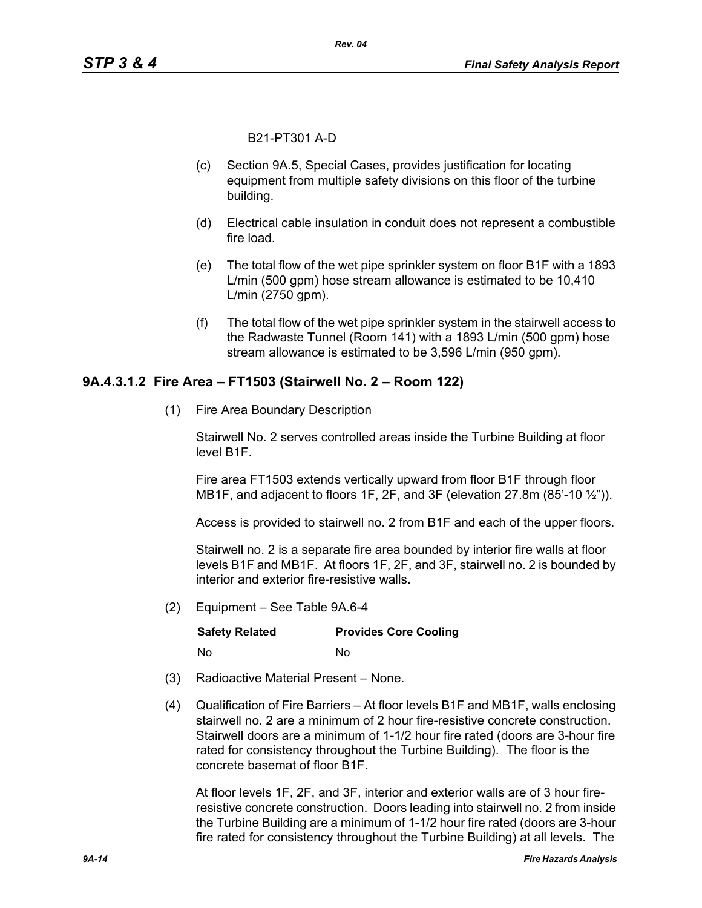B21-PT301 A-D

- (c) Section 9A.5, Special Cases, provides justification for locating equipment from multiple safety divisions on this floor of the turbine building.
- (d) Electrical cable insulation in conduit does not represent a combustible fire load.
- (e) The total flow of the wet pipe sprinkler system on floor B1F with a 1893 L/min (500 gpm) hose stream allowance is estimated to be 10,410 L/min (2750 gpm).
- (f) The total flow of the wet pipe sprinkler system in the stairwell access to the Radwaste Tunnel (Room 141) with a 1893 L/min (500 gpm) hose stream allowance is estimated to be 3,596 L/min (950 gpm).

#### **9A.4.3.1.2 Fire Area – FT1503 (Stairwell No. 2 – Room 122)**

(1) Fire Area Boundary Description

Stairwell No. 2 serves controlled areas inside the Turbine Building at floor level B1F.

Fire area FT1503 extends vertically upward from floor B1F through floor MB1F, and adjacent to floors 1F, 2F, and 3F (elevation 27.8m (85'-10 ½")).

Access is provided to stairwell no. 2 from B1F and each of the upper floors.

Stairwell no. 2 is a separate fire area bounded by interior fire walls at floor levels B1F and MB1F. At floors 1F, 2F, and 3F, stairwell no. 2 is bounded by interior and exterior fire-resistive walls.

(2) Equipment – See Table 9A.6-4

| <b>Safety Related</b> | <b>Provides Core Cooling</b> |
|-----------------------|------------------------------|
| No.                   | N٥                           |

- (3) Radioactive Material Present None.
- (4) Qualification of Fire Barriers At floor levels B1F and MB1F, walls enclosing stairwell no. 2 are a minimum of 2 hour fire-resistive concrete construction. Stairwell doors are a minimum of 1-1/2 hour fire rated (doors are 3-hour fire rated for consistency throughout the Turbine Building). The floor is the concrete basemat of floor B1F.

At floor levels 1F, 2F, and 3F, interior and exterior walls are of 3 hour fireresistive concrete construction. Doors leading into stairwell no. 2 from inside the Turbine Building are a minimum of 1-1/2 hour fire rated (doors are 3-hour fire rated for consistency throughout the Turbine Building) at all levels. The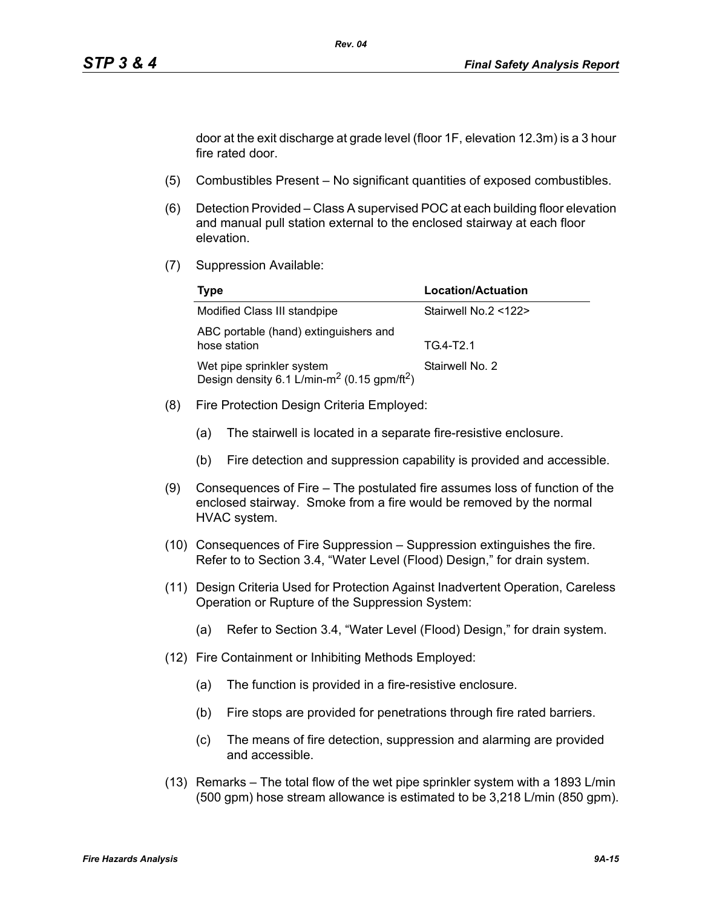door at the exit discharge at grade level (floor 1F, elevation 12.3m) is a 3 hour fire rated door.

- (5) Combustibles Present No significant quantities of exposed combustibles.
- (6) Detection Provided Class A supervised POC at each building floor elevation and manual pull station external to the enclosed stairway at each floor elevation.
- (7) Suppression Available:

| Type                                                                                             | <b>Location/Actuation</b> |
|--------------------------------------------------------------------------------------------------|---------------------------|
| Modified Class III standpipe                                                                     | Stairwell No.2 <122>      |
| ABC portable (hand) extinguishers and<br>hose station                                            | TG4-T2.1                  |
| Wet pipe sprinkler system<br>Design density 6.1 L/min-m <sup>2</sup> (0.15 gpm/ft <sup>2</sup> ) | Stairwell No. 2           |

- (8) Fire Protection Design Criteria Employed:
	- (a) The stairwell is located in a separate fire-resistive enclosure.
	- (b) Fire detection and suppression capability is provided and accessible.
- (9) Consequences of Fire The postulated fire assumes loss of function of the enclosed stairway. Smoke from a fire would be removed by the normal HVAC system.
- (10) Consequences of Fire Suppression Suppression extinguishes the fire. Refer to to Section 3.4, "Water Level (Flood) Design," for drain system.
- (11) Design Criteria Used for Protection Against Inadvertent Operation, Careless Operation or Rupture of the Suppression System:
	- (a) Refer to Section 3.4, "Water Level (Flood) Design," for drain system.
- (12) Fire Containment or Inhibiting Methods Employed:
	- (a) The function is provided in a fire-resistive enclosure.
	- (b) Fire stops are provided for penetrations through fire rated barriers.
	- (c) The means of fire detection, suppression and alarming are provided and accessible.
- (13) Remarks The total flow of the wet pipe sprinkler system with a 1893 L/min (500 gpm) hose stream allowance is estimated to be 3,218 L/min (850 gpm).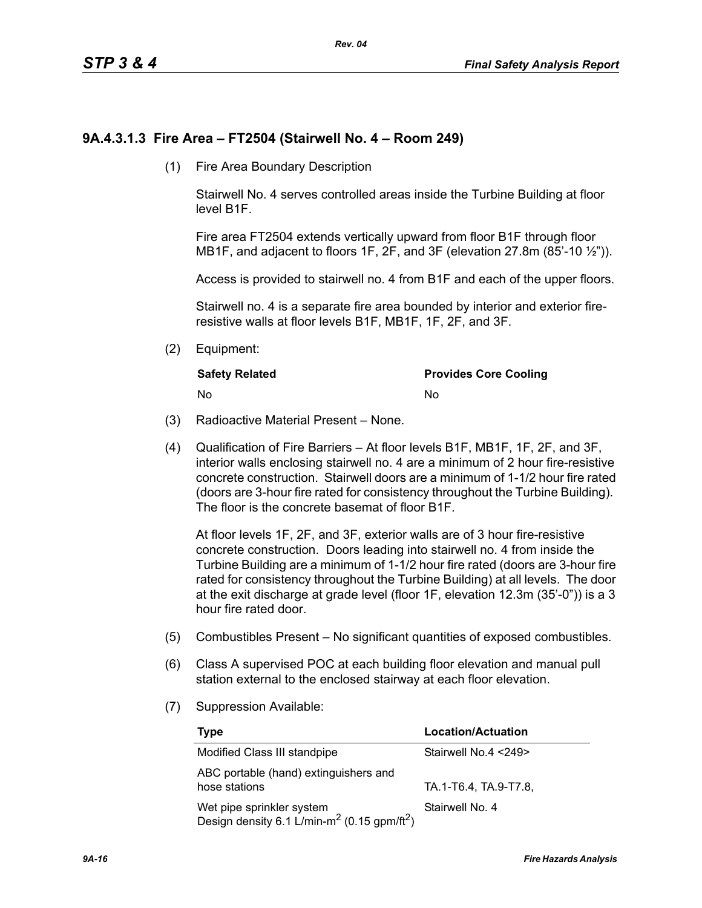## **9A.4.3.1.3 Fire Area – FT2504 (Stairwell No. 4 – Room 249)**

(1) Fire Area Boundary Description

Stairwell No. 4 serves controlled areas inside the Turbine Building at floor level B1F.

Fire area FT2504 extends vertically upward from floor B1F through floor MB1F, and adjacent to floors 1F, 2F, and 3F (elevation 27.8m (85'-10 1/2")).

Access is provided to stairwell no. 4 from B1F and each of the upper floors.

Stairwell no. 4 is a separate fire area bounded by interior and exterior fireresistive walls at floor levels B1F, MB1F, 1F, 2F, and 3F.

(2) Equipment:

| <b>Safety Related</b> | <b>Provides Core Cooling</b> |
|-----------------------|------------------------------|
| - No                  | No                           |

- (3) Radioactive Material Present None.
- (4) Qualification of Fire Barriers At floor levels B1F, MB1F, 1F, 2F, and 3F, interior walls enclosing stairwell no. 4 are a minimum of 2 hour fire-resistive concrete construction. Stairwell doors are a minimum of 1-1/2 hour fire rated (doors are 3-hour fire rated for consistency throughout the Turbine Building). The floor is the concrete basemat of floor B1F.

At floor levels 1F, 2F, and 3F, exterior walls are of 3 hour fire-resistive concrete construction. Doors leading into stairwell no. 4 from inside the Turbine Building are a minimum of 1-1/2 hour fire rated (doors are 3-hour fire rated for consistency throughout the Turbine Building) at all levels. The door at the exit discharge at grade level (floor 1F, elevation 12.3m (35'-0")) is a 3 hour fire rated door.

- (5) Combustibles Present No significant quantities of exposed combustibles.
- (6) Class A supervised POC at each building floor elevation and manual pull station external to the enclosed stairway at each floor elevation.
- (7) Suppression Available:

| Type                                                                                             | Location/Actuation    |
|--------------------------------------------------------------------------------------------------|-----------------------|
| Modified Class III standpipe                                                                     | Stairwell No.4 <249>  |
| ABC portable (hand) extinguishers and<br>hose stations                                           | TA.1-T6.4, TA.9-T7.8, |
| Wet pipe sprinkler system<br>Design density 6.1 L/min-m <sup>2</sup> (0.15 gpm/ft <sup>2</sup> ) | Stairwell No. 4       |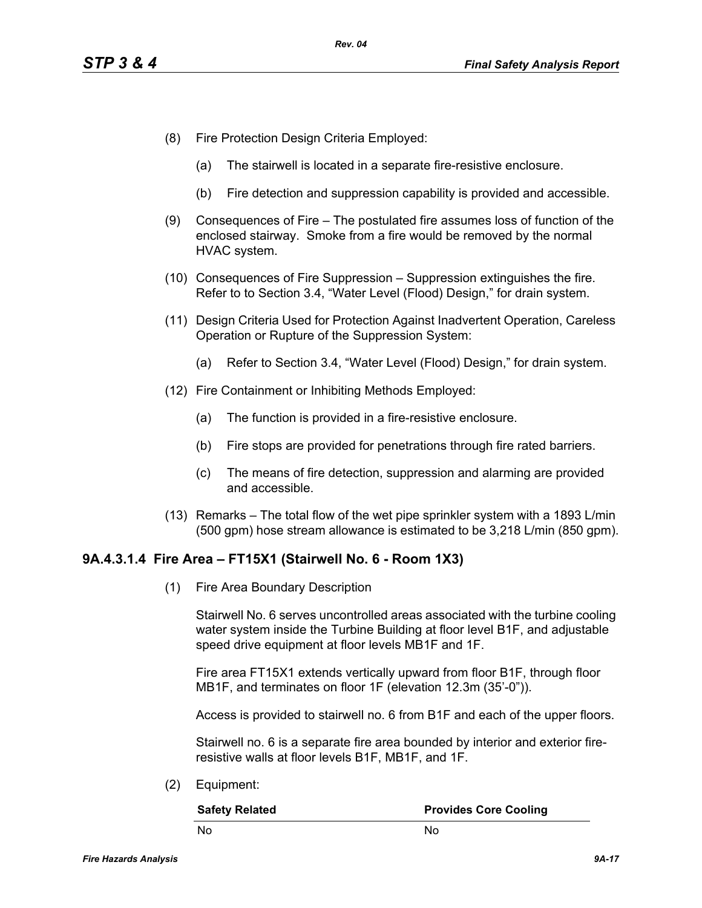- (8) Fire Protection Design Criteria Employed:
	- (a) The stairwell is located in a separate fire-resistive enclosure.
	- (b) Fire detection and suppression capability is provided and accessible.
- (9) Consequences of Fire The postulated fire assumes loss of function of the enclosed stairway. Smoke from a fire would be removed by the normal HVAC system.
- (10) Consequences of Fire Suppression Suppression extinguishes the fire. Refer to to Section 3.4, "Water Level (Flood) Design," for drain system.
- (11) Design Criteria Used for Protection Against Inadvertent Operation, Careless Operation or Rupture of the Suppression System:
	- (a) Refer to Section 3.4, "Water Level (Flood) Design," for drain system.
- (12) Fire Containment or Inhibiting Methods Employed:
	- (a) The function is provided in a fire-resistive enclosure.
	- (b) Fire stops are provided for penetrations through fire rated barriers.
	- (c) The means of fire detection, suppression and alarming are provided and accessible.
- (13) Remarks The total flow of the wet pipe sprinkler system with a 1893 L/min (500 gpm) hose stream allowance is estimated to be 3,218 L/min (850 gpm).

#### **9A.4.3.1.4 Fire Area – FT15X1 (Stairwell No. 6 - Room 1X3)**

(1) Fire Area Boundary Description

Stairwell No. 6 serves uncontrolled areas associated with the turbine cooling water system inside the Turbine Building at floor level B1F, and adjustable speed drive equipment at floor levels MB1F and 1F.

Fire area FT15X1 extends vertically upward from floor B1F, through floor MB1F, and terminates on floor 1F (elevation 12.3m (35'-0")).

Access is provided to stairwell no. 6 from B1F and each of the upper floors.

Stairwell no. 6 is a separate fire area bounded by interior and exterior fireresistive walls at floor levels B1F, MB1F, and 1F.

(2) Equipment:

| <b>Safety Related</b> | <b>Provides Core Cooling</b> |
|-----------------------|------------------------------|
| - No                  | N٥                           |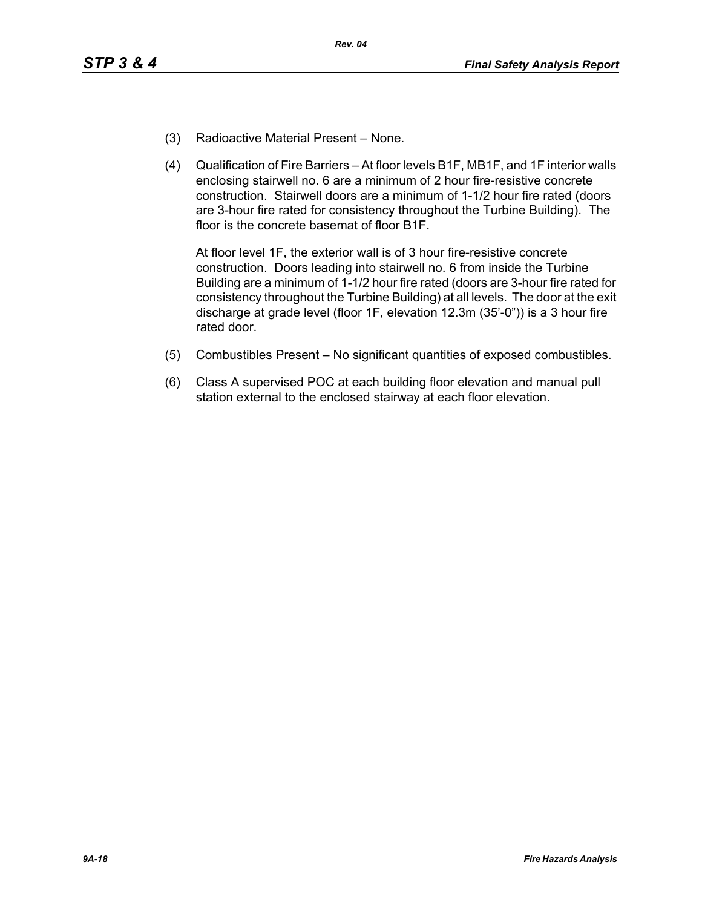- (3) Radioactive Material Present None.
- (4) Qualification of Fire Barriers At floor levels B1F, MB1F, and 1F interior walls enclosing stairwell no. 6 are a minimum of 2 hour fire-resistive concrete construction. Stairwell doors are a minimum of 1-1/2 hour fire rated (doors are 3-hour fire rated for consistency throughout the Turbine Building). The floor is the concrete basemat of floor B1F.

At floor level 1F, the exterior wall is of 3 hour fire-resistive concrete construction. Doors leading into stairwell no. 6 from inside the Turbine Building are a minimum of 1-1/2 hour fire rated (doors are 3-hour fire rated for consistency throughout the Turbine Building) at all levels. The door at the exit discharge at grade level (floor 1F, elevation 12.3m (35'-0")) is a 3 hour fire rated door.

- (5) Combustibles Present No significant quantities of exposed combustibles.
- (6) Class A supervised POC at each building floor elevation and manual pull station external to the enclosed stairway at each floor elevation.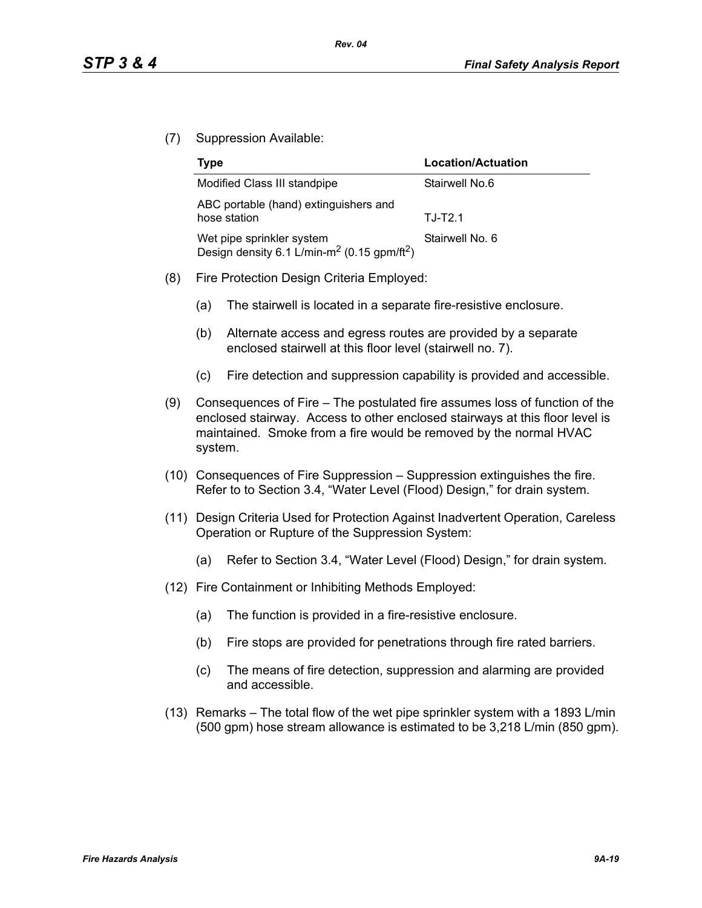(7) Suppression Available:

| Type                                                                                             | Location/Actuation |
|--------------------------------------------------------------------------------------------------|--------------------|
| Modified Class III standpipe                                                                     | Stairwell No.6     |
| ABC portable (hand) extinguishers and<br>hose station                                            | $T.J-T2.1$         |
| Wet pipe sprinkler system<br>Design density 6.1 L/min-m <sup>2</sup> (0.15 gpm/ft <sup>2</sup> ) | Stairwell No. 6    |

- (8) Fire Protection Design Criteria Employed:
	- (a) The stairwell is located in a separate fire-resistive enclosure.
	- (b) Alternate access and egress routes are provided by a separate enclosed stairwell at this floor level (stairwell no. 7).
	- (c) Fire detection and suppression capability is provided and accessible.
- (9) Consequences of Fire The postulated fire assumes loss of function of the enclosed stairway. Access to other enclosed stairways at this floor level is maintained. Smoke from a fire would be removed by the normal HVAC system.
- (10) Consequences of Fire Suppression Suppression extinguishes the fire. Refer to to Section 3.4, "Water Level (Flood) Design," for drain system.
- (11) Design Criteria Used for Protection Against Inadvertent Operation, Careless Operation or Rupture of the Suppression System:
	- (a) Refer to Section 3.4, "Water Level (Flood) Design," for drain system.
- (12) Fire Containment or Inhibiting Methods Employed:
	- (a) The function is provided in a fire-resistive enclosure.
	- (b) Fire stops are provided for penetrations through fire rated barriers.
	- (c) The means of fire detection, suppression and alarming are provided and accessible.
- (13) Remarks The total flow of the wet pipe sprinkler system with a 1893 L/min (500 gpm) hose stream allowance is estimated to be 3,218 L/min (850 gpm).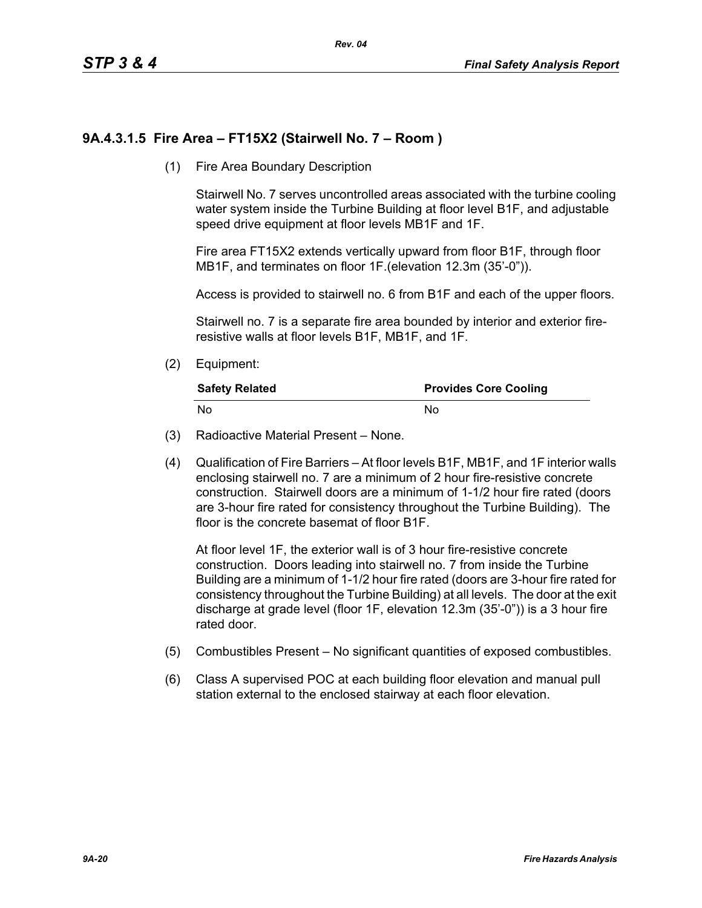# **9A.4.3.1.5 Fire Area – FT15X2 (Stairwell No. 7 – Room )**

(1) Fire Area Boundary Description

Stairwell No. 7 serves uncontrolled areas associated with the turbine cooling water system inside the Turbine Building at floor level B1F, and adjustable speed drive equipment at floor levels MB1F and 1F.

Fire area FT15X2 extends vertically upward from floor B1F, through floor MB1F, and terminates on floor 1F.(elevation 12.3m (35'-0")).

Access is provided to stairwell no. 6 from B1F and each of the upper floors.

Stairwell no. 7 is a separate fire area bounded by interior and exterior fireresistive walls at floor levels B1F, MB1F, and 1F.

(2) Equipment:

| <b>Safety Related</b> | <b>Provides Core Cooling</b> |
|-----------------------|------------------------------|
| No                    | N٥                           |

- (3) Radioactive Material Present None.
- (4) Qualification of Fire Barriers At floor levels B1F, MB1F, and 1F interior walls enclosing stairwell no. 7 are a minimum of 2 hour fire-resistive concrete construction. Stairwell doors are a minimum of 1-1/2 hour fire rated (doors are 3-hour fire rated for consistency throughout the Turbine Building). The floor is the concrete basemat of floor B1F.

At floor level 1F, the exterior wall is of 3 hour fire-resistive concrete construction. Doors leading into stairwell no. 7 from inside the Turbine Building are a minimum of 1-1/2 hour fire rated (doors are 3-hour fire rated for consistency throughout the Turbine Building) at all levels. The door at the exit discharge at grade level (floor 1F, elevation 12.3m (35'-0")) is a 3 hour fire rated door.

- (5) Combustibles Present No significant quantities of exposed combustibles.
- (6) Class A supervised POC at each building floor elevation and manual pull station external to the enclosed stairway at each floor elevation.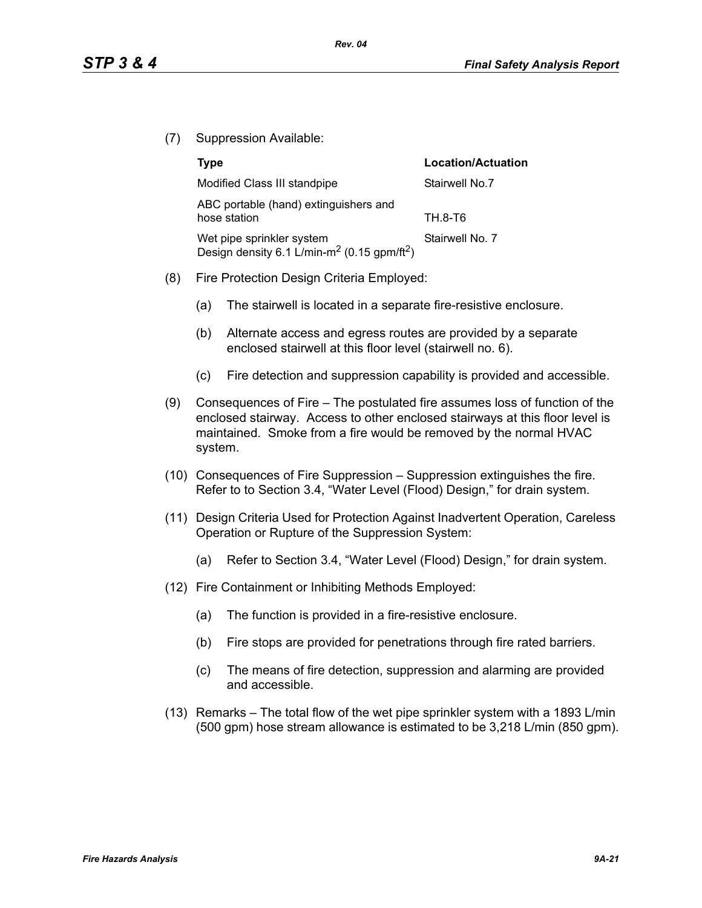(7) Suppression Available:

|     | <b>Type</b>                                                                                      | <b>Location/Actuation</b> |
|-----|--------------------------------------------------------------------------------------------------|---------------------------|
|     | Modified Class III standpipe                                                                     | Stairwell No.7            |
|     | ABC portable (hand) extinguishers and<br>hose station                                            | TH.8-T6                   |
|     | Wet pipe sprinkler system<br>Design density 6.1 L/min-m <sup>2</sup> (0.15 gpm/ft <sup>2</sup> ) | Stairwell No. 7           |
| (8) | Fire Protection Design Criteria Employed:                                                        |                           |

- (a) The stairwell is located in a separate fire-resistive enclosure.
- (b) Alternate access and egress routes are provided by a separate enclosed stairwell at this floor level (stairwell no. 6).
- (c) Fire detection and suppression capability is provided and accessible.
- (9) Consequences of Fire The postulated fire assumes loss of function of the enclosed stairway. Access to other enclosed stairways at this floor level is maintained. Smoke from a fire would be removed by the normal HVAC system.
- (10) Consequences of Fire Suppression Suppression extinguishes the fire. Refer to to Section 3.4, "Water Level (Flood) Design," for drain system.
- (11) Design Criteria Used for Protection Against Inadvertent Operation, Careless Operation or Rupture of the Suppression System:
	- (a) Refer to Section 3.4, "Water Level (Flood) Design," for drain system.
- (12) Fire Containment or Inhibiting Methods Employed:
	- (a) The function is provided in a fire-resistive enclosure.
	- (b) Fire stops are provided for penetrations through fire rated barriers.
	- (c) The means of fire detection, suppression and alarming are provided and accessible.
- (13) Remarks The total flow of the wet pipe sprinkler system with a 1893 L/min (500 gpm) hose stream allowance is estimated to be 3,218 L/min (850 gpm).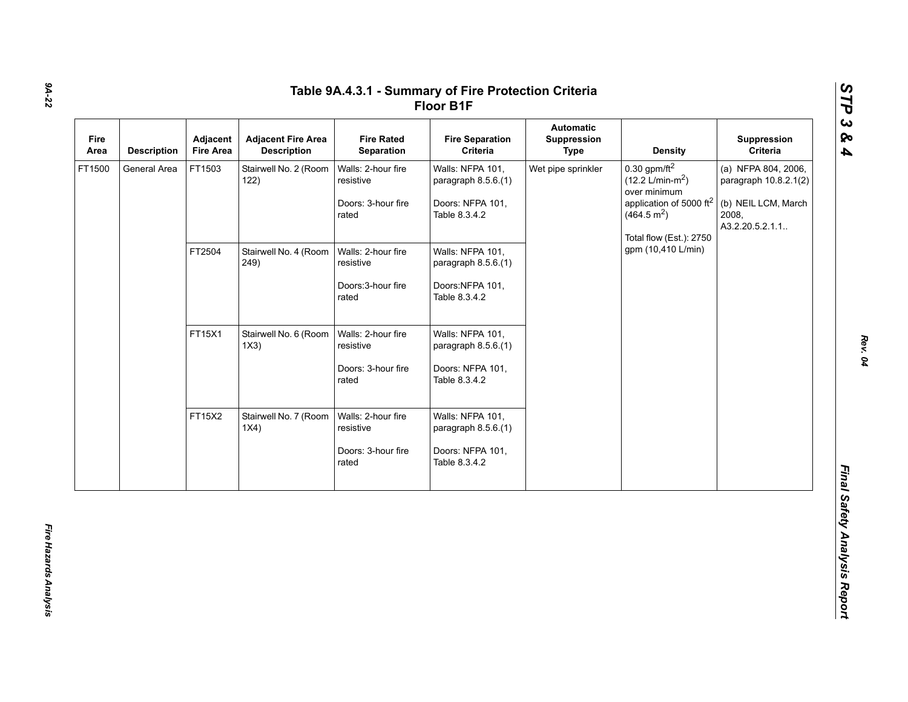| Fire<br>Area | <b>Description</b> | Adjacent<br><b>Fire Area</b> | <b>Adjacent Fire Area</b><br><b>Description</b> | <b>Fire Rated</b><br>Separation                                | <b>Fire Separation</b><br>Criteria                                           | Automatic<br>Suppression<br><b>Type</b> | <b>Density</b>                                                                                                                                              | Suppression<br>Criteria                                                                          |
|--------------|--------------------|------------------------------|-------------------------------------------------|----------------------------------------------------------------|------------------------------------------------------------------------------|-----------------------------------------|-------------------------------------------------------------------------------------------------------------------------------------------------------------|--------------------------------------------------------------------------------------------------|
| FT1500       | General Area       | FT1503                       | Stairwell No. 2 (Room<br>122)                   | Walls: 2-hour fire<br>resistive<br>Doors: 3-hour fire<br>rated | Walls: NFPA 101,<br>paragraph 8.5.6.(1)<br>Doors: NFPA 101,<br>Table 8.3.4.2 | Wet pipe sprinkler                      | 0.30 gpm/ft $^2$<br>$(12.2 \text{ L/min-m}^2)$<br>over minimum<br>application of 5000 ft <sup>2</sup><br>(464.5 m <sup>2</sup> )<br>Total flow (Est.): 2750 | (a) NFPA 804, 2006,<br>paragraph 10.8.2.1(2)<br>(b) NEIL LCM, March<br>2008,<br>A3.2.20.5.2.1.1. |
|              |                    | FT2504                       | Stairwell No. 4 (Room<br>249)                   | Walls: 2-hour fire<br>resistive<br>Doors: 3-hour fire<br>rated | Walls: NFPA 101,<br>paragraph 8.5.6.(1)<br>Doors:NFPA 101,<br>Table 8.3.4.2  | gpm (10,410 L/min)                      |                                                                                                                                                             |                                                                                                  |
|              |                    | FT15X1                       | Stairwell No. 6 (Room<br>1X3)                   | Walls: 2-hour fire<br>resistive<br>Doors: 3-hour fire<br>rated | Walls: NFPA 101,<br>paragraph 8.5.6.(1)<br>Doors: NFPA 101,<br>Table 8.3.4.2 |                                         |                                                                                                                                                             |                                                                                                  |
|              |                    | FT15X2                       | Stairwell No. 7 (Room<br>1X4)                   | Walls: 2-hour fire<br>resistive<br>Doors: 3-hour fire<br>rated | Walls: NFPA 101,<br>paragraph 8.5.6.(1)<br>Doors: NFPA 101,<br>Table 8.3.4.2 |                                         |                                                                                                                                                             |                                                                                                  |

*STP 3 & 4*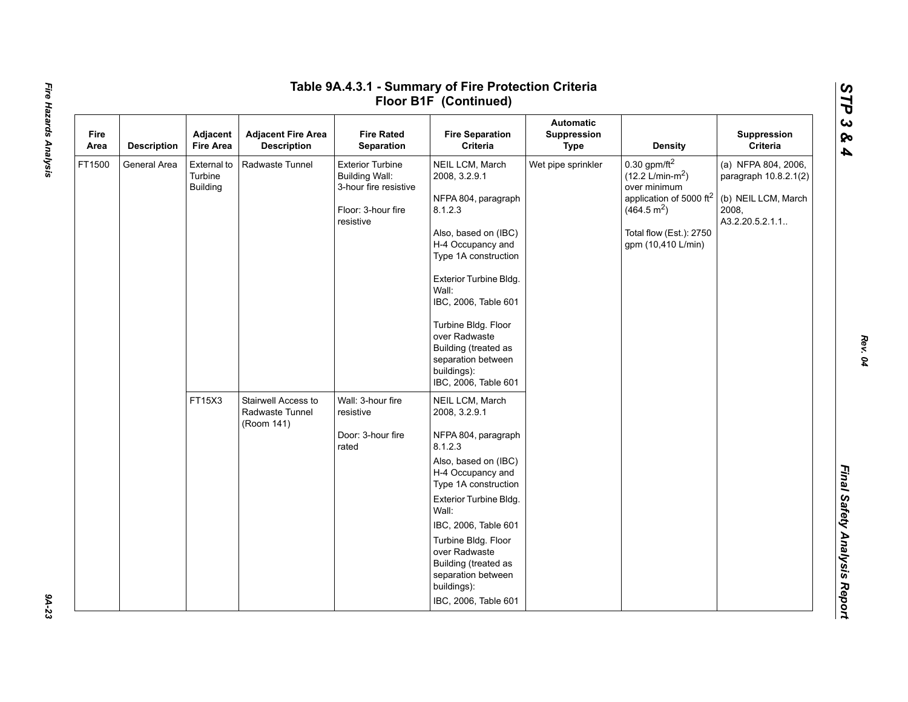|              |                    |                                                                                                    |                                                                        |                                                                                                                                                                                                                                                                                                                                 | Floor B1F (Continued)                                                                             |                                                                                                                                                                                             |                                                                                                  |                         |
|--------------|--------------------|----------------------------------------------------------------------------------------------------|------------------------------------------------------------------------|---------------------------------------------------------------------------------------------------------------------------------------------------------------------------------------------------------------------------------------------------------------------------------------------------------------------------------|---------------------------------------------------------------------------------------------------|---------------------------------------------------------------------------------------------------------------------------------------------------------------------------------------------|--------------------------------------------------------------------------------------------------|-------------------------|
| Fire<br>Area | <b>Description</b> | Adjacent<br><b>Fire Area</b>                                                                       | <b>Adjacent Fire Area</b><br><b>Description</b>                        | <b>Fire Rated</b><br>Separation                                                                                                                                                                                                                                                                                                 | <b>Fire Separation</b><br>Criteria                                                                | <b>Automatic</b><br>Suppression<br><b>Type</b>                                                                                                                                              | <b>Density</b>                                                                                   | Suppression<br>Criteria |
| FT1500       | General Area       | Radwaste Tunnel<br>External to<br>Turbine<br><b>Building Wall:</b><br><b>Building</b><br>resistive | <b>Exterior Turbine</b><br>3-hour fire resistive<br>Floor: 3-hour fire | NEIL LCM, March<br>2008, 3.2.9.1<br>NFPA 804, paragraph<br>8.1.2.3<br>Also, based on (IBC)<br>H-4 Occupancy and<br>Type 1A construction<br>Exterior Turbine Bldg.<br>Wall:<br>IBC, 2006, Table 601<br>Turbine Bldg. Floor<br>over Radwaste<br>Building (treated as<br>separation between<br>buildings):<br>IBC, 2006, Table 601 | Wet pipe sprinkler                                                                                | $0.30$ gpm/ft <sup>2</sup><br>$(12.2 \text{ L/min-m}^2)$<br>over minimum<br>application of 5000 ft <sup>2</sup><br>(464.5 m <sup>2</sup> )<br>Total flow (Est.): 2750<br>gpm (10,410 L/min) | (a) NFPA 804, 2006,<br>paragraph 10.8.2.1(2)<br>(b) NEIL LCM, March<br>2008,<br>A3.2.20.5.2.1.1. |                         |
|              |                    | FT15X3                                                                                             | Stairwell Access to<br>Radwaste Tunnel<br>(Room 141)                   | Wall: 3-hour fire<br>resistive<br>Door: 3-hour fire<br>rated                                                                                                                                                                                                                                                                    | NEIL LCM, March<br>2008, 3.2.9.1                                                                  |                                                                                                                                                                                             |                                                                                                  |                         |
|              |                    |                                                                                                    |                                                                        |                                                                                                                                                                                                                                                                                                                                 | NFPA 804, paragraph<br>8.1.2.3                                                                    |                                                                                                                                                                                             |                                                                                                  |                         |
|              |                    |                                                                                                    |                                                                        |                                                                                                                                                                                                                                                                                                                                 | Also, based on (IBC)<br>H-4 Occupancy and<br>Type 1A construction                                 |                                                                                                                                                                                             |                                                                                                  |                         |
|              |                    |                                                                                                    |                                                                        |                                                                                                                                                                                                                                                                                                                                 | Exterior Turbine Bldg.<br>Wall:                                                                   |                                                                                                                                                                                             |                                                                                                  |                         |
|              |                    |                                                                                                    |                                                                        |                                                                                                                                                                                                                                                                                                                                 | IBC, 2006, Table 601                                                                              |                                                                                                                                                                                             |                                                                                                  |                         |
|              |                    |                                                                                                    |                                                                        |                                                                                                                                                                                                                                                                                                                                 | Turbine Bldg. Floor<br>over Radwaste<br>Building (treated as<br>separation between<br>buildings): |                                                                                                                                                                                             |                                                                                                  |                         |
|              |                    |                                                                                                    |                                                                        |                                                                                                                                                                                                                                                                                                                                 | IBC, 2006, Table 601                                                                              |                                                                                                                                                                                             |                                                                                                  |                         |

*STP 3 & 4*

9A-23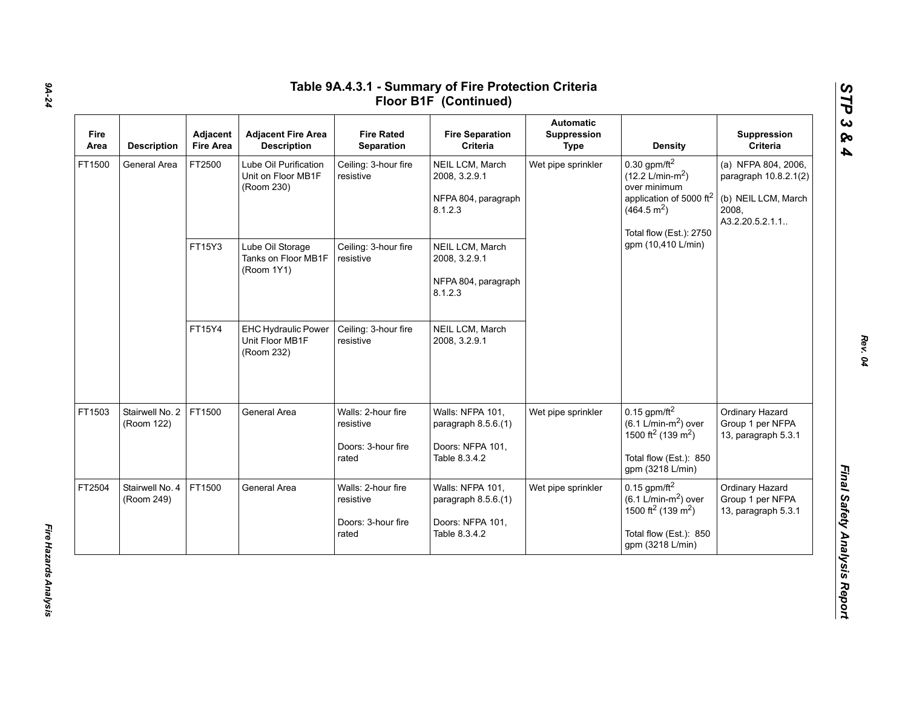| Fire<br>Area | <b>Description</b>            | Adjacent<br><b>Fire Area</b> | <b>Adjacent Fire Area</b><br><b>Description</b>             | <b>Fire Rated</b><br>Separation                                | <b>Fire Separation</b><br>Criteria                                           | <b>Automatic</b><br>Suppression<br><b>Type</b> | <b>Density</b>                                                                                                                                                        | Suppression<br>Criteria                                                                          |
|--------------|-------------------------------|------------------------------|-------------------------------------------------------------|----------------------------------------------------------------|------------------------------------------------------------------------------|------------------------------------------------|-----------------------------------------------------------------------------------------------------------------------------------------------------------------------|--------------------------------------------------------------------------------------------------|
| FT1500       | General Area                  | FT2500                       | Lube Oil Purification<br>Unit on Floor MB1F<br>(Room 230)   | Ceiling: 3-hour fire<br>resistive                              | NEIL LCM, March<br>2008, 3.2.9.1<br>NFPA 804, paragraph<br>8.1.2.3           | Wet pipe sprinkler                             | $0.30$ gpm/ft <sup>2</sup><br>$(12.2 \text{ L/min-m}^2)$<br>over minimum<br>application of 5000 ft <sup>2</sup><br>(464.5 m <sup>2</sup> )<br>Total flow (Est.): 2750 | (a) NFPA 804, 2006,<br>paragraph 10.8.2.1(2)<br>(b) NEIL LCM, March<br>2008,<br>A3.2.20.5.2.1.1. |
|              |                               | FT15Y3                       | Lube Oil Storage<br>Tanks on Floor MB1F<br>(Room 1Y1)       | Ceiling: 3-hour fire<br>resistive                              | NEIL LCM, March<br>2008, 3.2.9.1<br>NFPA 804, paragraph<br>8.1.2.3           |                                                | gpm (10,410 L/min)                                                                                                                                                    |                                                                                                  |
|              |                               | FT15Y4                       | <b>EHC Hydraulic Power</b><br>Unit Floor MB1F<br>(Room 232) | Ceiling: 3-hour fire<br>resistive                              | NEIL LCM, March<br>2008, 3.2.9.1                                             |                                                |                                                                                                                                                                       |                                                                                                  |
| FT1503       | Stairwell No. 2<br>(Room 122) | FT1500                       | General Area                                                | Walls: 2-hour fire<br>resistive<br>Doors: 3-hour fire<br>rated | Walls: NFPA 101,<br>paragraph 8.5.6.(1)<br>Doors: NFPA 101,<br>Table 8.3.4.2 | Wet pipe sprinkler                             | $0.15$ gpm/ft <sup>2</sup><br>$(6.1 \text{ L/min-m}^2)$ over<br>1500 ft <sup>2</sup> (139 m <sup>2</sup> )<br>Total flow (Est.): 850<br>gpm (3218 L/min)              | Ordinary Hazard<br>Group 1 per NFPA<br>13, paragraph 5.3.1                                       |
| FT2504       | Stairwell No. 4<br>(Room 249) | FT1500                       | General Area                                                | Walls: 2-hour fire<br>resistive<br>Doors: 3-hour fire<br>rated | Walls: NFPA 101,<br>paragraph 8.5.6.(1)<br>Doors: NFPA 101,<br>Table 8.3.4.2 | Wet pipe sprinkler                             | $0.15$ gpm/ft <sup>2</sup><br>$(6.1 \text{ L/min-m}^2)$ over<br>1500 ft <sup>2</sup> (139 m <sup>2</sup> )<br>Total flow (Est.): 850<br>gpm (3218 L/min)              | Ordinary Hazard<br>Group 1 per NFPA<br>13, paragraph 5.3.1                                       |

*Rev. 04*

*STP 3 & 4*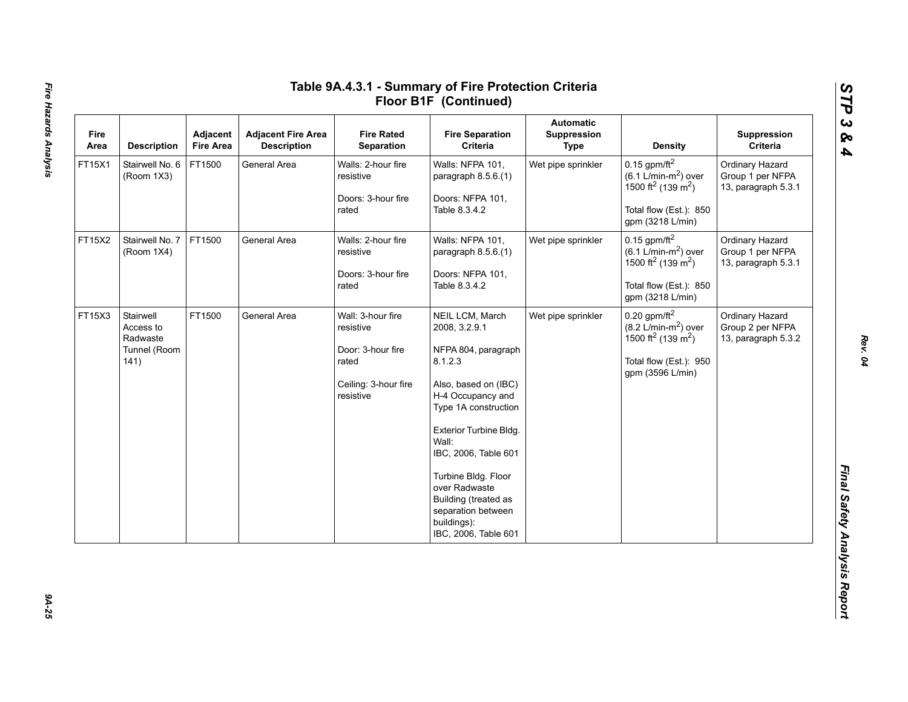| Fire<br>Area | <b>Description</b>                                         | Adjacent<br><b>Fire Area</b> | <b>Adjacent Fire Area</b><br><b>Description</b> | <b>Fire Rated</b><br>Separation                                                                   | <b>Fire Separation</b><br>Criteria                                                                                                                                                                                                                                                                                              | <b>Automatic</b><br>Suppression<br><b>Type</b> | <b>Density</b>                                                                                                                                               | Suppression<br>Criteria                                    |
|--------------|------------------------------------------------------------|------------------------------|-------------------------------------------------|---------------------------------------------------------------------------------------------------|---------------------------------------------------------------------------------------------------------------------------------------------------------------------------------------------------------------------------------------------------------------------------------------------------------------------------------|------------------------------------------------|--------------------------------------------------------------------------------------------------------------------------------------------------------------|------------------------------------------------------------|
| FT15X1       | Stairwell No. 6<br>(Room 1X3)                              | FT1500                       | General Area                                    | Walls: 2-hour fire<br>resistive<br>Doors: 3-hour fire<br>rated                                    | Walls: NFPA 101,<br>paragraph 8.5.6.(1)<br>Doors: NFPA 101,<br>Table 8.3.4.2                                                                                                                                                                                                                                                    | Wet pipe sprinkler                             | $0.15$ gpm/ft <sup>2</sup><br>$(6.1$ L/min-m <sup>2</sup> ) over<br>1500 ft <sup>2</sup> (139 m <sup>2</sup> )<br>Total flow (Est.): 850<br>gpm (3218 L/min) | Ordinary Hazard<br>Group 1 per NFPA<br>13, paragraph 5.3.1 |
| FT15X2       | Stairwell No. 7<br>(Room 1X4)                              | FT1500                       | General Area                                    | Walls: 2-hour fire<br>resistive<br>Doors: 3-hour fire<br>rated                                    | Walls: NFPA 101,<br>paragraph 8.5.6.(1)<br>Doors: NFPA 101,<br>Table 8.3.4.2                                                                                                                                                                                                                                                    | Wet pipe sprinkler                             | $0.15$ gpm/ft <sup>2</sup><br>$(6.1 \text{ L/min-m}^2)$ over<br>1500 ft <sup>2</sup> (139 m <sup>2</sup> )<br>Total flow (Est.): 850<br>gpm (3218 L/min)     | Ordinary Hazard<br>Group 1 per NFPA<br>13, paragraph 5.3.1 |
| FT15X3       | Stairwell<br>Access to<br>Radwaste<br>Tunnel (Room<br>141) | FT1500                       | General Area                                    | Wall: 3-hour fire<br>resistive<br>Door: 3-hour fire<br>rated<br>Ceiling: 3-hour fire<br>resistive | NEIL LCM, March<br>2008, 3.2.9.1<br>NFPA 804, paragraph<br>8.1.2.3<br>Also, based on (IBC)<br>H-4 Occupancy and<br>Type 1A construction<br>Exterior Turbine Bldg.<br>Wall:<br>IBC, 2006, Table 601<br>Turbine Bldg. Floor<br>over Radwaste<br>Building (treated as<br>separation between<br>buildings):<br>IBC, 2006, Table 601 | Wet pipe sprinkler                             | $0.20$ gpm/ft <sup>2</sup><br>$(8.2 \text{ L/min-m}^2)$ over<br>1500 ft <sup>2</sup> (139 m <sup>2</sup> )<br>Total flow (Est.): 950<br>gpm (3596 L/min)     | Ordinary Hazard<br>Group 2 per NFPA<br>13, paragraph 5.3.2 |

*STP 3 & 4*

9A-25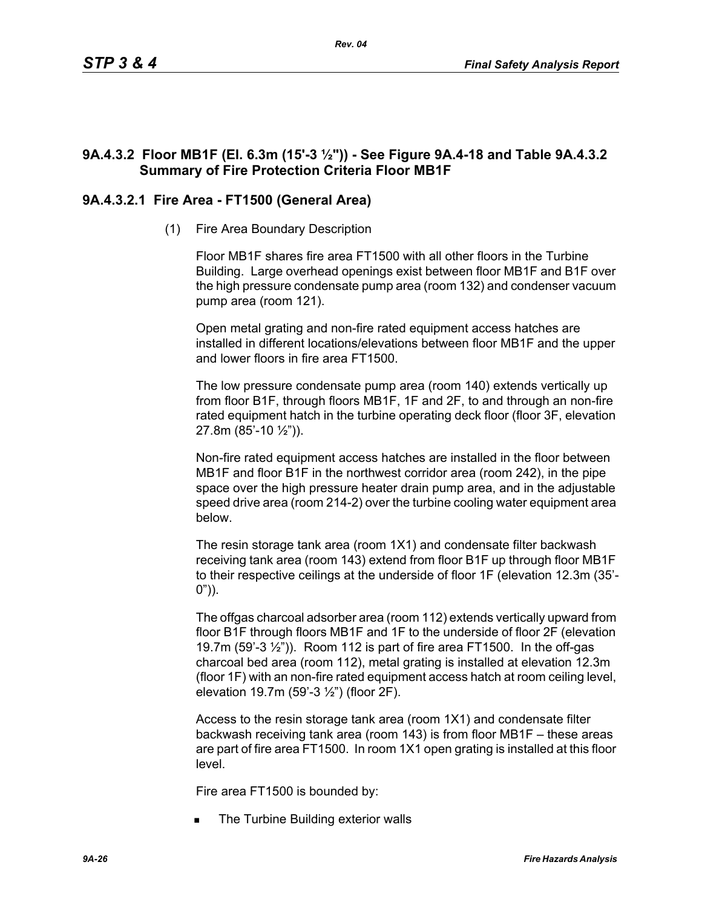# **9A.4.3.2 Floor MB1F (El. 6.3m (15'-3 ½")) - See Figure 9A.4-18 and Table 9A.4.3.2 Summary of Fire Protection Criteria Floor MB1F**

# **9A.4.3.2.1 Fire Area - FT1500 (General Area)**

(1) Fire Area Boundary Description

Floor MB1F shares fire area FT1500 with all other floors in the Turbine Building. Large overhead openings exist between floor MB1F and B1F over the high pressure condensate pump area (room 132) and condenser vacuum pump area (room 121).

Open metal grating and non-fire rated equipment access hatches are installed in different locations/elevations between floor MB1F and the upper and lower floors in fire area FT1500.

The low pressure condensate pump area (room 140) extends vertically up from floor B1F, through floors MB1F, 1F and 2F, to and through an non-fire rated equipment hatch in the turbine operating deck floor (floor 3F, elevation 27.8m (85'-10 ½")).

Non-fire rated equipment access hatches are installed in the floor between MB1F and floor B1F in the northwest corridor area (room 242), in the pipe space over the high pressure heater drain pump area, and in the adjustable speed drive area (room 214-2) over the turbine cooling water equipment area below.

The resin storage tank area (room 1X1) and condensate filter backwash receiving tank area (room 143) extend from floor B1F up through floor MB1F to their respective ceilings at the underside of floor 1F (elevation 12.3m (35'-  $0")$ ).

The offgas charcoal adsorber area (room 112) extends vertically upward from floor B1F through floors MB1F and 1F to the underside of floor 2F (elevation 19.7m (59'-3 ½")). Room 112 is part of fire area FT1500. In the off-gas charcoal bed area (room 112), metal grating is installed at elevation 12.3m (floor 1F) with an non-fire rated equipment access hatch at room ceiling level, elevation 19.7m (59'-3 ½") (floor 2F).

Access to the resin storage tank area (room 1X1) and condensate filter backwash receiving tank area (room 143) is from floor MB1F – these areas are part of fire area FT1500. In room 1X1 open grating is installed at this floor level.

Fire area FT1500 is bounded by:

The Turbine Building exterior walls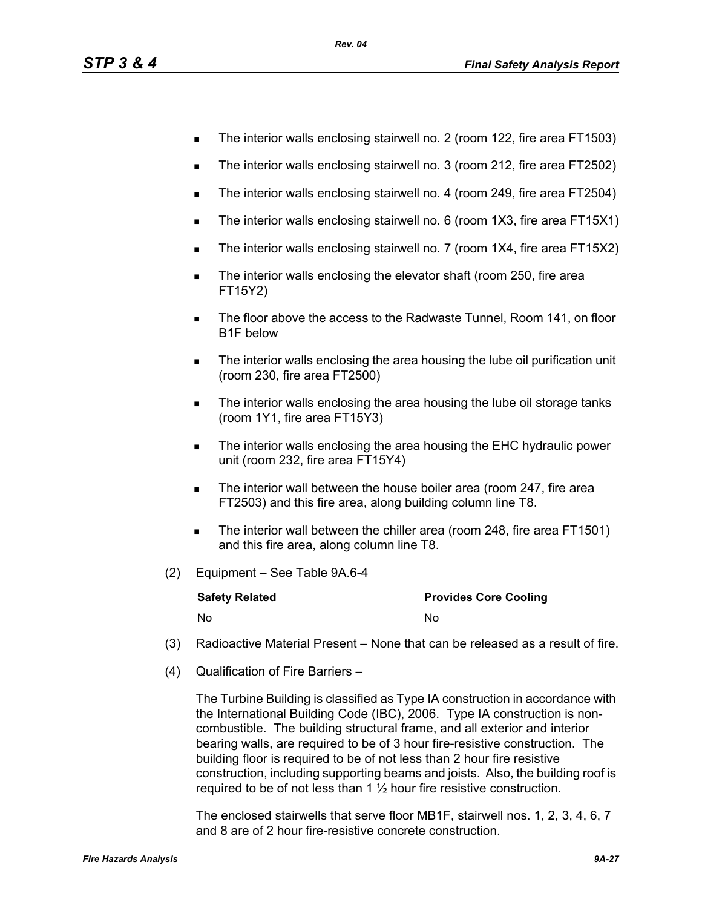- The interior walls enclosing stairwell no. 2 (room 122, fire area FT1503)
- The interior walls enclosing stairwell no. 3 (room 212, fire area FT2502)
- The interior walls enclosing stairwell no. 4 (room 249, fire area FT2504)
- The interior walls enclosing stairwell no. 6 (room 1X3, fire area FT15X1)
- The interior walls enclosing stairwell no. 7 (room 1X4, fire area FT15X2)
- **The interior walls enclosing the elevator shaft (room 250, fire area** FT15Y2)
- **The floor above the access to the Radwaste Tunnel, Room 141, on floor** B1F below
- **The interior walls enclosing the area housing the lube oil purification unit** (room 230, fire area FT2500)
- The interior walls enclosing the area housing the lube oil storage tanks (room 1Y1, fire area FT15Y3)
- The interior walls enclosing the area housing the EHC hydraulic power unit (room 232, fire area FT15Y4)
- **The interior wall between the house boiler area (room 247, fire area** FT2503) and this fire area, along building column line T8.
- The interior wall between the chiller area (room 248, fire area FT1501) and this fire area, along column line T8.
- (2) Equipment See Table 9A.6-4

| <b>Safety Related</b> | <b>Provides Core Cooling</b> |
|-----------------------|------------------------------|
| No                    | No                           |

- (3) Radioactive Material Present None that can be released as a result of fire.
- (4) Qualification of Fire Barriers –

The Turbine Building is classified as Type IA construction in accordance with the International Building Code (IBC), 2006. Type IA construction is noncombustible. The building structural frame, and all exterior and interior bearing walls, are required to be of 3 hour fire-resistive construction. The building floor is required to be of not less than 2 hour fire resistive construction, including supporting beams and joists. Also, the building roof is required to be of not less than  $1\frac{1}{2}$  hour fire resistive construction.

The enclosed stairwells that serve floor MB1F, stairwell nos. 1, 2, 3, 4, 6, 7 and 8 are of 2 hour fire-resistive concrete construction.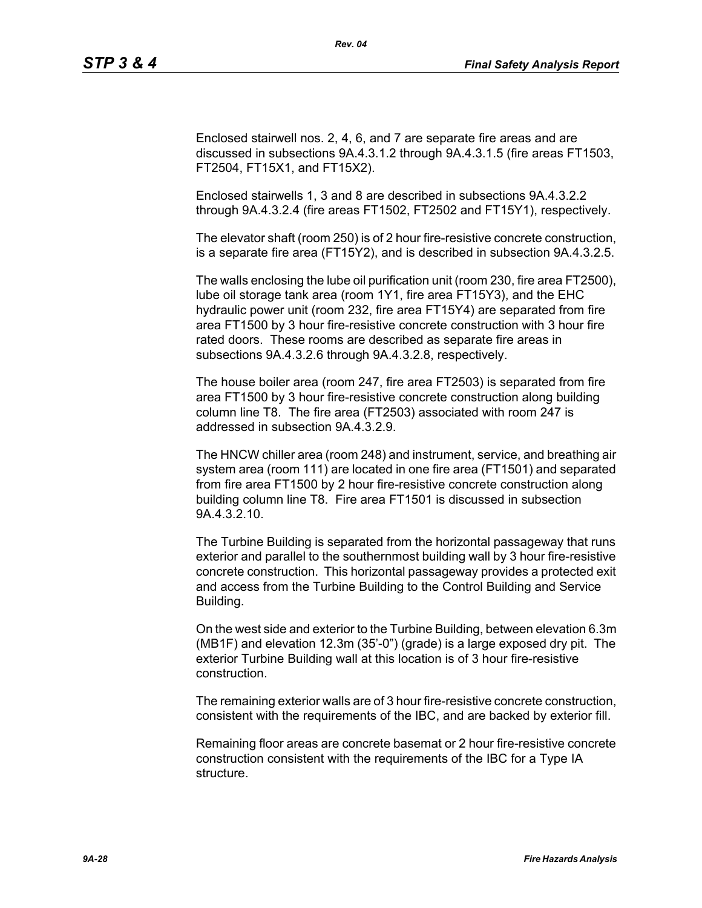Enclosed stairwell nos. 2, 4, 6, and 7 are separate fire areas and are discussed in subsections 9A.4.3.1.2 through 9A.4.3.1.5 (fire areas FT1503, FT2504, FT15X1, and FT15X2).

*Rev. 04*

Enclosed stairwells 1, 3 and 8 are described in subsections 9A.4.3.2.2 through 9A.4.3.2.4 (fire areas FT1502, FT2502 and FT15Y1), respectively.

The elevator shaft (room 250) is of 2 hour fire-resistive concrete construction, is a separate fire area (FT15Y2), and is described in subsection 9A.4.3.2.5.

The walls enclosing the lube oil purification unit (room 230, fire area FT2500), lube oil storage tank area (room 1Y1, fire area FT15Y3), and the EHC hydraulic power unit (room 232, fire area FT15Y4) are separated from fire area FT1500 by 3 hour fire-resistive concrete construction with 3 hour fire rated doors. These rooms are described as separate fire areas in subsections 9A.4.3.2.6 through 9A.4.3.2.8, respectively.

The house boiler area (room 247, fire area FT2503) is separated from fire area FT1500 by 3 hour fire-resistive concrete construction along building column line T8. The fire area (FT2503) associated with room 247 is addressed in subsection 9A.4.3.2.9.

The HNCW chiller area (room 248) and instrument, service, and breathing air system area (room 111) are located in one fire area (FT1501) and separated from fire area FT1500 by 2 hour fire-resistive concrete construction along building column line T8. Fire area FT1501 is discussed in subsection 9A.4.3.2.10.

The Turbine Building is separated from the horizontal passageway that runs exterior and parallel to the southernmost building wall by 3 hour fire-resistive concrete construction. This horizontal passageway provides a protected exit and access from the Turbine Building to the Control Building and Service Building.

On the west side and exterior to the Turbine Building, between elevation 6.3m (MB1F) and elevation 12.3m (35'-0") (grade) is a large exposed dry pit. The exterior Turbine Building wall at this location is of 3 hour fire-resistive construction.

The remaining exterior walls are of 3 hour fire-resistive concrete construction, consistent with the requirements of the IBC, and are backed by exterior fill.

Remaining floor areas are concrete basemat or 2 hour fire-resistive concrete construction consistent with the requirements of the IBC for a Type IA structure.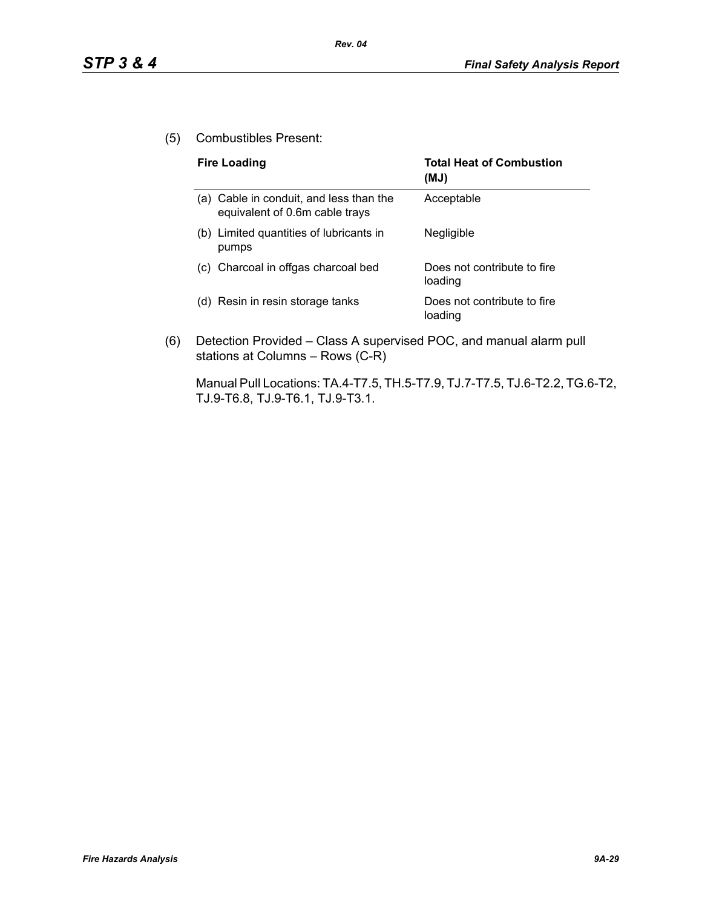(5) Combustibles Present:

| <b>Fire Loading</b>                                                       | <b>Total Heat of Combustion</b><br>(MJ) |
|---------------------------------------------------------------------------|-----------------------------------------|
| (a) Cable in conduit, and less than the<br>equivalent of 0.6m cable trays | Acceptable                              |
| (b) Limited quantities of lubricants in<br>pumps                          | Negligible                              |
| (c) Charcoal in offgas charcoal bed                                       | Does not contribute to fire<br>loading  |
| Resin in resin storage tanks<br>(d)                                       | Does not contribute to fire<br>loading  |

(6) Detection Provided – Class A supervised POC, and manual alarm pull stations at Columns – Rows (C-R)

Manual Pull Locations: TA.4-T7.5, TH.5-T7.9, TJ.7-T7.5, TJ.6-T2.2, TG.6-T2, TJ.9-T6.8, TJ.9-T6.1, TJ.9-T3.1.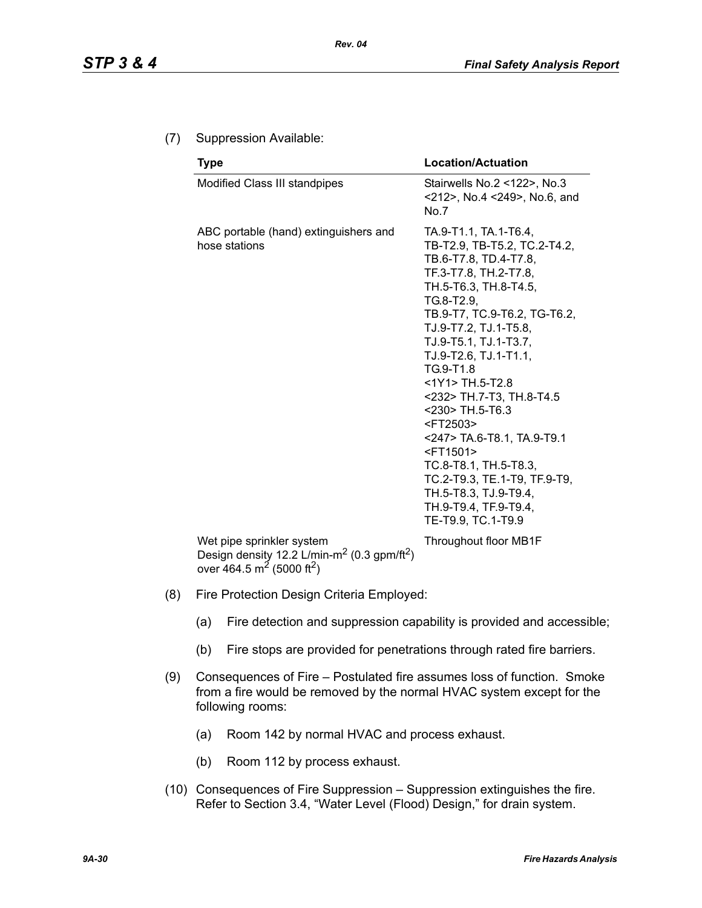## (7) Suppression Available:

| <b>Type</b>                                            | <b>Location/Actuation</b>                                                                                                                                                                                                                                                                                                                                                                                                                                                                                                                                         |
|--------------------------------------------------------|-------------------------------------------------------------------------------------------------------------------------------------------------------------------------------------------------------------------------------------------------------------------------------------------------------------------------------------------------------------------------------------------------------------------------------------------------------------------------------------------------------------------------------------------------------------------|
| Modified Class III standpipes                          | Stairwells No.2 <122>, No.3<br><212>, No.4 <249>, No.6, and<br>No.7                                                                                                                                                                                                                                                                                                                                                                                                                                                                                               |
| ABC portable (hand) extinguishers and<br>hose stations | TA.9-T1.1, TA.1-T6.4,<br>TB-T2.9, TB-T5.2, TC.2-T4.2,<br>TB.6-T7.8, TD.4-T7.8,<br>TF.3-T7.8, TH.2-T7.8,<br>TH.5-T6.3, TH.8-T4.5,<br>TG.8-T2.9.<br>TB.9-T7, TC.9-T6.2, TG-T6.2,<br>TJ.9-T7.2, TJ.1-T5.8,<br>TJ.9-T5.1, TJ.1-T3.7,<br>TJ.9-T2.6, TJ.1-T1.1,<br>TG.9-T1.8<br>$<$ 1Y1> TH.5-T2.8<br><232> TH.7-T3, TH.8-T4.5<br><230> TH.5-T6.3<br><ft2503><br/>&lt;247&gt; TA.6-T8.1, TA.9-T9.1<br/><ft1501><br/>TC.8-T8.1, TH.5-T8.3,<br/>TC.2-T9.3, TE.1-T9, TF.9-T9,<br/>TH.5-T8.3, TJ.9-T9.4,<br/>TH.9-T9.4, TF.9-T9.4,<br/>TE-T9.9, TC.1-T9.9</ft1501></ft2503> |
| Wet pipe sprinkler system                              | Throughout floor MB1F                                                                                                                                                                                                                                                                                                                                                                                                                                                                                                                                             |

Wet pipe sprinkler system Design density 12.2 L/min-m<sup>2</sup> (0.3 gpm/ft<sup>2</sup>) over 464.5 m<sup>2</sup> (5000 ft<sup>2</sup>)

- (8) Fire Protection Design Criteria Employed:
	- (a) Fire detection and suppression capability is provided and accessible;
	- (b) Fire stops are provided for penetrations through rated fire barriers.
- (9) Consequences of Fire Postulated fire assumes loss of function. Smoke from a fire would be removed by the normal HVAC system except for the following rooms:
	- (a) Room 142 by normal HVAC and process exhaust.
	- (b) Room 112 by process exhaust.
- (10) Consequences of Fire Suppression Suppression extinguishes the fire. Refer to Section 3.4, "Water Level (Flood) Design," for drain system.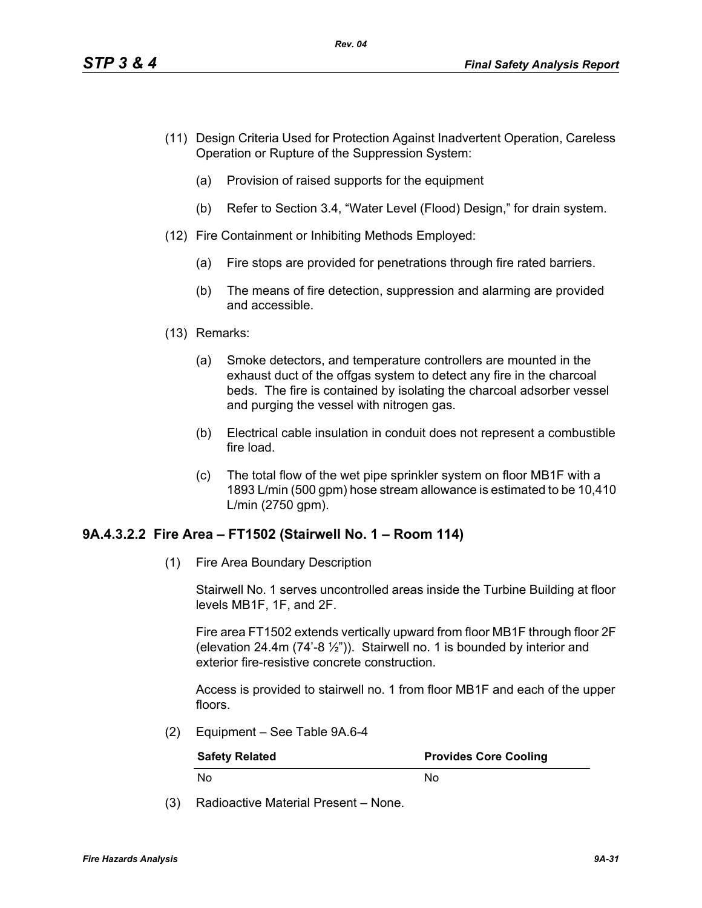- (11) Design Criteria Used for Protection Against Inadvertent Operation, Careless Operation or Rupture of the Suppression System:
	- (a) Provision of raised supports for the equipment
	- (b) Refer to Section 3.4, "Water Level (Flood) Design," for drain system.
- (12) Fire Containment or Inhibiting Methods Employed:
	- (a) Fire stops are provided for penetrations through fire rated barriers.
	- (b) The means of fire detection, suppression and alarming are provided and accessible.
- (13) Remarks:
	- (a) Smoke detectors, and temperature controllers are mounted in the exhaust duct of the offgas system to detect any fire in the charcoal beds. The fire is contained by isolating the charcoal adsorber vessel and purging the vessel with nitrogen gas.
	- (b) Electrical cable insulation in conduit does not represent a combustible fire load.
	- (c) The total flow of the wet pipe sprinkler system on floor MB1F with a 1893 L/min (500 gpm) hose stream allowance is estimated to be 10,410 L/min (2750 gpm).

#### **9A.4.3.2.2 Fire Area – FT1502 (Stairwell No. 1 – Room 114)**

(1) Fire Area Boundary Description

Stairwell No. 1 serves uncontrolled areas inside the Turbine Building at floor levels MB1F, 1F, and 2F.

Fire area FT1502 extends vertically upward from floor MB1F through floor 2F (elevation 24.4m  $(74^{\degree}-8\frac{1}{2^{\degree}})$ ). Stairwell no. 1 is bounded by interior and exterior fire-resistive concrete construction.

Access is provided to stairwell no. 1 from floor MB1F and each of the upper floors.

(2) Equipment – See Table 9A.6-4

| <b>Safety Related</b> | <b>Provides Core Cooling</b> |
|-----------------------|------------------------------|
| . No                  | N٥                           |

(3) Radioactive Material Present – None.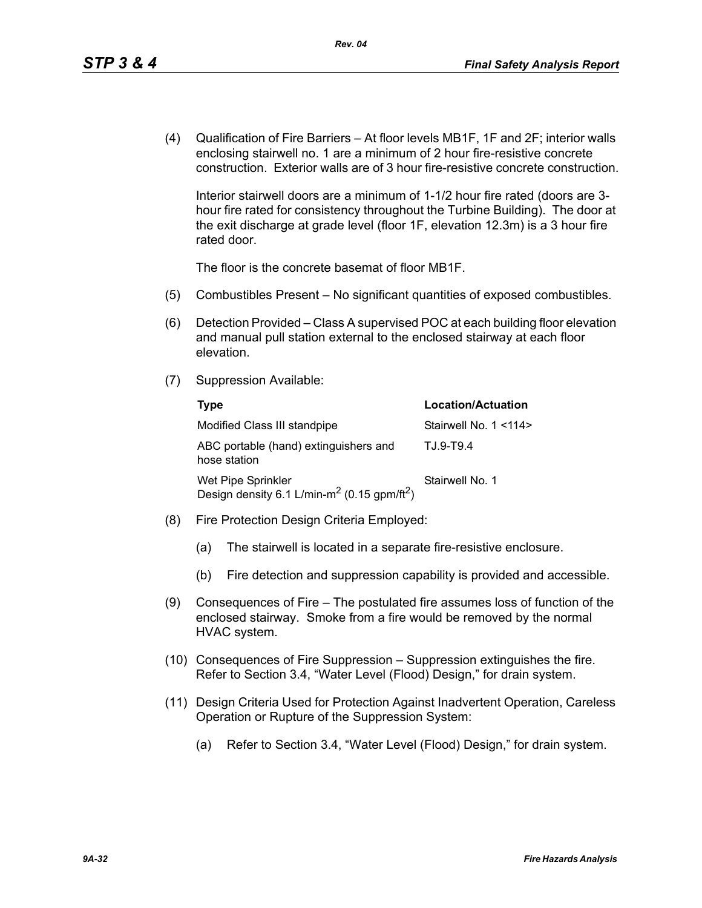(4) Qualification of Fire Barriers – At floor levels MB1F, 1F and 2F; interior walls enclosing stairwell no. 1 are a minimum of 2 hour fire-resistive concrete construction. Exterior walls are of 3 hour fire-resistive concrete construction.

Interior stairwell doors are a minimum of 1-1/2 hour fire rated (doors are 3 hour fire rated for consistency throughout the Turbine Building). The door at the exit discharge at grade level (floor 1F, elevation 12.3m) is a 3 hour fire rated door.

The floor is the concrete basemat of floor MB1F.

- (5) Combustibles Present No significant quantities of exposed combustibles.
- (6) Detection Provided Class A supervised POC at each building floor elevation and manual pull station external to the enclosed stairway at each floor elevation.
- (7) Suppression Available:

| Type                                                                                      | <b>Location/Actuation</b> |
|-------------------------------------------------------------------------------------------|---------------------------|
| Modified Class III standpipe                                                              | Stairwell No. 1 <114>     |
| ABC portable (hand) extinguishers and<br>hose station                                     | T.J.9-T9.4                |
| Wet Pipe Sprinkler<br>Design density 6.1 L/min-m <sup>2</sup> (0.15 gpm/ft <sup>2</sup> ) | Stairwell No. 1           |

- (8) Fire Protection Design Criteria Employed:
	- (a) The stairwell is located in a separate fire-resistive enclosure.
	- (b) Fire detection and suppression capability is provided and accessible.
- (9) Consequences of Fire The postulated fire assumes loss of function of the enclosed stairway. Smoke from a fire would be removed by the normal HVAC system.
- (10) Consequences of Fire Suppression Suppression extinguishes the fire. Refer to Section 3.4, "Water Level (Flood) Design," for drain system.
- (11) Design Criteria Used for Protection Against Inadvertent Operation, Careless Operation or Rupture of the Suppression System:
	- (a) Refer to Section 3.4, "Water Level (Flood) Design," for drain system.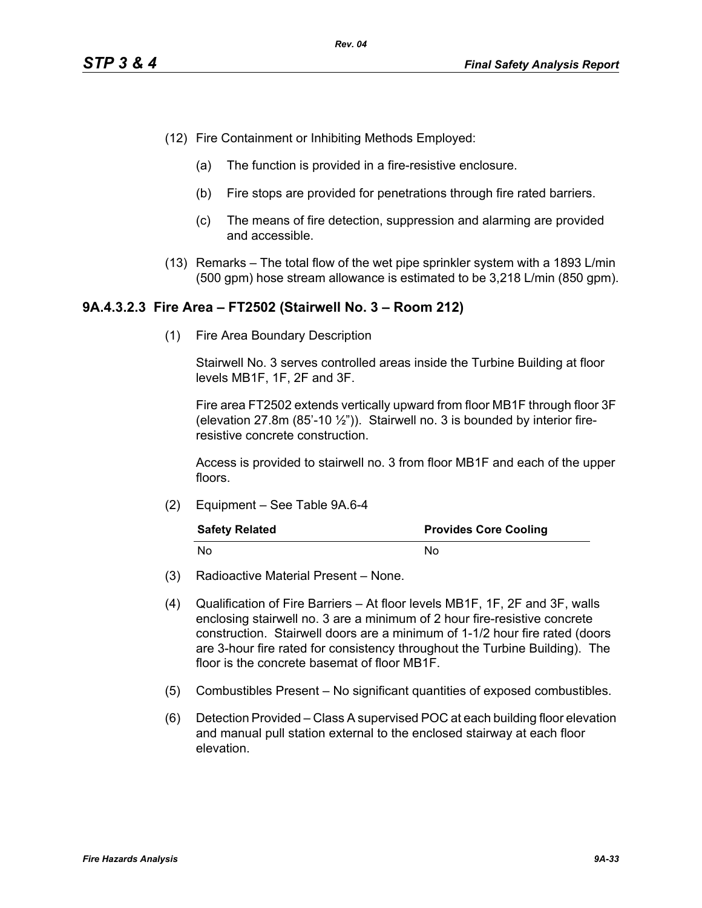- (12) Fire Containment or Inhibiting Methods Employed:
	- (a) The function is provided in a fire-resistive enclosure.
	- (b) Fire stops are provided for penetrations through fire rated barriers.
	- (c) The means of fire detection, suppression and alarming are provided and accessible.
- (13) Remarks The total flow of the wet pipe sprinkler system with a 1893 L/min (500 gpm) hose stream allowance is estimated to be 3,218 L/min (850 gpm).

#### **9A.4.3.2.3 Fire Area – FT2502 (Stairwell No. 3 – Room 212)**

(1) Fire Area Boundary Description

Stairwell No. 3 serves controlled areas inside the Turbine Building at floor levels MB1F, 1F, 2F and 3F.

Fire area FT2502 extends vertically upward from floor MB1F through floor 3F (elevation 27.8m  $(85'-10\frac{1}{2})$ ). Stairwell no. 3 is bounded by interior fireresistive concrete construction.

Access is provided to stairwell no. 3 from floor MB1F and each of the upper floors.

(2) Equipment – See Table 9A.6-4

| <b>Safety Related</b> | <b>Provides Core Cooling</b> |
|-----------------------|------------------------------|
| . No                  | N٥                           |

- (3) Radioactive Material Present None.
- (4) Qualification of Fire Barriers At floor levels MB1F, 1F, 2F and 3F, walls enclosing stairwell no. 3 are a minimum of 2 hour fire-resistive concrete construction. Stairwell doors are a minimum of 1-1/2 hour fire rated (doors are 3-hour fire rated for consistency throughout the Turbine Building). The floor is the concrete basemat of floor MB1F.
- (5) Combustibles Present No significant quantities of exposed combustibles.
- (6) Detection Provided Class A supervised POC at each building floor elevation and manual pull station external to the enclosed stairway at each floor elevation.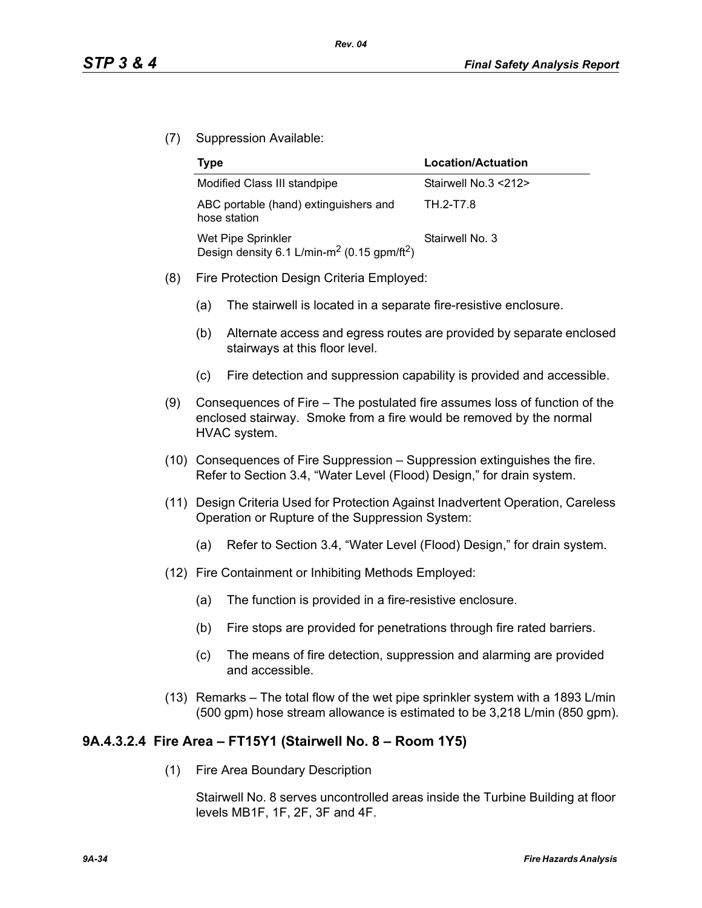(7) Suppression Available:

| Type                                                                                      | Location/Actuation   |
|-------------------------------------------------------------------------------------------|----------------------|
| Modified Class III standpipe                                                              | Stairwell No.3 <212> |
| ABC portable (hand) extinguishers and<br>hose station                                     | TH 2-T7.8            |
| Wet Pipe Sprinkler<br>Design density 6.1 L/min-m <sup>2</sup> (0.15 gpm/ft <sup>2</sup> ) | Stairwell No. 3      |

- (8) Fire Protection Design Criteria Employed:
	- (a) The stairwell is located in a separate fire-resistive enclosure.
	- (b) Alternate access and egress routes are provided by separate enclosed stairways at this floor level.
	- (c) Fire detection and suppression capability is provided and accessible.
- (9) Consequences of Fire The postulated fire assumes loss of function of the enclosed stairway. Smoke from a fire would be removed by the normal HVAC system.
- (10) Consequences of Fire Suppression Suppression extinguishes the fire. Refer to Section 3.4, "Water Level (Flood) Design," for drain system.
- (11) Design Criteria Used for Protection Against Inadvertent Operation, Careless Operation or Rupture of the Suppression System:
	- (a) Refer to Section 3.4, "Water Level (Flood) Design," for drain system.
- (12) Fire Containment or Inhibiting Methods Employed:
	- (a) The function is provided in a fire-resistive enclosure.
	- (b) Fire stops are provided for penetrations through fire rated barriers.
	- (c) The means of fire detection, suppression and alarming are provided and accessible.
- (13) Remarks The total flow of the wet pipe sprinkler system with a 1893 L/min (500 gpm) hose stream allowance is estimated to be 3,218 L/min (850 gpm).

## **9A.4.3.2.4 Fire Area – FT15Y1 (Stairwell No. 8 – Room 1Y5)**

(1) Fire Area Boundary Description

Stairwell No. 8 serves uncontrolled areas inside the Turbine Building at floor levels MB1F, 1F, 2F, 3F and 4F.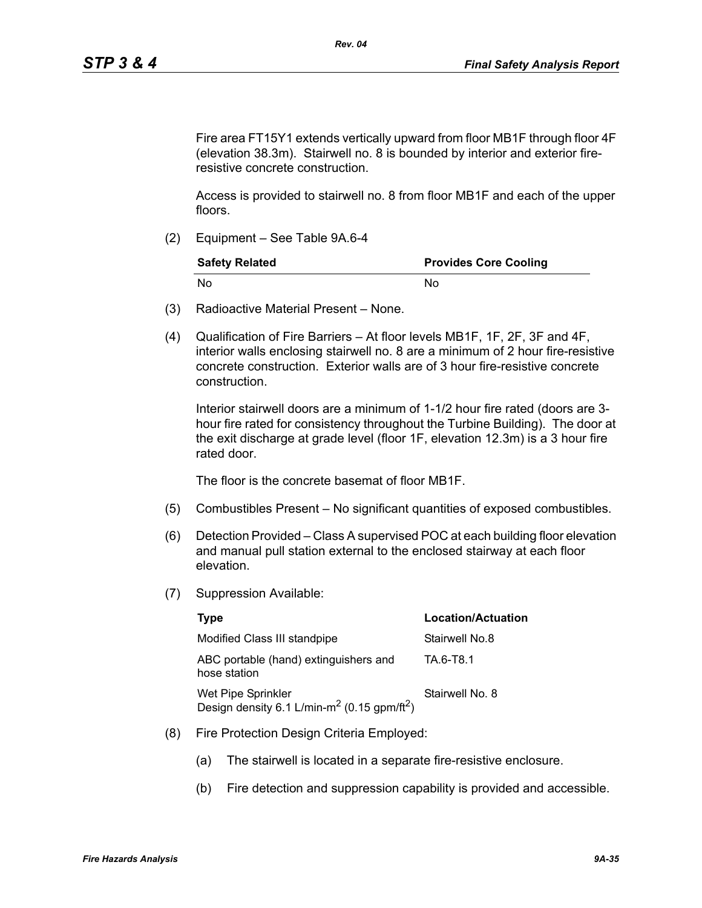Fire area FT15Y1 extends vertically upward from floor MB1F through floor 4F (elevation 38.3m). Stairwell no. 8 is bounded by interior and exterior fireresistive concrete construction.

Access is provided to stairwell no. 8 from floor MB1F and each of the upper floors.

(2) Equipment – See Table 9A.6-4

| <b>Safety Related</b> | <b>Provides Core Cooling</b> |
|-----------------------|------------------------------|
| - No                  | N٥                           |

- (3) Radioactive Material Present None.
- (4) Qualification of Fire Barriers At floor levels MB1F, 1F, 2F, 3F and 4F, interior walls enclosing stairwell no. 8 are a minimum of 2 hour fire-resistive concrete construction. Exterior walls are of 3 hour fire-resistive concrete construction.

Interior stairwell doors are a minimum of 1-1/2 hour fire rated (doors are 3 hour fire rated for consistency throughout the Turbine Building). The door at the exit discharge at grade level (floor 1F, elevation 12.3m) is a 3 hour fire rated door.

The floor is the concrete basemat of floor MB1F.

- (5) Combustibles Present No significant quantities of exposed combustibles.
- (6) Detection Provided Class A supervised POC at each building floor elevation and manual pull station external to the enclosed stairway at each floor elevation.
- (7) Suppression Available:

| Type                                                                                      | <b>Location/Actuation</b> |
|-------------------------------------------------------------------------------------------|---------------------------|
| Modified Class III standpipe                                                              | Stairwell No.8            |
| ABC portable (hand) extinguishers and<br>hose station                                     | TA 6-T8.1                 |
| Wet Pipe Sprinkler<br>Design density 6.1 L/min-m <sup>2</sup> (0.15 gpm/ft <sup>2</sup> ) | Stairwell No. 8           |

- (8) Fire Protection Design Criteria Employed:
	- (a) The stairwell is located in a separate fire-resistive enclosure.
	- (b) Fire detection and suppression capability is provided and accessible.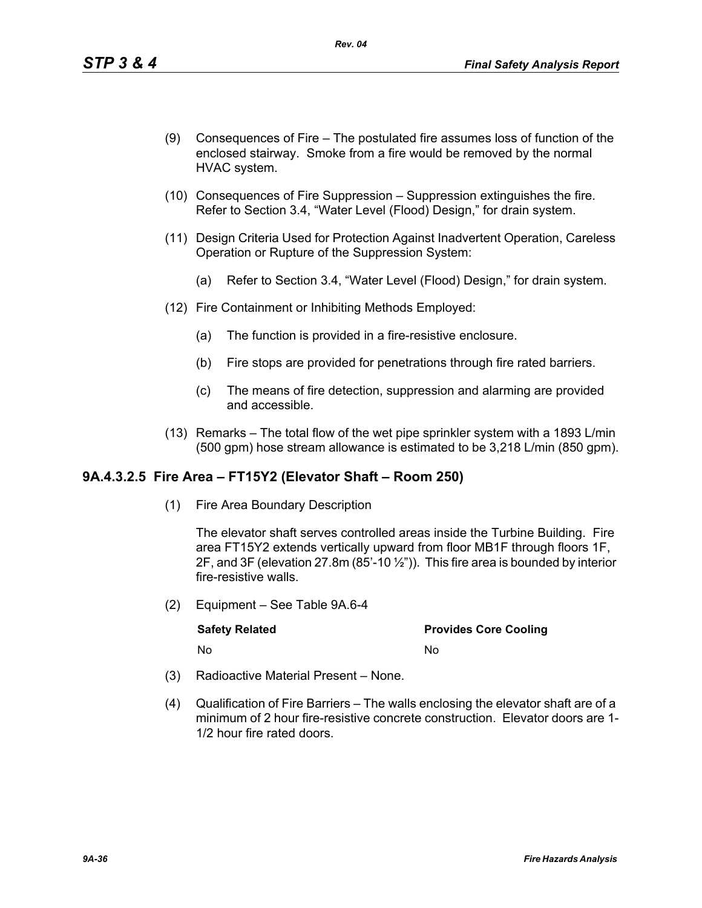- (9) Consequences of Fire The postulated fire assumes loss of function of the enclosed stairway. Smoke from a fire would be removed by the normal HVAC system.
- (10) Consequences of Fire Suppression Suppression extinguishes the fire. Refer to Section 3.4, "Water Level (Flood) Design," for drain system.
- (11) Design Criteria Used for Protection Against Inadvertent Operation, Careless Operation or Rupture of the Suppression System:
	- (a) Refer to Section 3.4, "Water Level (Flood) Design," for drain system.
- (12) Fire Containment or Inhibiting Methods Employed:
	- (a) The function is provided in a fire-resistive enclosure.
	- (b) Fire stops are provided for penetrations through fire rated barriers.
	- (c) The means of fire detection, suppression and alarming are provided and accessible.
- (13) Remarks The total flow of the wet pipe sprinkler system with a 1893 L/min (500 gpm) hose stream allowance is estimated to be 3,218 L/min (850 gpm).

#### **9A.4.3.2.5 Fire Area – FT15Y2 (Elevator Shaft – Room 250)**

(1) Fire Area Boundary Description

The elevator shaft serves controlled areas inside the Turbine Building. Fire area FT15Y2 extends vertically upward from floor MB1F through floors 1F, 2F, and 3F (elevation 27.8m (85'-10 $\frac{1}{2}$ ")). This fire area is bounded by interior fire-resistive walls.

(2) Equipment – See Table 9A.6-4

| <b>Safety Related</b> | <b>Provides Core Cooling</b> |
|-----------------------|------------------------------|
| No                    | Nο                           |

- (3) Radioactive Material Present None.
- (4) Qualification of Fire Barriers The walls enclosing the elevator shaft are of a minimum of 2 hour fire-resistive concrete construction. Elevator doors are 1- 1/2 hour fire rated doors.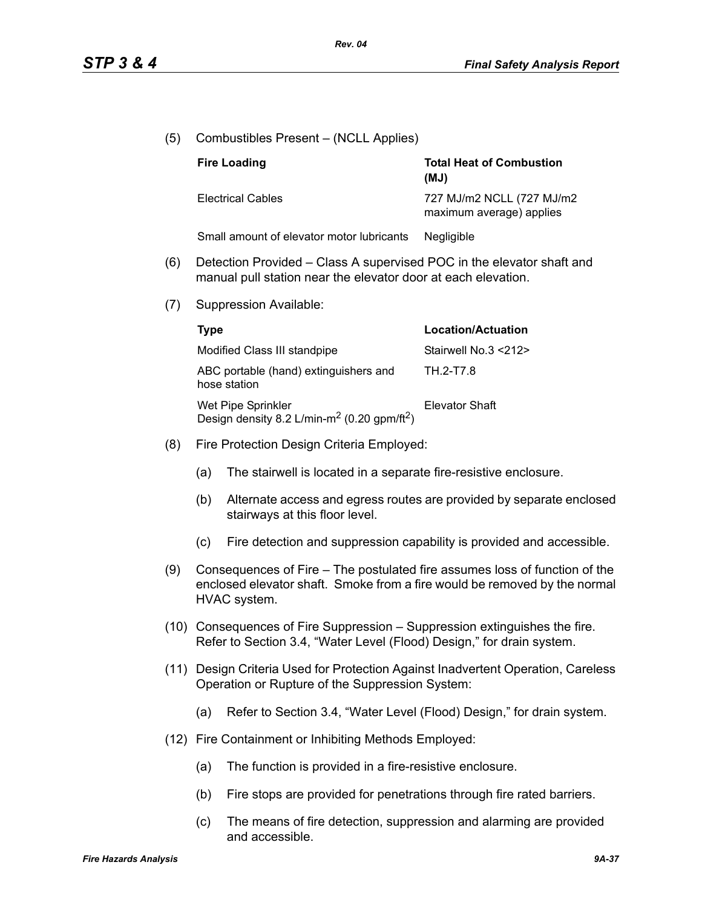| (5) | Combustibles Present - (NCLL Applies)                                                                                                                                   |                                                                       |                                                                      |
|-----|-------------------------------------------------------------------------------------------------------------------------------------------------------------------------|-----------------------------------------------------------------------|----------------------------------------------------------------------|
|     |                                                                                                                                                                         | <b>Fire Loading</b>                                                   | <b>Total Heat of Combustion</b><br>(MJ)                              |
|     |                                                                                                                                                                         | <b>Electrical Cables</b>                                              | 727 MJ/m2 NCLL (727 MJ/m2<br>maximum average) applies                |
|     |                                                                                                                                                                         | Small amount of elevator motor lubricants                             | Negligible                                                           |
| (6) | Detection Provided – Class A supervised POC in the elevator shaft and<br>manual pull station near the elevator door at each elevation.                                  |                                                                       |                                                                      |
| (7) |                                                                                                                                                                         | Suppression Available:                                                |                                                                      |
|     | <b>Type</b>                                                                                                                                                             |                                                                       | <b>Location/Actuation</b>                                            |
|     |                                                                                                                                                                         | Modified Class III standpipe                                          | Stairwell No.3 <212>                                                 |
|     |                                                                                                                                                                         | ABC portable (hand) extinguishers and<br>hose station                 | TH.2-T7.8                                                            |
|     | Wet Pipe Sprinkler<br>Design density 8.2 L/min-m <sup>2</sup> (0.20 gpm/ft <sup>2</sup> )                                                                               |                                                                       | <b>Elevator Shaft</b>                                                |
| (8) |                                                                                                                                                                         | Fire Protection Design Criteria Employed:                             |                                                                      |
|     | (a)<br>The stairwell is located in a separate fire-resistive enclosure.                                                                                                 |                                                                       |                                                                      |
|     | (b)                                                                                                                                                                     | stairways at this floor level.                                        | Alternate access and egress routes are provided by separate enclosed |
|     | (c)                                                                                                                                                                     | Fire detection and suppression capability is provided and accessible. |                                                                      |
| (9) | Consequences of Fire – The postulated fire assumes loss of function of the<br>enclosed elevator shaft. Smoke from a fire would be removed by the normal<br>HVAC system. |                                                                       |                                                                      |
|     | (10) Consequences of Fire Suppression – Suppression extinguishes the fire.<br>Refer to Section 3.4, "Water Level (Flood) Design," for drain system.                     |                                                                       |                                                                      |
|     | (11) Design Criteria Used for Protection Against Inadvertent Operation, Careless<br>Operation or Rupture of the Suppression System:                                     |                                                                       |                                                                      |
|     | (a)                                                                                                                                                                     | Refer to Section 3.4, "Water Level (Flood) Design," for drain system. |                                                                      |
|     | (12) Fire Containment or Inhibiting Methods Employed:                                                                                                                   |                                                                       |                                                                      |
|     | (a)                                                                                                                                                                     | The function is provided in a fire-resistive enclosure.               |                                                                      |
|     | (b)                                                                                                                                                                     | Fire stops are provided for penetrations through fire rated barriers. |                                                                      |

(c) The means of fire detection, suppression and alarming are provided and accessible.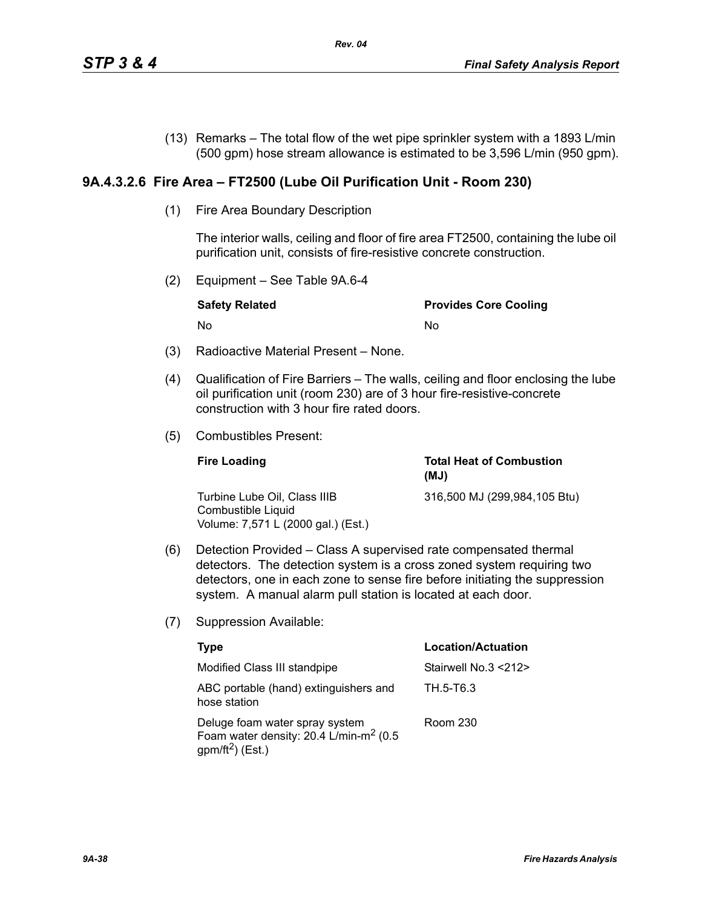(13) Remarks – The total flow of the wet pipe sprinkler system with a 1893 L/min (500 gpm) hose stream allowance is estimated to be 3,596 L/min (950 gpm).

# **9A.4.3.2.6 Fire Area – FT2500 (Lube Oil Purification Unit - Room 230)**

(1) Fire Area Boundary Description

The interior walls, ceiling and floor of fire area FT2500, containing the lube oil purification unit, consists of fire-resistive concrete construction.

(2) Equipment – See Table 9A.6-4

| <b>Safety Related</b> | <b>Provides Core Cooling</b> |
|-----------------------|------------------------------|
| . No                  | Nο                           |

- (3) Radioactive Material Present None.
- (4) Qualification of Fire Barriers The walls, ceiling and floor enclosing the lube oil purification unit (room 230) are of 3 hour fire-resistive-concrete construction with 3 hour fire rated doors.
- (5) Combustibles Present:

| <b>Fire Loading</b>                                                                      | <b>Total Heat of Combustion</b><br>(MJ) |
|------------------------------------------------------------------------------------------|-----------------------------------------|
| Turbine Lube Oil. Class IIIB<br>Combustible Liquid<br>Volume: 7,571 L (2000 gal.) (Est.) | 316,500 MJ (299,984,105 Btu)            |

- (6) Detection Provided Class A supervised rate compensated thermal detectors. The detection system is a cross zoned system requiring two detectors, one in each zone to sense fire before initiating the suppression system. A manual alarm pull station is located at each door.
- (7) Suppression Available:

| Type                                                                                                                 | Location/Actuation   |
|----------------------------------------------------------------------------------------------------------------------|----------------------|
| Modified Class III standpipe                                                                                         | Stairwell No.3 <212> |
| ABC portable (hand) extinguishers and<br>hose station                                                                | TH.5-T6.3            |
| Deluge foam water spray system<br>Foam water density: 20.4 L/min-m <sup>2</sup> (0.5<br>gpm/ft <sup>2</sup> ) (Est.) | Room 230             |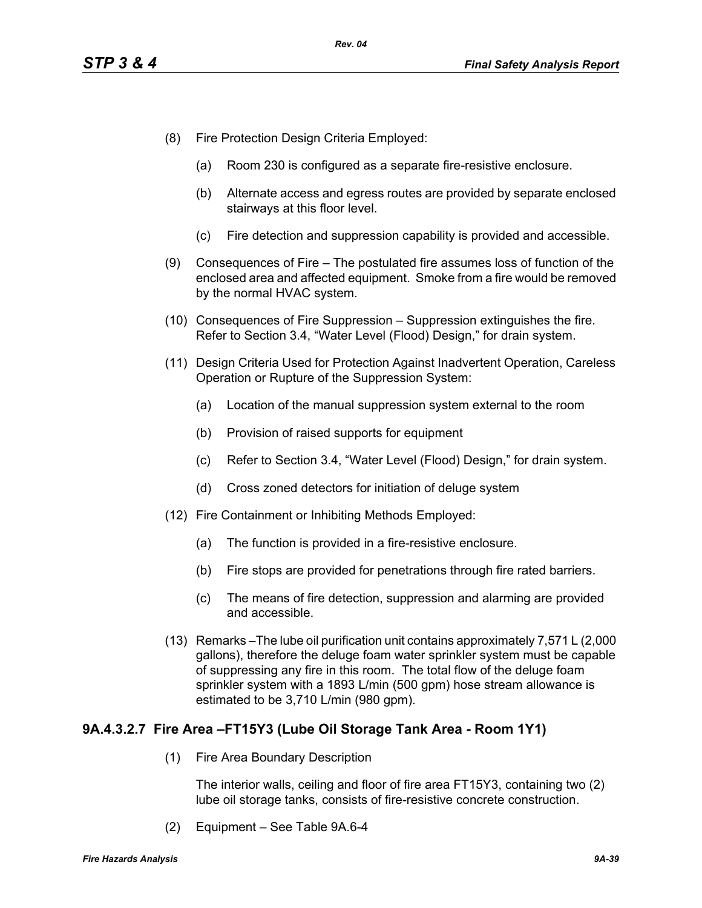- (8) Fire Protection Design Criteria Employed:
	- (a) Room 230 is configured as a separate fire-resistive enclosure.
	- (b) Alternate access and egress routes are provided by separate enclosed stairways at this floor level.
	- (c) Fire detection and suppression capability is provided and accessible.
- (9) Consequences of Fire The postulated fire assumes loss of function of the enclosed area and affected equipment. Smoke from a fire would be removed by the normal HVAC system.
- (10) Consequences of Fire Suppression Suppression extinguishes the fire. Refer to Section 3.4, "Water Level (Flood) Design," for drain system.
- (11) Design Criteria Used for Protection Against Inadvertent Operation, Careless Operation or Rupture of the Suppression System:
	- (a) Location of the manual suppression system external to the room
	- (b) Provision of raised supports for equipment
	- (c) Refer to Section 3.4, "Water Level (Flood) Design," for drain system.
	- (d) Cross zoned detectors for initiation of deluge system
- (12) Fire Containment or Inhibiting Methods Employed:
	- (a) The function is provided in a fire-resistive enclosure.
	- (b) Fire stops are provided for penetrations through fire rated barriers.
	- (c) The means of fire detection, suppression and alarming are provided and accessible.
- (13) Remarks –The lube oil purification unit contains approximately 7,571 L (2,000 gallons), therefore the deluge foam water sprinkler system must be capable of suppressing any fire in this room. The total flow of the deluge foam sprinkler system with a 1893 L/min (500 gpm) hose stream allowance is estimated to be 3,710 L/min (980 gpm).

# **9A.4.3.2.7 Fire Area –FT15Y3 (Lube Oil Storage Tank Area - Room 1Y1)**

(1) Fire Area Boundary Description

The interior walls, ceiling and floor of fire area FT15Y3, containing two (2) lube oil storage tanks, consists of fire-resistive concrete construction.

(2) Equipment – See Table 9A.6-4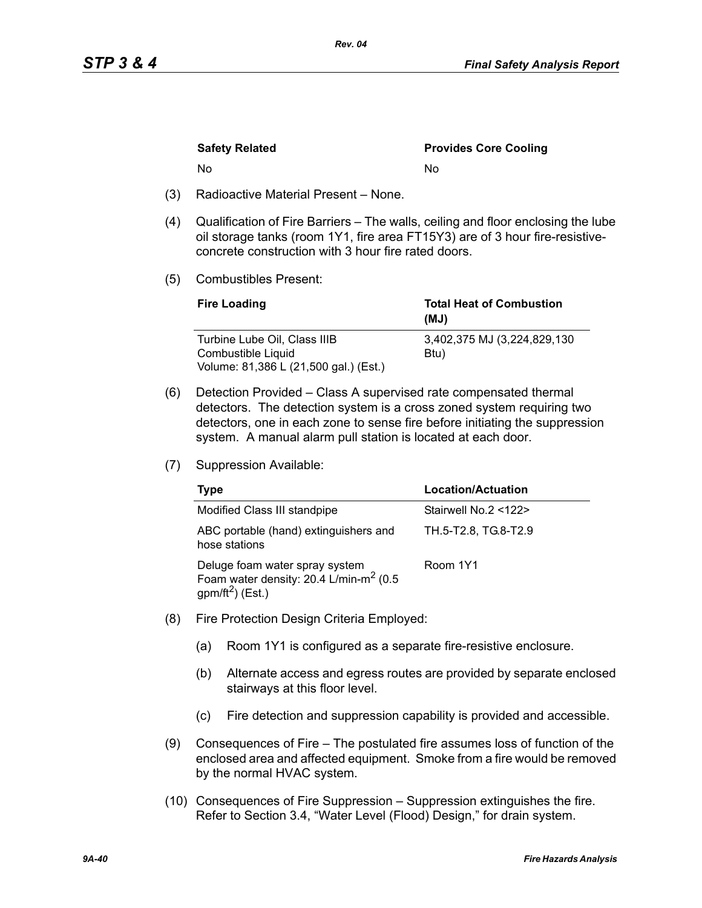|     | <b>Safety Related</b>                | <b>Provides Core Cooling</b> |
|-----|--------------------------------------|------------------------------|
|     | No.                                  | N٥                           |
| (3) | Radioactive Material Present – None. |                              |

- (4) Qualification of Fire Barriers The walls, ceiling and floor enclosing the lube oil storage tanks (room 1Y1, fire area FT15Y3) are of 3 hour fire-resistiveconcrete construction with 3 hour fire rated doors.
- (5) Combustibles Present:

| <b>Fire Loading</b>                                | <b>Total Heat of Combustion</b><br>(MJ) |
|----------------------------------------------------|-----------------------------------------|
| Turbine Lube Oil, Class IIIB<br>Combustible Liquid | 3,402,375 MJ (3,224,829,130)<br>Btu)    |
| Volume: 81,386 L (21,500 gal.) (Est.)              |                                         |

- (6) Detection Provided Class A supervised rate compensated thermal detectors. The detection system is a cross zoned system requiring two detectors, one in each zone to sense fire before initiating the suppression system. A manual alarm pull station is located at each door.
- (7) Suppression Available:

| Type                                                                                                        | Location/Actuation   |
|-------------------------------------------------------------------------------------------------------------|----------------------|
| Modified Class III standpipe                                                                                | Stairwell No.2 <122> |
| ABC portable (hand) extinguishers and<br>hose stations                                                      | TH.5-T2.8, TG.8-T2.9 |
| Deluge foam water spray system<br>Foam water density: 20.4 L/min-m <sup>2</sup> (0.5<br>$gpm/ft^2$ ) (Est.) | Room 1Y1             |

- (8) Fire Protection Design Criteria Employed:
	- (a) Room 1Y1 is configured as a separate fire-resistive enclosure.
	- (b) Alternate access and egress routes are provided by separate enclosed stairways at this floor level.
	- (c) Fire detection and suppression capability is provided and accessible.
- (9) Consequences of Fire The postulated fire assumes loss of function of the enclosed area and affected equipment. Smoke from a fire would be removed by the normal HVAC system.
- (10) Consequences of Fire Suppression Suppression extinguishes the fire. Refer to Section 3.4, "Water Level (Flood) Design," for drain system.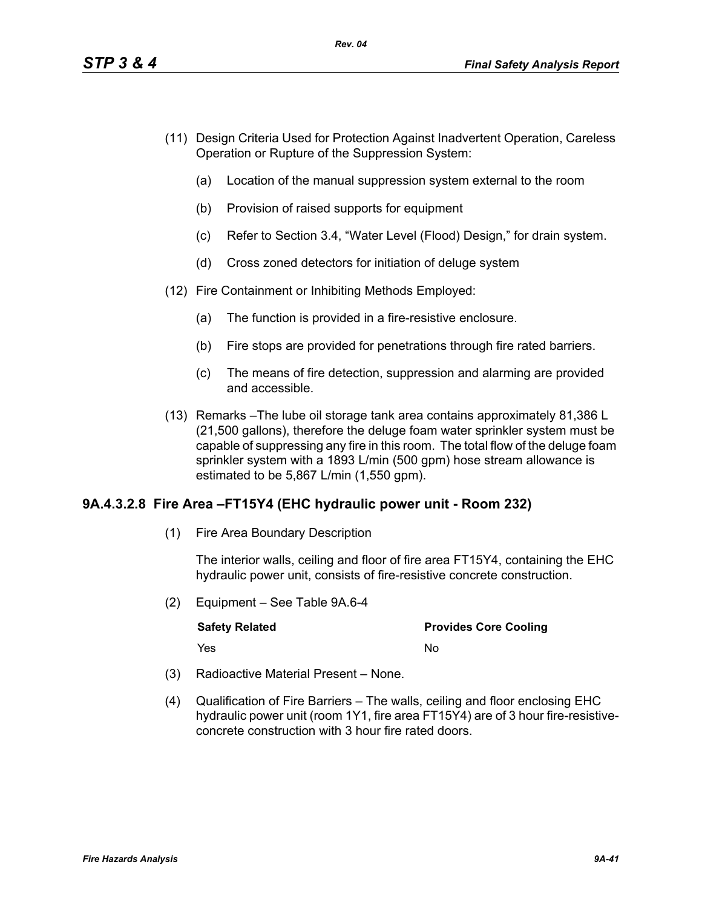- (11) Design Criteria Used for Protection Against Inadvertent Operation, Careless Operation or Rupture of the Suppression System:
	- (a) Location of the manual suppression system external to the room
	- (b) Provision of raised supports for equipment
	- (c) Refer to Section 3.4, "Water Level (Flood) Design," for drain system.
	- (d) Cross zoned detectors for initiation of deluge system
- (12) Fire Containment or Inhibiting Methods Employed:
	- (a) The function is provided in a fire-resistive enclosure.
	- (b) Fire stops are provided for penetrations through fire rated barriers.
	- (c) The means of fire detection, suppression and alarming are provided and accessible.
- (13) Remarks –The lube oil storage tank area contains approximately 81,386 L (21,500 gallons), therefore the deluge foam water sprinkler system must be capable of suppressing any fire in this room. The total flow of the deluge foam sprinkler system with a 1893 L/min (500 gpm) hose stream allowance is estimated to be 5,867 L/min (1,550 gpm).

## **9A.4.3.2.8 Fire Area –FT15Y4 (EHC hydraulic power unit - Room 232)**

(1) Fire Area Boundary Description

The interior walls, ceiling and floor of fire area FT15Y4, containing the EHC hydraulic power unit, consists of fire-resistive concrete construction.

(2) Equipment – See Table 9A.6-4

| <b>Safety Related</b> | <b>Provides Core Cooling</b> |
|-----------------------|------------------------------|
| Yes                   | N٥                           |

- (3) Radioactive Material Present None.
- (4) Qualification of Fire Barriers The walls, ceiling and floor enclosing EHC hydraulic power unit (room 1Y1, fire area FT15Y4) are of 3 hour fire-resistiveconcrete construction with 3 hour fire rated doors.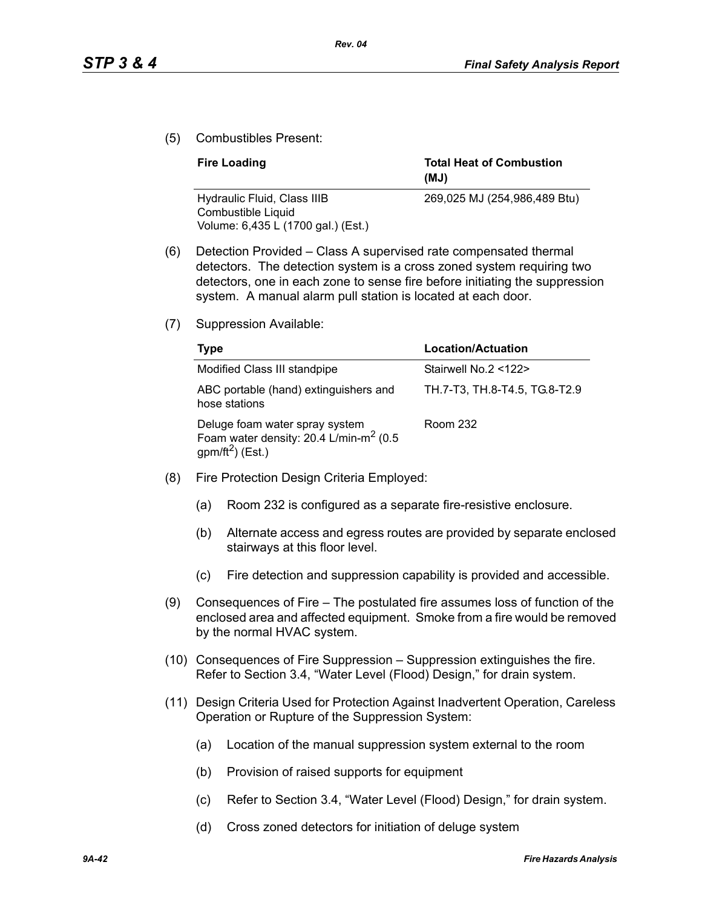(5) Combustibles Present:

| <b>Fire Loading</b>                               | <b>Total Heat of Combustion</b><br>(MJ) |
|---------------------------------------------------|-----------------------------------------|
| Hydraulic Fluid, Class IIIB<br>Combustible Liquid | 269,025 MJ (254,986,489 Btu)            |
| Volume: 6,435 L (1700 gal.) (Est.)                |                                         |

- (6) Detection Provided Class A supervised rate compensated thermal detectors. The detection system is a cross zoned system requiring two detectors, one in each zone to sense fire before initiating the suppression system. A manual alarm pull station is located at each door.
- (7) Suppression Available:

| Type                                                                                                                    | <b>Location/Actuation</b>     |
|-------------------------------------------------------------------------------------------------------------------------|-------------------------------|
| Modified Class III standpipe                                                                                            | Stairwell No.2 <122>          |
| ABC portable (hand) extinguishers and<br>hose stations                                                                  | TH.7-T3, TH.8-T4.5, TG.8-T2.9 |
| Deluge foam water spray system<br>Foam water density: $20.4$ L/min-m <sup>2</sup> (0.5)<br>gpm/ft <sup>2</sup> ) (Est.) | Room 232                      |

- (8) Fire Protection Design Criteria Employed:
	- (a) Room 232 is configured as a separate fire-resistive enclosure.
	- (b) Alternate access and egress routes are provided by separate enclosed stairways at this floor level.
	- (c) Fire detection and suppression capability is provided and accessible.
- (9) Consequences of Fire The postulated fire assumes loss of function of the enclosed area and affected equipment. Smoke from a fire would be removed by the normal HVAC system.
- (10) Consequences of Fire Suppression Suppression extinguishes the fire. Refer to Section 3.4, "Water Level (Flood) Design," for drain system.
- (11) Design Criteria Used for Protection Against Inadvertent Operation, Careless Operation or Rupture of the Suppression System:
	- (a) Location of the manual suppression system external to the room
	- (b) Provision of raised supports for equipment
	- (c) Refer to Section 3.4, "Water Level (Flood) Design," for drain system.
	- (d) Cross zoned detectors for initiation of deluge system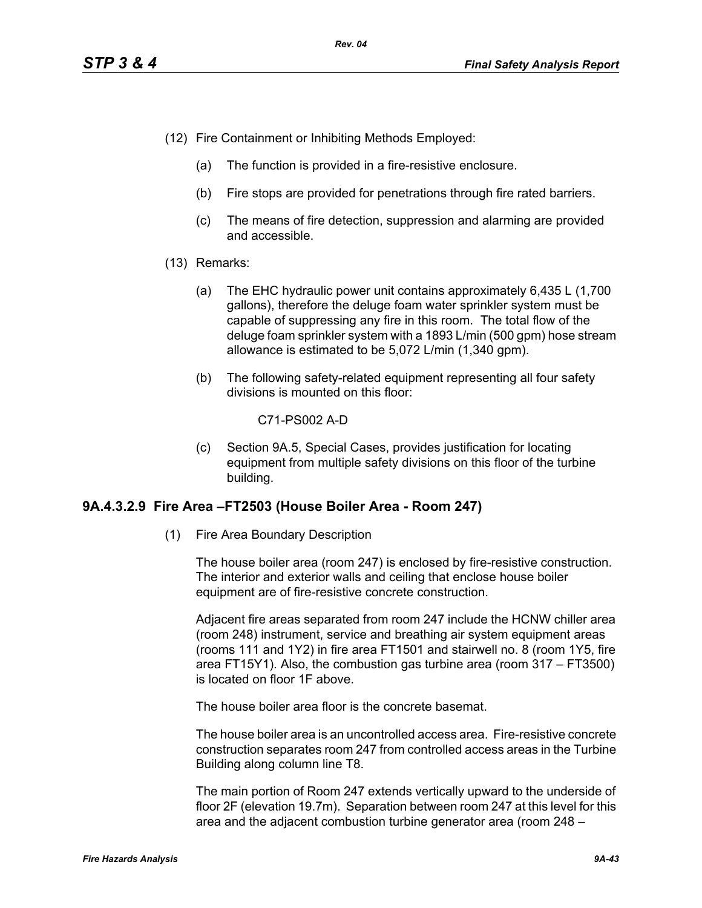- (12) Fire Containment or Inhibiting Methods Employed:
	- (a) The function is provided in a fire-resistive enclosure.
	- (b) Fire stops are provided for penetrations through fire rated barriers.
	- (c) The means of fire detection, suppression and alarming are provided and accessible.
- (13) Remarks:
	- (a) The EHC hydraulic power unit contains approximately 6,435 L (1,700 gallons), therefore the deluge foam water sprinkler system must be capable of suppressing any fire in this room. The total flow of the deluge foam sprinkler system with a 1893 L/min (500 gpm) hose stream allowance is estimated to be 5,072 L/min (1,340 gpm).
	- (b) The following safety-related equipment representing all four safety divisions is mounted on this floor:

C71-PS002 A-D

(c) Section 9A.5, Special Cases, provides justification for locating equipment from multiple safety divisions on this floor of the turbine building.

## **9A.4.3.2.9 Fire Area –FT2503 (House Boiler Area - Room 247)**

(1) Fire Area Boundary Description

The house boiler area (room 247) is enclosed by fire-resistive construction. The interior and exterior walls and ceiling that enclose house boiler equipment are of fire-resistive concrete construction.

Adjacent fire areas separated from room 247 include the HCNW chiller area (room 248) instrument, service and breathing air system equipment areas (rooms 111 and 1Y2) in fire area FT1501 and stairwell no. 8 (room 1Y5, fire area FT15Y1). Also, the combustion gas turbine area (room 317 – FT3500) is located on floor 1F above.

The house boiler area floor is the concrete basemat.

The house boiler area is an uncontrolled access area. Fire-resistive concrete construction separates room 247 from controlled access areas in the Turbine Building along column line T8.

The main portion of Room 247 extends vertically upward to the underside of floor 2F (elevation 19.7m). Separation between room 247 at this level for this area and the adjacent combustion turbine generator area (room 248 –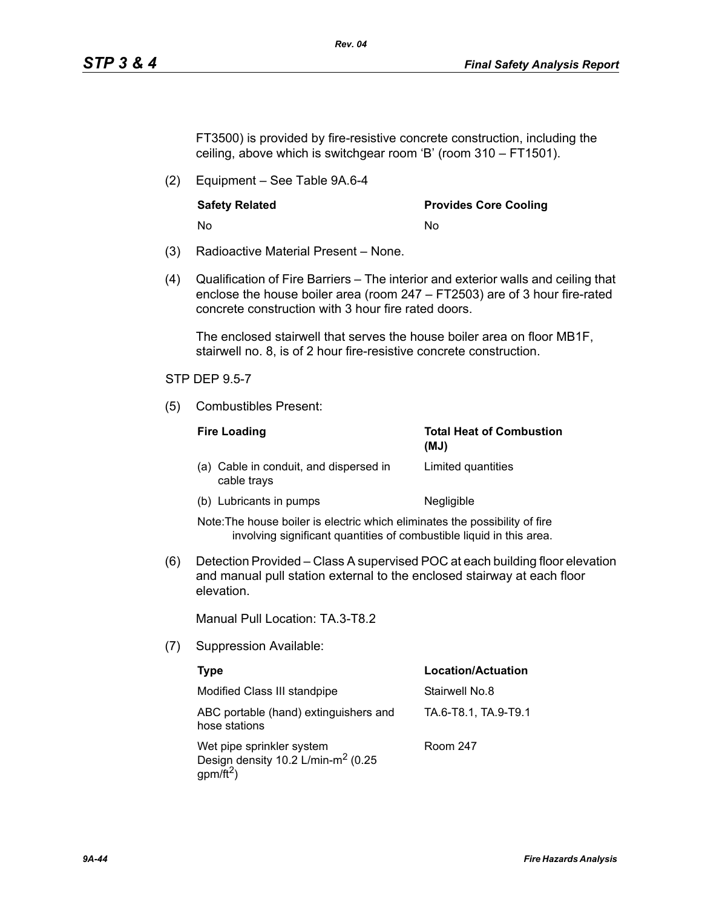FT3500) is provided by fire-resistive concrete construction, including the ceiling, above which is switchgear room 'B' (room 310 – FT1501).

*Rev. 04*

(2) Equipment – See Table 9A.6-4

No No

**Safety Related Community Community Provides Core Cooling** 

- (3) Radioactive Material Present None.
- (4) Qualification of Fire Barriers The interior and exterior walls and ceiling that enclose the house boiler area (room 247 – FT2503) are of 3 hour fire-rated concrete construction with 3 hour fire rated doors.

The enclosed stairwell that serves the house boiler area on floor MB1F, stairwell no. 8, is of 2 hour fire-resistive concrete construction.

### STP DEP 9.5-7

(5) Combustibles Present:

| <b>Fire Loading</b>                                   | <b>Total Heat of Combustion</b><br>(MJ) |
|-------------------------------------------------------|-----------------------------------------|
| (a) Cable in conduit, and dispersed in<br>cable trays | Limited quantities                      |
| (b) Lubricants in pumps                               | Negligible                              |

Note:The house boiler is electric which eliminates the possibility of fire involving significant quantities of combustible liquid in this area.

(6) Detection Provided – Class A supervised POC at each building floor elevation and manual pull station external to the enclosed stairway at each floor elevation.

Manual Pull Location: TA.3-T8.2

(7) Suppression Available:

| Type                                                                                            | <b>Location/Actuation</b> |
|-------------------------------------------------------------------------------------------------|---------------------------|
| Modified Class III standpipe                                                                    | Stairwell No.8            |
| ABC portable (hand) extinguishers and<br>hose stations                                          | TA.6-T8.1, TA.9-T9.1      |
| Wet pipe sprinkler system<br>Design density 10.2 L/min-m <sup>2</sup> (0.25<br>$gpm/\bar{ft}^2$ | Room 247                  |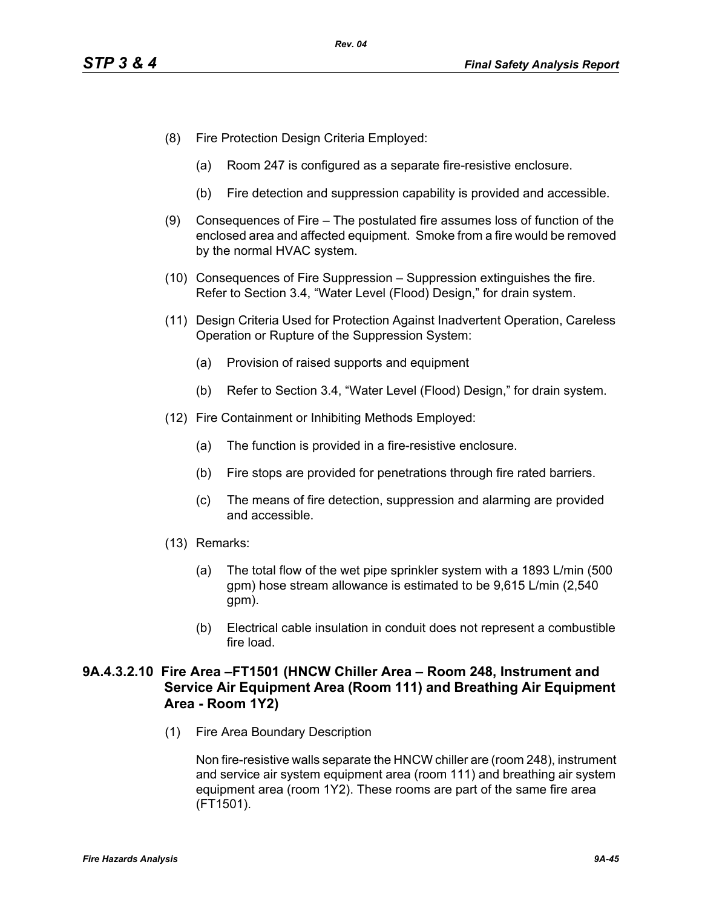- (8) Fire Protection Design Criteria Employed:
	- (a) Room 247 is configured as a separate fire-resistive enclosure.
	- (b) Fire detection and suppression capability is provided and accessible.
- (9) Consequences of Fire The postulated fire assumes loss of function of the enclosed area and affected equipment. Smoke from a fire would be removed by the normal HVAC system.
- (10) Consequences of Fire Suppression Suppression extinguishes the fire. Refer to Section 3.4, "Water Level (Flood) Design," for drain system.
- (11) Design Criteria Used for Protection Against Inadvertent Operation, Careless Operation or Rupture of the Suppression System:
	- (a) Provision of raised supports and equipment
	- (b) Refer to Section 3.4, "Water Level (Flood) Design," for drain system.
- (12) Fire Containment or Inhibiting Methods Employed:
	- (a) The function is provided in a fire-resistive enclosure.
	- (b) Fire stops are provided for penetrations through fire rated barriers.
	- (c) The means of fire detection, suppression and alarming are provided and accessible.
- (13) Remarks:
	- (a) The total flow of the wet pipe sprinkler system with a 1893 L/min (500 gpm) hose stream allowance is estimated to be 9,615 L/min (2,540 gpm).
	- (b) Electrical cable insulation in conduit does not represent a combustible fire load.

# **9A.4.3.2.10 Fire Area –FT1501 (HNCW Chiller Area – Room 248, Instrument and Service Air Equipment Area (Room 111) and Breathing Air Equipment Area - Room 1Y2)**

(1) Fire Area Boundary Description

Non fire-resistive walls separate the HNCW chiller are (room 248), instrument and service air system equipment area (room 111) and breathing air system equipment area (room 1Y2). These rooms are part of the same fire area (FT1501).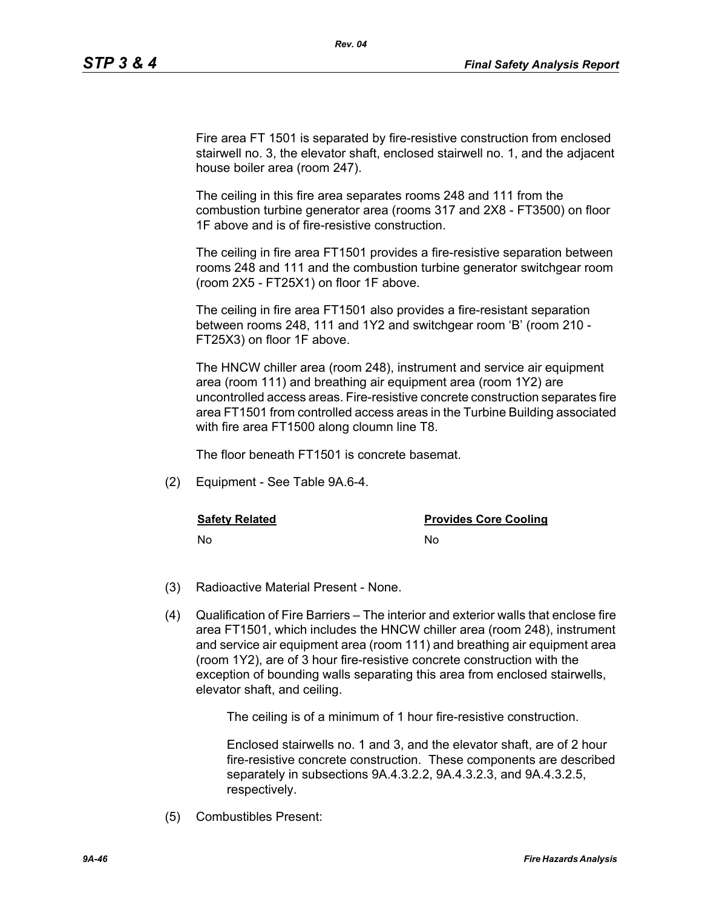Fire area FT 1501 is separated by fire-resistive construction from enclosed stairwell no. 3, the elevator shaft, enclosed stairwell no. 1, and the adjacent house boiler area (room 247).

*Rev. 04*

The ceiling in this fire area separates rooms 248 and 111 from the combustion turbine generator area (rooms 317 and 2X8 - FT3500) on floor 1F above and is of fire-resistive construction.

The ceiling in fire area FT1501 provides a fire-resistive separation between rooms 248 and 111 and the combustion turbine generator switchgear room (room 2X5 - FT25X1) on floor 1F above.

The ceiling in fire area FT1501 also provides a fire-resistant separation between rooms 248, 111 and 1Y2 and switchgear room 'B' (room 210 - FT25X3) on floor 1F above.

The HNCW chiller area (room 248), instrument and service air equipment area (room 111) and breathing air equipment area (room 1Y2) are uncontrolled access areas. Fire-resistive concrete construction separates fire area FT1501 from controlled access areas in the Turbine Building associated with fire area FT1500 along cloumn line T8.

The floor beneath FT1501 is concrete basemat.

(2) Equipment - See Table 9A.6-4.

**Safety Related Safety Related Provides Core Cooling** 

No No

- (3) Radioactive Material Present None.
- (4) Qualification of Fire Barriers The interior and exterior walls that enclose fire area FT1501, which includes the HNCW chiller area (room 248), instrument and service air equipment area (room 111) and breathing air equipment area (room 1Y2), are of 3 hour fire-resistive concrete construction with the exception of bounding walls separating this area from enclosed stairwells, elevator shaft, and ceiling.

The ceiling is of a minimum of 1 hour fire-resistive construction.

Enclosed stairwells no. 1 and 3, and the elevator shaft, are of 2 hour fire-resistive concrete construction. These components are described separately in subsections 9A.4.3.2.2, 9A.4.3.2.3, and 9A.4.3.2.5, respectively.

(5) Combustibles Present: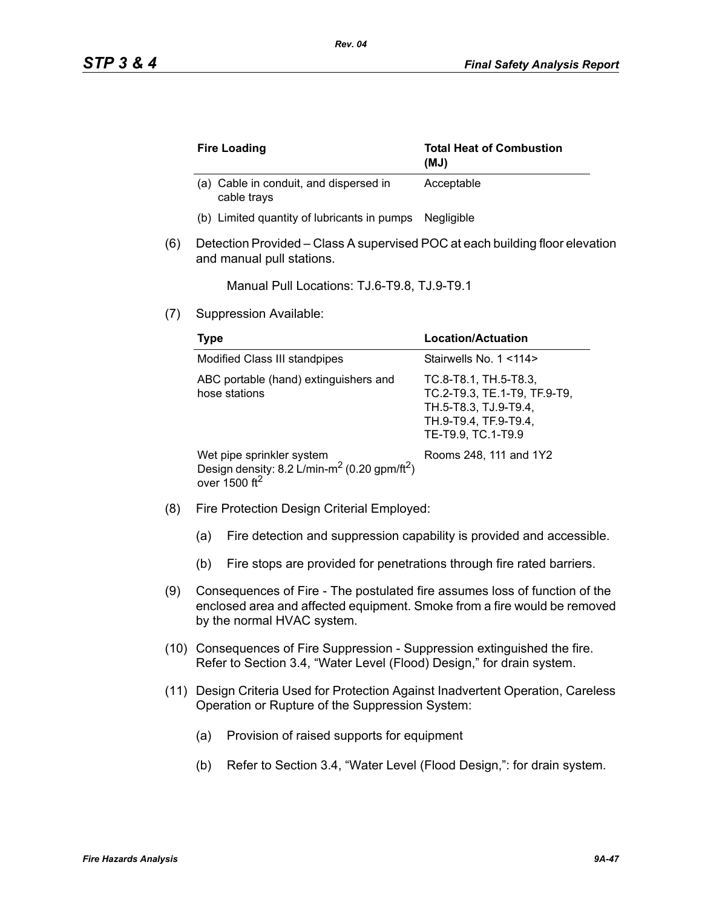|     | <b>Fire Loading</b>                                                                                                  | <b>Total Heat of Combustion</b><br>(UM)                                                                                       |
|-----|----------------------------------------------------------------------------------------------------------------------|-------------------------------------------------------------------------------------------------------------------------------|
|     | (a) Cable in conduit, and dispersed in<br>cable trays                                                                | Acceptable                                                                                                                    |
|     | (b) Limited quantity of lubricants in pumps                                                                          | Negligible                                                                                                                    |
| (6) | Detection Provided – Class A supervised POC at each building floor elevation<br>and manual pull stations.            |                                                                                                                               |
|     | Manual Pull Locations: TJ.6-T9.8, TJ.9-T9.1                                                                          |                                                                                                                               |
| (7) | Suppression Available:                                                                                               |                                                                                                                               |
|     | <b>Type</b>                                                                                                          | Location/Actuation                                                                                                            |
|     | Modified Class III standpipes                                                                                        | Stairwells No. 1 <114>                                                                                                        |
|     | ABC portable (hand) extinguishers and<br>hose stations                                                               | TC.8-T8.1, TH.5-T8.3,<br>TC.2-T9.3, TE.1-T9, TF.9-T9,<br>TH.5-T8.3, TJ.9-T9.4,<br>TH.9-T9.4, TF.9-T9.4,<br>TE-T9.9, TC.1-T9.9 |
|     | Wet pipe sprinkler system<br>Design density: 8.2 L/min-m <sup>2</sup> (0.20 gpm/ft <sup>2</sup> )<br>over 1500 $ft2$ | Rooms 248, 111 and 1Y2                                                                                                        |

- (8) Fire Protection Design Criterial Employed:
	- (a) Fire detection and suppression capability is provided and accessible.
	- (b) Fire stops are provided for penetrations through fire rated barriers.
- (9) Consequences of Fire The postulated fire assumes loss of function of the enclosed area and affected equipment. Smoke from a fire would be removed by the normal HVAC system.
- (10) Consequences of Fire Suppression Suppression extinguished the fire. Refer to Section 3.4, "Water Level (Flood) Design," for drain system.
- (11) Design Criteria Used for Protection Against Inadvertent Operation, Careless Operation or Rupture of the Suppression System:
	- (a) Provision of raised supports for equipment
	- (b) Refer to Section 3.4, "Water Level (Flood Design,": for drain system.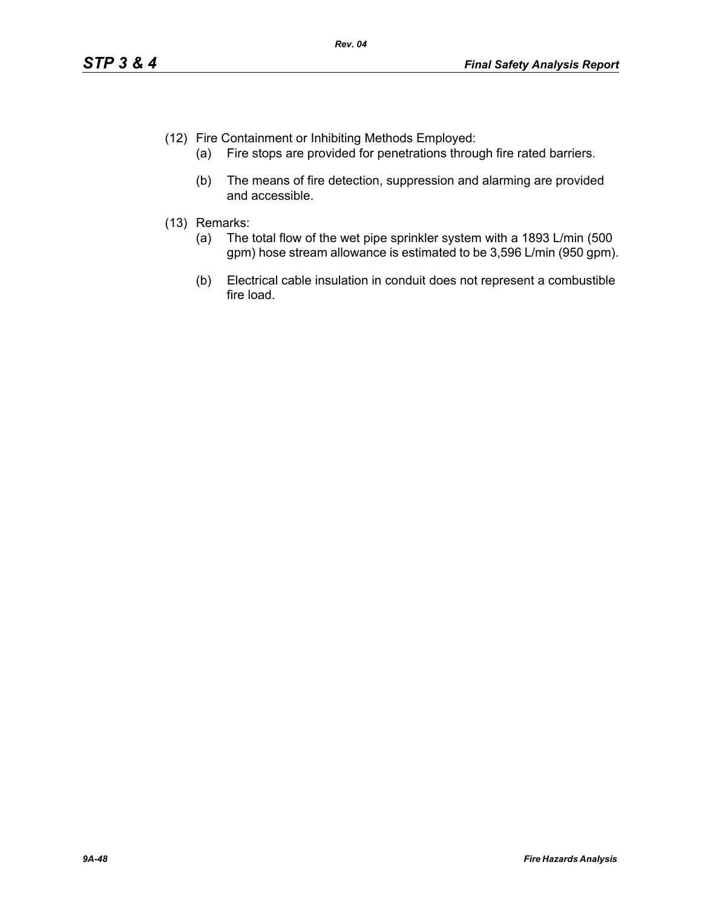- (12) Fire Containment or Inhibiting Methods Employed:
	- (a) Fire stops are provided for penetrations through fire rated barriers.
	- (b) The means of fire detection, suppression and alarming are provided and accessible.
- (13) Remarks:
	- (a) The total flow of the wet pipe sprinkler system with a 1893 L/min (500 gpm) hose stream allowance is estimated to be 3,596 L/min (950 gpm).
	- (b) Electrical cable insulation in conduit does not represent a combustible fire load.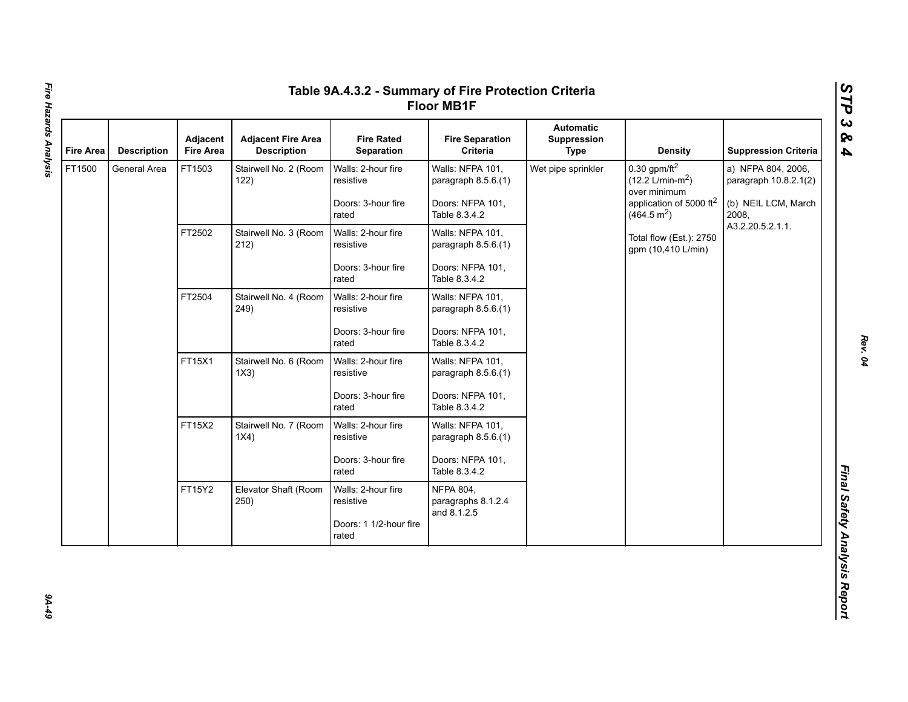| <b>Fire Area</b> | <b>Description</b> | <b>Adjacent</b><br><b>Fire Area</b> | <b>Adjacent Fire Area</b><br><b>Description</b> | <b>Fire Rated</b><br>Separation                                    | <b>Fire Separation</b><br>Criteria                                           | <b>Automatic</b><br>Suppression<br><b>Type</b> | <b>Density</b>                                                                                                                   | <b>Suppression Criteria</b>                                                 |
|------------------|--------------------|-------------------------------------|-------------------------------------------------|--------------------------------------------------------------------|------------------------------------------------------------------------------|------------------------------------------------|----------------------------------------------------------------------------------------------------------------------------------|-----------------------------------------------------------------------------|
| FT1500           | General Area       | FT1503                              | Stairwell No. 2 (Room<br>122)                   | Walls: 2-hour fire<br>resistive<br>Doors: 3-hour fire<br>rated     | Walls: NFPA 101,<br>paragraph 8.5.6.(1)<br>Doors: NFPA 101,<br>Table 8.3.4.2 | Wet pipe sprinkler                             | 0.30 gpm/ft $^2$<br>$(12.2 \text{ L/min-m}^2)$<br>over minimum<br>application of 5000 ft <sup>2</sup><br>(464.5 m <sup>2</sup> ) | a) NFPA 804, 2006,<br>paragraph 10.8.2.1(2)<br>(b) NEIL LCM, March<br>2008, |
|                  |                    | FT2502                              | Stairwell No. 3 (Room<br>212)                   | Walls: 2-hour fire<br>resistive<br>Doors: 3-hour fire              | Walls: NFPA 101,<br>paragraph 8.5.6.(1)<br>Doors: NFPA 101,                  | Total flow (Est.): 2750<br>gpm (10,410 L/min)  | A3.2.20.5.2.1.1.                                                                                                                 |                                                                             |
|                  |                    | FT2504                              | Stairwell No. 4 (Room                           | rated<br>Walls: 2-hour fire                                        | Table 8.3.4.2<br>Walls: NFPA 101,                                            |                                                |                                                                                                                                  |                                                                             |
|                  |                    |                                     | 249)                                            | resistive<br>Doors: 3-hour fire<br>rated                           | paragraph 8.5.6.(1)<br>Doors: NFPA 101,<br>Table 8.3.4.2                     |                                                |                                                                                                                                  |                                                                             |
|                  |                    | FT15X1                              | Stairwell No. 6 (Room<br>1X3)                   | Walls: 2-hour fire<br>resistive                                    | Walls: NFPA 101,<br>paragraph 8.5.6.(1)                                      |                                                |                                                                                                                                  |                                                                             |
|                  |                    |                                     |                                                 | Doors: 3-hour fire<br>rated                                        | Doors: NFPA 101,<br>Table 8.3.4.2                                            |                                                |                                                                                                                                  |                                                                             |
|                  |                    | FT15X2                              | Stairwell No. 7 (Room<br>1X4)                   | Walls: 2-hour fire<br>resistive                                    | Walls: NFPA 101,<br>paragraph 8.5.6.(1)                                      |                                                |                                                                                                                                  |                                                                             |
|                  |                    |                                     |                                                 | Doors: 3-hour fire<br>rated                                        | Doors: NFPA 101,<br>Table 8.3.4.2                                            |                                                |                                                                                                                                  |                                                                             |
|                  |                    | FT15Y2                              | Elevator Shaft (Room<br>250)                    | Walls: 2-hour fire<br>resistive<br>Doors: 1 1/2-hour fire<br>rated | <b>NFPA 804,</b><br>paragraphs 8.1.2.4<br>and 8.1.2.5                        |                                                |                                                                                                                                  |                                                                             |

67-76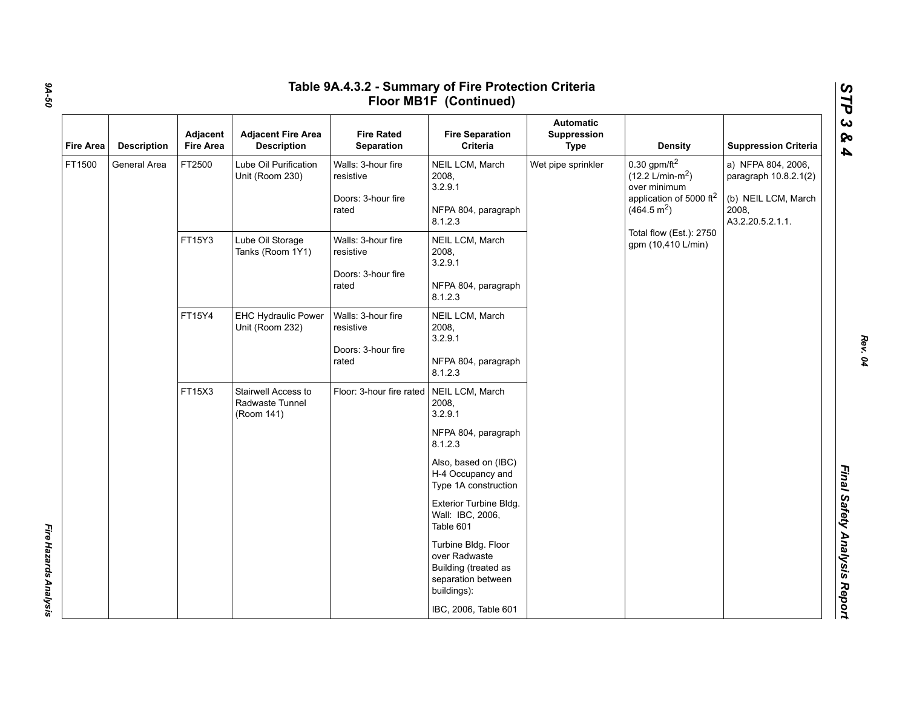|                  |                            | Adjacent                                                                                                                                                                                                                  | <b>Adjacent Fire Area</b>                                             | <b>Fire Rated</b>                                                     | <b>Fire Separation</b>                                                                            | <b>Automatic</b><br>Suppression |                                                                                                                                                                       |                                                                                                 |
|------------------|----------------------------|---------------------------------------------------------------------------------------------------------------------------------------------------------------------------------------------------------------------------|-----------------------------------------------------------------------|-----------------------------------------------------------------------|---------------------------------------------------------------------------------------------------|---------------------------------|-----------------------------------------------------------------------------------------------------------------------------------------------------------------------|-------------------------------------------------------------------------------------------------|
| <b>Fire Area</b> | <b>Description</b>         | <b>Fire Area</b>                                                                                                                                                                                                          | <b>Description</b>                                                    | Separation                                                            | Criteria                                                                                          | <b>Type</b>                     | <b>Density</b>                                                                                                                                                        | <b>Suppression Criteria</b>                                                                     |
| FT1500           | General Area               | FT2500                                                                                                                                                                                                                    | Lube Oil Purification<br>Unit (Room 230)                              | Walls: 3-hour fire<br>resistive<br>Doors: 3-hour fire<br>rated        | NEIL LCM, March<br>2008,<br>3.2.9.1<br>NFPA 804, paragraph<br>8.1.2.3                             | Wet pipe sprinkler              | $0.30$ gpm/ft <sup>2</sup><br>$(12.2 \text{ L/min-m}^2)$<br>over minimum<br>application of 5000 ft <sup>2</sup><br>(464.5 m <sup>2</sup> )<br>Total flow (Est.): 2750 | a) NFPA 804, 2006,<br>paragraph 10.8.2.1(2)<br>(b) NEIL LCM, March<br>2008,<br>A3.2.20.5.2.1.1. |
|                  | FT15Y3<br>FT15Y4<br>FT15X3 | Walls: 3-hour fire<br>Lube Oil Storage<br>Tanks (Room 1Y1)<br>resistive<br>Doors: 3-hour fire<br>rated<br><b>EHC Hydraulic Power</b><br>Walls: 3-hour fire<br>Unit (Room 232)<br>resistive<br>Doors: 3-hour fire<br>rated | NEIL LCM, March<br>2008,<br>3.2.9.1<br>NFPA 804, paragraph<br>8.1.2.3 |                                                                       | gpm (10,410 L/min)                                                                                |                                 |                                                                                                                                                                       |                                                                                                 |
|                  |                            |                                                                                                                                                                                                                           |                                                                       | NEIL LCM, March<br>2008,<br>3.2.9.1<br>NFPA 804, paragraph<br>8.1.2.3 |                                                                                                   |                                 |                                                                                                                                                                       |                                                                                                 |
|                  |                            |                                                                                                                                                                                                                           | Stairwell Access to<br>Radwaste Tunnel<br>(Room 141)                  | Floor: 3-hour fire rated                                              | NEIL LCM, March<br>2008,<br>3.2.9.1<br>NFPA 804, paragraph<br>8.1.2.3                             |                                 |                                                                                                                                                                       |                                                                                                 |
|                  |                            |                                                                                                                                                                                                                           |                                                                       |                                                                       | Also, based on (IBC)<br>H-4 Occupancy and<br>Type 1A construction                                 |                                 |                                                                                                                                                                       |                                                                                                 |
|                  |                            |                                                                                                                                                                                                                           |                                                                       |                                                                       | Exterior Turbine Bldg.<br>Wall: IBC, 2006,<br>Table 601                                           |                                 |                                                                                                                                                                       |                                                                                                 |
|                  |                            |                                                                                                                                                                                                                           |                                                                       |                                                                       | Turbine Bldg. Floor<br>over Radwaste<br>Building (treated as<br>separation between<br>buildings): |                                 |                                                                                                                                                                       |                                                                                                 |

*9A-50*

*Fire Hazards Analysis* 

Fire Hazards Analysis

*Rev. 04*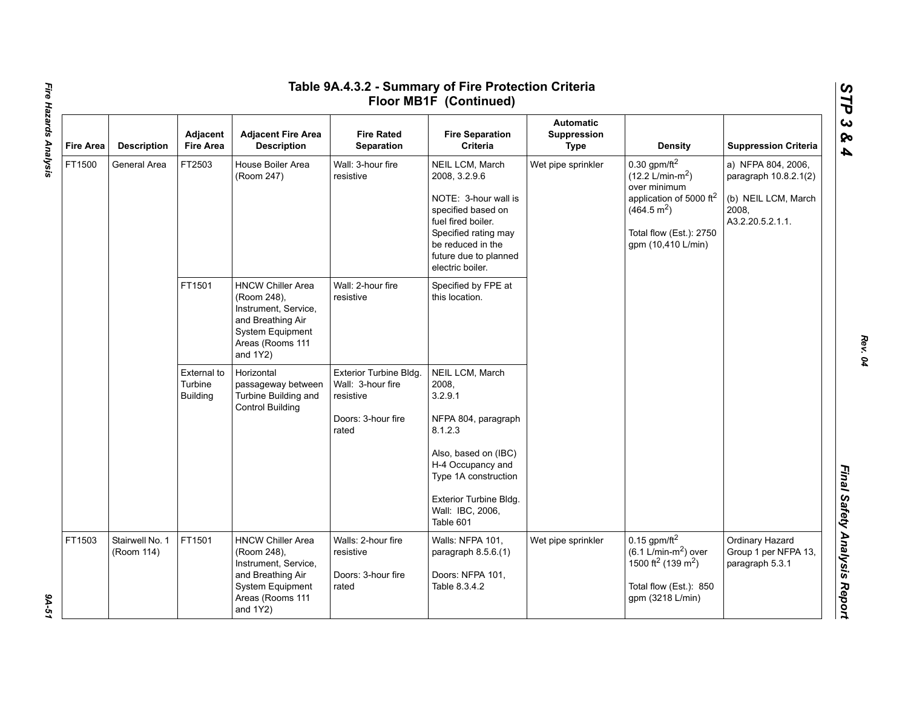| <b>Fire Area</b> | <b>Description</b>            | Adjacent<br><b>Fire Area</b>              | <b>Adjacent Fire Area</b><br><b>Description</b>                                                                                             | <b>Fire Rated</b><br><b>Separation</b>                                                  | <b>Fire Separation</b><br>Criteria                                                                                                                                                             | <b>Automatic</b><br>Suppression<br><b>Type</b>                                              | <b>Density</b>                                                                                                                                               | <b>Suppression Criteria</b>                                                                     |
|------------------|-------------------------------|-------------------------------------------|---------------------------------------------------------------------------------------------------------------------------------------------|-----------------------------------------------------------------------------------------|------------------------------------------------------------------------------------------------------------------------------------------------------------------------------------------------|---------------------------------------------------------------------------------------------|--------------------------------------------------------------------------------------------------------------------------------------------------------------|-------------------------------------------------------------------------------------------------|
| FT1500           | General Area                  | FT2503                                    | House Boiler Area<br>(Room 247)                                                                                                             | Wall: 3-hour fire<br>resistive                                                          | NEIL LCM, March<br>2008, 3.2.9.6<br>NOTE: 3-hour wall is<br>specified based on<br>fuel fired boiler.<br>Specified rating may<br>be reduced in the<br>future due to planned<br>electric boiler. | Wet pipe sprinkler<br>$(12.2 \text{ L/min-m}^2)$<br>over minimum<br>(464.5 m <sup>2</sup> ) | $0.30$ gpm/ft <sup>2</sup><br>application of 5000 ft <sup>2</sup><br>Total flow (Est.): 2750<br>gpm (10,410 L/min)                                           | a) NFPA 804, 2006,<br>paragraph 10.8.2.1(2)<br>(b) NEIL LCM, March<br>2008,<br>A3.2.20.5.2.1.1. |
|                  |                               | FT1501                                    | <b>HNCW Chiller Area</b><br>(Room 248),<br>Instrument, Service,<br>and Breathing Air<br>System Equipment<br>Areas (Rooms 111<br>and 1Y2)    | Wall: 2-hour fire<br>resistive                                                          | Specified by FPE at<br>this location.                                                                                                                                                          |                                                                                             |                                                                                                                                                              |                                                                                                 |
|                  |                               | External to<br>Turbine<br><b>Building</b> | Horizontal<br>passageway between<br>Turbine Building and<br><b>Control Building</b>                                                         | Exterior Turbine Bldg.<br>Wall: 3-hour fire<br>resistive<br>Doors: 3-hour fire<br>rated | NEIL LCM, March<br>2008.<br>3.2.9.1<br>NFPA 804, paragraph<br>8.1.2.3                                                                                                                          |                                                                                             |                                                                                                                                                              |                                                                                                 |
|                  |                               |                                           |                                                                                                                                             |                                                                                         | Also, based on (IBC)<br>H-4 Occupancy and<br>Type 1A construction<br>Exterior Turbine Bldg.<br>Wall: IBC, 2006,                                                                                |                                                                                             |                                                                                                                                                              |                                                                                                 |
|                  |                               |                                           |                                                                                                                                             |                                                                                         | Table 601                                                                                                                                                                                      |                                                                                             |                                                                                                                                                              |                                                                                                 |
| FT1503           | Stairwell No. 1<br>(Room 114) | FT1501                                    | <b>HNCW Chiller Area</b><br>(Room 248),<br>Instrument, Service,<br>and Breathing Air<br>System Equipment<br>Areas (Rooms 111<br>and $1Y2$ ) | Walls: 2-hour fire<br>resistive<br>Doors: 3-hour fire<br>rated                          | Walls: NFPA 101,<br>paragraph 8.5.6.(1)<br>Doors: NFPA 101,<br>Table 8.3.4.2                                                                                                                   | Wet pipe sprinkler                                                                          | $0.15$ gpm/ft <sup>2</sup><br>$(6.1$ L/min-m <sup>2</sup> ) over<br>1500 ft <sup>2</sup> (139 m <sup>2</sup> )<br>Total flow (Est.): 850<br>gpm (3218 L/min) | Ordinary Hazard<br>Group 1 per NFPA 13,<br>paragraph 5.3.1                                      |

Fire Hazards Analysis *Fire Hazards Analysis 9A-51*

9A-51

*Rev. 04*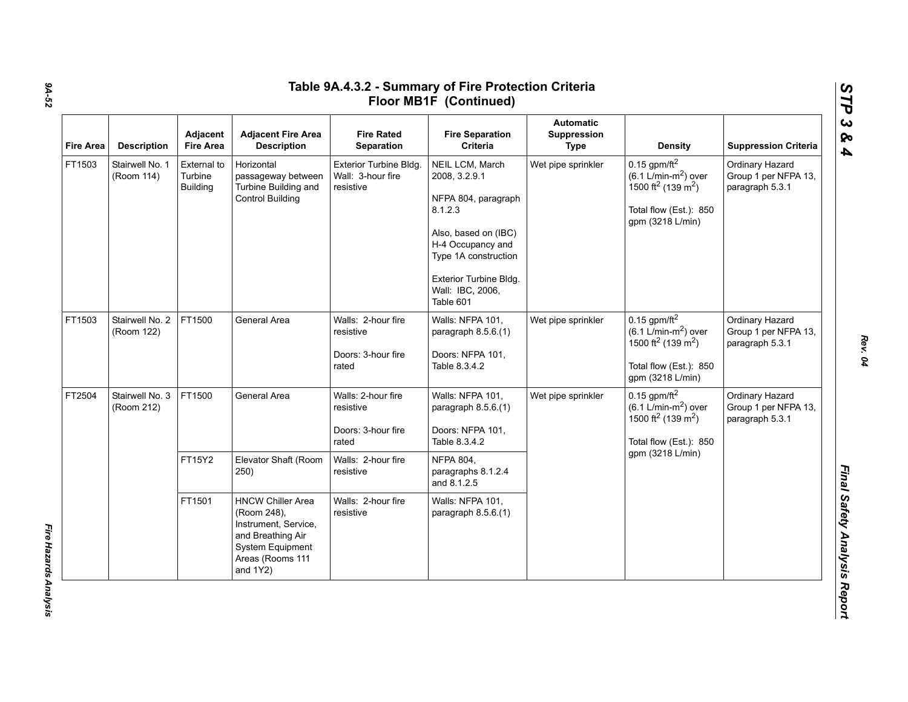| Fire Area | <b>Description</b>            | Adjacent<br><b>Fire Area</b>              | <b>Adjacent Fire Area</b><br><b>Description</b>                                                                                      | <b>Fire Rated</b><br>Separation                                                      | <b>Fire Separation</b><br>Criteria                                                                                                                                                                 | <b>Automatic</b><br>Suppression<br><b>Type</b> | <b>Density</b>                                                                                                                                   | <b>Suppression Criteria</b>                                |
|-----------|-------------------------------|-------------------------------------------|--------------------------------------------------------------------------------------------------------------------------------------|--------------------------------------------------------------------------------------|----------------------------------------------------------------------------------------------------------------------------------------------------------------------------------------------------|------------------------------------------------|--------------------------------------------------------------------------------------------------------------------------------------------------|------------------------------------------------------------|
| FT1503    | Stairwell No. 1<br>(Room 114) | External to<br>Turbine<br><b>Building</b> | Horizontal<br>passageway between<br>Turbine Building and<br><b>Control Building</b>                                                  | Exterior Turbine Bldg.<br>Wall: 3-hour fire<br>resistive                             | NEIL LCM, March<br>2008, 3.2.9.1<br>NFPA 804, paragraph<br>8.1.2.3<br>Also, based on (IBC)<br>H-4 Occupancy and<br>Type 1A construction<br>Exterior Turbine Bldg.<br>Wall: IBC, 2006,<br>Table 601 | Wet pipe sprinkler                             | $0.15$ gpm/ft <sup>2</sup><br>$(6.1 L/min-m2)$ over<br>1500 ft <sup>2</sup> (139 m <sup>2</sup> )<br>Total flow (Est.): 850<br>gpm (3218 L/min)  | Ordinary Hazard<br>Group 1 per NFPA 13,<br>paragraph 5.3.1 |
| FT1503    | Stairwell No. 2<br>(Room 122) | FT1500                                    | General Area                                                                                                                         | Walls: 2-hour fire<br>resistive<br>Doors: 3-hour fire<br>rated                       | Walls: NFPA 101,<br>paragraph 8.5.6.(1)<br>Doors: NFPA 101,<br>Table 8.3.4.2                                                                                                                       | Wet pipe sprinkler                             | $0.15$ gpm/ft $^2$<br>$(6.1 \text{ L/min-m}^2)$ over<br>1500 ft <sup>2</sup> (139 m <sup>2</sup> )<br>Total flow (Est.): 850<br>gpm (3218 L/min) | Ordinary Hazard<br>Group 1 per NFPA 13,<br>paragraph 5.3.1 |
| FT2504    | Stairwell No. 3<br>(Room 212) | FT1500<br>FT15Y2                          | General Area<br>Elevator Shaft (Room                                                                                                 | Walls: 2-hour fire<br>resistive<br>Doors: 3-hour fire<br>rated<br>Walls: 2-hour fire | Walls: NFPA 101,<br>paragraph 8.5.6.(1)<br>Doors: NFPA 101,<br>Table 8.3.4.2<br><b>NFPA 804,</b>                                                                                                   | Wet pipe sprinkler                             | $0.15$ gpm/ft <sup>2</sup><br>$(6.1 L/min-m2)$ over<br>1500 ft <sup>2</sup> (139 m <sup>2</sup> )<br>Total flow (Est.): 850<br>gpm (3218 L/min)  | Ordinary Hazard<br>Group 1 per NFPA 13,<br>paragraph 5.3.1 |
|           |                               | FT1501                                    | 250)<br><b>HNCW Chiller Area</b><br>(Room 248),<br>Instrument, Service,<br>and Breathing Air<br>System Equipment<br>Areas (Rooms 111 | resistive<br>Walls: 2-hour fire<br>resistive                                         | paragraphs 8.1.2.4<br>and 8.1.2.5<br>Walls: NFPA 101,<br>paragraph 8.5.6.(1)                                                                                                                       |                                                |                                                                                                                                                  |                                                            |

*STP 3 & 4*

Fire Hazards Analysis *Fire Hazards Analysis*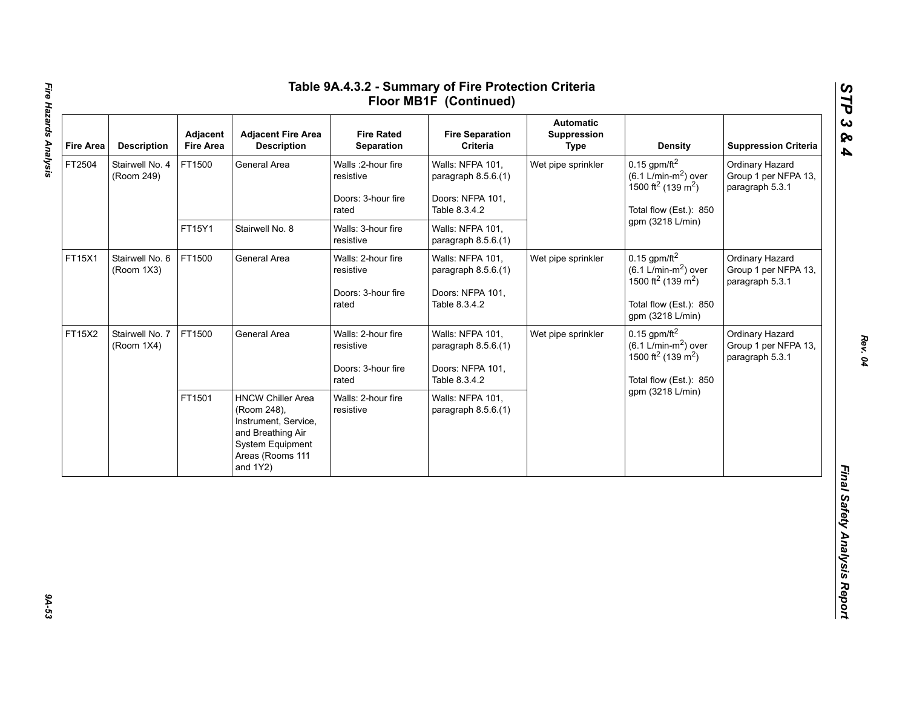| <b>Fire Area</b> | <b>Description</b>            | Adjacent<br><b>Fire Area</b> | <b>Adjacent Fire Area</b><br><b>Description</b>                                                                                          | <b>Fire Rated</b><br>Separation                                 | <b>Fire Separation</b><br>Criteria                                                                                                  | <b>Automatic</b><br>Suppression<br><b>Type</b> | <b>Density</b>                                                                                                                           | <b>Suppression Criteria</b>                                |
|------------------|-------------------------------|------------------------------|------------------------------------------------------------------------------------------------------------------------------------------|-----------------------------------------------------------------|-------------------------------------------------------------------------------------------------------------------------------------|------------------------------------------------|------------------------------------------------------------------------------------------------------------------------------------------|------------------------------------------------------------|
| FT2504           | Stairwell No. 4<br>(Room 249) | FT1500                       | General Area                                                                                                                             | Walls : 2-hour fire<br>resistive<br>Doors: 3-hour fire<br>rated | Walls: NFPA 101,<br>paragraph 8.5.6.(1)<br>Doors: NFPA 101,<br>Table 8.3.4.2                                                        | Wet pipe sprinkler                             | $0.15$ gpm/ft <sup>2</sup><br>$(6.1 L/min-m2)$ over<br>1500 ft <sup>2</sup> (139 m <sup>2</sup> )<br>Total flow (Est.): 850              | Ordinary Hazard<br>Group 1 per NFPA 13,<br>paragraph 5.3.1 |
|                  |                               | FT15Y1                       | Stairwell No. 8                                                                                                                          | Walls: 3-hour fire<br>resistive                                 | gpm (3218 L/min)<br>Walls: NFPA 101,<br>paragraph 8.5.6.(1)<br>$0.15$ gpm/ft <sup>2</sup><br>Walls: NFPA 101,<br>Wet pipe sprinkler |                                                |                                                                                                                                          |                                                            |
| FT15X1           | Stairwell No. 6<br>(Room 1X3) | FT1500                       | General Area                                                                                                                             | Walls: 2-hour fire<br>resistive<br>Doors: 3-hour fire<br>rated  | paragraph $8.5.6(1)$<br>Doors: NFPA 101,<br>Table 8.3.4.2                                                                           |                                                | $(6.1 \text{ L/min-m}^2)$ over<br>1500 ft <sup>2</sup> (139 m <sup>2</sup> )<br>Total flow (Est.): 850<br>gpm (3218 L/min)               | Ordinary Hazard<br>Group 1 per NFPA 13,<br>paragraph 5.3.1 |
| FT15X2           | Stairwell No. 7<br>(Room 1X4) | FT1500                       | General Area                                                                                                                             | Walls: 2-hour fire<br>resistive<br>Doors: 3-hour fire<br>rated  | Walls: NFPA 101,<br>paragraph 8.5.6.(1)<br>Doors: NFPA 101,<br>Table 8.3.4.2                                                        | Wet pipe sprinkler                             | $0.15$ gpm/ft <sup>2</sup><br>$(6.1$ L/min-m <sup>2</sup> ) over<br>1500 ft <sup>2</sup> (139 m <sup>2</sup> )<br>Total flow (Est.): 850 | Ordinary Hazard<br>Group 1 per NFPA 13,<br>paragraph 5.3.1 |
|                  |                               | FT1501                       | <b>HNCW Chiller Area</b><br>(Room 248),<br>Instrument, Service,<br>and Breathing Air<br>System Equipment<br>Areas (Rooms 111<br>and 1Y2) | Walls: 2-hour fire<br>resistive                                 | Walls: NFPA 101,<br>paragraph $8.5.6(1)$                                                                                            |                                                | gpm (3218 L/min)                                                                                                                         |                                                            |

9A-53

*Rev. 04*

*STP 3 & 4*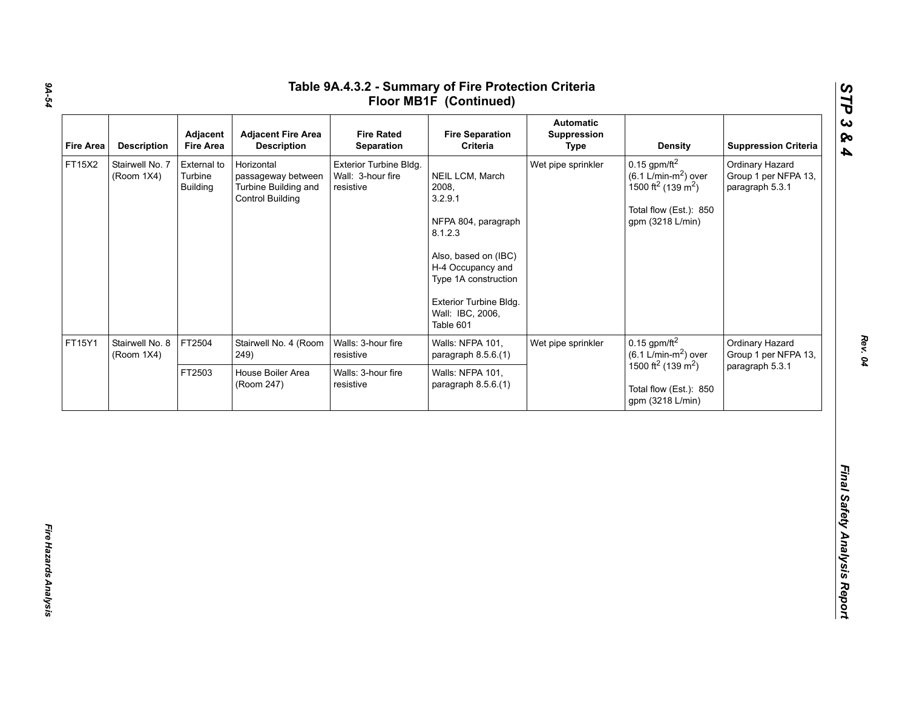| FT15X2 | <b>Description</b>            | Adjacent<br><b>Fire Area</b>              | <b>Adjacent Fire Area</b><br><b>Description</b>                                     | <b>Fire Rated</b><br>Separation                          | <b>Fire Separation</b><br>Criteria                                                                                                                                                                    | <b>Automatic</b><br>Suppression<br><b>Type</b> | <b>Density</b>                                                                                                                                           | <b>Suppression Criteria</b>                                |
|--------|-------------------------------|-------------------------------------------|-------------------------------------------------------------------------------------|----------------------------------------------------------|-------------------------------------------------------------------------------------------------------------------------------------------------------------------------------------------------------|------------------------------------------------|----------------------------------------------------------------------------------------------------------------------------------------------------------|------------------------------------------------------------|
|        | Stairwell No. 7<br>(Room 1X4) | External to<br>Turbine<br><b>Building</b> | Horizontal<br>passageway between<br>Turbine Building and<br><b>Control Building</b> | Exterior Turbine Bldg.<br>Wall: 3-hour fire<br>resistive | NEIL LCM, March<br>2008,<br>3.2.9.1<br>NFPA 804, paragraph<br>8.1.2.3<br>Also, based on (IBC)<br>H-4 Occupancy and<br>Type 1A construction<br>Exterior Turbine Bldg.<br>Wall: IBC, 2006,<br>Table 601 | Wet pipe sprinkler                             | $0.15$ gpm/ft <sup>2</sup><br>$(6.1 \text{ L/min-m}^2)$ over<br>1500 ft <sup>2</sup> (139 m <sup>2</sup> )<br>Total flow (Est.): 850<br>gpm (3218 L/min) | Ordinary Hazard<br>Group 1 per NFPA 13,<br>paragraph 5.3.1 |
| FT15Y1 | Stairwell No. 8<br>(Room 1X4) | FT2504                                    | Stairwell No. 4 (Room<br>249)                                                       | Walls: 3-hour fire<br>resistive                          | Walls: NFPA 101,<br>paragraph 8.5.6.(1)                                                                                                                                                               | Wet pipe sprinkler                             | $0.15$ gpm/ft <sup>2</sup><br>$(6.1 \text{ L/min-m}^2)$ over                                                                                             | Ordinary Hazard<br>Group 1 per NFPA 13,                    |
|        |                               | FT2503                                    | House Boiler Area<br>(Room 247)                                                     | Walls: 3-hour fire<br>resistive                          | Walls: NFPA 101,<br>paragraph 8.5.6.(1)                                                                                                                                                               |                                                | 1500 ft <sup>2</sup> (139 m <sup>2</sup> )<br>Total flow (Est.): 850<br>gpm (3218 L/min)                                                                 | paragraph 5.3.1                                            |

*9A-54*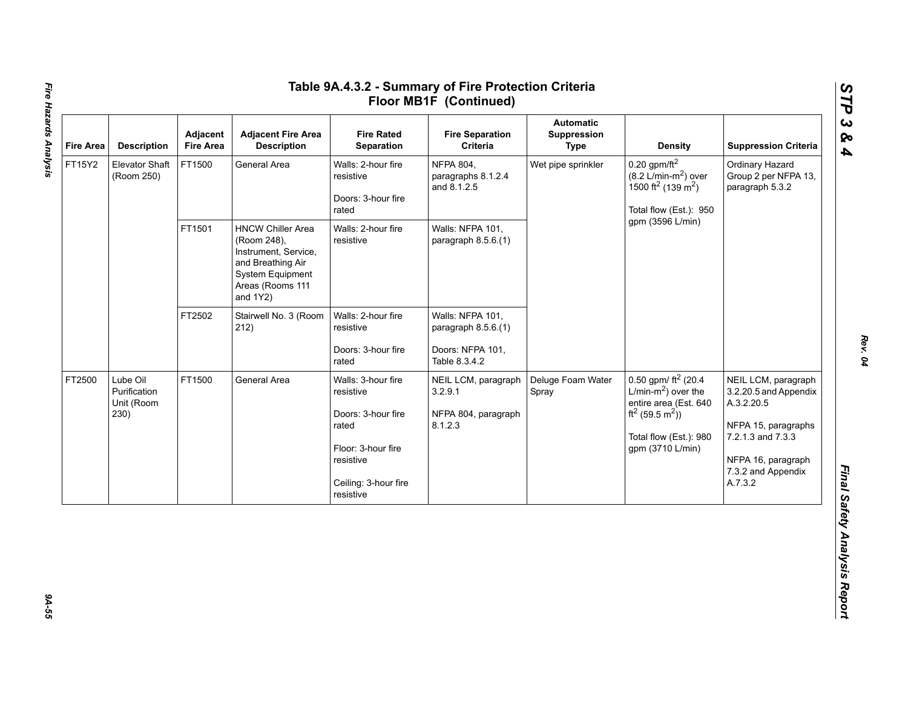| <b>Fire Area</b> | <b>Description</b>                             | Adjacent<br><b>Fire Area</b> | <b>Adjacent Fire Area</b><br><b>Description</b>                                                                                             | <b>Fire Rated</b><br>Separation                                                                                                        | <b>Fire Separation</b><br>Criteria                                           | <b>Automatic</b><br>Suppression<br><b>Type</b> | <b>Density</b>                                                                                                                                                     | <b>Suppression Criteria</b>                                                                                                                                   |
|------------------|------------------------------------------------|------------------------------|---------------------------------------------------------------------------------------------------------------------------------------------|----------------------------------------------------------------------------------------------------------------------------------------|------------------------------------------------------------------------------|------------------------------------------------|--------------------------------------------------------------------------------------------------------------------------------------------------------------------|---------------------------------------------------------------------------------------------------------------------------------------------------------------|
| FT15Y2           | Elevator Shaft<br>(Room 250)                   | FT1500                       | General Area                                                                                                                                | Walls: 2-hour fire<br>resistive<br>Doors: 3-hour fire<br>rated                                                                         | <b>NFPA 804,</b><br>paragraphs 8.1.2.4<br>and 8.1.2.5                        | Wet pipe sprinkler                             | $0.20$ gpm/ft <sup>2</sup><br>$(8.2 \text{ L/min-m}^2)$ over<br>1500 ft <sup>2</sup> (139 m <sup>2</sup> )<br>Total flow (Est.): 950                               | Ordinary Hazard<br>Group 2 per NFPA 13,<br>paragraph 5.3.2                                                                                                    |
|                  |                                                | FT1501                       | <b>HNCW Chiller Area</b><br>(Room 248),<br>Instrument, Service,<br>and Breathing Air<br>System Equipment<br>Areas (Rooms 111<br>and $1Y2$ ) | Walls: 2-hour fire<br>resistive                                                                                                        | Walls: NFPA 101,<br>paragraph 8.5.6.(1)                                      |                                                | gpm (3596 L/min)                                                                                                                                                   |                                                                                                                                                               |
|                  |                                                | FT2502                       | Stairwell No. 3 (Room<br>212)                                                                                                               | Walls: 2-hour fire<br>resistive<br>Doors: 3-hour fire<br>rated                                                                         | Walls: NFPA 101,<br>paragraph 8.5.6.(1)<br>Doors: NFPA 101,<br>Table 8.3.4.2 |                                                |                                                                                                                                                                    |                                                                                                                                                               |
| FT2500           | Lube Oil<br>Purification<br>Unit (Room<br>230) | FT1500                       | General Area                                                                                                                                | Walls: 3-hour fire<br>resistive<br>Doors: 3-hour fire<br>rated<br>Floor: 3-hour fire<br>resistive<br>Ceiling: 3-hour fire<br>resistive | NEIL LCM, paragraph<br>3.2.9.1<br>NFPA 804, paragraph<br>8.1.2.3             | Deluge Foam Water<br>Spray                     | 0.50 gpm/ $ft^2$ (20.4<br>L/min- $m2$ ) over the<br>entire area (Est. 640<br>ft <sup>2</sup> (59.5 m <sup>2</sup> ))<br>Total flow (Est.): 980<br>gpm (3710 L/min) | NEIL LCM, paragraph<br>3.2.20.5 and Appendix<br>A.3.2.20.5<br>NFPA 15, paragraphs<br>7.2.1.3 and 7.3.3<br>NFPA 16, paragraph<br>7.3.2 and Appendix<br>A.7.3.2 |

# Fire Hazards Analysis *Fire Hazards Analysis 9A-55*

*Rev. 04*

39-55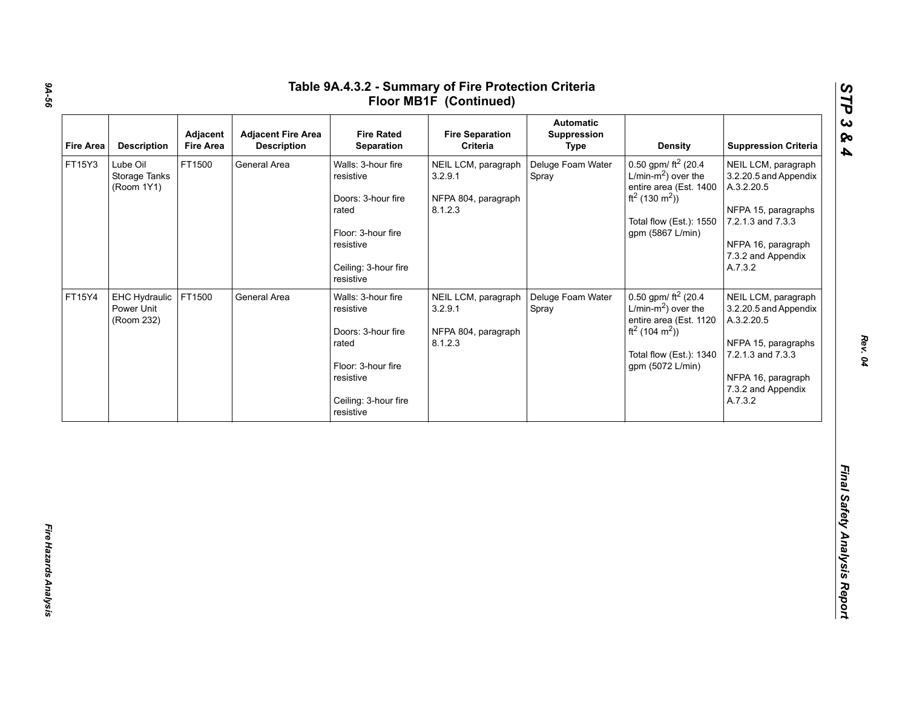| 0.50 gpm/ $ft^2$ (20.4)<br>$L/min-m2$ ) over the                                                                                                                             |                            | Criteria                                                         | <b>Fire Rated</b><br>Separation                                                                                                        | <b>Adjacent Fire Area</b><br><b>Description</b> | Adjacent<br><b>Fire Area</b> | <b>Description</b>                        | <b>Fire Area</b> |
|------------------------------------------------------------------------------------------------------------------------------------------------------------------------------|----------------------------|------------------------------------------------------------------|----------------------------------------------------------------------------------------------------------------------------------------|-------------------------------------------------|------------------------------|-------------------------------------------|------------------|
| entire area (Est. 1400<br>ft <sup>2</sup> (130 m <sup>2</sup> ))<br>Total flow (Est.): 1550<br>gpm (5867 L/min)                                                              | Deluge Foam Water<br>Spray | NEIL LCM, paragraph<br>3.2.9.1<br>NFPA 804, paragraph<br>8.1.2.3 | Walls: 3-hour fire<br>resistive<br>Doors: 3-hour fire<br>rated<br>Floor: 3-hour fire<br>resistive<br>Ceiling: 3-hour fire<br>resistive | General Area                                    | FT1500                       | Lube Oil<br>Storage Tanks<br>(Room 1Y1)   | FT15Y3           |
| 0.50 gpm/ $ft^2$ (20.4<br>L/min-m <sup>2</sup> ) over the<br>entire area (Est. 1120<br>ft <sup>2</sup> (104 m <sup>2</sup> ))<br>Total flow (Est.): 1340<br>gpm (5072 L/min) | Deluge Foam Water<br>Spray | NEIL LCM, paragraph<br>3.2.9.1<br>NFPA 804, paragraph<br>8.1.2.3 | Walls: 3-hour fire<br>resistive<br>Doors: 3-hour fire<br>rated<br>Floor: 3-hour fire<br>resistive<br>Ceiling: 3-hour fire<br>resistive | General Area                                    | FT1500                       | EHC Hydraulic<br>Power Unit<br>(Room 232) | FT15Y4           |
|                                                                                                                                                                              |                            |                                                                  |                                                                                                                                        |                                                 |                              |                                           |                  |
|                                                                                                                                                                              |                            |                                                                  |                                                                                                                                        |                                                 |                              |                                           |                  |

*Rev. 04*

*STP 3 & 4*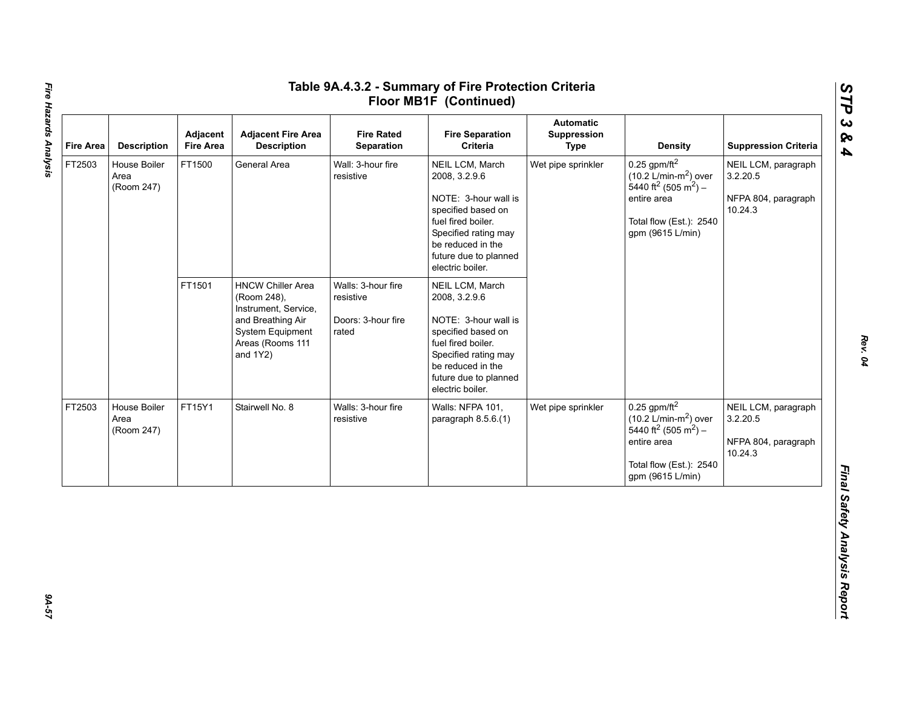| <b>Fire Area</b> | <b>Description</b>                 | Adjacent<br><b>Fire Area</b> | <b>Adjacent Fire Area</b><br><b>Description</b>                                                                                             | <b>Fire Rated</b><br>Separation                                | <b>Fire Separation</b><br>Criteria                                                                                                                                                             | <b>Automatic</b><br>Suppression<br><b>Type</b> | <b>Density</b>                                                                                                                                                              | <b>Suppression Criteria</b>                                       |
|------------------|------------------------------------|------------------------------|---------------------------------------------------------------------------------------------------------------------------------------------|----------------------------------------------------------------|------------------------------------------------------------------------------------------------------------------------------------------------------------------------------------------------|------------------------------------------------|-----------------------------------------------------------------------------------------------------------------------------------------------------------------------------|-------------------------------------------------------------------|
| FT2503           | House Boiler<br>Area<br>(Room 247) | FT1500                       | General Area                                                                                                                                | Wall: 3-hour fire<br>resistive                                 | NEIL LCM, March<br>2008, 3.2.9.6<br>NOTE: 3-hour wall is<br>specified based on<br>fuel fired boiler.<br>Specified rating may<br>be reduced in the<br>future due to planned<br>electric boiler. | Wet pipe sprinkler                             | $0.25$ gpm/ft <sup>2</sup><br>$(10.2 \text{ L/min-m}^2)$ over<br>5440 ft <sup>2</sup> (505 m <sup>2</sup> ) –<br>entire area<br>Total flow (Est.): 2540<br>gpm (9615 L/min) | NEIL LCM, paragraph<br>3.2.20.5<br>NFPA 804, paragraph<br>10.24.3 |
|                  |                                    | FT1501                       | <b>HNCW Chiller Area</b><br>(Room 248),<br>Instrument, Service,<br>and Breathing Air<br>System Equipment<br>Areas (Rooms 111<br>and $1Y2$ ) | Walls: 3-hour fire<br>resistive<br>Doors: 3-hour fire<br>rated | NEIL LCM, March<br>2008, 3.2.9.6<br>NOTE: 3-hour wall is<br>specified based on<br>fuel fired boiler.<br>Specified rating may<br>be reduced in the<br>future due to planned<br>electric boiler. |                                                |                                                                                                                                                                             |                                                                   |
| FT2503           | House Boiler<br>Area<br>(Room 247) | FT15Y1                       | Stairwell No. 8                                                                                                                             | Walls: 3-hour fire<br>resistive                                | Walls: NFPA 101,<br>paragraph $8.5.6(1)$                                                                                                                                                       | Wet pipe sprinkler                             | $0.25$ gpm/ft <sup>2</sup><br>$(10.2 \text{ L/min-m}^2)$ over<br>5440 ft <sup>2</sup> (505 m <sup>2</sup> ) –<br>entire area<br>Total flow (Est.): 2540<br>gpm (9615 L/min) | NEIL LCM, paragraph<br>3.2.20.5<br>NFPA 804, paragraph<br>10.24.3 |

*STP 3 & 4*

75-A9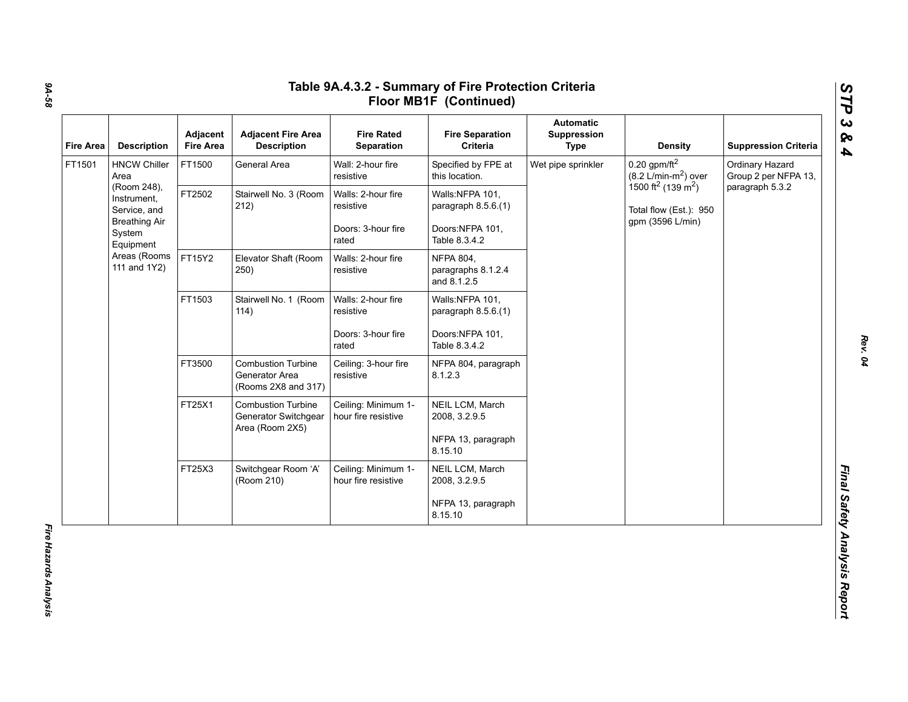| <b>Fire Area</b> | <b>Description</b>                                                          | Adjacent<br><b>Fire Area</b> | <b>Adjacent Fire Area</b><br><b>Description</b>                      | <b>Fire Rated</b><br>Separation            | <b>Fire Separation</b><br>Criteria                    | <b>Automatic</b><br>Suppression<br><b>Type</b> | <b>Density</b>                                                       | <b>Suppression Criteria</b>             |
|------------------|-----------------------------------------------------------------------------|------------------------------|----------------------------------------------------------------------|--------------------------------------------|-------------------------------------------------------|------------------------------------------------|----------------------------------------------------------------------|-----------------------------------------|
| FT1501           | <b>HNCW Chiller</b><br>Area                                                 | FT1500                       | General Area                                                         | Wall: 2-hour fire<br>resistive             | Specified by FPE at<br>this location.                 | Wet pipe sprinkler                             | $0.20$ gpm/ft <sup>2</sup><br>$(8.2 \text{ L/min-m}^2)$ over         | Ordinary Hazard<br>Group 2 per NFPA 13, |
|                  | (Room 248),<br>Instrument,<br>Service, and                                  | FT2502                       | Stairwell No. 3 (Room<br>212)                                        | Walls: 2-hour fire<br>resistive            | Walls:NFPA 101,<br>paragraph 8.5.6.(1)                |                                                | 1500 ft <sup>2</sup> (139 m <sup>2</sup> )<br>Total flow (Est.): 950 | paragraph 5.3.2                         |
|                  | <b>Breathing Air</b><br>System<br>Equipment<br>Areas (Rooms<br>111 and 1Y2) |                              |                                                                      | Doors: 3-hour fire<br>rated                | Doors:NFPA 101,<br>Table 8.3.4.2                      |                                                | gpm (3596 L/min)                                                     |                                         |
|                  |                                                                             | FT15Y2                       | Elevator Shaft (Room<br>250)                                         | Walls: 2-hour fire<br>resistive            | <b>NFPA 804,</b><br>paragraphs 8.1.2.4<br>and 8.1.2.5 |                                                |                                                                      |                                         |
|                  |                                                                             | FT1503                       | Stairwell No. 1 (Room<br>114)                                        | Walls: 2-hour fire<br>resistive            | Walls:NFPA 101,<br>paragraph 8.5.6.(1)                |                                                |                                                                      |                                         |
|                  |                                                                             |                              |                                                                      | Doors: 3-hour fire<br>rated                | Doors:NFPA 101,<br>Table 8.3.4.2                      |                                                |                                                                      |                                         |
|                  |                                                                             | FT3500                       | <b>Combustion Turbine</b><br>Generator Area<br>(Rooms 2X8 and 317)   | Ceiling: 3-hour fire<br>resistive          | NFPA 804, paragraph<br>8.1.2.3                        |                                                |                                                                      |                                         |
|                  |                                                                             | FT25X1                       | <b>Combustion Turbine</b><br>Generator Switchgear<br>Area (Room 2X5) | Ceiling: Minimum 1-<br>hour fire resistive | NEIL LCM, March<br>2008, 3.2.9.5                      |                                                |                                                                      |                                         |
|                  |                                                                             |                              |                                                                      |                                            | NFPA 13, paragraph<br>8.15.10                         |                                                |                                                                      |                                         |
|                  |                                                                             | FT25X3                       | Switchgear Room 'A'<br>(Room 210)                                    | Ceiling: Minimum 1-<br>hour fire resistive | NEIL LCM, March<br>2008, 3.2.9.5                      |                                                |                                                                      |                                         |
|                  |                                                                             |                              |                                                                      |                                            | NFPA 13, paragraph<br>8.15.10                         |                                                |                                                                      |                                         |

*9A-58*

*Rev. 04*

*STP 3 & 4*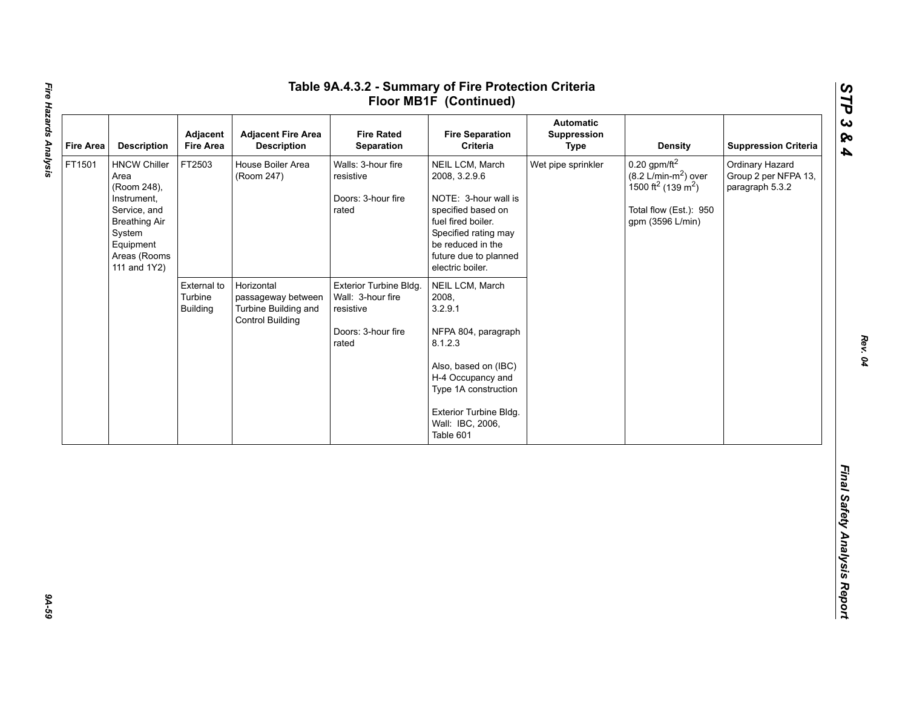| <b>Fire Area</b> | <b>Description</b>                                                                                                                                       | Adjacent<br><b>Fire Area</b>              | <b>Adjacent Fire Area</b><br><b>Description</b>                                     | <b>Fire Rated</b><br>Separation                                                         | <b>Fire Separation</b><br>Criteria                                                                                                                                                                    | <b>Automatic</b><br>Suppression<br><b>Type</b> | <b>Density</b>                                                                                                                                           | <b>Suppression Criteria</b>                                |
|------------------|----------------------------------------------------------------------------------------------------------------------------------------------------------|-------------------------------------------|-------------------------------------------------------------------------------------|-----------------------------------------------------------------------------------------|-------------------------------------------------------------------------------------------------------------------------------------------------------------------------------------------------------|------------------------------------------------|----------------------------------------------------------------------------------------------------------------------------------------------------------|------------------------------------------------------------|
| FT1501           | <b>HNCW Chiller</b><br>Area<br>(Room 248),<br>Instrument,<br>Service, and<br><b>Breathing Air</b><br>System<br>Equipment<br>Areas (Rooms<br>111 and 1Y2) | FT2503                                    | House Boiler Area<br>(Room 247)                                                     | Walls: 3-hour fire<br>resistive<br>Doors: 3-hour fire<br>rated                          | NEIL LCM, March<br>2008, 3.2.9.6<br>NOTE: 3-hour wall is<br>specified based on<br>fuel fired boiler.<br>Specified rating may<br>be reduced in the<br>future due to planned<br>electric boiler.        | Wet pipe sprinkler                             | $0.20$ gpm/ft <sup>2</sup><br>$(8.2 \text{ L/min-m}^2)$ over<br>1500 ft <sup>2</sup> (139 m <sup>2</sup> )<br>Total flow (Est.): 950<br>gpm (3596 L/min) | Ordinary Hazard<br>Group 2 per NFPA 13,<br>paragraph 5.3.2 |
|                  |                                                                                                                                                          | External to<br>Turbine<br><b>Building</b> | Horizontal<br>passageway between<br>Turbine Building and<br><b>Control Building</b> | Exterior Turbine Bldg.<br>Wall: 3-hour fire<br>resistive<br>Doors: 3-hour fire<br>rated | NEIL LCM, March<br>2008,<br>3.2.9.1<br>NFPA 804, paragraph<br>8.1.2.3<br>Also, based on (IBC)<br>H-4 Occupancy and<br>Type 1A construction<br>Exterior Turbine Bldg.<br>Wall: IBC, 2006,<br>Table 601 |                                                |                                                                                                                                                          |                                                            |
|                  |                                                                                                                                                          |                                           |                                                                                     |                                                                                         |                                                                                                                                                                                                       |                                                |                                                                                                                                                          |                                                            |

*STP 3 & 4*

94-59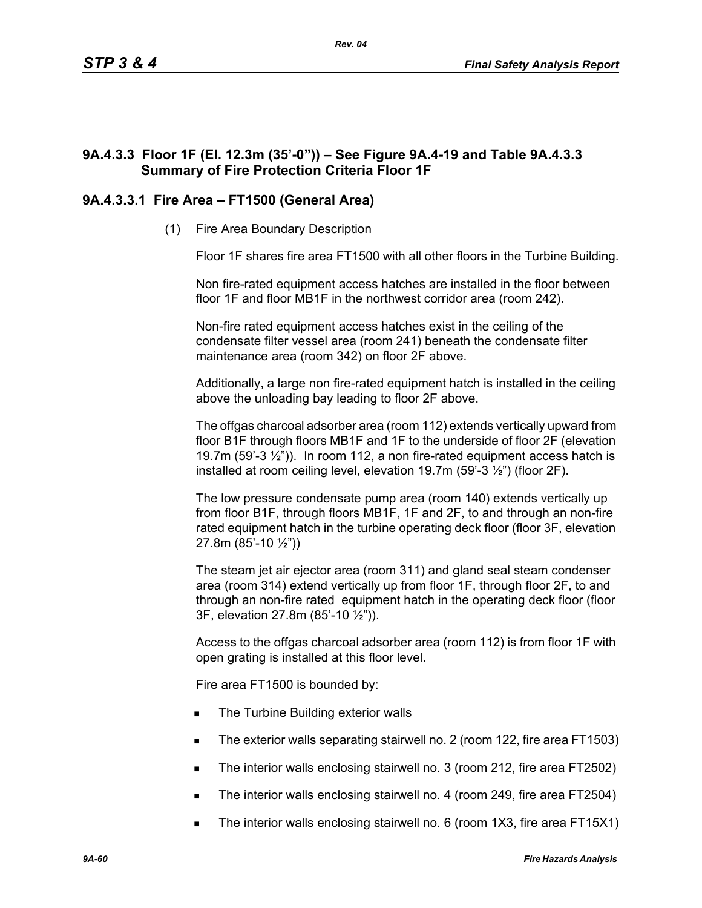# **9A.4.3.3 Floor 1F (El. 12.3m (35'-0")) – See Figure 9A.4-19 and Table 9A.4.3.3 Summary of Fire Protection Criteria Floor 1F**

# **9A.4.3.3.1 Fire Area – FT1500 (General Area)**

(1) Fire Area Boundary Description

Floor 1F shares fire area FT1500 with all other floors in the Turbine Building.

Non fire-rated equipment access hatches are installed in the floor between floor 1F and floor MB1F in the northwest corridor area (room 242).

Non-fire rated equipment access hatches exist in the ceiling of the condensate filter vessel area (room 241) beneath the condensate filter maintenance area (room 342) on floor 2F above.

Additionally, a large non fire-rated equipment hatch is installed in the ceiling above the unloading bay leading to floor 2F above.

The offgas charcoal adsorber area (room 112) extends vertically upward from floor B1F through floors MB1F and 1F to the underside of floor 2F (elevation 19.7m (59'-3  $\frac{1}{2}$ ")). In room 112, a non fire-rated equipment access hatch is installed at room ceiling level, elevation 19.7m (59'-3 ½") (floor 2F).

The low pressure condensate pump area (room 140) extends vertically up from floor B1F, through floors MB1F, 1F and 2F, to and through an non-fire rated equipment hatch in the turbine operating deck floor (floor 3F, elevation 27.8m (85'-10 ½"))

The steam jet air ejector area (room 311) and gland seal steam condenser area (room 314) extend vertically up from floor 1F, through floor 2F, to and through an non-fire rated equipment hatch in the operating deck floor (floor 3F, elevation 27.8m (85'-10 ½")).

Access to the offgas charcoal adsorber area (room 112) is from floor 1F with open grating is installed at this floor level.

Fire area FT1500 is bounded by:

- The Turbine Building exterior walls
- The exterior walls separating stairwell no. 2 (room 122, fire area FT1503)
- The interior walls enclosing stairwell no. 3 (room 212, fire area FT2502)
- The interior walls enclosing stairwell no. 4 (room 249, fire area FT2504)
- The interior walls enclosing stairwell no. 6 (room 1X3, fire area FT15X1)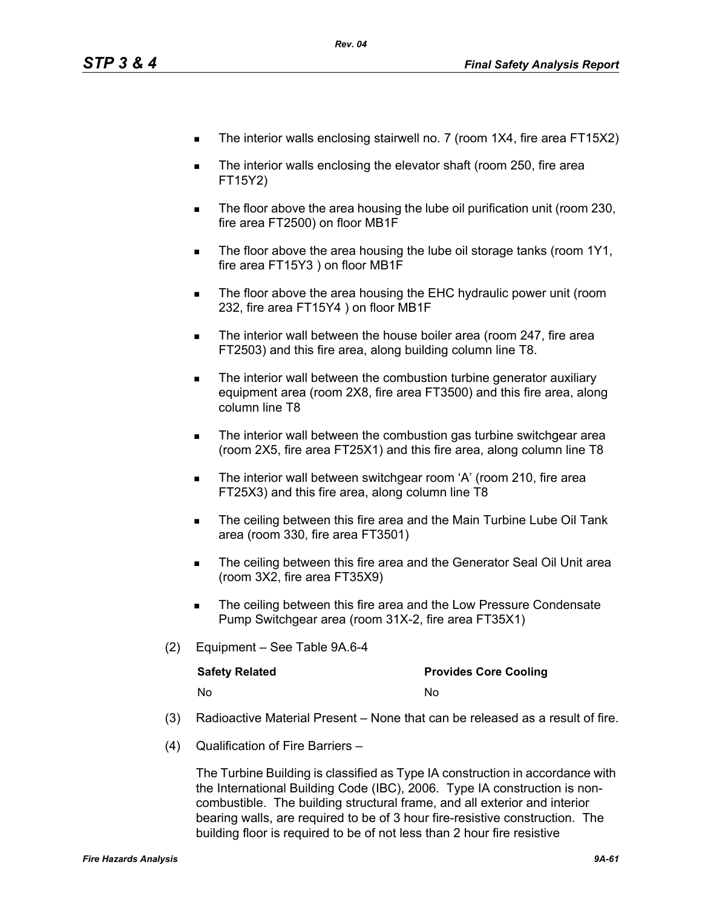- The interior walls enclosing stairwell no. 7 (room 1X4, fire area FT15X2)
- The interior walls enclosing the elevator shaft (room 250, fire area FT15Y2)
- The floor above the area housing the lube oil purification unit (room 230, fire area FT2500) on floor MB1F
- The floor above the area housing the lube oil storage tanks (room 1Y1, fire area FT15Y3 ) on floor MB1F
- **The floor above the area housing the EHC hydraulic power unit (room** 232, fire area FT15Y4 ) on floor MB1F
- The interior wall between the house boiler area (room 247, fire area FT2503) and this fire area, along building column line T8.
- The interior wall between the combustion turbine generator auxiliary equipment area (room 2X8, fire area FT3500) and this fire area, along column line T8
- The interior wall between the combustion gas turbine switchgear area (room 2X5, fire area FT25X1) and this fire area, along column line T8
- The interior wall between switchgear room 'A' (room 210, fire area FT25X3) and this fire area, along column line T8
- The ceiling between this fire area and the Main Turbine Lube Oil Tank area (room 330, fire area FT3501)
- The ceiling between this fire area and the Generator Seal Oil Unit area (room 3X2, fire area FT35X9)
- The ceiling between this fire area and the Low Pressure Condensate Pump Switchgear area (room 31X-2, fire area FT35X1)
- (2) Equipment See Table 9A.6-4

| <b>Safety Related</b> | <b>Provides Core Cooling</b> |
|-----------------------|------------------------------|
| No.                   | N٥                           |

- (3) Radioactive Material Present None that can be released as a result of fire.
- (4) Qualification of Fire Barriers –

The Turbine Building is classified as Type IA construction in accordance with the International Building Code (IBC), 2006. Type IA construction is noncombustible. The building structural frame, and all exterior and interior bearing walls, are required to be of 3 hour fire-resistive construction. The building floor is required to be of not less than 2 hour fire resistive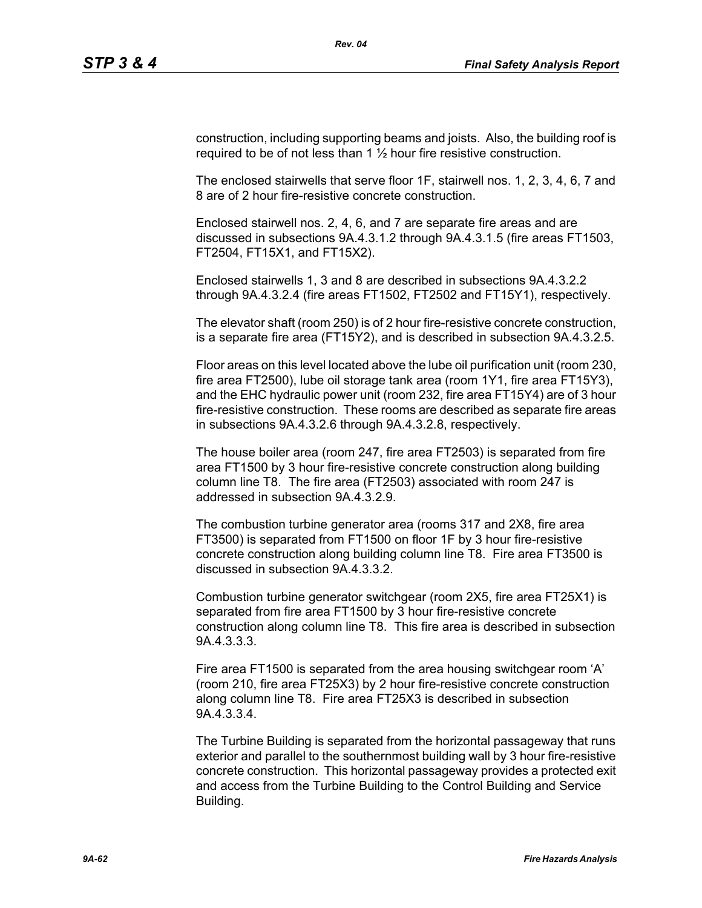construction, including supporting beams and joists. Also, the building roof is required to be of not less than  $1\frac{1}{2}$  hour fire resistive construction.

The enclosed stairwells that serve floor 1F, stairwell nos. 1, 2, 3, 4, 6, 7 and 8 are of 2 hour fire-resistive concrete construction.

Enclosed stairwell nos. 2, 4, 6, and 7 are separate fire areas and are discussed in subsections 9A.4.3.1.2 through 9A.4.3.1.5 (fire areas FT1503, FT2504, FT15X1, and FT15X2).

Enclosed stairwells 1, 3 and 8 are described in subsections 9A.4.3.2.2 through 9A.4.3.2.4 (fire areas FT1502, FT2502 and FT15Y1), respectively.

The elevator shaft (room 250) is of 2 hour fire-resistive concrete construction, is a separate fire area (FT15Y2), and is described in subsection 9A.4.3.2.5.

Floor areas on this level located above the lube oil purification unit (room 230, fire area FT2500), lube oil storage tank area (room 1Y1, fire area FT15Y3), and the EHC hydraulic power unit (room 232, fire area FT15Y4) are of 3 hour fire-resistive construction. These rooms are described as separate fire areas in subsections 9A.4.3.2.6 through 9A.4.3.2.8, respectively.

The house boiler area (room 247, fire area FT2503) is separated from fire area FT1500 by 3 hour fire-resistive concrete construction along building column line T8. The fire area (FT2503) associated with room 247 is addressed in subsection 9A.4.3.2.9.

The combustion turbine generator area (rooms 317 and 2X8, fire area FT3500) is separated from FT1500 on floor 1F by 3 hour fire-resistive concrete construction along building column line T8. Fire area FT3500 is discussed in subsection 9A.4.3.3.2.

Combustion turbine generator switchgear (room 2X5, fire area FT25X1) is separated from fire area FT1500 by 3 hour fire-resistive concrete construction along column line T8. This fire area is described in subsection 9A.4.3.3.3.

Fire area FT1500 is separated from the area housing switchgear room 'A' (room 210, fire area FT25X3) by 2 hour fire-resistive concrete construction along column line T8. Fire area FT25X3 is described in subsection 9A.4.3.3.4.

The Turbine Building is separated from the horizontal passageway that runs exterior and parallel to the southernmost building wall by 3 hour fire-resistive concrete construction. This horizontal passageway provides a protected exit and access from the Turbine Building to the Control Building and Service Building.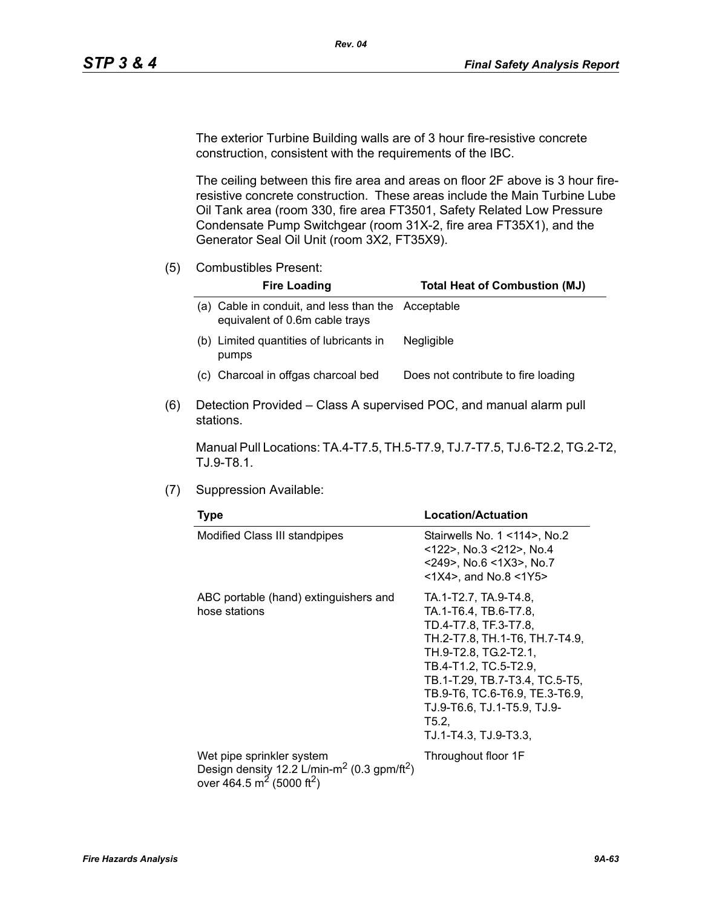The exterior Turbine Building walls are of 3 hour fire-resistive concrete construction, consistent with the requirements of the IBC.

The ceiling between this fire area and areas on floor 2F above is 3 hour fireresistive concrete construction. These areas include the Main Turbine Lube Oil Tank area (room 330, fire area FT3501, Safety Related Low Pressure Condensate Pump Switchgear (room 31X-2, fire area FT35X1), and the Generator Seal Oil Unit (room 3X2, FT35X9).

(5) Combustibles Present:

| <b>Fire Loading</b>                                                                     | <b>Total Heat of Combustion (MJ)</b> |
|-----------------------------------------------------------------------------------------|--------------------------------------|
| Cable in conduit, and less than the Acceptable<br>a).<br>equivalent of 0.6m cable trays |                                      |
| (b) Limited quantities of lubricants in<br>pumps                                        | <b>Negligible</b>                    |
| (c) Charcoal in offgas charcoal bed                                                     | Does not contribute to fire loading  |

(6) Detection Provided – Class A supervised POC, and manual alarm pull stations.

Manual Pull Locations: TA.4-T7.5, TH.5-T7.9, TJ.7-T7.5, TJ.6-T2.2, TG.2-T2, TJ.9-T8.1.

(7) Suppression Available:

| <b>Type</b>                                                                                                                                           | Location/Actuation                                                                                                                                                                                                                                                                               |  |  |
|-------------------------------------------------------------------------------------------------------------------------------------------------------|--------------------------------------------------------------------------------------------------------------------------------------------------------------------------------------------------------------------------------------------------------------------------------------------------|--|--|
| Modified Class III standpipes                                                                                                                         | Stairwells No. 1 < 14 >, No. 2<br><122>, No.3 <212>, No.4<br><249>, No.6 <1X3>, No.7<br>$<$ 1X4>, and No.8 $<$ 1Y5>                                                                                                                                                                              |  |  |
| ABC portable (hand) extinguishers and<br>hose stations                                                                                                | TA.1-T2.7, TA.9-T4.8,<br>TA.1-T6.4, TB.6-T7.8,<br>TD.4-T7.8, TF.3-T7.8,<br>TH.2-T7.8, TH.1-T6, TH.7-T4.9,<br>TH.9-T2.8, TG.2-T2.1,<br>TB.4-T1.2, TC.5-T2.9,<br>TB.1-T.29, TB.7-T3.4, TC.5-T5,<br>TB.9-T6, TC.6-T6.9, TE.3-T6.9,<br>TJ.9-T6.6, TJ.1-T5.9, TJ.9-<br>T5.2,<br>TJ.1-T4.3, TJ.9-T3.3, |  |  |
| Wet pipe sprinkler system<br>Design density 12.2 L/min-m <sup>2</sup> (0.3 gpm/ft <sup>2</sup> )<br>over 464.5 m <sup>2</sup> (5000 ft <sup>2</sup> ) | Throughout floor 1F                                                                                                                                                                                                                                                                              |  |  |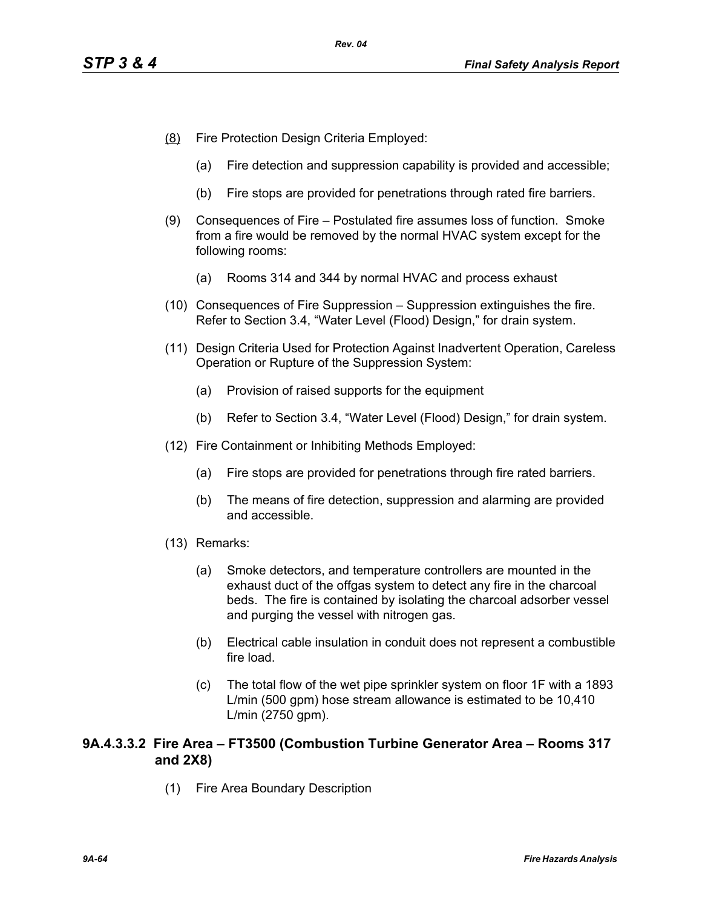- (8) Fire Protection Design Criteria Employed:
	- (a) Fire detection and suppression capability is provided and accessible;
	- (b) Fire stops are provided for penetrations through rated fire barriers.
- (9) Consequences of Fire Postulated fire assumes loss of function. Smoke from a fire would be removed by the normal HVAC system except for the following rooms:
	- (a) Rooms 314 and 344 by normal HVAC and process exhaust
- (10) Consequences of Fire Suppression Suppression extinguishes the fire. Refer to Section 3.4, "Water Level (Flood) Design," for drain system.
- (11) Design Criteria Used for Protection Against Inadvertent Operation, Careless Operation or Rupture of the Suppression System:
	- (a) Provision of raised supports for the equipment
	- (b) Refer to Section 3.4, "Water Level (Flood) Design," for drain system.
- (12) Fire Containment or Inhibiting Methods Employed:
	- (a) Fire stops are provided for penetrations through fire rated barriers.
	- (b) The means of fire detection, suppression and alarming are provided and accessible.
- (13) Remarks:
	- (a) Smoke detectors, and temperature controllers are mounted in the exhaust duct of the offgas system to detect any fire in the charcoal beds. The fire is contained by isolating the charcoal adsorber vessel and purging the vessel with nitrogen gas.
	- (b) Electrical cable insulation in conduit does not represent a combustible fire load.
	- (c) The total flow of the wet pipe sprinkler system on floor 1F with a 1893 L/min (500 gpm) hose stream allowance is estimated to be 10,410 L/min (2750 gpm).

# **9A.4.3.3.2 Fire Area – FT3500 (Combustion Turbine Generator Area – Rooms 317 and 2X8)**

(1) Fire Area Boundary Description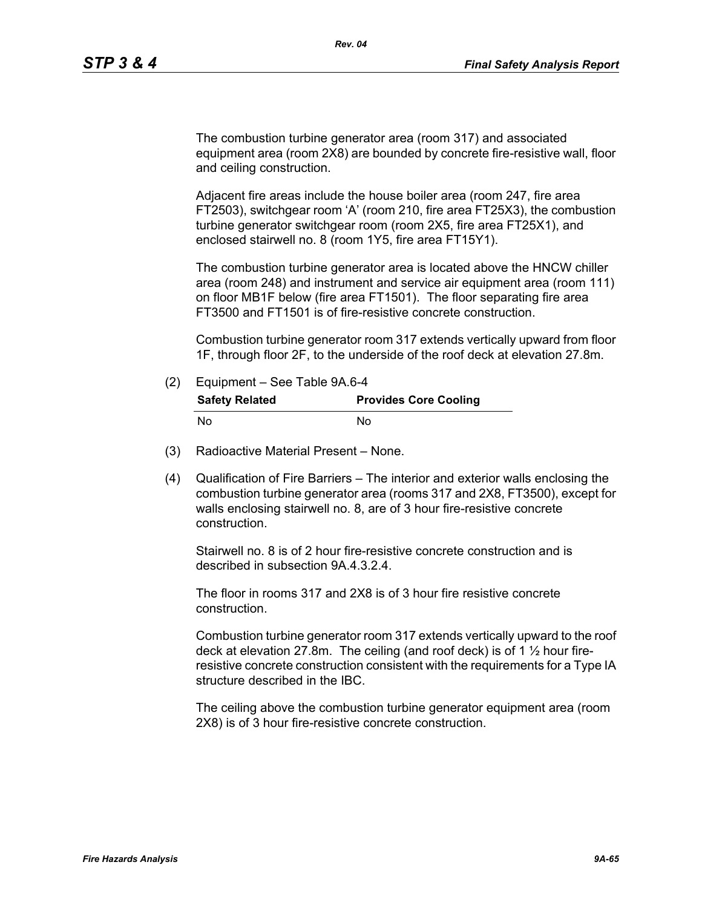The combustion turbine generator area (room 317) and associated equipment area (room 2X8) are bounded by concrete fire-resistive wall, floor and ceiling construction.

Adjacent fire areas include the house boiler area (room 247, fire area FT2503), switchgear room 'A' (room 210, fire area FT25X3), the combustion turbine generator switchgear room (room 2X5, fire area FT25X1), and enclosed stairwell no. 8 (room 1Y5, fire area FT15Y1).

The combustion turbine generator area is located above the HNCW chiller area (room 248) and instrument and service air equipment area (room 111) on floor MB1F below (fire area FT1501). The floor separating fire area FT3500 and FT1501 is of fire-resistive concrete construction.

Combustion turbine generator room 317 extends vertically upward from floor 1F, through floor 2F, to the underside of the roof deck at elevation 27.8m.

- (2) Equipment See Table 9A.6-4 **Safety Related Provides Core Cooling** No No
- (3) Radioactive Material Present None.
- (4) Qualification of Fire Barriers The interior and exterior walls enclosing the combustion turbine generator area (rooms 317 and 2X8, FT3500), except for walls enclosing stairwell no. 8, are of 3 hour fire-resistive concrete construction.

Stairwell no. 8 is of 2 hour fire-resistive concrete construction and is described in subsection 9A.4.3.2.4.

The floor in rooms 317 and 2X8 is of 3 hour fire resistive concrete construction.

Combustion turbine generator room 317 extends vertically upward to the roof deck at elevation 27.8m. The ceiling (and roof deck) is of 1 ½ hour fireresistive concrete construction consistent with the requirements for a Type IA structure described in the IBC.

The ceiling above the combustion turbine generator equipment area (room 2X8) is of 3 hour fire-resistive concrete construction.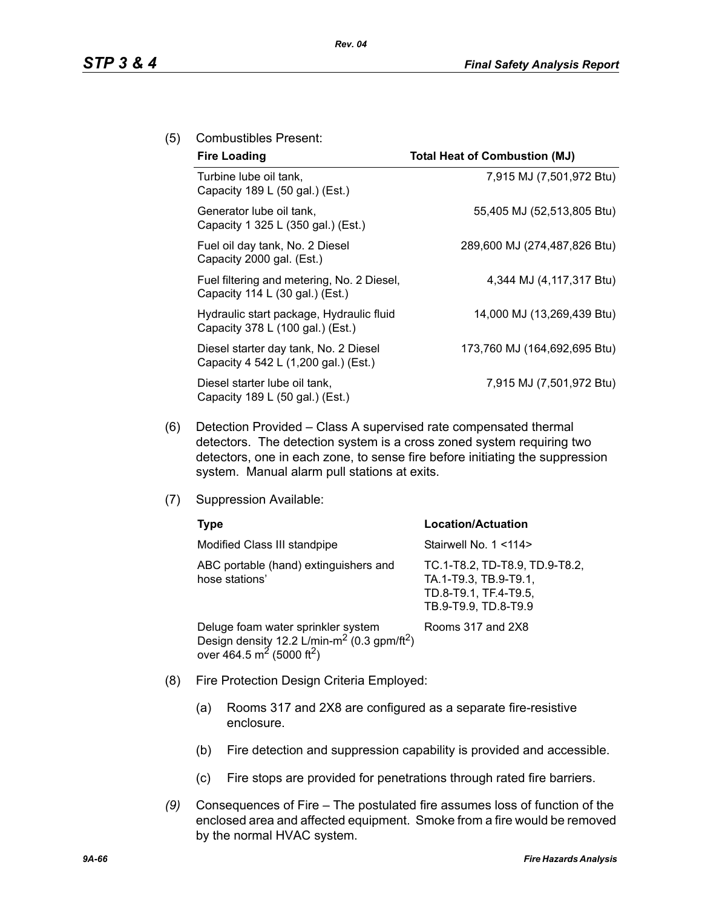## (5) Combustibles Present:

| <b>Fire Loading</b>                                                           | <b>Total Heat of Combustion (MJ)</b> |
|-------------------------------------------------------------------------------|--------------------------------------|
| Turbine lube oil tank,<br>Capacity 189 L (50 gal.) (Est.)                     | 7,915 MJ (7,501,972 Btu)             |
| Generator lube oil tank,<br>Capacity 1 325 L (350 gal.) (Est.)                | 55,405 MJ (52,513,805 Btu)           |
| Fuel oil day tank, No. 2 Diesel<br>Capacity 2000 gal. (Est.)                  | 289,600 MJ (274,487,826 Btu)         |
| Fuel filtering and metering, No. 2 Diesel,<br>Capacity 114 L (30 gal.) (Est.) | 4,344 MJ (4,117,317 Btu)             |
| Hydraulic start package, Hydraulic fluid<br>Capacity 378 L (100 gal.) (Est.)  | 14,000 MJ (13,269,439 Btu)           |
| Diesel starter day tank, No. 2 Diesel<br>Capacity 4 542 L (1,200 gal.) (Est.) | 173,760 MJ (164,692,695 Btu)         |
| Diesel starter lube oil tank,<br>Capacity 189 L (50 gal.) (Est.)              | 7,915 MJ (7,501,972 Btu)             |

- (6) Detection Provided Class A supervised rate compensated thermal detectors. The detection system is a cross zoned system requiring two detectors, one in each zone, to sense fire before initiating the suppression system. Manual alarm pull stations at exits.
- (7) Suppression Available:

| Type                                                                                                                                                           | <b>Location/Actuation</b>                                                                                |
|----------------------------------------------------------------------------------------------------------------------------------------------------------------|----------------------------------------------------------------------------------------------------------|
| Modified Class III standpipe                                                                                                                                   | Stairwell No. 1 <114>                                                                                    |
| ABC portable (hand) extinguishers and<br>hose stations'                                                                                                        | TC.1-T8.2, TD-T8.9, TD.9-T8.2,<br>TA.1-T9.3, TB.9-T9.1,<br>TD.8-T9.1, TF.4-T9.5,<br>TB.9-T9.9, TD.8-T9.9 |
| Deluge foam water sprinkler system<br>Design density 12.2 L/min-m <sup>2</sup> (0.3 gpm/ft <sup>2</sup> )<br>over 464.5 m <sup>2</sup> (5000 ft <sup>2</sup> ) | Rooms 317 and 2X8                                                                                        |

- (8) Fire Protection Design Criteria Employed:
	- (a) Rooms 317 and 2X8 are configured as a separate fire-resistive enclosure.
	- (b) Fire detection and suppression capability is provided and accessible.
	- (c) Fire stops are provided for penetrations through rated fire barriers.
- *(9)* Consequences of Fire The postulated fire assumes loss of function of the enclosed area and affected equipment. Smoke from a fire would be removed by the normal HVAC system.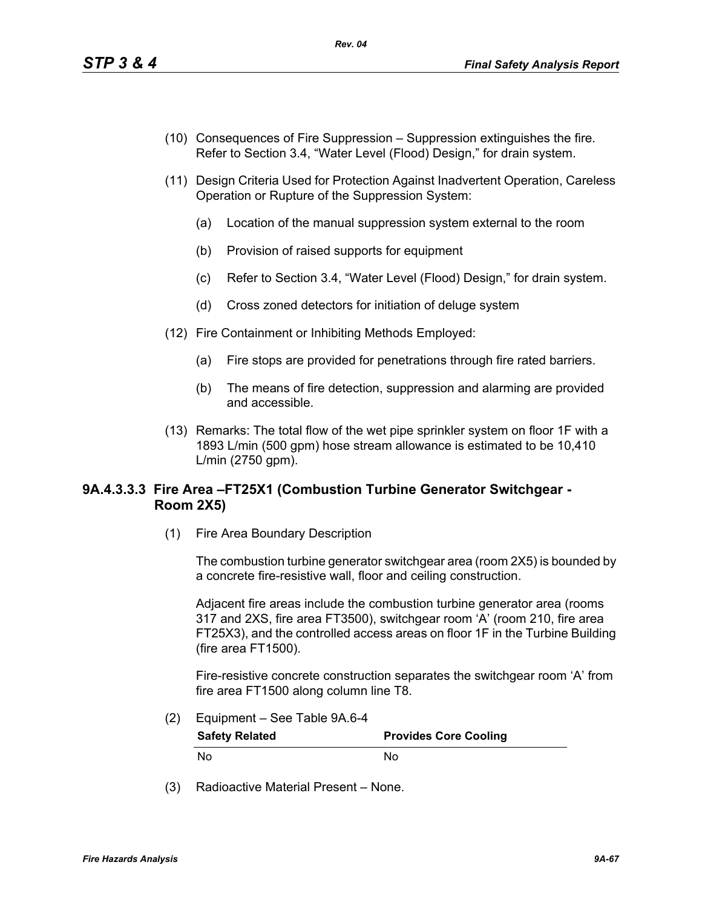- (10) Consequences of Fire Suppression Suppression extinguishes the fire. Refer to Section 3.4, "Water Level (Flood) Design," for drain system.
- (11) Design Criteria Used for Protection Against Inadvertent Operation, Careless Operation or Rupture of the Suppression System:
	- (a) Location of the manual suppression system external to the room
	- (b) Provision of raised supports for equipment
	- (c) Refer to Section 3.4, "Water Level (Flood) Design," for drain system.
	- (d) Cross zoned detectors for initiation of deluge system
- (12) Fire Containment or Inhibiting Methods Employed:
	- (a) Fire stops are provided for penetrations through fire rated barriers.
	- (b) The means of fire detection, suppression and alarming are provided and accessible.
- (13) Remarks: The total flow of the wet pipe sprinkler system on floor 1F with a 1893 L/min (500 gpm) hose stream allowance is estimated to be 10,410 L/min (2750 gpm).

# **9A.4.3.3.3 Fire Area –FT25X1 (Combustion Turbine Generator Switchgear - Room 2X5)**

(1) Fire Area Boundary Description

The combustion turbine generator switchgear area (room 2X5) is bounded by a concrete fire-resistive wall, floor and ceiling construction.

Adjacent fire areas include the combustion turbine generator area (rooms 317 and 2XS, fire area FT3500), switchgear room 'A' (room 210, fire area FT25X3), and the controlled access areas on floor 1F in the Turbine Building (fire area FT1500).

Fire-resistive concrete construction separates the switchgear room 'A' from fire area FT1500 along column line T8.

(2) Equipment – See Table 9A.6-4

| <b>Safety Related</b> | <b>Provides Core Cooling</b> |
|-----------------------|------------------------------|
| No                    | N٥                           |

(3) Radioactive Material Present – None.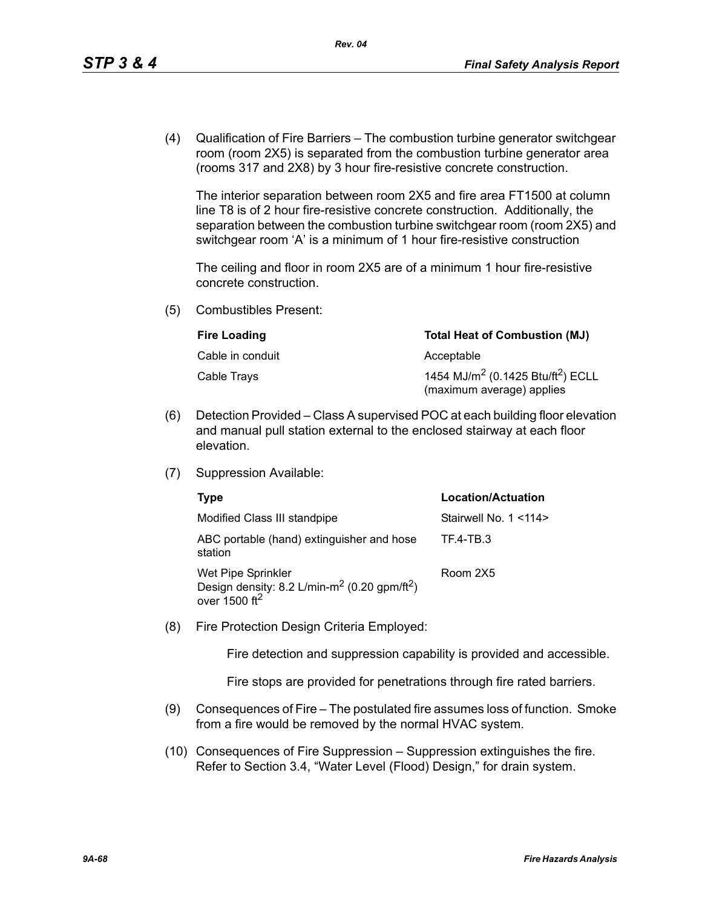(4) Qualification of Fire Barriers – The combustion turbine generator switchgear room (room 2X5) is separated from the combustion turbine generator area (rooms 317 and 2X8) by 3 hour fire-resistive concrete construction.

The interior separation between room 2X5 and fire area FT1500 at column line T8 is of 2 hour fire-resistive concrete construction. Additionally, the separation between the combustion turbine switchgear room (room 2X5) and switchgear room 'A' is a minimum of 1 hour fire-resistive construction

The ceiling and floor in room 2X5 are of a minimum 1 hour fire-resistive concrete construction.

(5) Combustibles Present:

| <b>Fire Loading</b> | <b>Total Heat of Combustion (MJ)</b>                                                   |
|---------------------|----------------------------------------------------------------------------------------|
| Cable in conduit    | Acceptable                                                                             |
| Cable Trays         | 1454 MJ/m <sup>2</sup> (0.1425 Btu/ft <sup>2</sup> ) ECLL<br>(maximum average) applies |

- (6) Detection Provided Class A supervised POC at each building floor elevation and manual pull station external to the enclosed stairway at each floor elevation.
- (7) Suppression Available:

| Type                                                                                                                   | <b>Location/Actuation</b> |
|------------------------------------------------------------------------------------------------------------------------|---------------------------|
| Modified Class III standpipe                                                                                           | Stairwell No. 1 < 114>    |
| ABC portable (hand) extinguisher and hose<br>station                                                                   | TF.4-TB.3                 |
| Wet Pipe Sprinkler<br>Design density: 8.2 L/min-m <sup>2</sup> (0.20 gpm/ft <sup>2</sup> )<br>over $1500 \text{ ft}^2$ | Room 2X5                  |

(8) Fire Protection Design Criteria Employed:

Fire detection and suppression capability is provided and accessible.

Fire stops are provided for penetrations through fire rated barriers.

- (9) Consequences of Fire The postulated fire assumes loss of function. Smoke from a fire would be removed by the normal HVAC system.
- (10) Consequences of Fire Suppression Suppression extinguishes the fire. Refer to Section 3.4, "Water Level (Flood) Design," for drain system.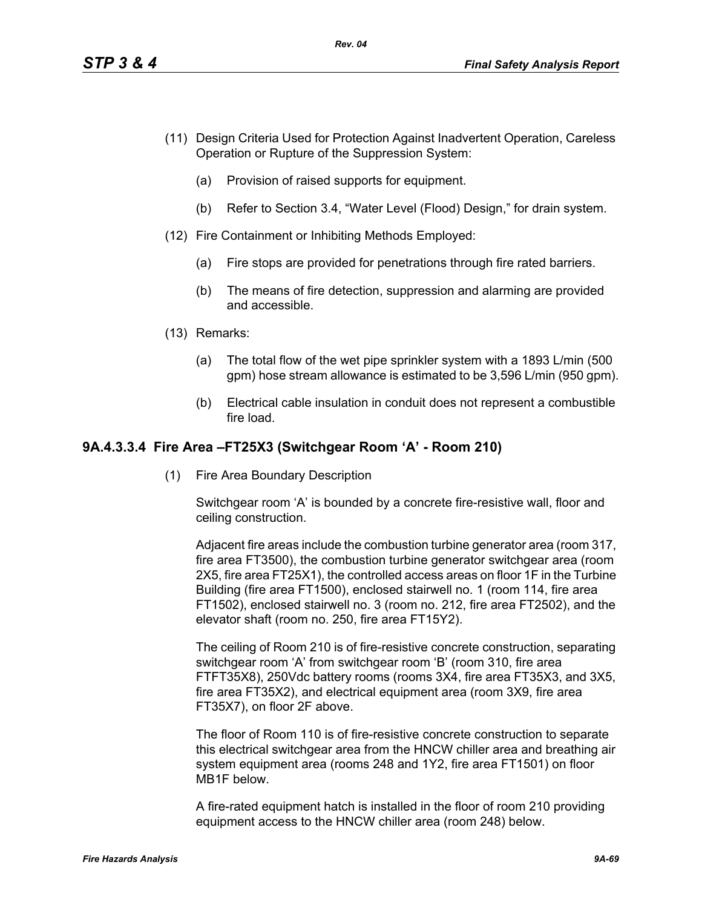- (11) Design Criteria Used for Protection Against Inadvertent Operation, Careless Operation or Rupture of the Suppression System:
	- (a) Provision of raised supports for equipment.
	- (b) Refer to Section 3.4, "Water Level (Flood) Design," for drain system.
- (12) Fire Containment or Inhibiting Methods Employed:
	- (a) Fire stops are provided for penetrations through fire rated barriers.
	- (b) The means of fire detection, suppression and alarming are provided and accessible.
- (13) Remarks:
	- (a) The total flow of the wet pipe sprinkler system with a 1893 L/min (500 gpm) hose stream allowance is estimated to be 3,596 L/min (950 gpm).
	- (b) Electrical cable insulation in conduit does not represent a combustible fire load.

## **9A.4.3.3.4 Fire Area –FT25X3 (Switchgear Room 'A' - Room 210)**

(1) Fire Area Boundary Description

Switchgear room 'A' is bounded by a concrete fire-resistive wall, floor and ceiling construction.

Adjacent fire areas include the combustion turbine generator area (room 317, fire area FT3500), the combustion turbine generator switchgear area (room 2X5, fire area FT25X1), the controlled access areas on floor 1F in the Turbine Building (fire area FT1500), enclosed stairwell no. 1 (room 114, fire area FT1502), enclosed stairwell no. 3 (room no. 212, fire area FT2502), and the elevator shaft (room no. 250, fire area FT15Y2).

The ceiling of Room 210 is of fire-resistive concrete construction, separating switchgear room 'A' from switchgear room 'B' (room 310, fire area FTFT35X8), 250Vdc battery rooms (rooms 3X4, fire area FT35X3, and 3X5, fire area FT35X2), and electrical equipment area (room 3X9, fire area FT35X7), on floor 2F above.

The floor of Room 110 is of fire-resistive concrete construction to separate this electrical switchgear area from the HNCW chiller area and breathing air system equipment area (rooms 248 and 1Y2, fire area FT1501) on floor MB1F below.

A fire-rated equipment hatch is installed in the floor of room 210 providing equipment access to the HNCW chiller area (room 248) below.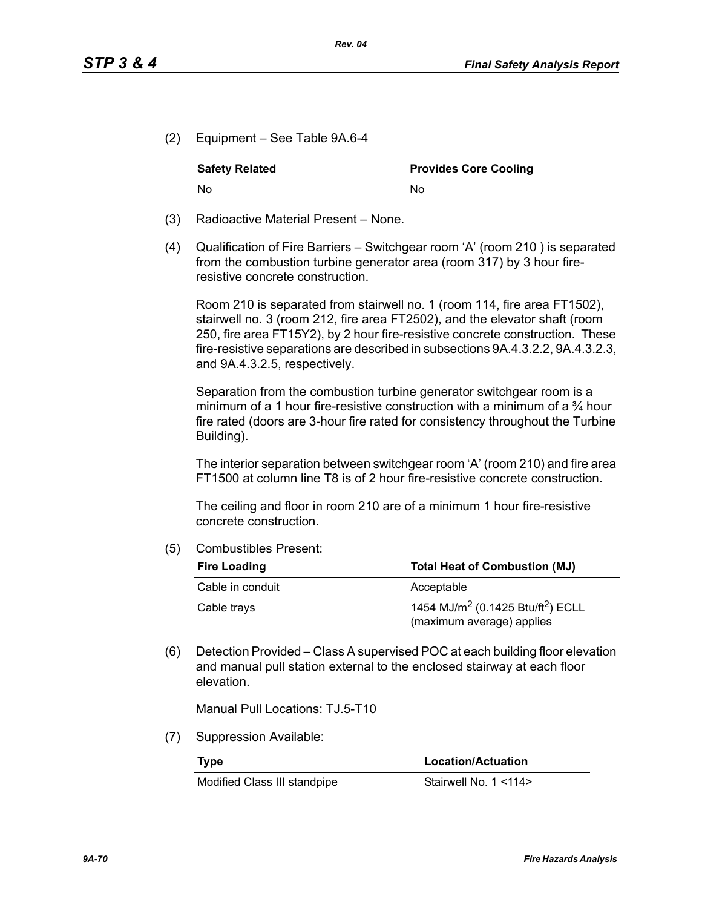(2) Equipment – See Table 9A.6-4

| <b>Safety Related</b> | <b>Provides Core Cooling</b> |  |
|-----------------------|------------------------------|--|
| No.                   | N٥                           |  |

- (3) Radioactive Material Present None.
- (4) Qualification of Fire Barriers Switchgear room 'A' (room 210 ) is separated from the combustion turbine generator area (room 317) by 3 hour fireresistive concrete construction.

Room 210 is separated from stairwell no. 1 (room 114, fire area FT1502), stairwell no. 3 (room 212, fire area FT2502), and the elevator shaft (room 250, fire area FT15Y2), by 2 hour fire-resistive concrete construction. These fire-resistive separations are described in subsections 9A.4.3.2.2, 9A.4.3.2.3, and 9A.4.3.2.5, respectively.

Separation from the combustion turbine generator switchgear room is a minimum of a 1 hour fire-resistive construction with a minimum of a  $\frac{3}{4}$  hour fire rated (doors are 3-hour fire rated for consistency throughout the Turbine Building).

The interior separation between switchgear room 'A' (room 210) and fire area FT1500 at column line T8 is of 2 hour fire-resistive concrete construction.

The ceiling and floor in room 210 are of a minimum 1 hour fire-resistive concrete construction.

(5) Combustibles Present:

| <b>Total Heat of Combustion (MJ)</b><br><b>Fire Loading</b> |                                                                                        |
|-------------------------------------------------------------|----------------------------------------------------------------------------------------|
| Cable in conduit                                            | Acceptable                                                                             |
| Cable trays                                                 | 1454 MJ/m <sup>2</sup> (0.1425 Btu/ft <sup>2</sup> ) ECLL<br>(maximum average) applies |

(6) Detection Provided – Class A supervised POC at each building floor elevation and manual pull station external to the enclosed stairway at each floor elevation.

Manual Pull Locations: TJ.5-T10

(7) Suppression Available:

Modified Class III standpipe Stairwell No. 1 <114>

**Type Location/Actuation**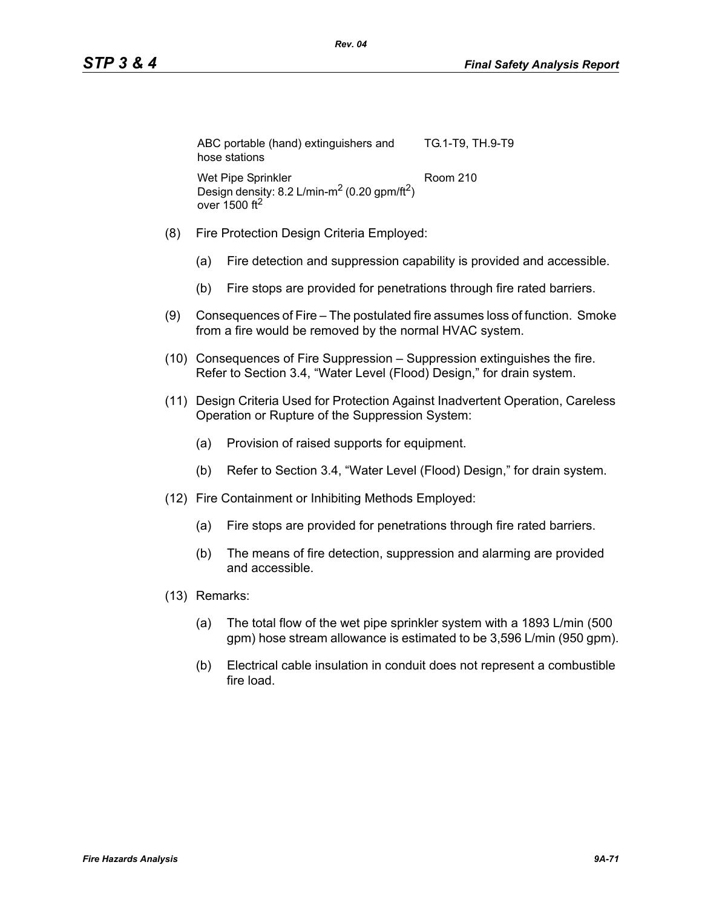| ABC portable (hand) extinguishers and<br>hose stations               | TG.1-T9, TH.9-T9 |
|----------------------------------------------------------------------|------------------|
| Wet Pipe Sprinkler                                                   | Room 210         |
| Design density: 8.2 L/min-m <sup>2</sup> (0.20 gpm/ft <sup>2</sup> ) |                  |
| over $1500$ ft <sup>2</sup>                                          |                  |

- (8) Fire Protection Design Criteria Employed:
	- (a) Fire detection and suppression capability is provided and accessible.
	- (b) Fire stops are provided for penetrations through fire rated barriers.
- (9) Consequences of Fire The postulated fire assumes loss of function. Smoke from a fire would be removed by the normal HVAC system.
- (10) Consequences of Fire Suppression Suppression extinguishes the fire. Refer to Section 3.4, "Water Level (Flood) Design," for drain system.
- (11) Design Criteria Used for Protection Against Inadvertent Operation, Careless Operation or Rupture of the Suppression System:
	- (a) Provision of raised supports for equipment.
	- (b) Refer to Section 3.4, "Water Level (Flood) Design," for drain system.
- (12) Fire Containment or Inhibiting Methods Employed:
	- (a) Fire stops are provided for penetrations through fire rated barriers.
	- (b) The means of fire detection, suppression and alarming are provided and accessible.
- (13) Remarks:
	- (a) The total flow of the wet pipe sprinkler system with a 1893 L/min (500 gpm) hose stream allowance is estimated to be 3,596 L/min (950 gpm).
	- (b) Electrical cable insulation in conduit does not represent a combustible fire load.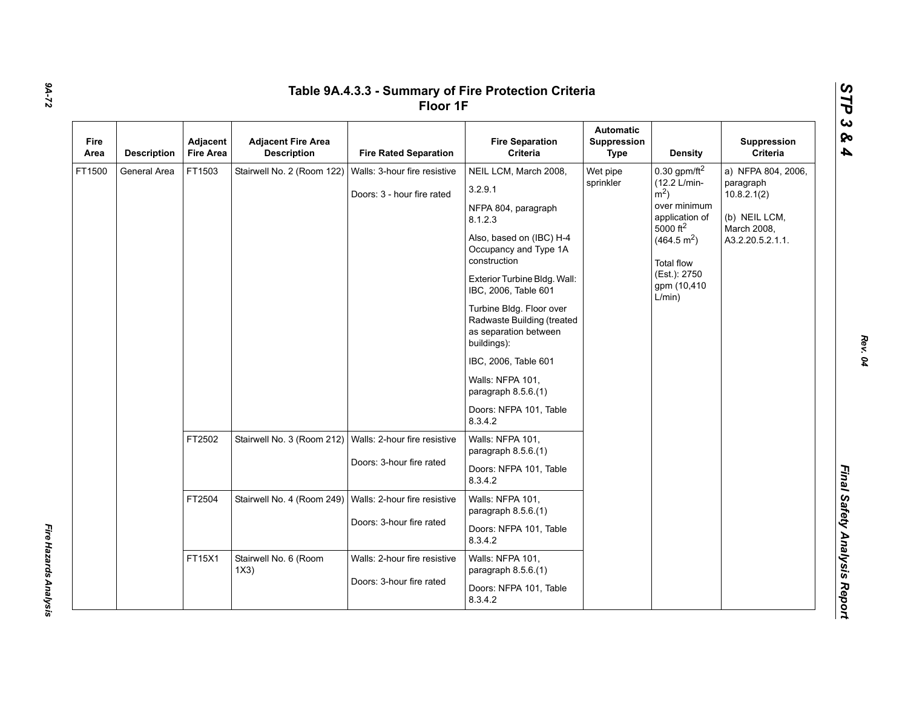| Fire<br>Area | <b>Description</b>                      | Adjacent<br><b>Fire Area</b>                             | <b>Adjacent Fire Area</b><br><b>Description</b>                               | <b>Fire Rated Separation</b>                               | <b>Fire Separation</b><br>Criteria                                                                                                                                                                                                                                                                                                                                                                        | <b>Automatic</b><br>Suppression<br><b>Type</b> | <b>Density</b>                                                                                                                                                                                           | Suppression<br>Criteria                                                                            |  |  |  |  |  |  |
|--------------|-----------------------------------------|----------------------------------------------------------|-------------------------------------------------------------------------------|------------------------------------------------------------|-----------------------------------------------------------------------------------------------------------------------------------------------------------------------------------------------------------------------------------------------------------------------------------------------------------------------------------------------------------------------------------------------------------|------------------------------------------------|----------------------------------------------------------------------------------------------------------------------------------------------------------------------------------------------------------|----------------------------------------------------------------------------------------------------|--|--|--|--|--|--|
| FT1500       | General Area                            | FT1503                                                   | Stairwell No. 2 (Room 122)                                                    | Walls: 3-hour fire resistive<br>Doors: 3 - hour fire rated | NEIL LCM, March 2008,<br>3.2.9.1<br>NFPA 804, paragraph<br>8.1.2.3<br>Also, based on (IBC) H-4<br>Occupancy and Type 1A<br>construction<br>Exterior Turbine Bldg. Wall:<br>IBC, 2006, Table 601<br>Turbine Bldg. Floor over<br>Radwaste Building (treated<br>as separation between<br>buildings):<br>IBC, 2006, Table 601<br>Walls: NFPA 101,<br>paragraph 8.5.6.(1)<br>Doors: NFPA 101, Table<br>8.3.4.2 | Wet pipe<br>sprinkler                          | 0.30 gpm/ft $^2$<br>(12.2 L/min-<br>$\rm \dot{m}^2$ )<br>over minimum<br>application of<br>5000 ft <sup>2</sup><br>(464.5 m <sup>2</sup> )<br><b>Total flow</b><br>(Est.): 2750<br>gpm (10,410<br>L/min) | a) NFPA 804, 2006,<br>paragraph<br>10.8.2.1(2)<br>(b) NEIL LCM,<br>March 2008,<br>A3.2.20.5.2.1.1. |  |  |  |  |  |  |
|              |                                         | FT2502                                                   | Stairwell No. 3 (Room 212)                                                    | Walls: 2-hour fire resistive<br>Doors: 3-hour fire rated   | Walls: NFPA 101,<br>paragraph 8.5.6.(1)<br>Doors: NFPA 101, Table<br>8.3.4.2                                                                                                                                                                                                                                                                                                                              |                                                |                                                                                                                                                                                                          |                                                                                                    |  |  |  |  |  |  |
|              |                                         | FT2504                                                   | Stairwell No. 4 (Room 249)   Walls: 2-hour fire resistive                     | Doors: 3-hour fire rated                                   | Walls: NFPA 101,<br>paragraph 8.5.6.(1)<br>Doors: NFPA 101, Table<br>8.3.4.2                                                                                                                                                                                                                                                                                                                              |                                                |                                                                                                                                                                                                          |                                                                                                    |  |  |  |  |  |  |
|              | FT15X1<br>Stairwell No. 6 (Room<br>1X3) | Walls: 2-hour fire resistive<br>Doors: 3-hour fire rated | Walls: NFPA 101,<br>paragraph $8.5.6(1)$<br>Doors: NFPA 101, Table<br>8.3.4.2 |                                                            |                                                                                                                                                                                                                                                                                                                                                                                                           |                                                |                                                                                                                                                                                                          |                                                                                                    |  |  |  |  |  |  |

*9A-72*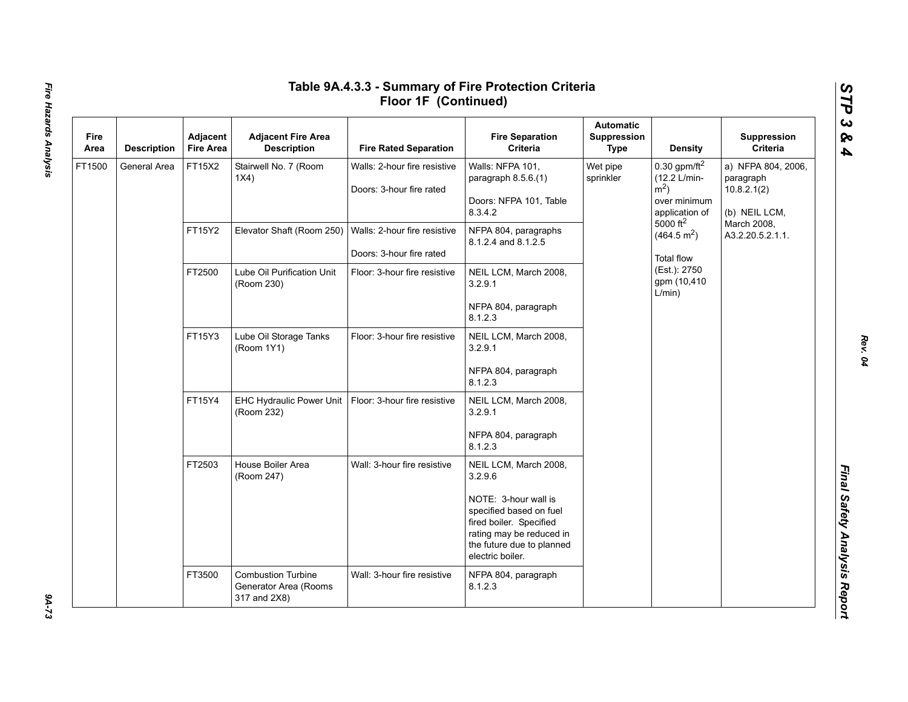| Fire<br>Area | <b>Description</b> | Adjacent<br><b>Fire Area</b> | <b>Adjacent Fire Area</b><br><b>Description</b>                    | <b>Fire Rated Separation</b>                             | <b>Fire Separation</b><br>Criteria                                                                                                                      | <b>Automatic</b><br>Suppression<br><b>Type</b> | <b>Density</b>                                                                                                  | Suppression<br>Criteria                                         |
|--------------|--------------------|------------------------------|--------------------------------------------------------------------|----------------------------------------------------------|---------------------------------------------------------------------------------------------------------------------------------------------------------|------------------------------------------------|-----------------------------------------------------------------------------------------------------------------|-----------------------------------------------------------------|
| FT1500       | General Area       | FT15X2                       | Stairwell No. 7 (Room<br>1X4)                                      | Walls: 2-hour fire resistive<br>Doors: 3-hour fire rated | Walls: NFPA 101,<br>paragraph 8.5.6.(1)<br>Doors: NFPA 101, Table<br>8.3.4.2                                                                            | Wet pipe<br>sprinkler                          | 0.30 gpm/ft $^2$<br>(12.2 L/min-<br>$m2$ )<br>over minimum<br>application of                                    | a) NFPA 804, 2006,<br>paragraph<br>10.8.2.1(2)<br>(b) NEIL LCM, |
|              |                    | FT15Y2                       | Elevator Shaft (Room 250)                                          | Walls: 2-hour fire resistive<br>Doors: 3-hour fire rated | NFPA 804, paragraphs<br>8.1.2.4 and 8.1.2.5                                                                                                             |                                                | $5000$ ft <sup>2</sup><br>(464.5 m <sup>2</sup> )<br><b>Total flow</b><br>(Est.): 2750<br>gpm (10,410<br>L/min) | March 2008,<br>A3.2.20.5.2.1.1.                                 |
|              |                    | FT2500                       | Lube Oil Purification Unit<br>(Room 230)                           | Floor: 3-hour fire resistive                             | NEIL LCM, March 2008,<br>3.2.9.1                                                                                                                        |                                                |                                                                                                                 |                                                                 |
|              |                    |                              |                                                                    |                                                          | NFPA 804, paragraph<br>8.1.2.3                                                                                                                          |                                                |                                                                                                                 |                                                                 |
|              |                    | FT15Y3                       | Lube Oil Storage Tanks<br>(Room 1Y1)                               | Floor: 3-hour fire resistive                             | NEIL LCM, March 2008,<br>3.2.9.1                                                                                                                        |                                                |                                                                                                                 |                                                                 |
|              |                    |                              |                                                                    |                                                          | NFPA 804, paragraph<br>8.1.2.3                                                                                                                          |                                                |                                                                                                                 |                                                                 |
|              |                    | FT15Y4                       | EHC Hydraulic Power Unit<br>(Room 232)                             | Floor: 3-hour fire resistive                             | NEIL LCM, March 2008,<br>3.2.9.1                                                                                                                        |                                                |                                                                                                                 |                                                                 |
|              |                    |                              |                                                                    |                                                          | NFPA 804, paragraph<br>8.1.2.3                                                                                                                          |                                                |                                                                                                                 |                                                                 |
|              |                    | FT2503                       | House Boiler Area<br>(Room 247)                                    | Wall: 3-hour fire resistive                              | NEIL LCM, March 2008,<br>3.2.9.6                                                                                                                        |                                                |                                                                                                                 |                                                                 |
|              |                    |                              |                                                                    |                                                          | NOTE: 3-hour wall is<br>specified based on fuel<br>fired boiler. Specified<br>rating may be reduced in<br>the future due to planned<br>electric boiler. |                                                |                                                                                                                 |                                                                 |
|              |                    | FT3500                       | <b>Combustion Turbine</b><br>Generator Area (Rooms<br>317 and 2X8) | Wall: 3-hour fire resistive                              | NFPA 804, paragraph<br>8.1.2.3                                                                                                                          |                                                |                                                                                                                 |                                                                 |

*Rev. 04*

*STP 3 & 4*

 $9A-73$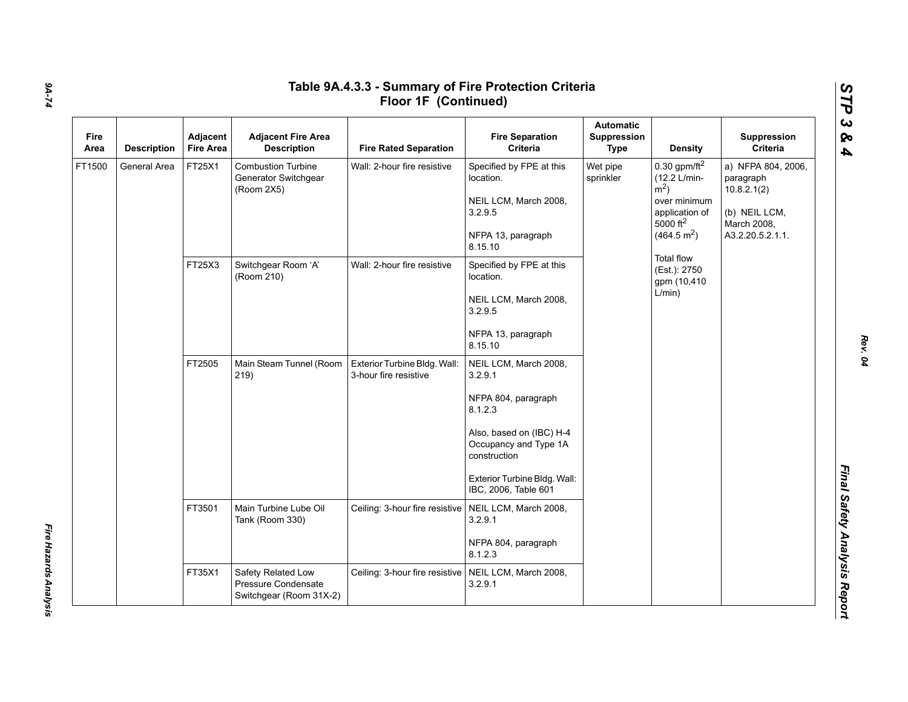| Fire<br>Area | <b>Description</b> | Adjacent<br><b>Fire Area</b> | <b>Adjacent Fire Area</b><br><b>Description</b>                 | <b>Fire Rated Separation</b>                          | <b>Fire Separation</b><br>Criteria                                                                                                                                                              | <b>Automatic</b><br>Suppression<br><b>Type</b> | <b>Density</b>                                                                                                                               | Suppression<br>Criteria                                                                            |
|--------------|--------------------|------------------------------|-----------------------------------------------------------------|-------------------------------------------------------|-------------------------------------------------------------------------------------------------------------------------------------------------------------------------------------------------|------------------------------------------------|----------------------------------------------------------------------------------------------------------------------------------------------|----------------------------------------------------------------------------------------------------|
| FT1500       | General Area       | FT25X1                       | <b>Combustion Turbine</b><br>Generator Switchgear<br>(Room 2X5) | Wall: 2-hour fire resistive                           | Specified by FPE at this<br>location.<br>NEIL LCM, March 2008,<br>3.2.9.5<br>NFPA 13, paragraph<br>8.15.10                                                                                      | Wet pipe<br>sprinkler                          | 0.30 gpm/ft $^2$<br>(12.2 L/min-<br>$\rm \dot{m}^2$ )<br>over minimum<br>application of<br>$5000$ ft <sup>2</sup><br>(464.5 m <sup>2</sup> ) | a) NFPA 804, 2006,<br>paragraph<br>10.8.2.1(2)<br>(b) NEIL LCM,<br>March 2008,<br>A3.2.20.5.2.1.1. |
|              |                    | FT25X3                       | Switchgear Room 'A'<br>(Room 210)                               | Wall: 2-hour fire resistive                           | Specified by FPE at this<br>location.<br>NEIL LCM, March 2008,<br>3.2.9.5<br>NFPA 13, paragraph<br>8.15.10                                                                                      |                                                | <b>Total flow</b><br>(Est.): 2750<br>gpm (10,410<br>L/min)                                                                                   |                                                                                                    |
|              |                    | FT2505                       | Main Steam Tunnel (Room<br>219)                                 | Exterior Turbine Bldg. Wall:<br>3-hour fire resistive | NEIL LCM, March 2008,<br>3.2.9.1<br>NFPA 804, paragraph<br>8.1.2.3<br>Also, based on (IBC) H-4<br>Occupancy and Type 1A<br>construction<br>Exterior Turbine Bldg. Wall:<br>IBC, 2006, Table 601 |                                                |                                                                                                                                              |                                                                                                    |
|              |                    | FT3501                       | Main Turbine Lube Oil<br>Tank (Room 330)                        | Ceiling: 3-hour fire resistive                        | NEIL LCM, March 2008,<br>3.2.9.1<br>NFPA 804, paragraph<br>8.1.2.3                                                                                                                              |                                                |                                                                                                                                              |                                                                                                    |
|              |                    | FT35X1<br>Safety Related Low | Pressure Condensate<br>Switchgear (Room 31X-2)                  | Ceiling: 3-hour fire resistive                        | NEIL LCM, March 2008,<br>3.2.9.1                                                                                                                                                                |                                                |                                                                                                                                              |                                                                                                    |

*Fire Hazards Analysis* 

Fire Hazards Analysis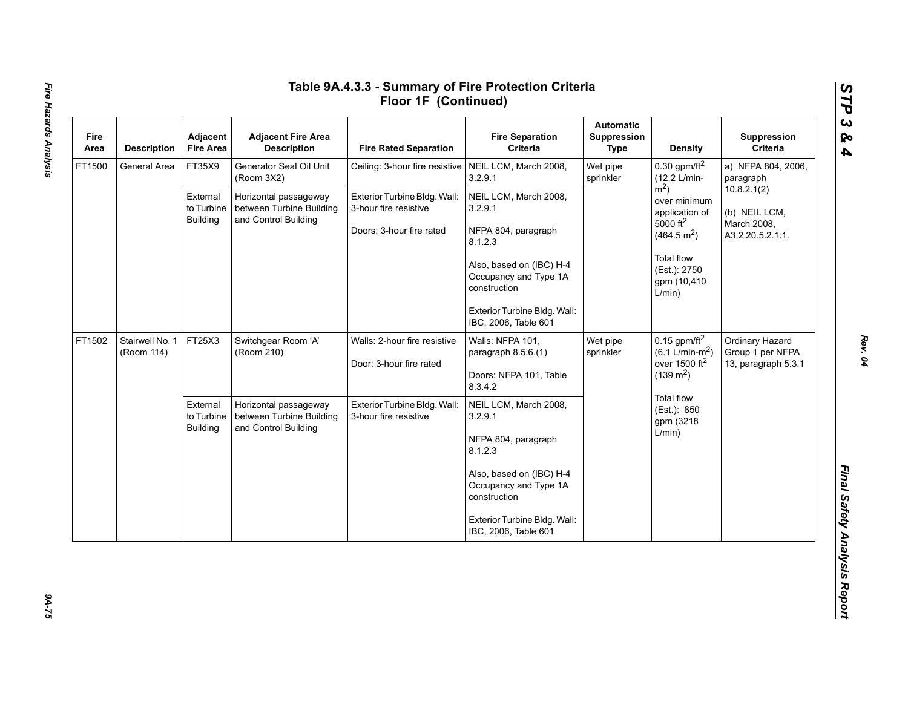| Fire<br>Area | <b>Description</b>            | Adjacent<br><b>Fire Area</b>              | <b>Adjacent Fire Area</b><br><b>Description</b>                           | <b>Fire Rated Separation</b>                                                      | <b>Fire Separation</b><br>Criteria                                | <b>Automatic</b><br>Suppression<br>Type | <b>Density</b>                                                                       | Suppression<br>Criteria                                    |
|--------------|-------------------------------|-------------------------------------------|---------------------------------------------------------------------------|-----------------------------------------------------------------------------------|-------------------------------------------------------------------|-----------------------------------------|--------------------------------------------------------------------------------------|------------------------------------------------------------|
| FT1500       | General Area                  | FT35X9                                    | Generator Seal Oil Unit<br>(Room 3X2)                                     | Ceiling: 3-hour fire resistive   NEIL LCM, March 2008,                            | 3.2.9.1                                                           | Wet pipe<br>sprinkler                   | 0.30 gpm/ft $^2$<br>(12.2 L/min-                                                     | a) NFPA 804, 2006,<br>paragraph                            |
|              |                               | External<br>to Turbine<br>Building        | Horizontal passageway<br>between Turbine Building<br>and Control Building | Exterior Turbine Bldg. Wall:<br>3-hour fire resistive<br>Doors: 3-hour fire rated | NEIL LCM, March 2008,<br>3.2.9.1<br>NFPA 804, paragraph           |                                         | $m2$ )<br>over minimum<br>application of<br>5000 $ft^2$                              | 10.8.2.1(2)<br>(b) NEIL LCM,<br>March 2008,                |
|              |                               |                                           |                                                                           |                                                                                   | 8.1.2.3                                                           |                                         | (464.5 m <sup>2</sup> )                                                              | A3.2.20.5.2.1.1.                                           |
|              |                               |                                           |                                                                           |                                                                                   | Also, based on (IBC) H-4<br>Occupancy and Type 1A<br>construction |                                         | <b>Total flow</b><br>(Est.): 2750<br>gpm (10,410<br>L/min)                           |                                                            |
|              |                               |                                           |                                                                           |                                                                                   | Exterior Turbine Bldg. Wall:<br>IBC, 2006, Table 601              |                                         |                                                                                      |                                                            |
| FT1502       | Stairwell No. 1<br>(Room 114) | FT25X3                                    | Switchgear Room 'A'<br>(Room 210)                                         | Walls: 2-hour fire resistive<br>Door: 3-hour fire rated                           | Walls: NFPA 101,<br>paragraph 8.5.6.(1)                           | Wet pipe<br>sprinkler                   | $0.15$ gpm/ft <sup>2</sup><br>$(6.1 \text{ L/min-m}^2)$<br>over 1500 ft <sup>2</sup> | Ordinary Hazard<br>Group 1 per NFPA<br>13, paragraph 5.3.1 |
|              |                               |                                           |                                                                           |                                                                                   | Doors: NFPA 101, Table<br>8.3.4.2                                 |                                         | $(139 \text{ m}^2)$                                                                  |                                                            |
|              |                               | External<br>to Turbine<br><b>Building</b> | Horizontal passageway<br>between Turbine Building<br>and Control Building | Exterior Turbine Bldg. Wall:<br>3-hour fire resistive                             | NEIL LCM, March 2008,<br>3.2.9.1                                  |                                         | Total flow<br>(Est.): 850<br>gpm (3218                                               |                                                            |
|              |                               |                                           |                                                                           |                                                                                   | NFPA 804, paragraph<br>8.1.2.3                                    |                                         | L/min)                                                                               |                                                            |
|              |                               |                                           |                                                                           |                                                                                   | Also, based on (IBC) H-4<br>Occupancy and Type 1A<br>construction |                                         |                                                                                      |                                                            |
|              |                               |                                           |                                                                           |                                                                                   | Exterior Turbine Bldg. Wall:<br>IBC, 2006, Table 601              |                                         |                                                                                      |                                                            |

 $94 - 75$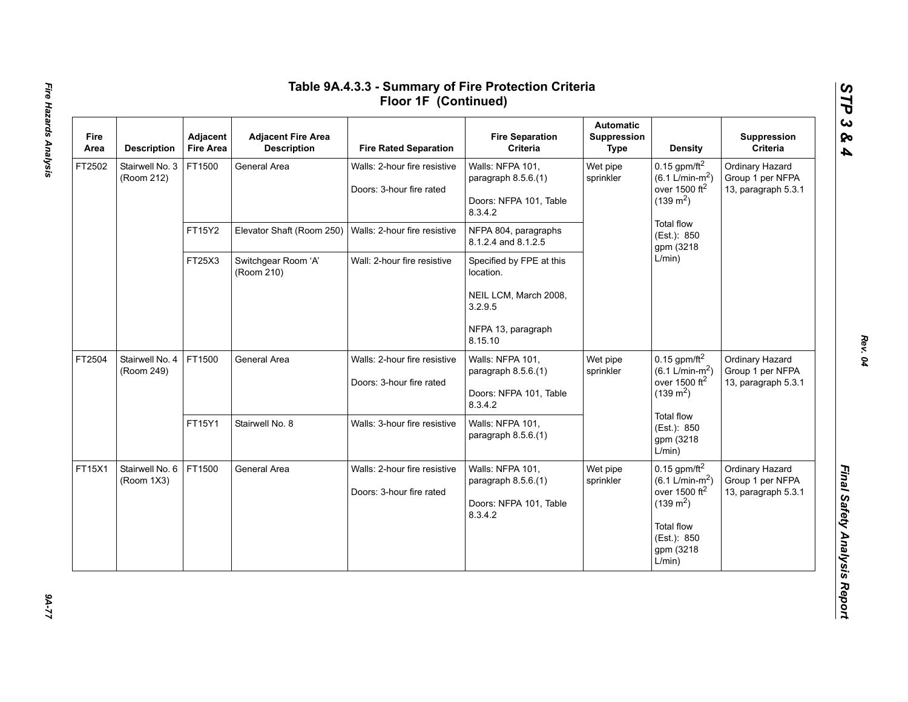| Fire<br>Area | <b>Description</b>            | Adjacent<br><b>Fire Area</b> | <b>Adjacent Fire Area</b><br><b>Description</b> | <b>Fire Rated Separation</b>                             | <b>Fire Separation</b><br>Criteria                                           | <b>Automatic</b><br><b>Suppression</b><br><b>Type</b> | <b>Density</b>                                                                                                                                                | Suppression<br>Criteria                                    |
|--------------|-------------------------------|------------------------------|-------------------------------------------------|----------------------------------------------------------|------------------------------------------------------------------------------|-------------------------------------------------------|---------------------------------------------------------------------------------------------------------------------------------------------------------------|------------------------------------------------------------|
| FT2502       | Stairwell No. 3<br>(Room 212) | FT1500                       | General Area                                    | Walls: 2-hour fire resistive<br>Doors: 3-hour fire rated | Walls: NFPA 101,<br>paragraph 8.5.6.(1)<br>Doors: NFPA 101, Table<br>8.3.4.2 | Wet pipe<br>sprinkler                                 | 0.15 gpm/ft $^2$<br>$(6.1 \text{ L/min-m}^2)$<br>over 1500 ft <sup>2</sup><br>$(139 \text{ m}^2)$                                                             | Ordinary Hazard<br>Group 1 per NFPA<br>13, paragraph 5.3.1 |
|              |                               | FT15Y2                       | Elevator Shaft (Room 250)                       | Walls: 2-hour fire resistive                             | NFPA 804, paragraphs<br>8.1.2.4 and 8.1.2.5                                  |                                                       | <b>Total flow</b><br>(Est.): 850<br>gpm (3218                                                                                                                 |                                                            |
|              |                               | FT25X3                       | Switchgear Room 'A'<br>(Room 210)               | Wall: 2-hour fire resistive                              | Specified by FPE at this<br>location.                                        |                                                       | L/min)                                                                                                                                                        |                                                            |
|              |                               |                              |                                                 |                                                          | NEIL LCM, March 2008,<br>3.2.9.5                                             |                                                       |                                                                                                                                                               |                                                            |
|              |                               |                              |                                                 |                                                          | NFPA 13, paragraph<br>8.15.10                                                |                                                       |                                                                                                                                                               |                                                            |
| FT2504       | Stairwell No. 4<br>(Room 249) | FT1500                       | General Area                                    | Walls: 2-hour fire resistive<br>Doors: 3-hour fire rated | Walls: NFPA 101,<br>paragraph 8.5.6.(1)<br>Doors: NFPA 101, Table<br>8.3.4.2 | Wet pipe<br>sprinkler                                 | 0.15 gpm/ft $^2$<br>$(6.1 \text{ L/min-m}^2)$<br>over 1500 ft <sup>2</sup><br>$(139 \text{ m}^2)$                                                             | Ordinary Hazard<br>Group 1 per NFPA<br>13, paragraph 5.3.1 |
|              |                               | FT15Y1                       | Stairwell No. 8                                 | Walls: 3-hour fire resistive                             | Walls: NFPA 101,<br>paragraph 8.5.6.(1)                                      |                                                       | <b>Total flow</b><br>(Est.): 850<br>gpm (3218<br>L/min)                                                                                                       |                                                            |
| FT15X1       | Stairwell No. 6<br>(Room 1X3) | FT1500                       | General Area                                    | Walls: 2-hour fire resistive<br>Doors: 3-hour fire rated | Walls: NFPA 101,<br>paragraph 8.5.6.(1)<br>Doors: NFPA 101, Table<br>8.3.4.2 | Wet pipe<br>sprinkler                                 | $0.15$ gpm/ft <sup>2</sup><br>$(6.1 \text{ L/min-m}^2)$<br>over 1500 $ft2$<br>$(139 \text{ m}^2)$<br><b>Total flow</b><br>(Est.): 850<br>gpm (3218)<br>L/min) | Ordinary Hazard<br>Group 1 per NFPA<br>13, paragraph 5.3.1 |

# Fire Hazards Analysis *Fire Hazards Analysis 9A-77*

*Rev. 04*

*STP 3 & 4*

 $27 - 77$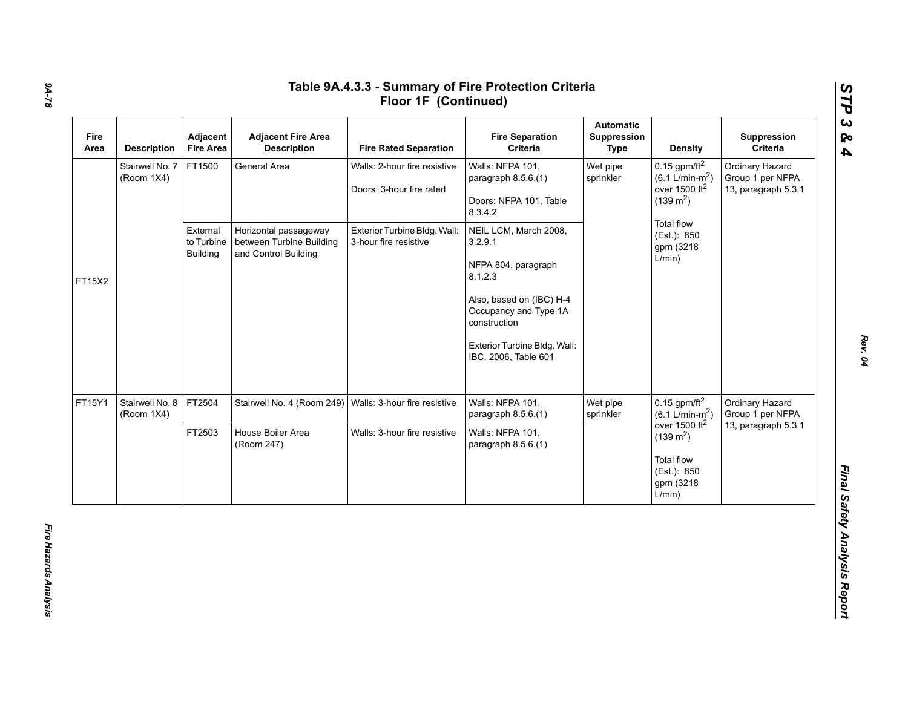| Fire<br>Area | <b>Description</b>            | Adjacent<br><b>Fire Area</b>              | <b>Adjacent Fire Area</b><br><b>Description</b>                           | <b>Fire Rated Separation</b>                             | <b>Fire Separation</b><br>Criteria                                           | <b>Automatic</b><br>Suppression<br>Type | <b>Density</b>                                                                                    | Suppression<br>Criteria                                    |
|--------------|-------------------------------|-------------------------------------------|---------------------------------------------------------------------------|----------------------------------------------------------|------------------------------------------------------------------------------|-----------------------------------------|---------------------------------------------------------------------------------------------------|------------------------------------------------------------|
|              | Stairwell No. 7<br>(Room 1X4) | FT1500                                    | General Area                                                              | Walls: 2-hour fire resistive<br>Doors: 3-hour fire rated | Walls: NFPA 101,<br>paragraph 8.5.6.(1)<br>Doors: NFPA 101, Table<br>8.3.4.2 | Wet pipe<br>sprinkler                   | 0.15 gpm/ft $^2$<br>$(6.1 \text{ L/min-m}^2)$<br>over 1500 $ft2$<br>$(139 \text{ m}^2)$           | Ordinary Hazard<br>Group 1 per NFPA<br>13, paragraph 5.3.1 |
| FT15X2       |                               | External<br>to Turbine<br><b>Building</b> | Horizontal passageway<br>between Turbine Building<br>and Control Building | Exterior Turbine Bldg. Wall:<br>3-hour fire resistive    | NEIL LCM, March 2008,<br>3.2.9.1<br>NFPA 804, paragraph<br>8.1.2.3           |                                         | Total flow<br>(Est.): 850<br>gpm (3218)<br>L/min)                                                 |                                                            |
|              |                               |                                           |                                                                           |                                                          | Also, based on (IBC) H-4<br>Occupancy and Type 1A<br>construction            |                                         |                                                                                                   |                                                            |
|              |                               |                                           |                                                                           |                                                          | Exterior Turbine Bldg. Wall:<br>IBC, 2006, Table 601                         |                                         |                                                                                                   |                                                            |
| FT15Y1       | Stairwell No. 8<br>(Room 1X4) | FT2504                                    | Stairwell No. 4 (Room 249)                                                | Walls: 3-hour fire resistive                             | Walls: NFPA 101,<br>paragraph 8.5.6.(1)                                      | Wet pipe<br>sprinkler                   | $0.15$ gpm/ft <sup>2</sup><br>$(6.1 \text{ L/min-m}^2)$                                           | Ordinary Hazard<br>Group 1 per NFPA                        |
|              |                               | FT2503                                    | House Boiler Area<br>(Room 247)                                           | Walls: 3-hour fire resistive                             | Walls: NFPA 101,<br>paragraph 8.5.6.(1)                                      |                                         | over 1500 $ft2$<br>$(139 \text{ m}^2)$<br><b>Total flow</b><br>(Est.): 850<br>gpm (3218<br>L/min) | 13, paragraph 5.3.1                                        |

*Rev. 04*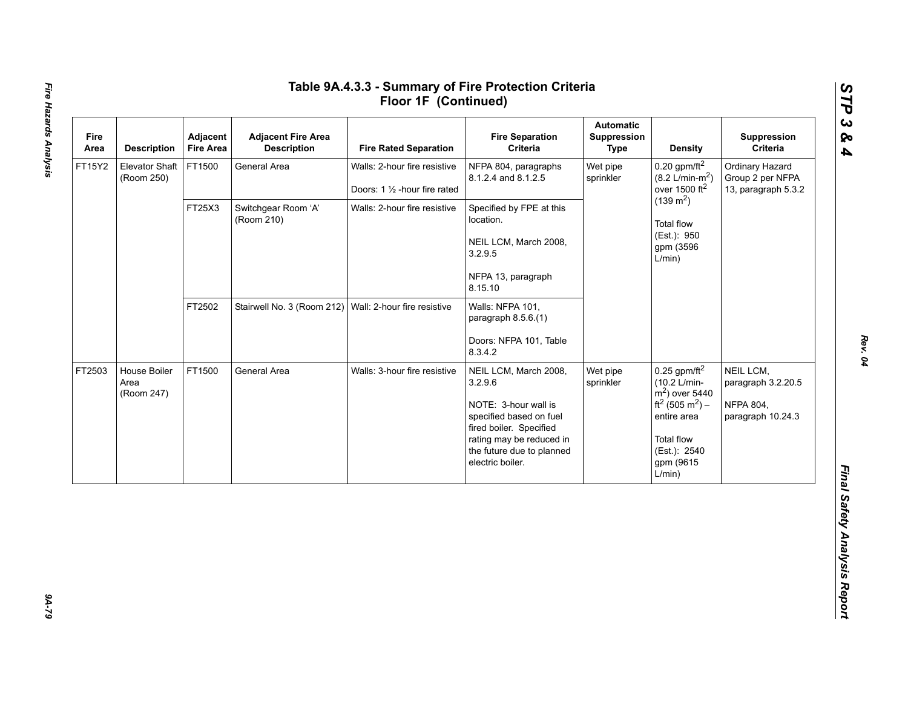| Fire<br>Area | <b>Description</b>                  | Adjacent<br><b>Fire Area</b> | <b>Adjacent Fire Area</b><br><b>Description</b>        | <b>Fire Rated Separation</b>                                   | <b>Fire Separation</b><br>Criteria                                                                                                                                                          | <b>Automatic</b><br>Suppression<br><b>Type</b> | <b>Density</b>                                                                                                                                                                       | Suppression<br>Criteria                                                  |
|--------------|-------------------------------------|------------------------------|--------------------------------------------------------|----------------------------------------------------------------|---------------------------------------------------------------------------------------------------------------------------------------------------------------------------------------------|------------------------------------------------|--------------------------------------------------------------------------------------------------------------------------------------------------------------------------------------|--------------------------------------------------------------------------|
| FT15Y2       | <b>Elevator Shaft</b><br>(Room 250) | FT1500                       | General Area                                           | Walls: 2-hour fire resistive<br>Doors: 1 1/2 - hour fire rated | NFPA 804, paragraphs<br>8.1.2.4 and 8.1.2.5                                                                                                                                                 | Wet pipe<br>sprinkler                          | $0.20$ gpm/ft <sup>2</sup><br>$(8.2 \text{ L/min-m}^2)$<br>over 1500 ft <sup>2</sup>                                                                                                 | Ordinary Hazard<br>Group 2 per NFPA<br>13, paragraph 5.3.2               |
|              |                                     | FT25X3                       | Switchgear Room 'A'<br>(Room 210)                      | Walls: 2-hour fire resistive                                   | Specified by FPE at this<br>location.<br>NEIL LCM, March 2008,<br>3.2.9.5<br>NFPA 13, paragraph<br>8.15.10                                                                                  |                                                | $(139 \text{ m}^2)$<br><b>Total flow</b><br>(Est.): 950<br>gpm (3596<br>L/min)                                                                                                       |                                                                          |
|              |                                     | FT2502                       | Stairwell No. 3 (Room 212) Wall: 2-hour fire resistive |                                                                | Walls: NFPA 101,<br>paragraph 8.5.6.(1)<br>Doors: NFPA 101, Table<br>8.3.4.2                                                                                                                |                                                |                                                                                                                                                                                      |                                                                          |
| FT2503       | House Boiler<br>Area<br>(Room 247)  | FT1500                       | General Area                                           | Walls: 3-hour fire resistive                                   | NEIL LCM, March 2008,<br>3.2.9.6<br>NOTE: 3-hour wall is<br>specified based on fuel<br>fired boiler. Specified<br>rating may be reduced in<br>the future due to planned<br>electric boiler. | Wet pipe<br>sprinkler                          | $0.25$ gpm/ft <sup>2</sup><br>(10.2 L/min-<br>$m2$ ) over 5440<br>ft <sup>2</sup> (505 m <sup>2</sup> ) –<br>entire area<br><b>Total flow</b><br>(Est.): 2540<br>gpm (9615<br>L/min) | NEIL LCM,<br>paragraph 3.2.20.5<br><b>NFPA 804,</b><br>paragraph 10.24.3 |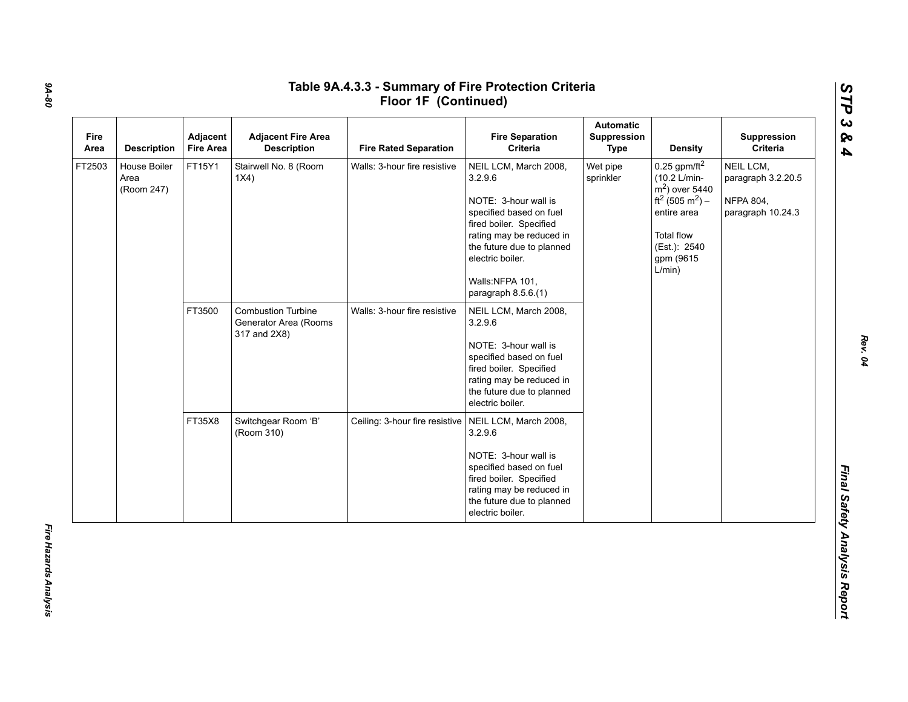| Fire<br>Area | <b>Description</b>                 | Adjacent<br><b>Fire Area</b> | <b>Adjacent Fire Area</b><br><b>Description</b>                    | <b>Fire Rated Separation</b>   | <b>Fire Separation</b><br>Criteria                                                                                                                                                                                                    | <b>Automatic</b><br>Suppression<br><b>Type</b> | <b>Density</b>                                                                                                                                                             | Suppression<br>Criteria                                                  |
|--------------|------------------------------------|------------------------------|--------------------------------------------------------------------|--------------------------------|---------------------------------------------------------------------------------------------------------------------------------------------------------------------------------------------------------------------------------------|------------------------------------------------|----------------------------------------------------------------------------------------------------------------------------------------------------------------------------|--------------------------------------------------------------------------|
| FT2503       | House Boiler<br>Area<br>(Room 247) | FT15Y1                       | Stairwell No. 8 (Room<br>1X4)                                      | Walls: 3-hour fire resistive   | NEIL LCM, March 2008,<br>3.2.9.6<br>NOTE: 3-hour wall is<br>specified based on fuel<br>fired boiler. Specified<br>rating may be reduced in<br>the future due to planned<br>electric boiler.<br>Walls:NFPA 101,<br>paragraph 8.5.6.(1) | Wet pipe<br>sprinkler                          | 0.25 gpm/ft $^2$<br>(10.2 L/min-<br>$m2$ ) over 5440<br>ft <sup>2</sup> (505 m <sup>2</sup> ) –<br>entire area<br><b>Total flow</b><br>(Est.): 2540<br>gpm (9615<br>L/min) | NEIL LCM,<br>paragraph 3.2.20.5<br><b>NFPA 804,</b><br>paragraph 10.24.3 |
|              |                                    | FT3500                       | <b>Combustion Turbine</b><br>Generator Area (Rooms<br>317 and 2X8) | Walls: 3-hour fire resistive   | NEIL LCM, March 2008,<br>3.2.9.6<br>NOTE: 3-hour wall is<br>specified based on fuel<br>fired boiler. Specified<br>rating may be reduced in<br>the future due to planned<br>electric boiler.                                           |                                                |                                                                                                                                                                            |                                                                          |
|              |                                    | FT35X8                       | Switchgear Room 'B'<br>(Room 310)                                  | Ceiling: 3-hour fire resistive | NEIL LCM, March 2008,<br>3.2.9.6<br>NOTE: 3-hour wall is<br>specified based on fuel<br>fired boiler. Specified<br>rating may be reduced in<br>the future due to planned<br>electric boiler.                                           |                                                |                                                                                                                                                                            |                                                                          |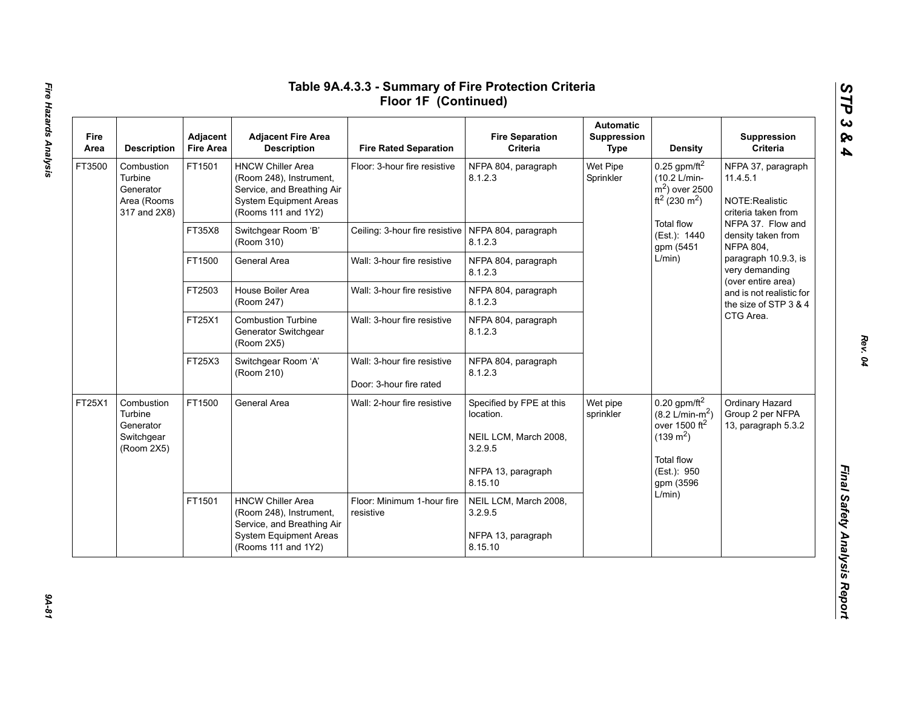| Fire<br>Area | <b>Description</b>                                                | Adjacent<br><b>Fire Area</b> | <b>Adjacent Fire Area</b><br><b>Description</b>                                                                                           | <b>Fire Rated Separation</b>                           | <b>Fire Separation</b><br>Criteria                                                                         | <b>Automatic</b><br>Suppression<br>Type | <b>Density</b>                                                                                                                                        | Suppression<br>Criteria                                                                                                                                                                                                                                     |
|--------------|-------------------------------------------------------------------|------------------------------|-------------------------------------------------------------------------------------------------------------------------------------------|--------------------------------------------------------|------------------------------------------------------------------------------------------------------------|-----------------------------------------|-------------------------------------------------------------------------------------------------------------------------------------------------------|-------------------------------------------------------------------------------------------------------------------------------------------------------------------------------------------------------------------------------------------------------------|
| FT3500       | Combustion<br>Turbine<br>Generator<br>Area (Rooms<br>317 and 2X8) | FT1501                       | <b>HNCW Chiller Area</b><br>(Room 248), Instrument,<br>Service, and Breathing Air<br><b>System Equipment Areas</b><br>(Rooms 111 and 1Y2) | Floor: 3-hour fire resistive                           | NFPA 804, paragraph<br>8.1.2.3                                                                             | Wet Pipe<br>Sprinkler                   | 0.25 gpm/ft <sup>2</sup><br>(10.2 L/min-<br>$m2$ ) over 2500<br>$ft^2(230 \text{ m}^2)$                                                               | NFPA 37, paragraph<br>11.4.5.1<br>NOTE:Realistic<br>criteria taken from                                                                                                                                                                                     |
|              |                                                                   | FT35X8                       | Switchgear Room 'B'<br>(Room 310)                                                                                                         | Ceiling: 3-hour fire resistive   NFPA 804, paragraph   | 8.1.2.3                                                                                                    |                                         | <b>Total flow</b><br>(Est.): 1440<br>gpm (5451                                                                                                        | NFPA 37. Flow and<br>density taken from<br><b>NFPA 804,</b><br>paragraph 10.9.3, is<br>very demanding<br>(over entire area)<br>and is not realistic for<br>the size of STP 3 & 4<br>CTG Area.<br>Ordinary Hazard<br>Group 2 per NFPA<br>13, paragraph 5.3.2 |
|              |                                                                   | FT1500                       | General Area                                                                                                                              | Wall: 3-hour fire resistive                            | NFPA 804, paragraph<br>8.1.2.3                                                                             |                                         | L/min)                                                                                                                                                |                                                                                                                                                                                                                                                             |
|              |                                                                   | FT2503                       | House Boiler Area<br>(Room 247)                                                                                                           | Wall: 3-hour fire resistive                            | NFPA 804, paragraph<br>8.1.2.3                                                                             |                                         |                                                                                                                                                       |                                                                                                                                                                                                                                                             |
|              |                                                                   | FT25X1                       | <b>Combustion Turbine</b><br>Generator Switchgear<br>(Room 2X5)                                                                           | Wall: 3-hour fire resistive                            | NFPA 804, paragraph<br>8.1.2.3                                                                             |                                         |                                                                                                                                                       |                                                                                                                                                                                                                                                             |
|              |                                                                   | FT25X3                       | Switchgear Room 'A'<br>(Room 210)                                                                                                         | Wall: 3-hour fire resistive<br>Door: 3-hour fire rated | NFPA 804, paragraph<br>8.1.2.3                                                                             |                                         |                                                                                                                                                       |                                                                                                                                                                                                                                                             |
| FT25X1       | Combustion<br>Turbine<br>Generator<br>Switchgear<br>(Room 2X5)    | FT1500                       | General Area                                                                                                                              | Wall: 2-hour fire resistive                            | Specified by FPE at this<br>location.<br>NEIL LCM, March 2008,<br>3.2.9.5<br>NFPA 13, paragraph<br>8.15.10 | Wet pipe<br>sprinkler                   | $0.20$ gpm/ft <sup>2</sup><br>$(8.2 \text{ L/min-m}^2)$<br>over 1500 ft <sup>2</sup><br>$(139 \text{ m}^2)$<br>Total flow<br>(Est.): 950<br>gpm (3596 |                                                                                                                                                                                                                                                             |
|              |                                                                   | FT1501                       | <b>HNCW Chiller Area</b><br>(Room 248), Instrument,<br>Service, and Breathing Air<br><b>System Equipment Areas</b><br>(Rooms 111 and 1Y2) | Floor: Minimum 1-hour fire<br>resistive                | NEIL LCM, March 2008,<br>3.2.9.5<br>NFPA 13, paragraph<br>8.15.10                                          |                                         | L/min)                                                                                                                                                |                                                                                                                                                                                                                                                             |

94-81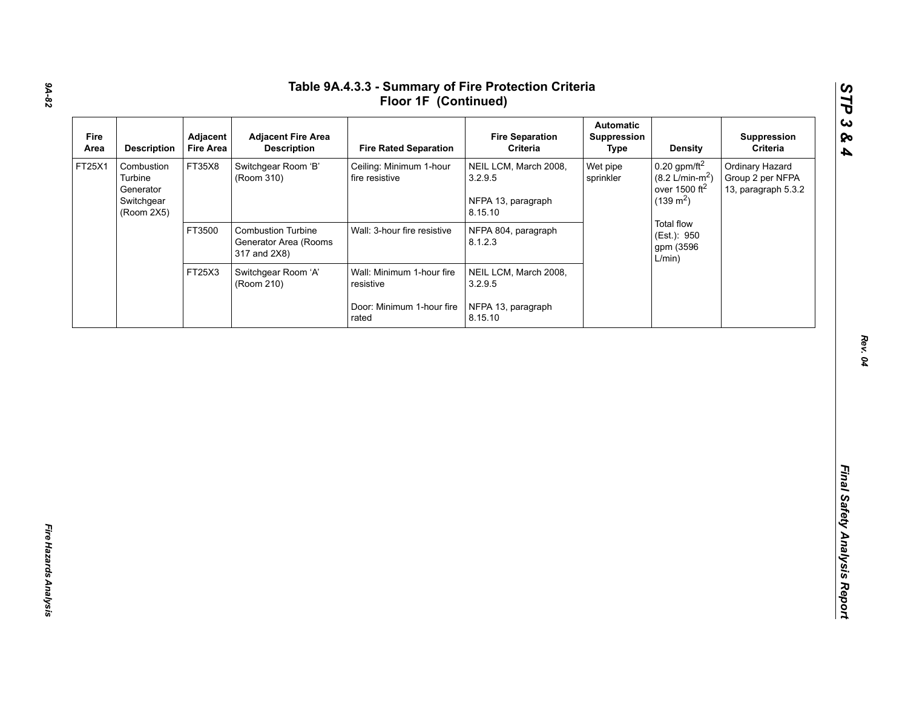| Fire<br>Area | <b>Description</b>                                             | Adjacent<br><b>Fire Area</b> | <b>Adjacent Fire Area</b><br><b>Description</b>                    | <b>Fire Rated Separation</b>              | <b>Fire Separation</b><br>Criteria                                | <b>Automatic</b><br>Suppression<br><b>Type</b> | <b>Density</b>                                                                                    | Suppression<br>Criteria                                    |
|--------------|----------------------------------------------------------------|------------------------------|--------------------------------------------------------------------|-------------------------------------------|-------------------------------------------------------------------|------------------------------------------------|---------------------------------------------------------------------------------------------------|------------------------------------------------------------|
| FT25X1       | Combustion<br>Turbine<br>Generator<br>Switchgear<br>(Room 2X5) | FT35X8                       | Switchgear Room 'B'<br>(Room 310)                                  | Ceiling: Minimum 1-hour<br>fire resistive | NEIL LCM, March 2008,<br>3.2.9.5<br>NFPA 13, paragraph<br>8.15.10 | Wet pipe<br>sprinkler                          | $0.20$ gpm/ft <sup>2</sup><br>$(8.2 \text{ L/min-m}^2)$<br>over 1500 $ft2$<br>$(139 \text{ m}^2)$ | Ordinary Hazard<br>Group 2 per NFPA<br>13, paragraph 5.3.2 |
|              |                                                                | FT3500                       | <b>Combustion Turbine</b><br>Generator Area (Rooms<br>317 and 2X8) | Wall: 3-hour fire resistive               | NFPA 804, paragraph<br>8.1.2.3                                    |                                                | <b>Total flow</b><br>(Est.): 950<br>gpm (3596<br>L/min)                                           |                                                            |
|              |                                                                | FT25X3                       | Switchgear Room 'A'<br>(Room 210)                                  | Wall: Minimum 1-hour fire<br>resistive    | NEIL LCM, March 2008,<br>3.2.9.5                                  |                                                |                                                                                                   |                                                            |
|              |                                                                |                              |                                                                    | Door: Minimum 1-hour fire<br>rated        | NFPA 13, paragraph<br>8.15.10                                     |                                                |                                                                                                   |                                                            |
|              |                                                                |                              |                                                                    |                                           |                                                                   |                                                |                                                                                                   |                                                            |
|              |                                                                |                              |                                                                    |                                           |                                                                   |                                                |                                                                                                   |                                                            |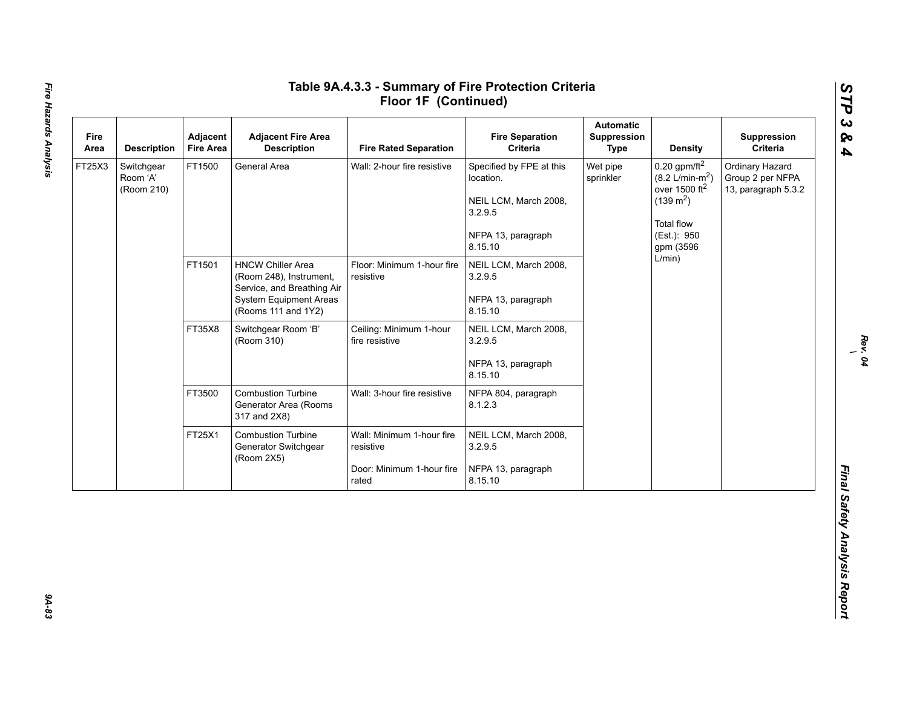| Fire<br>Area | <b>Description</b>                   | Adjacent<br><b>Fire Area</b> | <b>Adjacent Fire Area</b><br><b>Description</b>                                                                                           | <b>Fire Rated Separation</b>                                                 | <b>Fire Separation</b><br>Criteria                                                                         | <b>Automatic</b><br>Suppression<br><b>Type</b> | <b>Density</b>                                                                                                                              | Suppression<br>Criteria                                    |  |  |  |        |  |  |
|--------------|--------------------------------------|------------------------------|-------------------------------------------------------------------------------------------------------------------------------------------|------------------------------------------------------------------------------|------------------------------------------------------------------------------------------------------------|------------------------------------------------|---------------------------------------------------------------------------------------------------------------------------------------------|------------------------------------------------------------|--|--|--|--------|--|--|
| FT25X3       | Switchgear<br>Room 'A'<br>(Room 210) | FT1500                       | General Area                                                                                                                              | Wall: 2-hour fire resistive                                                  | Specified by FPE at this<br>location.<br>NEIL LCM, March 2008,<br>3.2.9.5<br>NFPA 13, paragraph<br>8.15.10 | Wet pipe<br>sprinkler                          | $0.20$ gpm/ft <sup>2</sup><br>$(8.2 \text{ L/min-m}^2)$<br>over 1500 $ft2$<br>$(139 \text{ m}^2)$<br>Total flow<br>(Est.): 950<br>gpm (3596 | Ordinary Hazard<br>Group 2 per NFPA<br>13, paragraph 5.3.2 |  |  |  |        |  |  |
|              |                                      | FT1501                       | <b>HNCW Chiller Area</b><br>(Room 248), Instrument,<br>Service, and Breathing Air<br><b>System Equipment Areas</b><br>(Rooms 111 and 1Y2) | Floor: Minimum 1-hour fire<br>resistive                                      | NEIL LCM, March 2008,<br>3.2.9.5<br>NFPA 13, paragraph<br>8.15.10                                          |                                                |                                                                                                                                             |                                                            |  |  |  | L/min) |  |  |
|              |                                      | FT35X8                       | Switchgear Room 'B'<br>(Room 310)                                                                                                         | Ceiling: Minimum 1-hour<br>fire resistive                                    | NEIL LCM, March 2008,<br>3.2.9.5<br>NFPA 13, paragraph<br>8.15.10                                          |                                                |                                                                                                                                             |                                                            |  |  |  |        |  |  |
|              |                                      | FT3500                       | <b>Combustion Turbine</b><br>Generator Area (Rooms<br>317 and 2X8)                                                                        | Wall: 3-hour fire resistive                                                  | NFPA 804, paragraph<br>8.1.2.3                                                                             |                                                |                                                                                                                                             |                                                            |  |  |  |        |  |  |
|              |                                      | FT25X1                       | <b>Combustion Turbine</b><br>Generator Switchgear<br>(Room 2X5)                                                                           | Wall: Minimum 1-hour fire<br>resistive<br>Door: Minimum 1-hour fire<br>rated | NEIL LCM, March 2008,<br>3.2.9.5<br>NFPA 13, paragraph<br>8.15.10                                          |                                                |                                                                                                                                             |                                                            |  |  |  |        |  |  |

*Rev. 04 \*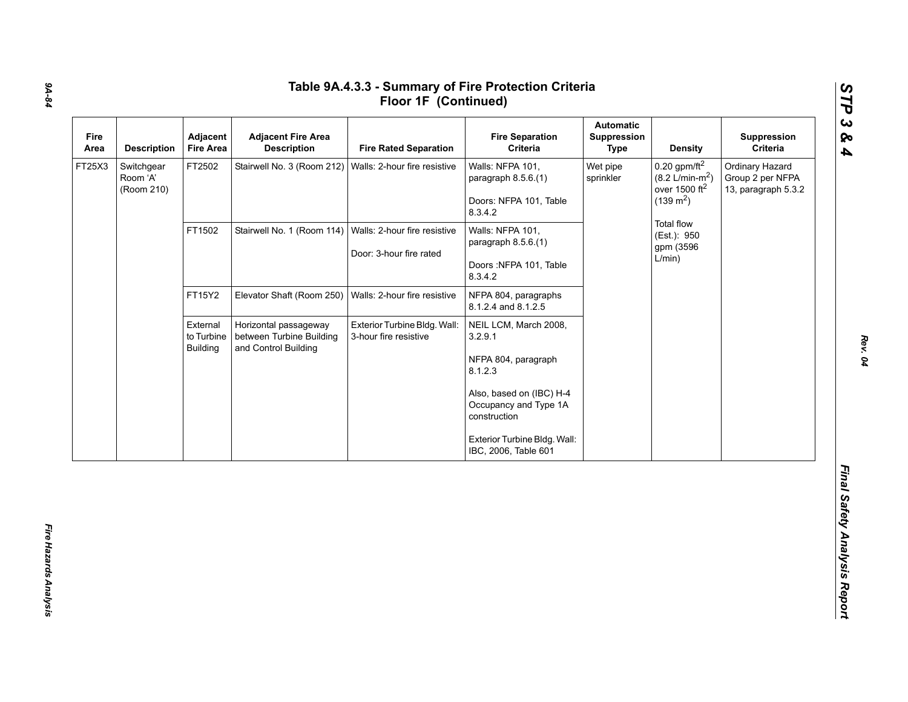| Fire<br>Area | <b>Description</b>                   | Adjacent<br><b>Fire Area</b>              | <b>Adjacent Fire Area</b><br><b>Description</b>                           | <b>Fire Rated Separation</b>                            | <b>Fire Separation</b><br>Criteria                                                                                                                                                              | <b>Automatic</b><br>Suppression<br><b>Type</b> | <b>Density</b>                                                                                    | Suppression<br>Criteria                                    |
|--------------|--------------------------------------|-------------------------------------------|---------------------------------------------------------------------------|---------------------------------------------------------|-------------------------------------------------------------------------------------------------------------------------------------------------------------------------------------------------|------------------------------------------------|---------------------------------------------------------------------------------------------------|------------------------------------------------------------|
| FT25X3       | Switchgear<br>Room 'A'<br>(Room 210) | FT2502                                    | Stairwell No. 3 (Room 212)                                                | Walls: 2-hour fire resistive                            | Walls: NFPA 101,<br>paragraph 8.5.6.(1)<br>Doors: NFPA 101, Table<br>8.3.4.2                                                                                                                    | Wet pipe<br>sprinkler                          | $0.20$ gpm/ft <sup>2</sup><br>$(8.2 \text{ L/min-m}^2)$<br>over 1500 $ft2$<br>$(139 \text{ m}^2)$ | Ordinary Hazard<br>Group 2 per NFPA<br>13, paragraph 5.3.2 |
|              |                                      | FT1502                                    | Stairwell No. 1 (Room 114)                                                | Walls: 2-hour fire resistive<br>Door: 3-hour fire rated | Walls: NFPA 101,<br>paragraph 8.5.6.(1)<br>Doors: NFPA 101, Table<br>8.3.4.2                                                                                                                    |                                                | Total flow<br>(Est.): 950<br>gpm (3596<br>L/min)                                                  |                                                            |
|              |                                      | FT15Y2                                    | Elevator Shaft (Room 250)                                                 | Walls: 2-hour fire resistive                            | NFPA 804, paragraphs<br>8.1.2.4 and 8.1.2.5                                                                                                                                                     |                                                |                                                                                                   |                                                            |
|              |                                      | External<br>to Turbine<br><b>Building</b> | Horizontal passageway<br>between Turbine Building<br>and Control Building | Exterior Turbine Bldg. Wall:<br>3-hour fire resistive   | NEIL LCM, March 2008,<br>3.2.9.1<br>NFPA 804, paragraph<br>8.1.2.3<br>Also, based on (IBC) H-4<br>Occupancy and Type 1A<br>construction<br>Exterior Turbine Bldg. Wall:<br>IBC, 2006, Table 601 |                                                |                                                                                                   |                                                            |

# *9A-84*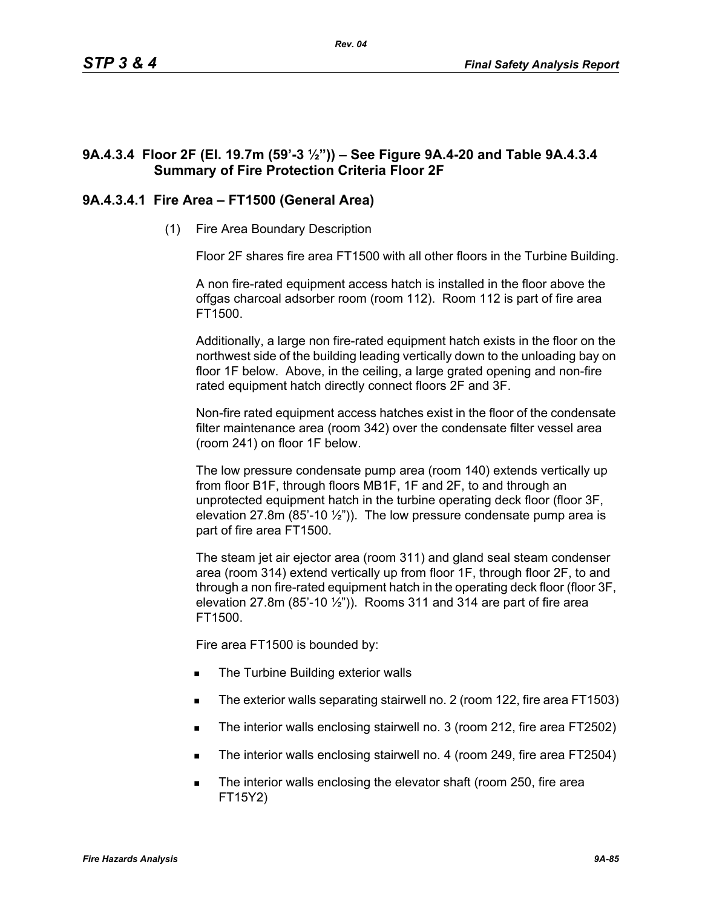# **9A.4.3.4 Floor 2F (El. 19.7m (59'-3 ½")) – See Figure 9A.4-20 and Table 9A.4.3.4 Summary of Fire Protection Criteria Floor 2F**

# **9A.4.3.4.1 Fire Area – FT1500 (General Area)**

(1) Fire Area Boundary Description

Floor 2F shares fire area FT1500 with all other floors in the Turbine Building.

A non fire-rated equipment access hatch is installed in the floor above the offgas charcoal adsorber room (room 112). Room 112 is part of fire area FT1500.

Additionally, a large non fire-rated equipment hatch exists in the floor on the northwest side of the building leading vertically down to the unloading bay on floor 1F below. Above, in the ceiling, a large grated opening and non-fire rated equipment hatch directly connect floors 2F and 3F.

Non-fire rated equipment access hatches exist in the floor of the condensate filter maintenance area (room 342) over the condensate filter vessel area (room 241) on floor 1F below.

The low pressure condensate pump area (room 140) extends vertically up from floor B1F, through floors MB1F, 1F and 2F, to and through an unprotected equipment hatch in the turbine operating deck floor (floor 3F, elevation 27.8m (85'-10  $\frac{1}{2}$ ")). The low pressure condensate pump area is part of fire area FT1500.

The steam jet air ejector area (room 311) and gland seal steam condenser area (room 314) extend vertically up from floor 1F, through floor 2F, to and through a non fire-rated equipment hatch in the operating deck floor (floor 3F, elevation 27.8m (85'-10  $\frac{1}{2}$ ")). Rooms 311 and 314 are part of fire area FT1500.

Fire area FT1500 is bounded by:

- The Turbine Building exterior walls
- The exterior walls separating stairwell no. 2 (room 122, fire area FT1503)
- The interior walls enclosing stairwell no. 3 (room 212, fire area FT2502)
- The interior walls enclosing stairwell no. 4 (room 249, fire area FT2504)
- The interior walls enclosing the elevator shaft (room 250, fire area FT15Y2)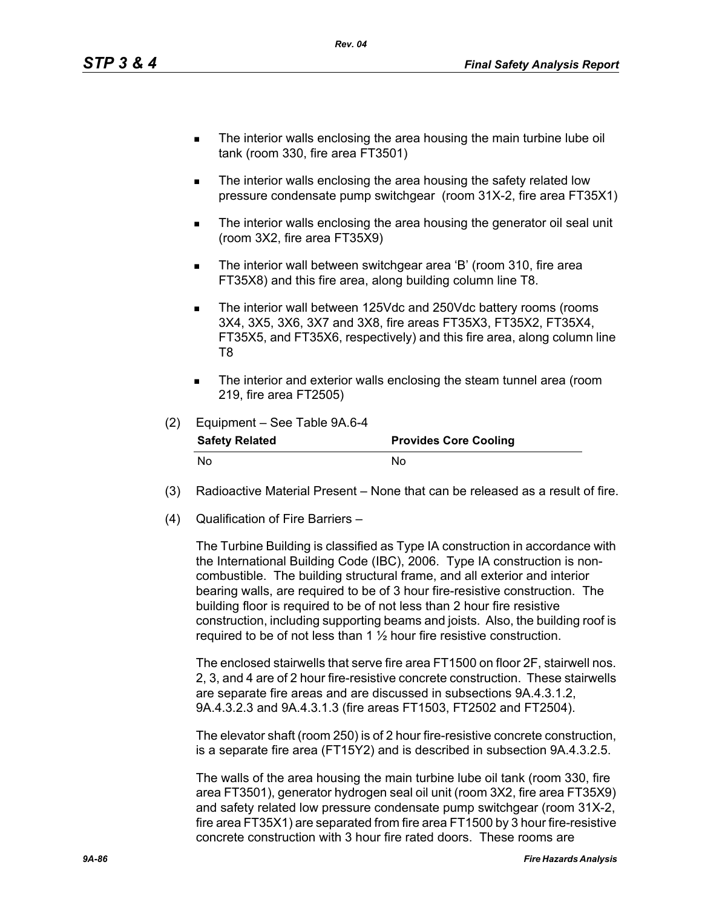- The interior walls enclosing the area housing the main turbine lube oil tank (room 330, fire area FT3501)
- The interior walls enclosing the area housing the safety related low pressure condensate pump switchgear (room 31X-2, fire area FT35X1)
- **The interior walls enclosing the area housing the generator oil seal unit** (room 3X2, fire area FT35X9)
- The interior wall between switchgear area 'B' (room 310, fire area FT35X8) and this fire area, along building column line T8.
- The interior wall between 125Vdc and 250Vdc battery rooms (rooms 3X4, 3X5, 3X6, 3X7 and 3X8, fire areas FT35X3, FT35X2, FT35X4, FT35X5, and FT35X6, respectively) and this fire area, along column line T8
- The interior and exterior walls enclosing the steam tunnel area (room 219, fire area FT2505)

| (2) | Equipment - See Table 9A.6-4 |                              |
|-----|------------------------------|------------------------------|
|     | <b>Safety Related</b>        | <b>Provides Core Cooling</b> |
|     | N٥                           | N٥                           |

- (3) Radioactive Material Present None that can be released as a result of fire.
- (4) Qualification of Fire Barriers –

The Turbine Building is classified as Type IA construction in accordance with the International Building Code (IBC), 2006. Type IA construction is noncombustible. The building structural frame, and all exterior and interior bearing walls, are required to be of 3 hour fire-resistive construction. The building floor is required to be of not less than 2 hour fire resistive construction, including supporting beams and joists. Also, the building roof is required to be of not less than 1 ½ hour fire resistive construction.

The enclosed stairwells that serve fire area FT1500 on floor 2F, stairwell nos. 2, 3, and 4 are of 2 hour fire-resistive concrete construction. These stairwells are separate fire areas and are discussed in subsections 9A.4.3.1.2, 9A.4.3.2.3 and 9A.4.3.1.3 (fire areas FT1503, FT2502 and FT2504).

The elevator shaft (room 250) is of 2 hour fire-resistive concrete construction, is a separate fire area (FT15Y2) and is described in subsection 9A.4.3.2.5.

The walls of the area housing the main turbine lube oil tank (room 330, fire area FT3501), generator hydrogen seal oil unit (room 3X2, fire area FT35X9) and safety related low pressure condensate pump switchgear (room 31X-2, fire area FT35X1) are separated from fire area FT1500 by 3 hour fire-resistive concrete construction with 3 hour fire rated doors. These rooms are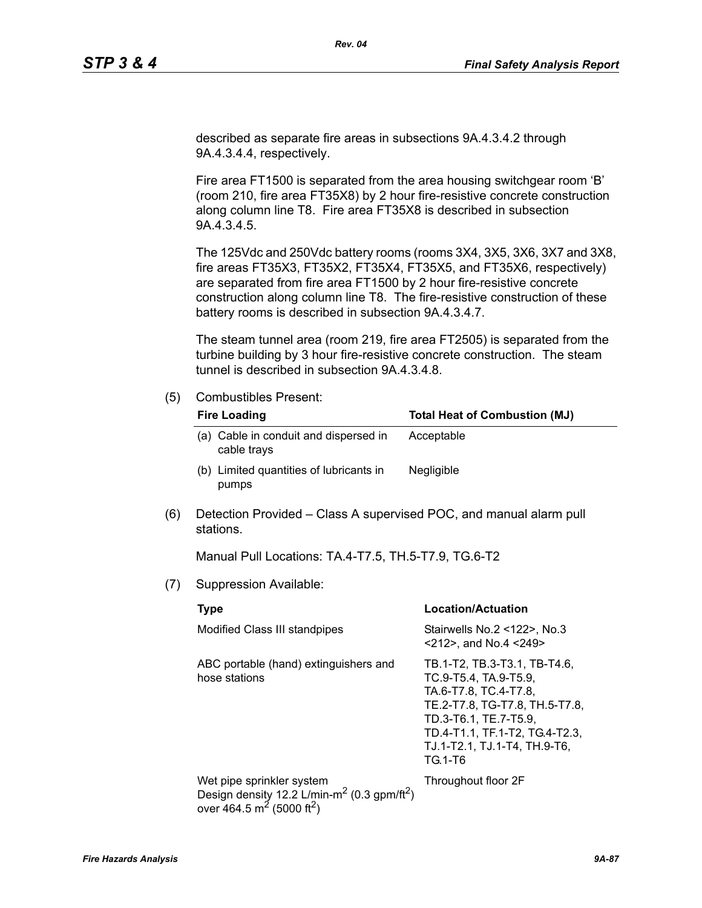described as separate fire areas in subsections 9A.4.3.4.2 through 9A.4.3.4.4, respectively.

Fire area FT1500 is separated from the area housing switchgear room 'B' (room 210, fire area FT35X8) by 2 hour fire-resistive concrete construction along column line T8. Fire area FT35X8 is described in subsection 9A.4.3.4.5.

The 125Vdc and 250Vdc battery rooms (rooms 3X4, 3X5, 3X6, 3X7 and 3X8, fire areas FT35X3, FT35X2, FT35X4, FT35X5, and FT35X6, respectively) are separated from fire area FT1500 by 2 hour fire-resistive concrete construction along column line T8. The fire-resistive construction of these battery rooms is described in subsection 9A.4.3.4.7.

The steam tunnel area (room 219, fire area FT2505) is separated from the turbine building by 3 hour fire-resistive concrete construction. The steam tunnel is described in subsection 9A.4.3.4.8.

### (5) Combustibles Present:

| <b>Fire Loading</b>                                  | <b>Total Heat of Combustion (MJ)</b> |
|------------------------------------------------------|--------------------------------------|
| (a) Cable in conduit and dispersed in<br>cable trays | Acceptable                           |
| (b) Limited quantities of lubricants in<br>pumps     | <b>Negligible</b>                    |

(6) Detection Provided – Class A supervised POC, and manual alarm pull stations.

Manual Pull Locations: TA.4-T7.5, TH.5-T7.9, TG.6-T2

(7) Suppression Available:

| <b>Type</b>                                                                                                                                           | <b>Location/Actuation</b>                                                                                                                                                                                              |
|-------------------------------------------------------------------------------------------------------------------------------------------------------|------------------------------------------------------------------------------------------------------------------------------------------------------------------------------------------------------------------------|
| Modified Class III standpipes                                                                                                                         | Stairwells No.2 <122>, No.3<br>$<$ 212>, and No.4 $<$ 249>                                                                                                                                                             |
| ABC portable (hand) extinguishers and<br>hose stations                                                                                                | TB.1-T2, TB.3-T3.1, TB-T4.6,<br>TC.9-T5.4, TA.9-T5.9,<br>TA.6-T7.8, TC.4-T7.8,<br>TE.2-T7.8, TG-T7.8, TH.5-T7.8,<br>TD.3-T6.1. TE.7-T5.9.<br>TD.4-T1.1, TF.1-T2, TG.4-T2.3,<br>TJ.1-T2.1, TJ.1-T4, TH.9-T6,<br>TG.1-T6 |
| Wet pipe sprinkler system<br>Design density 12.2 L/min-m <sup>2</sup> (0.3 gpm/ft <sup>2</sup> )<br>over 464.5 m <sup>2</sup> (5000 ft <sup>2</sup> ) | Throughout floor 2F                                                                                                                                                                                                    |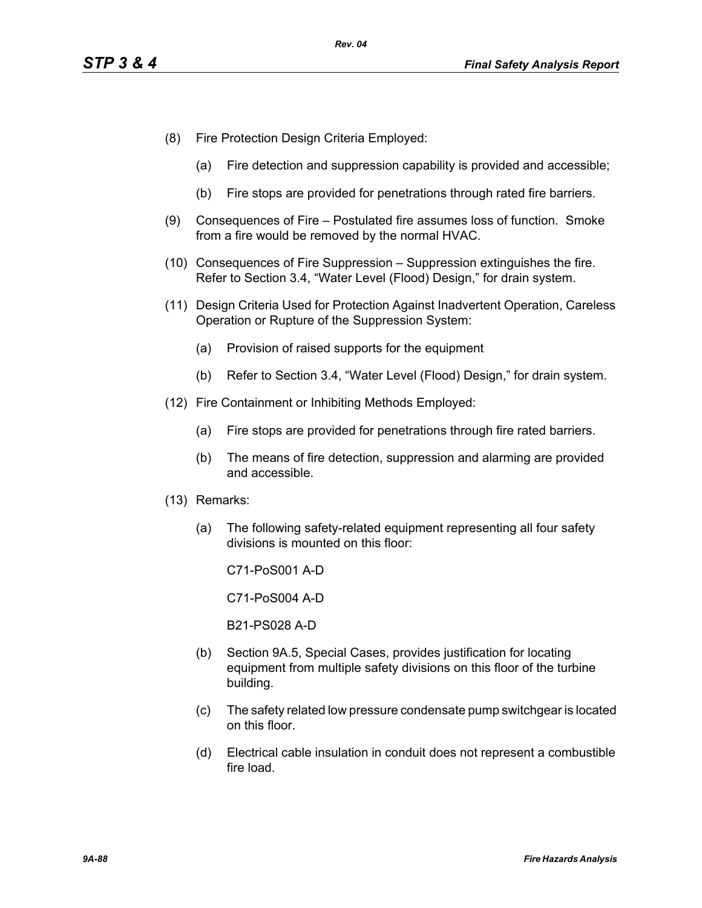- (8) Fire Protection Design Criteria Employed:
	- (a) Fire detection and suppression capability is provided and accessible;
	- (b) Fire stops are provided for penetrations through rated fire barriers.
- (9) Consequences of Fire Postulated fire assumes loss of function. Smoke from a fire would be removed by the normal HVAC.
- (10) Consequences of Fire Suppression Suppression extinguishes the fire. Refer to Section 3.4, "Water Level (Flood) Design," for drain system.
- (11) Design Criteria Used for Protection Against Inadvertent Operation, Careless Operation or Rupture of the Suppression System:
	- (a) Provision of raised supports for the equipment
	- (b) Refer to Section 3.4, "Water Level (Flood) Design," for drain system.
- (12) Fire Containment or Inhibiting Methods Employed:
	- (a) Fire stops are provided for penetrations through fire rated barriers.
	- (b) The means of fire detection, suppression and alarming are provided and accessible.
- (13) Remarks:
	- (a) The following safety-related equipment representing all four safety divisions is mounted on this floor:

C71-PoS001 A-D

C71-PoS004 A-D

B21-PS028 A-D

- (b) Section 9A.5, Special Cases, provides justification for locating equipment from multiple safety divisions on this floor of the turbine building.
- (c) The safety related low pressure condensate pump switchgear is located on this floor.
- (d) Electrical cable insulation in conduit does not represent a combustible fire load.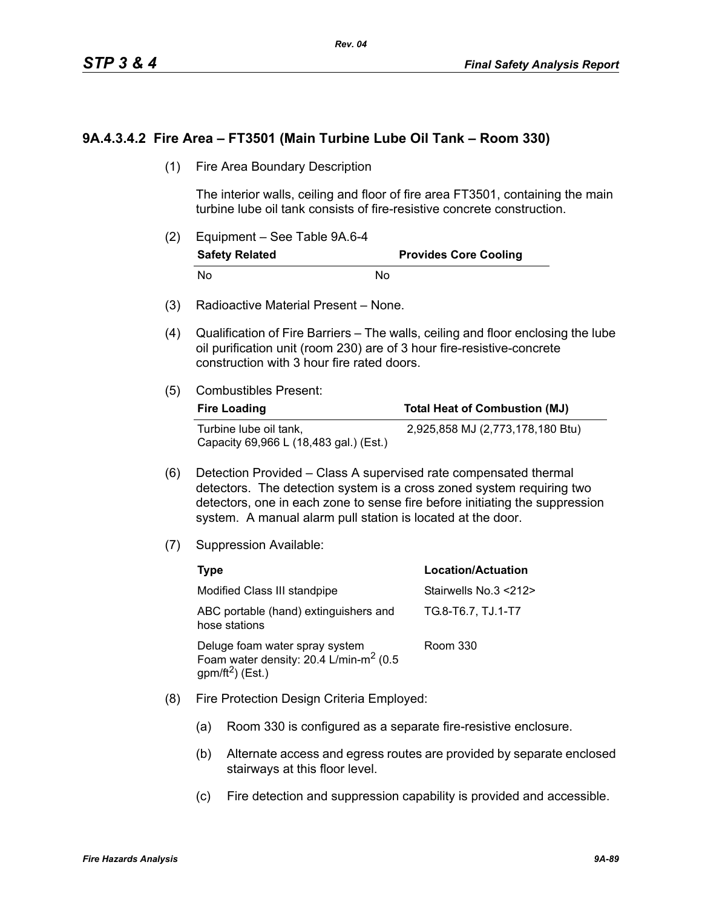## **9A.4.3.4.2 Fire Area – FT3501 (Main Turbine Lube Oil Tank – Room 330)**

(1) Fire Area Boundary Description

The interior walls, ceiling and floor of fire area FT3501, containing the main turbine lube oil tank consists of fire-resistive concrete construction.

- (2) Equipment See Table 9A.6-4 **Safety Related Provides Core Cooling** No No
- (3) Radioactive Material Present None.
- (4) Qualification of Fire Barriers The walls, ceiling and floor enclosing the lube oil purification unit (room 230) are of 3 hour fire-resistive-concrete construction with 3 hour fire rated doors.
- (5) Combustibles Present:

| <b>Fire Loading</b>                                              | <b>Total Heat of Combustion (MJ)</b> |
|------------------------------------------------------------------|--------------------------------------|
| Turbine lube oil tank,<br>Capacity 69,966 L (18,483 gal.) (Est.) | 2,925,858 MJ (2,773,178,180 Btu)     |

- (6) Detection Provided Class A supervised rate compensated thermal detectors. The detection system is a cross zoned system requiring two detectors, one in each zone to sense fire before initiating the suppression system. A manual alarm pull station is located at the door.
- (7) Suppression Available:

| Type                                                                                                        | <b>Location/Actuation</b> |
|-------------------------------------------------------------------------------------------------------------|---------------------------|
| Modified Class III standpipe                                                                                | Stairwells No.3 <212>     |
| ABC portable (hand) extinguishers and<br>hose stations                                                      | TG.8-T6.7, TJ.1-T7        |
| Deluge foam water spray system<br>Foam water density: 20.4 L/min-m <sup>2</sup> (0.5<br>$gpm/ft^2$ ) (Est.) | Room 330                  |

- (8) Fire Protection Design Criteria Employed:
	- (a) Room 330 is configured as a separate fire-resistive enclosure.
	- (b) Alternate access and egress routes are provided by separate enclosed stairways at this floor level.
	- (c) Fire detection and suppression capability is provided and accessible.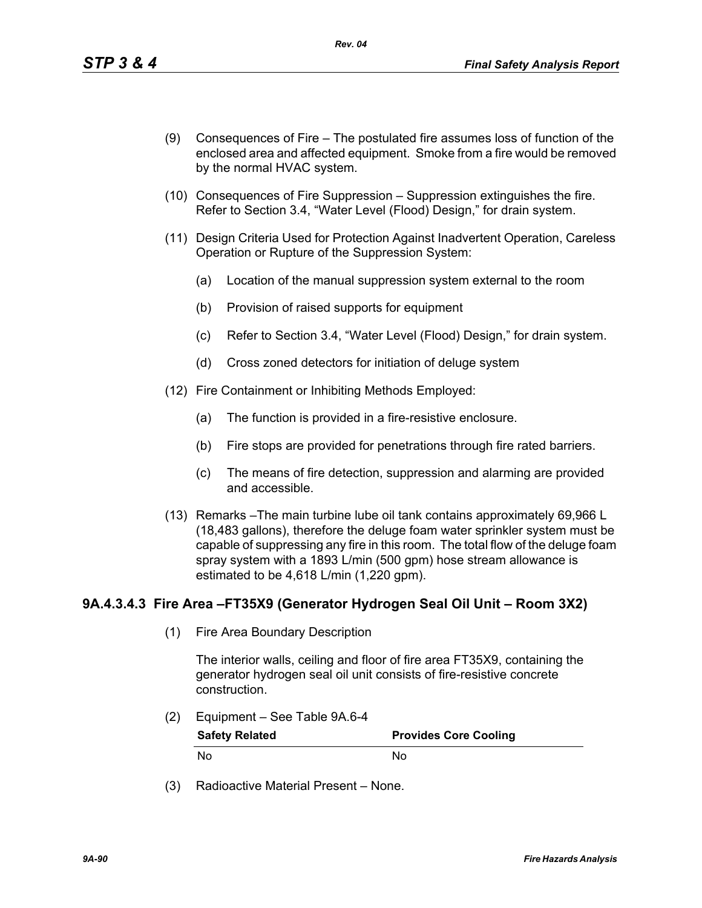- (9) Consequences of Fire The postulated fire assumes loss of function of the enclosed area and affected equipment. Smoke from a fire would be removed by the normal HVAC system.
- (10) Consequences of Fire Suppression Suppression extinguishes the fire. Refer to Section 3.4, "Water Level (Flood) Design," for drain system.

*Rev. 04*

- (11) Design Criteria Used for Protection Against Inadvertent Operation, Careless Operation or Rupture of the Suppression System:
	- (a) Location of the manual suppression system external to the room
	- (b) Provision of raised supports for equipment
	- (c) Refer to Section 3.4, "Water Level (Flood) Design," for drain system.
	- (d) Cross zoned detectors for initiation of deluge system
- (12) Fire Containment or Inhibiting Methods Employed:
	- (a) The function is provided in a fire-resistive enclosure.
	- (b) Fire stops are provided for penetrations through fire rated barriers.
	- (c) The means of fire detection, suppression and alarming are provided and accessible.
- (13) Remarks –The main turbine lube oil tank contains approximately 69,966 L (18,483 gallons), therefore the deluge foam water sprinkler system must be capable of suppressing any fire in this room. The total flow of the deluge foam spray system with a 1893 L/min (500 gpm) hose stream allowance is estimated to be 4,618 L/min (1,220 gpm).

# **9A.4.3.4.3 Fire Area –FT35X9 (Generator Hydrogen Seal Oil Unit – Room 3X2)**

(1) Fire Area Boundary Description

The interior walls, ceiling and floor of fire area FT35X9, containing the generator hydrogen seal oil unit consists of fire-resistive concrete construction.

- (2) Equipment See Table 9A.6-4 **Safety Related Provides Core Cooling** No No
- (3) Radioactive Material Present None.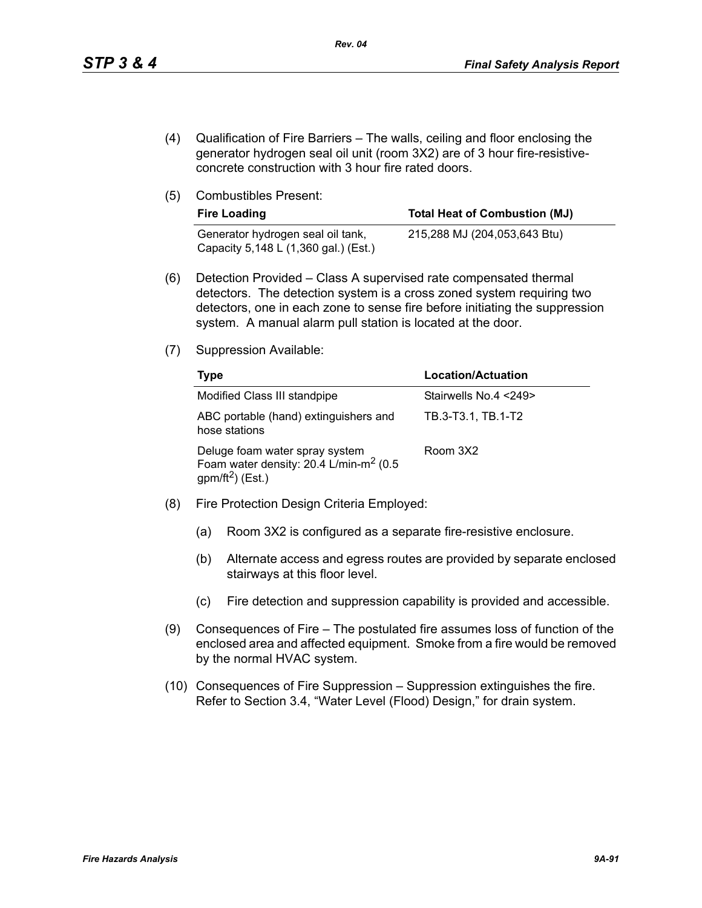- (4) Qualification of Fire Barriers The walls, ceiling and floor enclosing the generator hydrogen seal oil unit (room 3X2) are of 3 hour fire-resistiveconcrete construction with 3 hour fire rated doors.
- (5) Combustibles Present:

| <b>Fire Loading</b>                                                       | <b>Total Heat of Combustion (MJ)</b> |
|---------------------------------------------------------------------------|--------------------------------------|
| Generator hydrogen seal oil tank,<br>Capacity 5,148 L (1,360 gal.) (Est.) | 215,288 MJ (204,053,643 Btu)         |

- (6) Detection Provided Class A supervised rate compensated thermal detectors. The detection system is a cross zoned system requiring two detectors, one in each zone to sense fire before initiating the suppression system. A manual alarm pull station is located at the door.
- (7) Suppression Available:

| Type                                                                                                                 | <b>Location/Actuation</b> |
|----------------------------------------------------------------------------------------------------------------------|---------------------------|
| Modified Class III standpipe                                                                                         | Stairwells No.4 <249>     |
| ABC portable (hand) extinguishers and<br>hose stations                                                               | TB.3-T3.1, TB.1-T2        |
| Deluge foam water spray system<br>Foam water density: 20.4 L/min-m <sup>2</sup> (0.5<br>gpm/ft <sup>2</sup> ) (Est.) | Room 3X2                  |

- (8) Fire Protection Design Criteria Employed:
	- (a) Room 3X2 is configured as a separate fire-resistive enclosure.
	- (b) Alternate access and egress routes are provided by separate enclosed stairways at this floor level.
	- (c) Fire detection and suppression capability is provided and accessible.
- (9) Consequences of Fire The postulated fire assumes loss of function of the enclosed area and affected equipment. Smoke from a fire would be removed by the normal HVAC system.
- (10) Consequences of Fire Suppression Suppression extinguishes the fire. Refer to Section 3.4, "Water Level (Flood) Design," for drain system.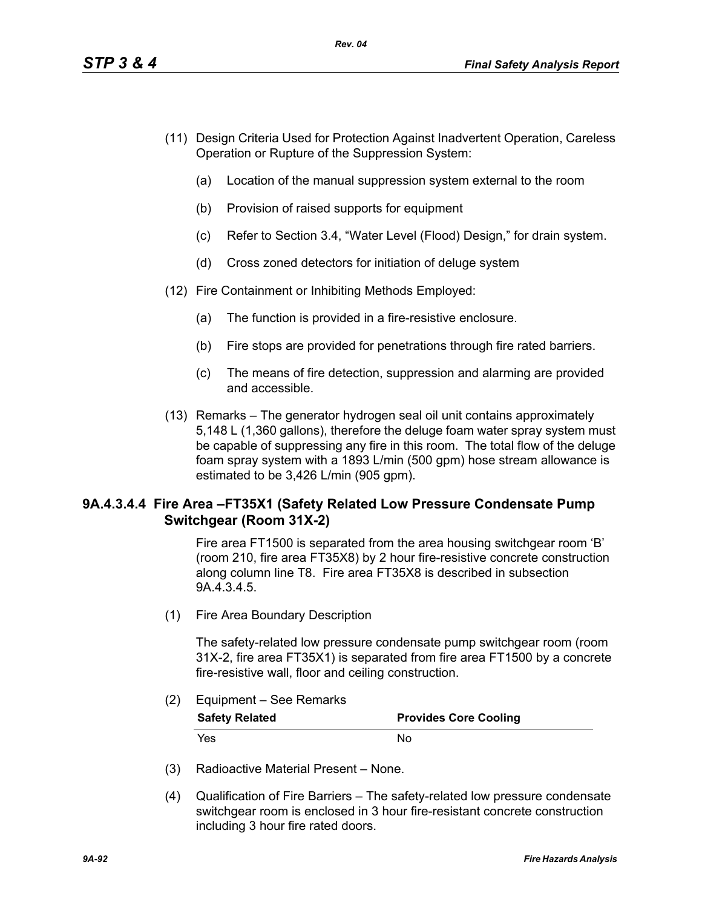- (11) Design Criteria Used for Protection Against Inadvertent Operation, Careless Operation or Rupture of the Suppression System:
	- (a) Location of the manual suppression system external to the room
	- (b) Provision of raised supports for equipment
	- (c) Refer to Section 3.4, "Water Level (Flood) Design," for drain system.
	- (d) Cross zoned detectors for initiation of deluge system
- (12) Fire Containment or Inhibiting Methods Employed:
	- (a) The function is provided in a fire-resistive enclosure.
	- (b) Fire stops are provided for penetrations through fire rated barriers.
	- (c) The means of fire detection, suppression and alarming are provided and accessible.
- (13) Remarks The generator hydrogen seal oil unit contains approximately 5,148 L (1,360 gallons), therefore the deluge foam water spray system must be capable of suppressing any fire in this room. The total flow of the deluge foam spray system with a 1893 L/min (500 gpm) hose stream allowance is estimated to be 3,426 L/min (905 gpm).

# **9A.4.3.4.4 Fire Area –FT35X1 (Safety Related Low Pressure Condensate Pump Switchgear (Room 31X-2)**

Fire area FT1500 is separated from the area housing switchgear room 'B' (room 210, fire area FT35X8) by 2 hour fire-resistive concrete construction along column line T8. Fire area FT35X8 is described in subsection 9A.4.3.4.5.

(1) Fire Area Boundary Description

The safety-related low pressure condensate pump switchgear room (room 31X-2, fire area FT35X1) is separated from fire area FT1500 by a concrete fire-resistive wall, floor and ceiling construction.

## (2) Equipment – See Remarks

| <b>Safety Related</b> | <b>Provides Core Cooling</b> |
|-----------------------|------------------------------|
| Yes.                  | Nο                           |

- (3) Radioactive Material Present None.
- (4) Qualification of Fire Barriers The safety-related low pressure condensate switchgear room is enclosed in 3 hour fire-resistant concrete construction including 3 hour fire rated doors.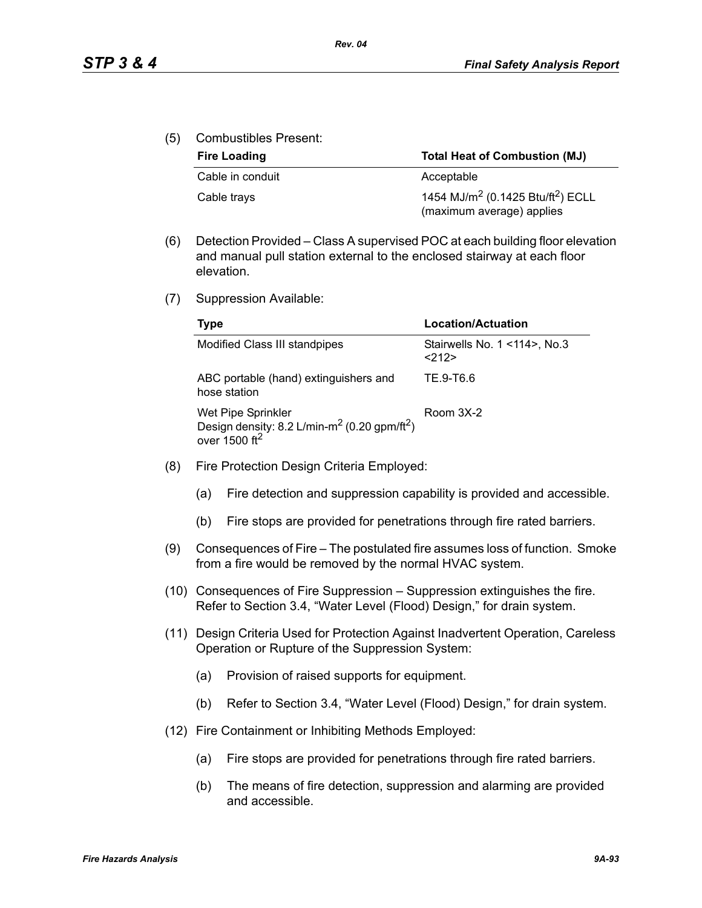(5) Combustibles Present:

| <b>Fire Loading</b> | <b>Total Heat of Combustion (MJ)</b>                                                   |  |
|---------------------|----------------------------------------------------------------------------------------|--|
| Cable in conduit    | Acceptable                                                                             |  |
| Cable trays         | 1454 MJ/m <sup>2</sup> (0.1425 Btu/ft <sup>2</sup> ) ECLL<br>(maximum average) applies |  |

- (6) Detection Provided Class A supervised POC at each building floor elevation and manual pull station external to the enclosed stairway at each floor elevation.
- (7) Suppression Available:

| Type                                                                                                                      | Location/Actuation                          |
|---------------------------------------------------------------------------------------------------------------------------|---------------------------------------------|
| Modified Class III standpipes                                                                                             | Stairwells No. 1 < 114 >, No. 3<br>$<$ 212> |
| ABC portable (hand) extinguishers and<br>hose station                                                                     | TE 9-T6.6                                   |
| Wet Pipe Sprinkler<br>Design density: 8.2 L/min-m <sup>2</sup> (0.20 gpm/ft <sup>2</sup> )<br>over $1500$ ft <sup>2</sup> | Room 3X-2                                   |

- (8) Fire Protection Design Criteria Employed:
	- (a) Fire detection and suppression capability is provided and accessible.
	- (b) Fire stops are provided for penetrations through fire rated barriers.
- (9) Consequences of Fire The postulated fire assumes loss of function. Smoke from a fire would be removed by the normal HVAC system.
- (10) Consequences of Fire Suppression Suppression extinguishes the fire. Refer to Section 3.4, "Water Level (Flood) Design," for drain system.
- (11) Design Criteria Used for Protection Against Inadvertent Operation, Careless Operation or Rupture of the Suppression System:
	- (a) Provision of raised supports for equipment.
	- (b) Refer to Section 3.4, "Water Level (Flood) Design," for drain system.
- (12) Fire Containment or Inhibiting Methods Employed:
	- (a) Fire stops are provided for penetrations through fire rated barriers.
	- (b) The means of fire detection, suppression and alarming are provided and accessible.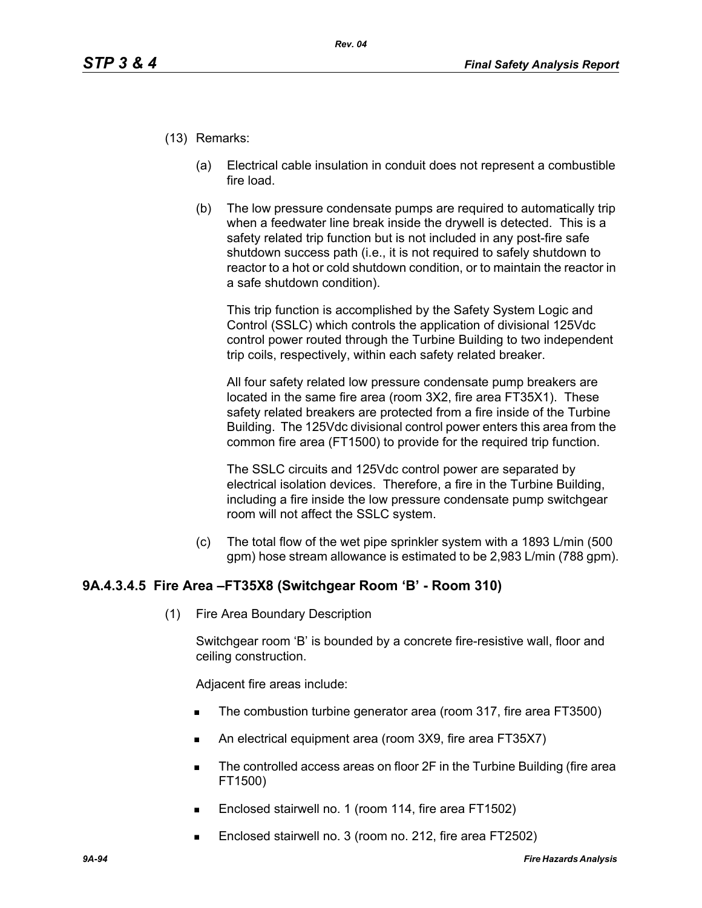- (13) Remarks:
	- (a) Electrical cable insulation in conduit does not represent a combustible fire load.
	- (b) The low pressure condensate pumps are required to automatically trip when a feedwater line break inside the drywell is detected. This is a safety related trip function but is not included in any post-fire safe shutdown success path (i.e., it is not required to safely shutdown to reactor to a hot or cold shutdown condition, or to maintain the reactor in a safe shutdown condition).

This trip function is accomplished by the Safety System Logic and Control (SSLC) which controls the application of divisional 125Vdc control power routed through the Turbine Building to two independent trip coils, respectively, within each safety related breaker.

All four safety related low pressure condensate pump breakers are located in the same fire area (room 3X2, fire area FT35X1). These safety related breakers are protected from a fire inside of the Turbine Building. The 125Vdc divisional control power enters this area from the common fire area (FT1500) to provide for the required trip function.

The SSLC circuits and 125Vdc control power are separated by electrical isolation devices. Therefore, a fire in the Turbine Building, including a fire inside the low pressure condensate pump switchgear room will not affect the SSLC system.

(c) The total flow of the wet pipe sprinkler system with a 1893 L/min (500 gpm) hose stream allowance is estimated to be 2,983 L/min (788 gpm).

# **9A.4.3.4.5 Fire Area –FT35X8 (Switchgear Room 'B' - Room 310)**

(1) Fire Area Boundary Description

Switchgear room 'B' is bounded by a concrete fire-resistive wall, floor and ceiling construction.

Adjacent fire areas include:

- The combustion turbine generator area (room 317, fire area FT3500)
- An electrical equipment area (room 3X9, fire area FT35X7)
- The controlled access areas on floor 2F in the Turbine Building (fire area FT1500)
- Enclosed stairwell no. 1 (room 114, fire area FT1502)
- Enclosed stairwell no. 3 (room no. 212, fire area FT2502)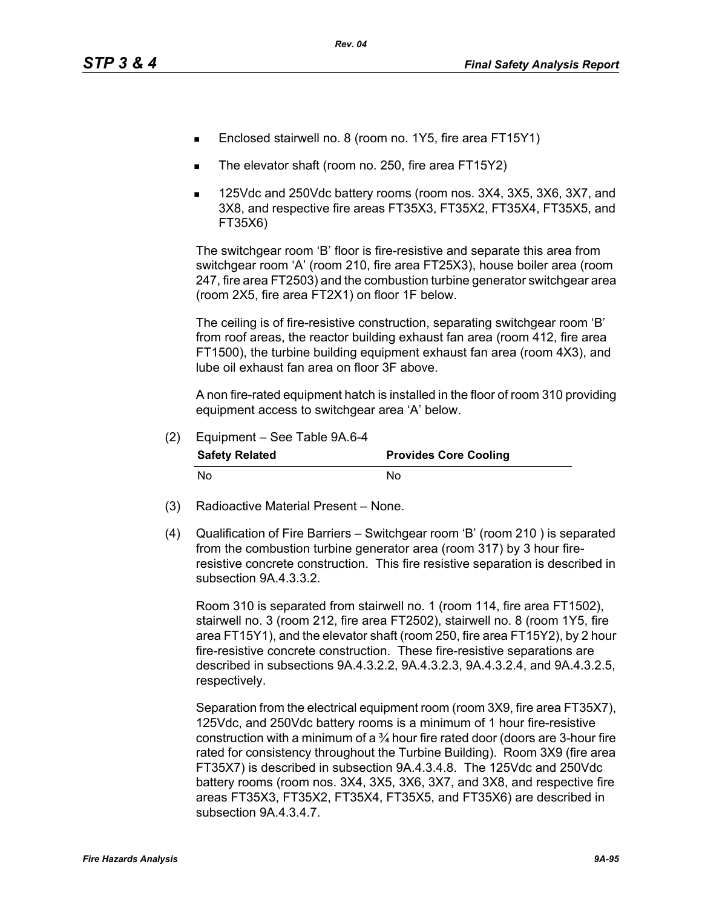- Enclosed stairwell no. 8 (room no. 1Y5, fire area FT15Y1)
- The elevator shaft (room no. 250, fire area FT15Y2)
- 125Vdc and 250Vdc battery rooms (room nos. 3X4, 3X5, 3X6, 3X7, and 3X8, and respective fire areas FT35X3, FT35X2, FT35X4, FT35X5, and FT35X6)

The switchgear room 'B' floor is fire-resistive and separate this area from switchgear room 'A' (room 210, fire area FT25X3), house boiler area (room 247, fire area FT2503) and the combustion turbine generator switchgear area (room 2X5, fire area FT2X1) on floor 1F below.

The ceiling is of fire-resistive construction, separating switchgear room 'B' from roof areas, the reactor building exhaust fan area (room 412, fire area FT1500), the turbine building equipment exhaust fan area (room 4X3), and lube oil exhaust fan area on floor 3F above.

A non fire-rated equipment hatch is installed in the floor of room 310 providing equipment access to switchgear area 'A' below.

| (2) | Equipment - See Table 9A.6-4 |                              |
|-----|------------------------------|------------------------------|
|     | <b>Safety Related</b>        | <b>Provides Core Cooling</b> |
|     | N٥                           | Nο                           |

- (3) Radioactive Material Present None.
- (4) Qualification of Fire Barriers Switchgear room 'B' (room 210 ) is separated from the combustion turbine generator area (room 317) by 3 hour fireresistive concrete construction. This fire resistive separation is described in subsection 9A.4.3.3.2.

Room 310 is separated from stairwell no. 1 (room 114, fire area FT1502), stairwell no. 3 (room 212, fire area FT2502), stairwell no. 8 (room 1Y5, fire area FT15Y1), and the elevator shaft (room 250, fire area FT15Y2), by 2 hour fire-resistive concrete construction. These fire-resistive separations are described in subsections 9A.4.3.2.2, 9A.4.3.2.3, 9A.4.3.2.4, and 9A.4.3.2.5, respectively.

Separation from the electrical equipment room (room 3X9, fire area FT35X7), 125Vdc, and 250Vdc battery rooms is a minimum of 1 hour fire-resistive construction with a minimum of a  $\frac{3}{4}$  hour fire rated door (doors are 3-hour fire rated for consistency throughout the Turbine Building). Room 3X9 (fire area FT35X7) is described in subsection 9A.4.3.4.8. The 125Vdc and 250Vdc battery rooms (room nos. 3X4, 3X5, 3X6, 3X7, and 3X8, and respective fire areas FT35X3, FT35X2, FT35X4, FT35X5, and FT35X6) are described in subsection 9A.4.3.4.7.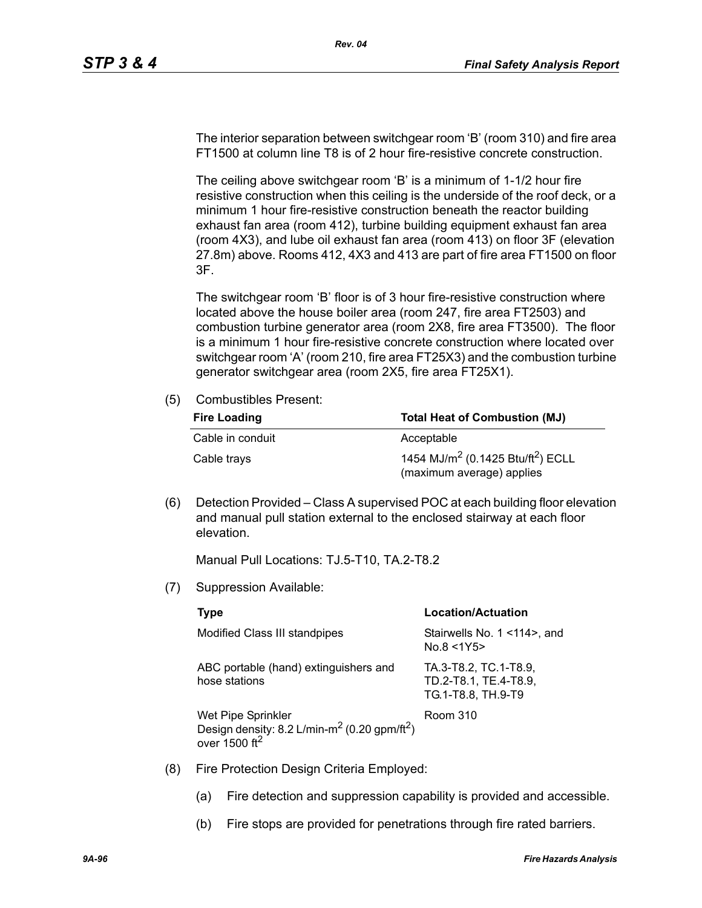The interior separation between switchgear room 'B' (room 310) and fire area FT1500 at column line T8 is of 2 hour fire-resistive concrete construction.

The ceiling above switchgear room 'B' is a minimum of 1-1/2 hour fire resistive construction when this ceiling is the underside of the roof deck, or a minimum 1 hour fire-resistive construction beneath the reactor building exhaust fan area (room 412), turbine building equipment exhaust fan area (room 4X3), and lube oil exhaust fan area (room 413) on floor 3F (elevation 27.8m) above. Rooms 412, 4X3 and 413 are part of fire area FT1500 on floor 3F.

The switchgear room 'B' floor is of 3 hour fire-resistive construction where located above the house boiler area (room 247, fire area FT2503) and combustion turbine generator area (room 2X8, fire area FT3500). The floor is a minimum 1 hour fire-resistive concrete construction where located over switchgear room 'A' (room 210, fire area FT25X3) and the combustion turbine generator switchgear area (room 2X5, fire area FT25X1).

(5) Combustibles Present:

| <b>Fire Loading</b> | <b>Total Heat of Combustion (MJ)</b>                                                   |
|---------------------|----------------------------------------------------------------------------------------|
| Cable in conduit    | Acceptable                                                                             |
| Cable trays         | 1454 MJ/m <sup>2</sup> (0.1425 Btu/ft <sup>2</sup> ) ECLL<br>(maximum average) applies |

(6) Detection Provided – Class A supervised POC at each building floor elevation and manual pull station external to the enclosed stairway at each floor elevation.

Manual Pull Locations: TJ.5-T10, TA.2-T8.2

(7) Suppression Available:

|     | Type                                                                                                                      | <b>Location/Actuation</b>                                            |
|-----|---------------------------------------------------------------------------------------------------------------------------|----------------------------------------------------------------------|
|     | Modified Class III standpipes                                                                                             | Stairwells No. 1 < 14 >, and<br>No.8 < 1Y5                           |
|     | ABC portable (hand) extinguishers and<br>hose stations                                                                    | TA.3-T8.2, TC.1-T8.9,<br>TD.2-T8.1, TE.4-T8.9,<br>TG.1-T8.8, TH.9-T9 |
|     | Wet Pipe Sprinkler<br>Design density: 8.2 L/min-m <sup>2</sup> (0.20 gpm/ft <sup>2</sup> )<br>over $1500$ ft <sup>2</sup> | Room 310                                                             |
| (8) | Fire Protection Design Criteria Employed:                                                                                 |                                                                      |

- (a) Fire detection and suppression capability is provided and accessible.
- (b) Fire stops are provided for penetrations through fire rated barriers.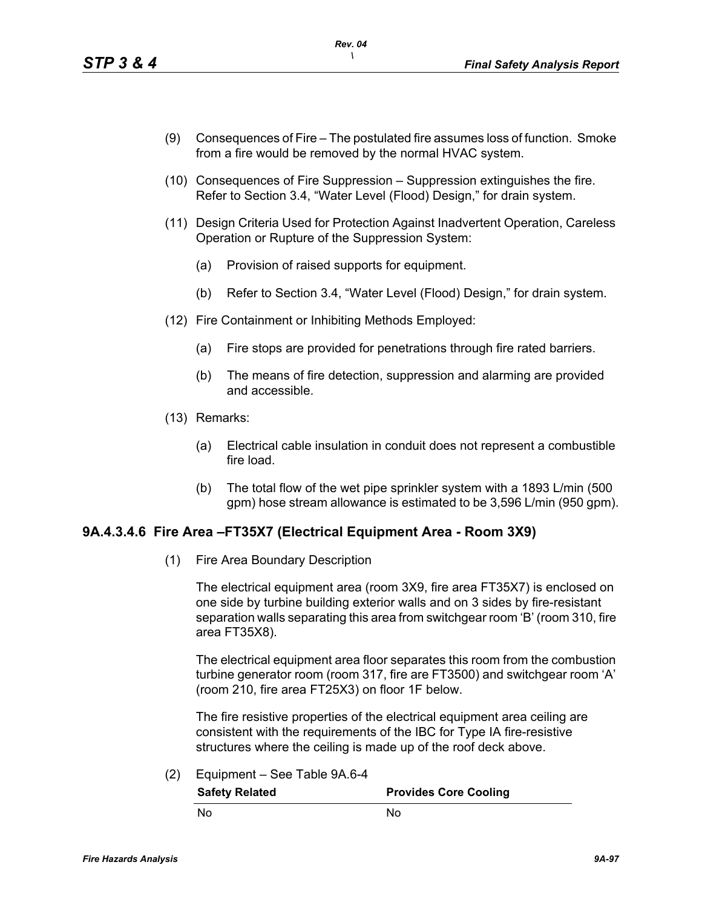- (9) Consequences of Fire The postulated fire assumes loss of function. Smoke from a fire would be removed by the normal HVAC system.
- (10) Consequences of Fire Suppression Suppression extinguishes the fire. Refer to Section 3.4, "Water Level (Flood) Design," for drain system.
- (11) Design Criteria Used for Protection Against Inadvertent Operation, Careless Operation or Rupture of the Suppression System:
	- (a) Provision of raised supports for equipment.
	- (b) Refer to Section 3.4, "Water Level (Flood) Design," for drain system.
- (12) Fire Containment or Inhibiting Methods Employed:
	- (a) Fire stops are provided for penetrations through fire rated barriers.
	- (b) The means of fire detection, suppression and alarming are provided and accessible.
- (13) Remarks:
	- (a) Electrical cable insulation in conduit does not represent a combustible fire load.
	- (b) The total flow of the wet pipe sprinkler system with a 1893 L/min (500 gpm) hose stream allowance is estimated to be 3,596 L/min (950 gpm).

### **9A.4.3.4.6 Fire Area –FT35X7 (Electrical Equipment Area - Room 3X9)**

(1) Fire Area Boundary Description

The electrical equipment area (room 3X9, fire area FT35X7) is enclosed on one side by turbine building exterior walls and on 3 sides by fire-resistant separation walls separating this area from switchgear room 'B' (room 310, fire area FT35X8).

The electrical equipment area floor separates this room from the combustion turbine generator room (room 317, fire are FT3500) and switchgear room 'A' (room 210, fire area FT25X3) on floor 1F below.

The fire resistive properties of the electrical equipment area ceiling are consistent with the requirements of the IBC for Type IA fire-resistive structures where the ceiling is made up of the roof deck above.

(2) Equipment – See Table 9A.6-4

**Safety Related Provides Core Cooling** No No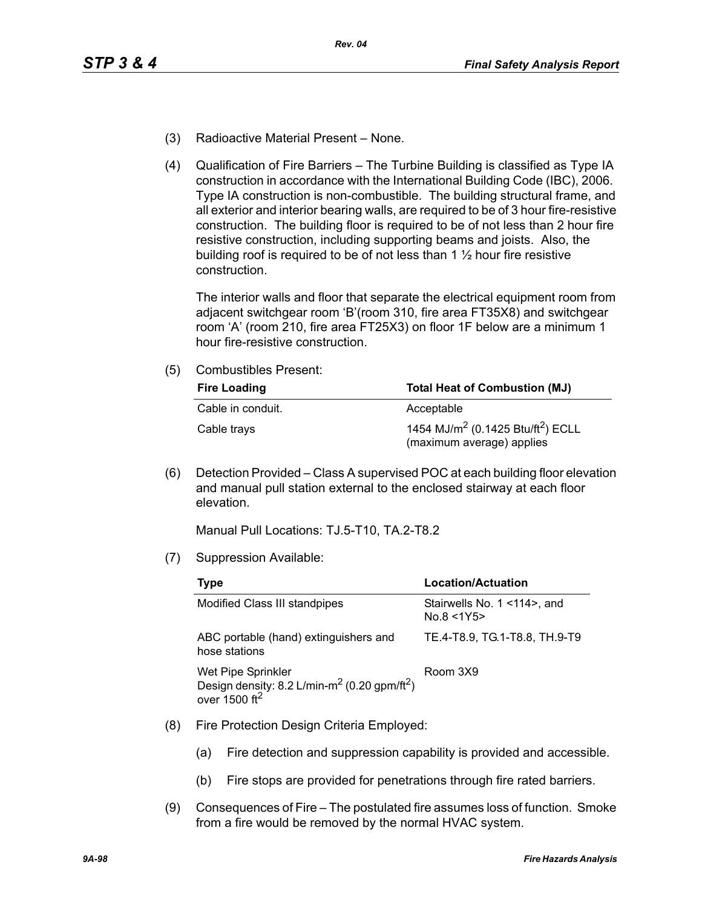- (3) Radioactive Material Present None.
- (4) Qualification of Fire Barriers The Turbine Building is classified as Type IA construction in accordance with the International Building Code (IBC), 2006. Type IA construction is non-combustible. The building structural frame, and all exterior and interior bearing walls, are required to be of 3 hour fire-resistive construction. The building floor is required to be of not less than 2 hour fire resistive construction, including supporting beams and joists. Also, the building roof is required to be of not less than  $1\frac{1}{2}$  hour fire resistive construction.

The interior walls and floor that separate the electrical equipment room from adjacent switchgear room 'B'(room 310, fire area FT35X8) and switchgear room 'A' (room 210, fire area FT25X3) on floor 1F below are a minimum 1 hour fire-resistive construction.

(5) Combustibles Present:

| <b>Fire Loading</b> | <b>Total Heat of Combustion (MJ)</b>                                                   |  |  |
|---------------------|----------------------------------------------------------------------------------------|--|--|
| Cable in conduit.   | Acceptable                                                                             |  |  |
| Cable trays         | 1454 MJ/m <sup>2</sup> (0.1425 Btu/ft <sup>2</sup> ) ECLL<br>(maximum average) applies |  |  |

(6) Detection Provided – Class A supervised POC at each building floor elevation and manual pull station external to the enclosed stairway at each floor elevation.

Manual Pull Locations: TJ.5-T10, TA.2-T8.2

(7) Suppression Available:

| Type                                                                                                                      | Location/Actuation                        |  |  |
|---------------------------------------------------------------------------------------------------------------------------|-------------------------------------------|--|--|
| Modified Class III standpipes                                                                                             | Stairwells No. 1 <114>, and<br>No.8 < 1Y5 |  |  |
| ABC portable (hand) extinguishers and<br>hose stations                                                                    | TE.4-T8.9, TG.1-T8.8, TH.9-T9             |  |  |
| Wet Pipe Sprinkler<br>Design density: 8.2 L/min-m <sup>2</sup> (0.20 gpm/ft <sup>2</sup> )<br>over $1500$ ft <sup>2</sup> | Room 3X9                                  |  |  |

- (8) Fire Protection Design Criteria Employed:
	- (a) Fire detection and suppression capability is provided and accessible.
	- (b) Fire stops are provided for penetrations through fire rated barriers.
- (9) Consequences of Fire The postulated fire assumes loss of function. Smoke from a fire would be removed by the normal HVAC system.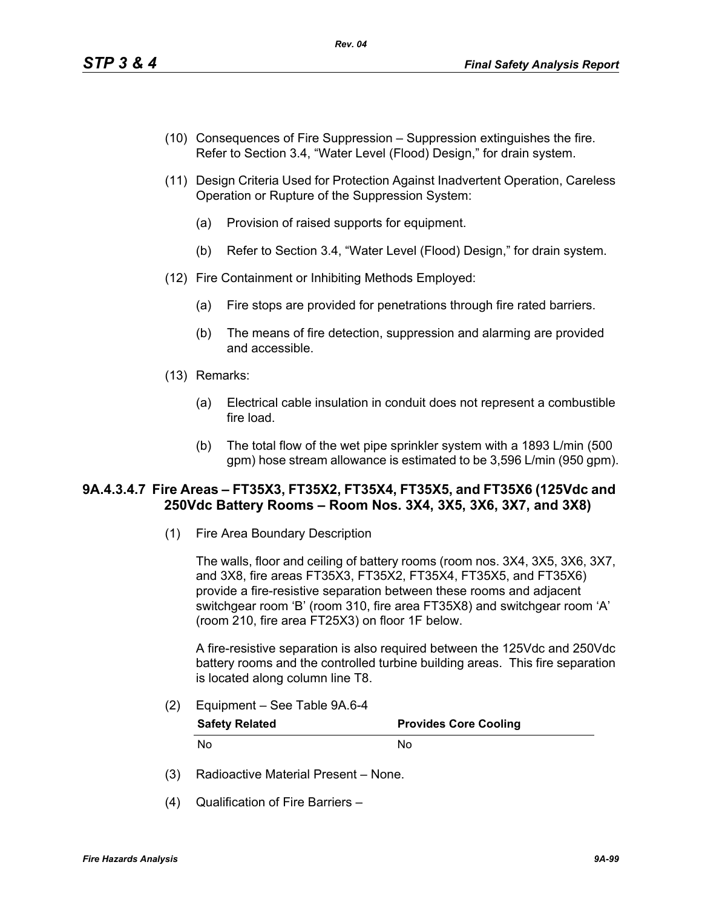- (10) Consequences of Fire Suppression Suppression extinguishes the fire. Refer to Section 3.4, "Water Level (Flood) Design," for drain system.
- (11) Design Criteria Used for Protection Against Inadvertent Operation, Careless Operation or Rupture of the Suppression System:
	- (a) Provision of raised supports for equipment.
	- (b) Refer to Section 3.4, "Water Level (Flood) Design," for drain system.
- (12) Fire Containment or Inhibiting Methods Employed:
	- (a) Fire stops are provided for penetrations through fire rated barriers.
	- (b) The means of fire detection, suppression and alarming are provided and accessible.
- (13) Remarks:
	- (a) Electrical cable insulation in conduit does not represent a combustible fire load.
	- (b) The total flow of the wet pipe sprinkler system with a 1893 L/min (500 gpm) hose stream allowance is estimated to be 3,596 L/min (950 gpm).

## **9A.4.3.4.7 Fire Areas – FT35X3, FT35X2, FT35X4, FT35X5, and FT35X6 (125Vdc and 250Vdc Battery Rooms – Room Nos. 3X4, 3X5, 3X6, 3X7, and 3X8)**

(1) Fire Area Boundary Description

The walls, floor and ceiling of battery rooms (room nos. 3X4, 3X5, 3X6, 3X7, and 3X8, fire areas FT35X3, FT35X2, FT35X4, FT35X5, and FT35X6) provide a fire-resistive separation between these rooms and adjacent switchgear room 'B' (room 310, fire area FT35X8) and switchgear room 'A' (room 210, fire area FT25X3) on floor 1F below.

A fire-resistive separation is also required between the 125Vdc and 250Vdc battery rooms and the controlled turbine building areas. This fire separation is located along column line T8.

(2) Equipment – See Table 9A.6-4

| <b>Safety Related</b> | <b>Provides Core Cooling</b> |
|-----------------------|------------------------------|
| No                    | Nο                           |

- (3) Radioactive Material Present None.
- (4) Qualification of Fire Barriers –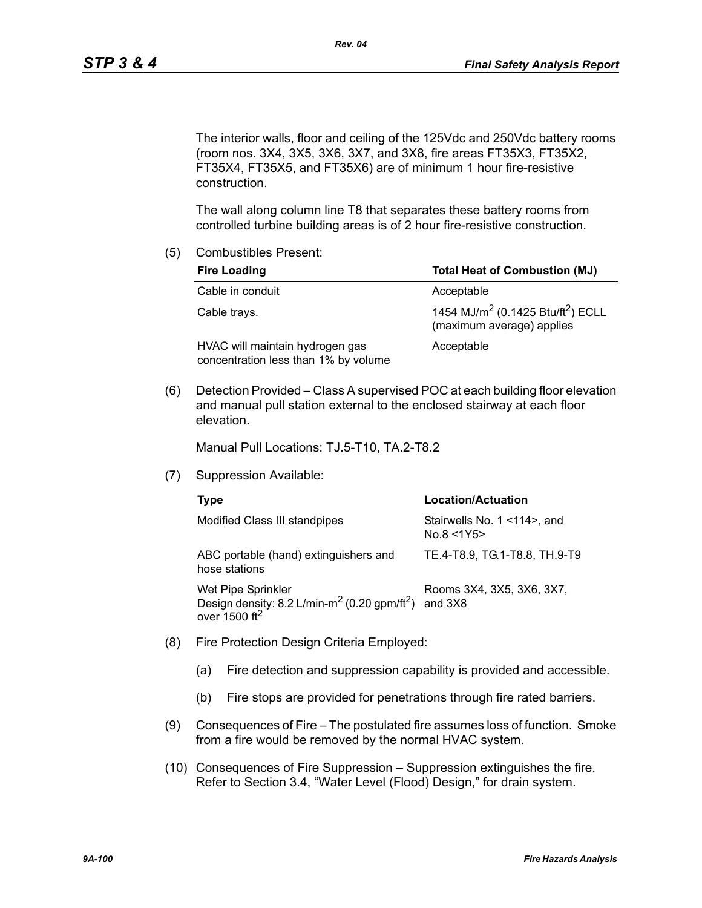The interior walls, floor and ceiling of the 125Vdc and 250Vdc battery rooms (room nos. 3X4, 3X5, 3X6, 3X7, and 3X8, fire areas FT35X3, FT35X2, FT35X4, FT35X5, and FT35X6) are of minimum 1 hour fire-resistive construction.

The wall along column line T8 that separates these battery rooms from controlled turbine building areas is of 2 hour fire-resistive construction.

(5) Combustibles Present:

| <b>Fire Loading</b>                                                     | <b>Total Heat of Combustion (MJ)</b>                                                   |  |  |
|-------------------------------------------------------------------------|----------------------------------------------------------------------------------------|--|--|
| Cable in conduit                                                        | Acceptable                                                                             |  |  |
| Cable trays.                                                            | 1454 MJ/m <sup>2</sup> (0.1425 Btu/ft <sup>2</sup> ) ECLL<br>(maximum average) applies |  |  |
| HVAC will maintain hydrogen gas<br>concentration less than 1% by volume | Acceptable                                                                             |  |  |

(6) Detection Provided – Class A supervised POC at each building floor elevation and manual pull station external to the enclosed stairway at each floor elevation.

Manual Pull Locations: TJ.5-T10, TA.2-T8.2

(7) Suppression Available:

| Type                                                                                                                      | Location/Actuation                        |  |  |
|---------------------------------------------------------------------------------------------------------------------------|-------------------------------------------|--|--|
| Modified Class III standpipes                                                                                             | Stairwells No. 1 <114>, and<br>No.8 < 1Y5 |  |  |
| ABC portable (hand) extinguishers and<br>hose stations                                                                    | TE.4-T8.9, TG.1-T8.8, TH.9-T9             |  |  |
| Wet Pipe Sprinkler<br>Design density: 8.2 L/min-m <sup>2</sup> (0.20 gpm/ft <sup>2</sup> )<br>over $1500$ ft <sup>2</sup> | Rooms 3X4, 3X5, 3X6, 3X7,<br>and 3X8      |  |  |

- (8) Fire Protection Design Criteria Employed:
	- (a) Fire detection and suppression capability is provided and accessible.
	- (b) Fire stops are provided for penetrations through fire rated barriers.
- (9) Consequences of Fire The postulated fire assumes loss of function. Smoke from a fire would be removed by the normal HVAC system.
- (10) Consequences of Fire Suppression Suppression extinguishes the fire. Refer to Section 3.4, "Water Level (Flood) Design," for drain system.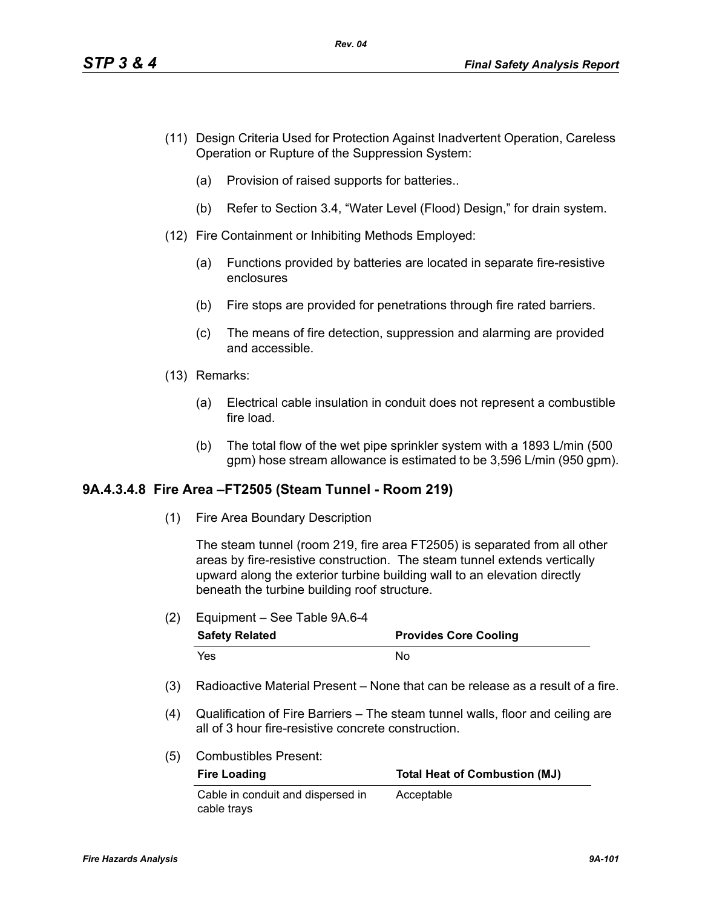- (11) Design Criteria Used for Protection Against Inadvertent Operation, Careless Operation or Rupture of the Suppression System:
	- (a) Provision of raised supports for batteries..
	- (b) Refer to Section 3.4, "Water Level (Flood) Design," for drain system.
- (12) Fire Containment or Inhibiting Methods Employed:
	- (a) Functions provided by batteries are located in separate fire-resistive enclosures
	- (b) Fire stops are provided for penetrations through fire rated barriers.
	- (c) The means of fire detection, suppression and alarming are provided and accessible.
- (13) Remarks:
	- (a) Electrical cable insulation in conduit does not represent a combustible fire load.
	- (b) The total flow of the wet pipe sprinkler system with a 1893 L/min (500 gpm) hose stream allowance is estimated to be 3,596 L/min (950 gpm).

## **9A.4.3.4.8 Fire Area –FT2505 (Steam Tunnel - Room 219)**

(1) Fire Area Boundary Description

The steam tunnel (room 219, fire area FT2505) is separated from all other areas by fire-resistive construction. The steam tunnel extends vertically upward along the exterior turbine building wall to an elevation directly beneath the turbine building roof structure.

(2) Equipment – See Table 9A.6-4

| <b>Safety Related</b> | <b>Provides Core Cooling</b> |  |  |
|-----------------------|------------------------------|--|--|
| Yes                   | Nο                           |  |  |

- (3) Radioactive Material Present None that can be release as a result of a fire.
- (4) Qualification of Fire Barriers The steam tunnel walls, floor and ceiling are all of 3 hour fire-resistive concrete construction.
- (5) Combustibles Present:

| <b>Fire Loading</b>               | <b>Total Heat of Combustion (MJ)</b> |  |  |
|-----------------------------------|--------------------------------------|--|--|
| Cable in conduit and dispersed in | Acceptable                           |  |  |
| cable trays                       |                                      |  |  |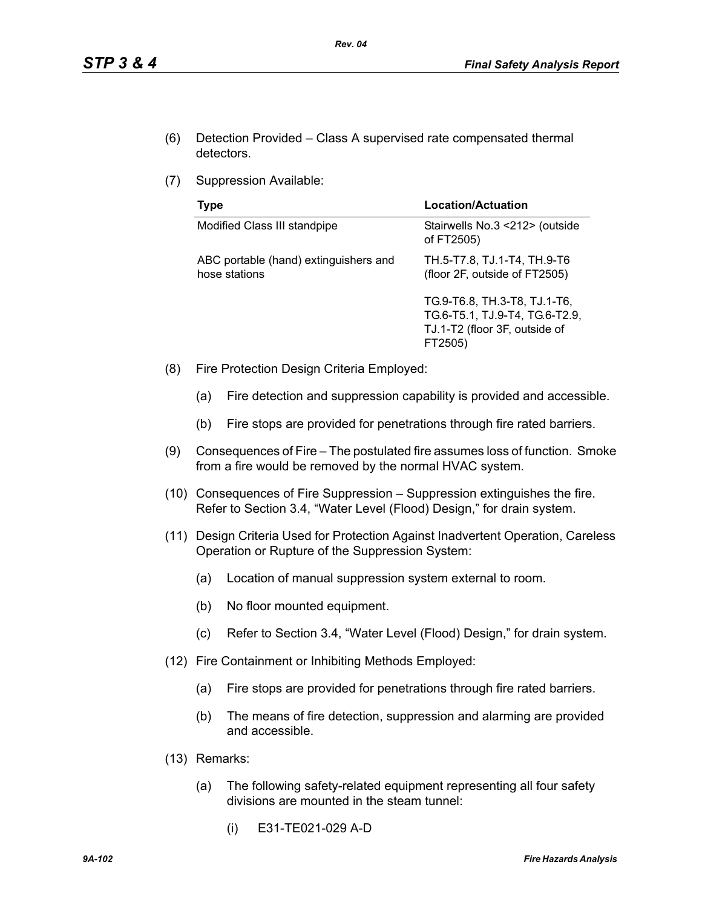- (6) Detection Provided Class A supervised rate compensated thermal detectors.
- (7) Suppression Available:

| Type                                                   | Location/Actuation                                                                                         |  |  |
|--------------------------------------------------------|------------------------------------------------------------------------------------------------------------|--|--|
| Modified Class III standpipe                           | Stairwells No.3 <212> (outside<br>of FT2505)                                                               |  |  |
| ABC portable (hand) extinguishers and<br>hose stations | TH.5-T7.8, TJ.1-T4, TH.9-T6<br>(floor 2F, outside of FT2505)                                               |  |  |
|                                                        | TG.9-T6.8, TH.3-T8, TJ.1-T6,<br>TG.6-T5.1, TJ.9-T4, TG.6-T2.9,<br>TJ.1-T2 (floor 3F, outside of<br>FT2505) |  |  |

- (8) Fire Protection Design Criteria Employed:
	- (a) Fire detection and suppression capability is provided and accessible.
	- (b) Fire stops are provided for penetrations through fire rated barriers.
- (9) Consequences of Fire The postulated fire assumes loss of function. Smoke from a fire would be removed by the normal HVAC system.
- (10) Consequences of Fire Suppression Suppression extinguishes the fire. Refer to Section 3.4, "Water Level (Flood) Design," for drain system.
- (11) Design Criteria Used for Protection Against Inadvertent Operation, Careless Operation or Rupture of the Suppression System:
	- (a) Location of manual suppression system external to room.
	- (b) No floor mounted equipment.
	- (c) Refer to Section 3.4, "Water Level (Flood) Design," for drain system.
- (12) Fire Containment or Inhibiting Methods Employed:
	- (a) Fire stops are provided for penetrations through fire rated barriers.
	- (b) The means of fire detection, suppression and alarming are provided and accessible.
- (13) Remarks:
	- (a) The following safety-related equipment representing all four safety divisions are mounted in the steam tunnel:
		- (i) E31-TE021-029 A-D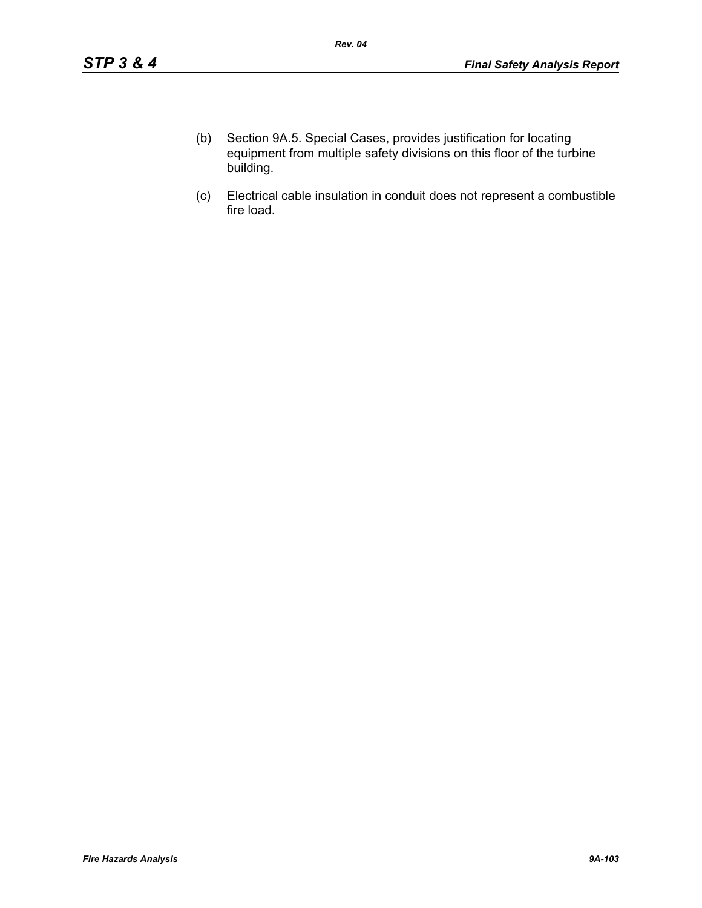- (b) Section 9A.5. Special Cases, provides justification for locating equipment from multiple safety divisions on this floor of the turbine building.
- (c) Electrical cable insulation in conduit does not represent a combustible fire load.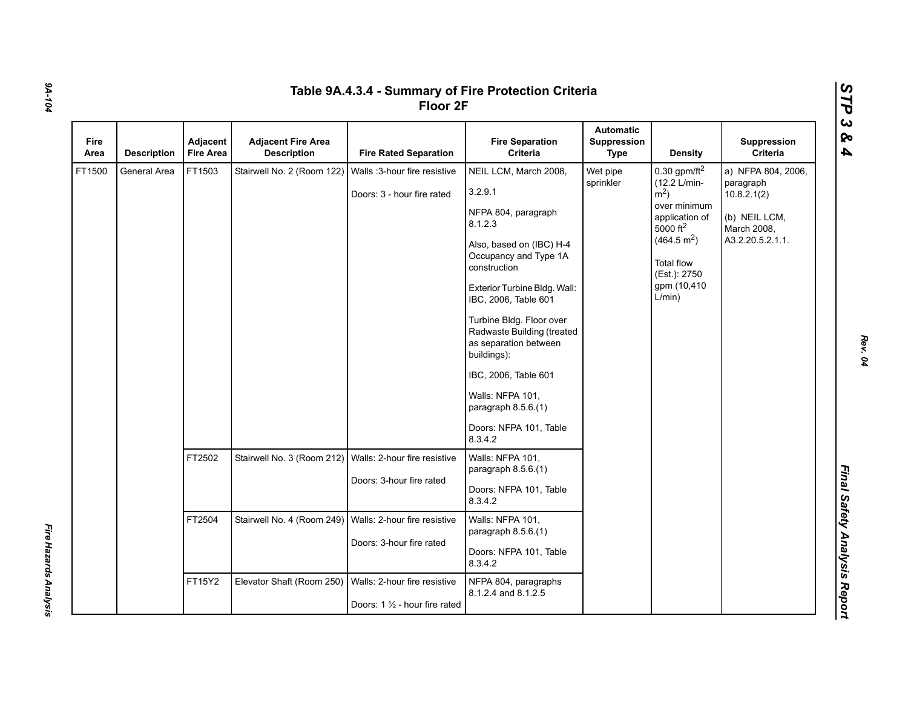| Fire<br>Area | <b>Description</b> | Adjacent<br><b>Fire Area</b> | <b>Adjacent Fire Area</b><br><b>Description</b>           | <b>Fire Rated Separation</b>                                   | <b>Fire Separation</b><br>Criteria                                                                                                                                                                                                                                                                                                                                                                        | <b>Automatic</b><br>Suppression<br><b>Type</b> | <b>Density</b>                                                                                                                                                                                           | Suppression<br>Criteria                                                                            |
|--------------|--------------------|------------------------------|-----------------------------------------------------------|----------------------------------------------------------------|-----------------------------------------------------------------------------------------------------------------------------------------------------------------------------------------------------------------------------------------------------------------------------------------------------------------------------------------------------------------------------------------------------------|------------------------------------------------|----------------------------------------------------------------------------------------------------------------------------------------------------------------------------------------------------------|----------------------------------------------------------------------------------------------------|
| FT1500       | General Area       | FT1503                       | Stairwell No. 2 (Room 122)                                | Walls :3-hour fire resistive<br>Doors: 3 - hour fire rated     | NEIL LCM, March 2008,<br>3.2.9.1<br>NFPA 804, paragraph<br>8.1.2.3<br>Also, based on (IBC) H-4<br>Occupancy and Type 1A<br>construction<br>Exterior Turbine Bldg. Wall:<br>IBC, 2006, Table 601<br>Turbine Bldg. Floor over<br>Radwaste Building (treated<br>as separation between<br>buildings):<br>IBC, 2006, Table 601<br>Walls: NFPA 101,<br>paragraph 8.5.6.(1)<br>Doors: NFPA 101, Table<br>8.3.4.2 | Wet pipe<br>sprinkler                          | 0.30 gpm/ft $^2$<br>(12.2 L/min-<br>$\rm \dot{m}^2$ )<br>over minimum<br>application of<br>5000 ft <sup>2</sup><br>(464.5 m <sup>2</sup> )<br><b>Total flow</b><br>(Est.): 2750<br>gpm (10,410<br>L/min) | a) NFPA 804, 2006,<br>paragraph<br>10.8.2.1(2)<br>(b) NEIL LCM,<br>March 2008,<br>A3.2.20.5.2.1.1. |
|              |                    | FT2502                       | Stairwell No. 3 (Room 212)                                | Walls: 2-hour fire resistive<br>Doors: 3-hour fire rated       | Walls: NFPA 101,<br>paragraph 8.5.6.(1)<br>Doors: NFPA 101, Table<br>8.3.4.2                                                                                                                                                                                                                                                                                                                              |                                                |                                                                                                                                                                                                          |                                                                                                    |
|              |                    | FT2504                       | Stairwell No. 4 (Room 249)   Walls: 2-hour fire resistive | Doors: 3-hour fire rated                                       | Walls: NFPA 101,<br>paragraph $8.5.6(1)$<br>Doors: NFPA 101, Table<br>8.3.4.2                                                                                                                                                                                                                                                                                                                             |                                                |                                                                                                                                                                                                          |                                                                                                    |
|              |                    | FT15Y2                       | Elevator Shaft (Room 250)                                 | Walls: 2-hour fire resistive<br>Doors: 1 1/2 - hour fire rated | NFPA 804, paragraphs<br>8.1.2.4 and 8.1.2.5                                                                                                                                                                                                                                                                                                                                                               |                                                |                                                                                                                                                                                                          |                                                                                                    |

*Fire Hazards Analysis* 

Fire Hazards Analysis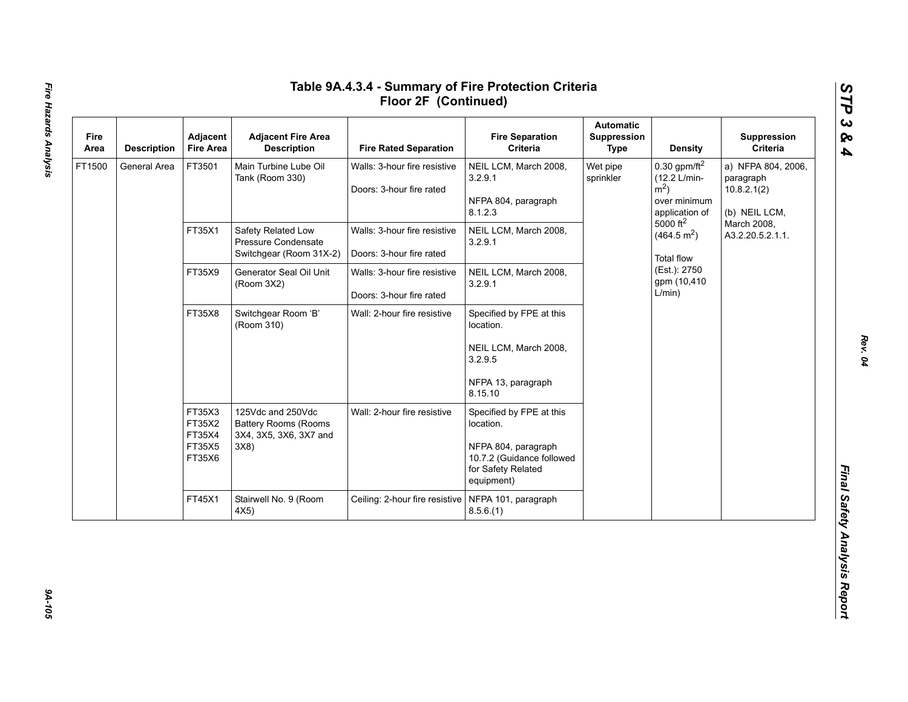| Fire<br>Area | <b>Description</b> | Adjacent<br><b>Fire Area</b>                   | <b>Adjacent Fire Area</b><br><b>Description</b>                                   | <b>Fire Rated Separation</b>                             | <b>Fire Separation</b><br>Criteria                                                                                            | <b>Automatic</b><br>Suppression<br>Type                                                                                                                                                                                         | <b>Density</b>                                                  | Suppression<br>Criteria         |
|--------------|--------------------|------------------------------------------------|-----------------------------------------------------------------------------------|----------------------------------------------------------|-------------------------------------------------------------------------------------------------------------------------------|---------------------------------------------------------------------------------------------------------------------------------------------------------------------------------------------------------------------------------|-----------------------------------------------------------------|---------------------------------|
| FT1500       | General Area       | FT3501                                         | Main Turbine Lube Oil<br>Tank (Room 330)                                          | Walls: 3-hour fire resistive<br>Doors: 3-hour fire rated | NEIL LCM, March 2008,<br>3.2.9.1<br>NFPA 804, paragraph<br>8.1.2.3                                                            | $0.30$ gpm/ft <sup>2</sup><br>Wet pipe<br>(12.2 L/min-<br>sprinkler<br>$m2$ )<br>over minimum<br>application of<br>$5000 \text{ ft}^2$<br>(464.5 m <sup>2</sup> )<br><b>Total flow</b><br>(Est.): 2750<br>gpm (10,410<br>L/min) | a) NFPA 804, 2006,<br>paragraph<br>10.8.2.1(2)<br>(b) NEIL LCM, |                                 |
|              |                    | FT35X1                                         | Safety Related Low<br>Pressure Condensate<br>Switchgear (Room 31X-2)              | Walls: 3-hour fire resistive<br>Doors: 3-hour fire rated | NEIL LCM, March 2008,<br>3.2.9.1                                                                                              |                                                                                                                                                                                                                                 |                                                                 | March 2008,<br>A3.2.20.5.2.1.1. |
|              |                    | FT35X9                                         | Generator Seal Oil Unit<br>(Room 3X2)                                             | Walls: 3-hour fire resistive<br>Doors: 3-hour fire rated | NEIL LCM, March 2008,<br>3.2.9.1                                                                                              |                                                                                                                                                                                                                                 |                                                                 |                                 |
|              |                    | FT35X8                                         | Switchgear Room 'B'<br>(Room 310)                                                 | Wall: 2-hour fire resistive                              | Specified by FPE at this<br>location.<br>NEIL LCM, March 2008,<br>3.2.9.5<br>NFPA 13, paragraph<br>8.15.10                    |                                                                                                                                                                                                                                 |                                                                 |                                 |
|              |                    | FT35X3<br>FT35X2<br>FT35X4<br>FT35X5<br>FT35X6 | 125Vdc and 250Vdc<br><b>Battery Rooms (Rooms</b><br>3X4, 3X5, 3X6, 3X7 and<br>3X8 | Wall: 2-hour fire resistive                              | Specified by FPE at this<br>location.<br>NFPA 804, paragraph<br>10.7.2 (Guidance followed<br>for Safety Related<br>equipment) |                                                                                                                                                                                                                                 |                                                                 |                                 |
|              |                    | FT45X1                                         | Stairwell No. 9 (Room<br>4X5)                                                     | Ceiling: 2-hour fire resistive                           | NFPA 101, paragraph<br>8.5.6(1)                                                                                               |                                                                                                                                                                                                                                 |                                                                 |                                 |

94-105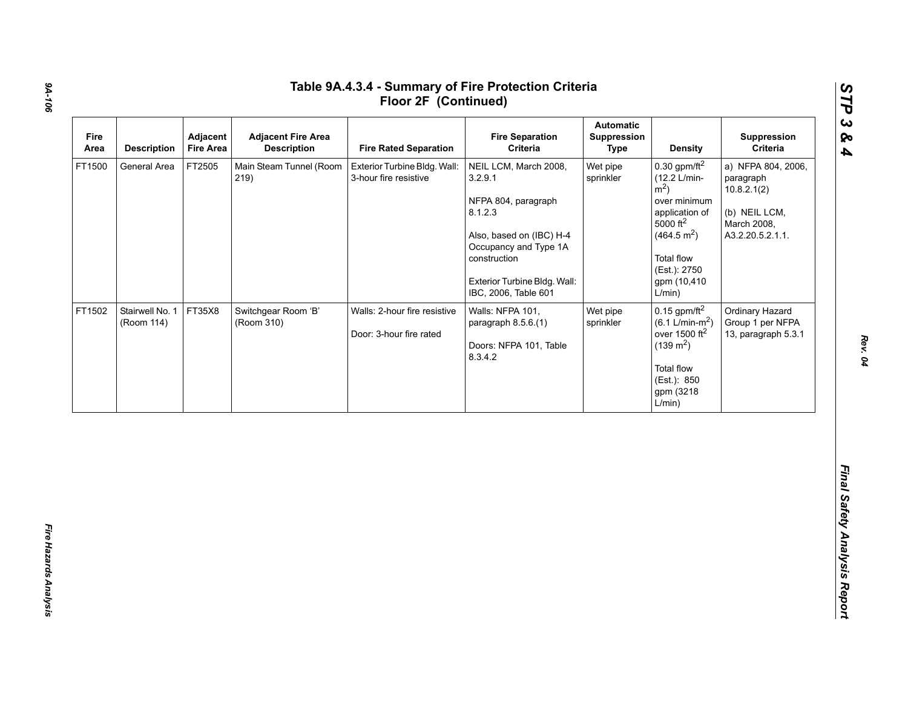| Fire<br>Area | <b>Description</b>            | Adjacent<br><b>Fire Area</b> | <b>Adjacent Fire Area</b><br><b>Description</b> | <b>Fire Rated Separation</b>                            | <b>Fire Separation</b><br>Criteria                                                                                                                                                              | <b>Automatic</b><br>Suppression<br><b>Type</b> | <b>Density</b>                                                                                                                                                                                                        | Suppression<br>Criteria                                                                            |
|--------------|-------------------------------|------------------------------|-------------------------------------------------|---------------------------------------------------------|-------------------------------------------------------------------------------------------------------------------------------------------------------------------------------------------------|------------------------------------------------|-----------------------------------------------------------------------------------------------------------------------------------------------------------------------------------------------------------------------|----------------------------------------------------------------------------------------------------|
| FT1500       | General Area                  | FT2505                       | Main Steam Tunnel (Room<br>219)                 | Exterior Turbine Bldg. Wall:<br>3-hour fire resistive   | NEIL LCM, March 2008,<br>3.2.9.1<br>NFPA 804, paragraph<br>8.1.2.3<br>Also, based on (IBC) H-4<br>Occupancy and Type 1A<br>construction<br>Exterior Turbine Bldg. Wall:<br>IBC, 2006, Table 601 | Wet pipe<br>sprinkler                          | $0.30$ gpm/ft <sup>2</sup><br>(12.2 L/min-<br>$\rm \dot{m}^2$ )<br>over minimum<br>application of<br>$5000$ ft <sup>2</sup><br>(464.5 m <sup>2</sup> )<br><b>Total flow</b><br>(Est.): 2750<br>gpm (10,410)<br>L/min) | a) NFPA 804, 2006,<br>paragraph<br>10.8.2.1(2)<br>(b) NEIL LCM,<br>March 2008,<br>A3.2.20.5.2.1.1. |
| FT1502       | Stairwell No. 1<br>(Room 114) | FT35X8                       | Switchgear Room 'B'<br>(Room 310)               | Walls: 2-hour fire resistive<br>Door: 3-hour fire rated | Walls: NFPA 101,<br>paragraph 8.5.6.(1)<br>Doors: NFPA 101, Table<br>8.3.4.2                                                                                                                    | Wet pipe<br>sprinkler                          | $0.15$ gpm/ft <sup>2</sup><br>$(6.1 \text{ L/min-m}^2)$<br>over 1500 ft <sup>2</sup><br>$(139 \text{ m}^2)$<br>Total flow<br>(Est.): 850<br>gpm (3218<br>L/min)                                                       | Ordinary Hazard<br>Group 1 per NFPA<br>13, paragraph 5.3.1                                         |

*Rev. 04*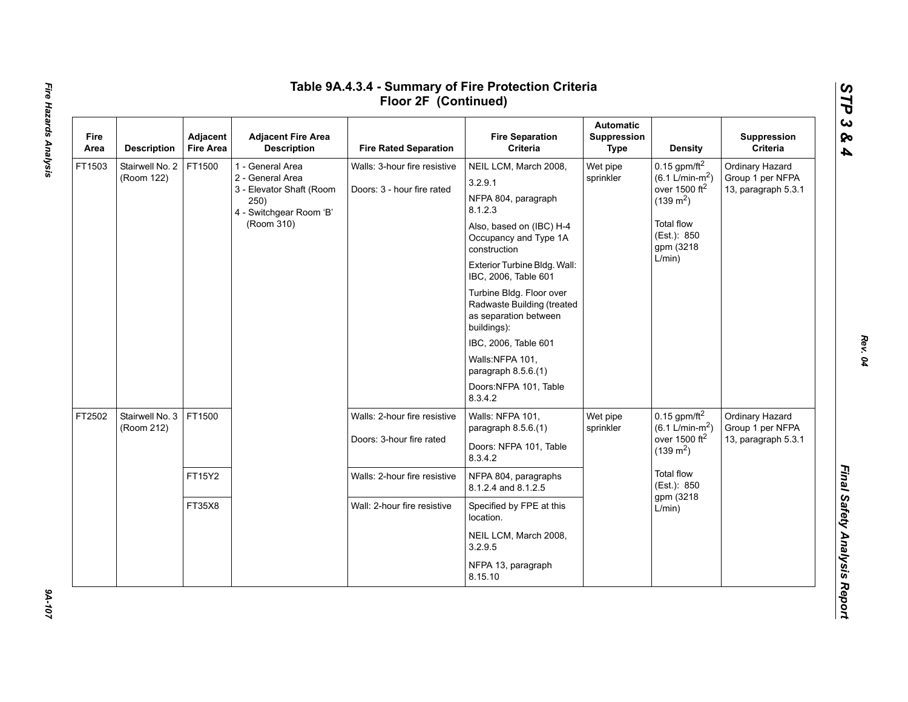| Fire<br>Area | <b>Description</b>            | Adjacent<br><b>Fire Area</b> | <b>Adjacent Fire Area</b><br><b>Description</b>                                                                   | <b>Fire Rated Separation</b>                               | <b>Fire Separation</b><br>Criteria                                                                                                                                                                                                                                                                                                                                                                   | <b>Automatic</b><br>Suppression<br>Type | Density                                                                                                                                                      | Suppression<br>Criteria                                    |
|--------------|-------------------------------|------------------------------|-------------------------------------------------------------------------------------------------------------------|------------------------------------------------------------|------------------------------------------------------------------------------------------------------------------------------------------------------------------------------------------------------------------------------------------------------------------------------------------------------------------------------------------------------------------------------------------------------|-----------------------------------------|--------------------------------------------------------------------------------------------------------------------------------------------------------------|------------------------------------------------------------|
| FT1503       | Stairwell No. 2<br>(Room 122) | FT1500                       | 1 - General Area<br>2 - General Area<br>3 - Elevator Shaft (Room<br>250)<br>4 - Switchgear Room 'B'<br>(Room 310) | Walls: 3-hour fire resistive<br>Doors: 3 - hour fire rated | NEIL LCM, March 2008,<br>3.2.9.1<br>NFPA 804, paragraph<br>8.1.2.3<br>Also, based on (IBC) H-4<br>Occupancy and Type 1A<br>construction<br>Exterior Turbine Bldg. Wall:<br>IBC, 2006, Table 601<br>Turbine Bldg. Floor over<br>Radwaste Building (treated<br>as separation between<br>buildings):<br>IBC, 2006, Table 601<br>Walls:NFPA 101,<br>paragraph 8.5.6.(1)<br>Doors:NFPA 101, Table<br>8342 | Wet pipe<br>sprinkler                   | 0.15 gpm/ft $^2$<br>$(6.1 \text{ L/min-m}^2)$<br>over 1500 ft <sup>2</sup><br>$(139 \text{ m}^2)$<br><b>Total flow</b><br>(Est.): 850<br>gpm (3218<br>L/min) | Ordinary Hazard<br>Group 1 per NFPA<br>13, paragraph 5.3.1 |
| FT2502       | Stairwell No. 3<br>(Room 212) | FT1500                       |                                                                                                                   | Walls: 2-hour fire resistive<br>Doors: 3-hour fire rated   | Walls: NFPA 101,<br>paragraph 8.5.6.(1)<br>Doors: NFPA 101, Table<br>8.3.4.2                                                                                                                                                                                                                                                                                                                         | Wet pipe<br>sprinkler                   | 0.15 gpm/ft $^2$<br>$(6.1 \text{ L/min-m}^2)$<br>over 1500 $ft2$<br>$(139 \text{ m}^2)$<br><b>Total flow</b><br>(Est.): 850<br>gpm (3218<br>L/min)           | Ordinary Hazard<br>Group 1 per NFPA<br>13, paragraph 5.3.1 |
|              |                               | FT15Y2                       |                                                                                                                   | Walls: 2-hour fire resistive                               | NFPA 804, paragraphs<br>8.1.2.4 and 8.1.2.5                                                                                                                                                                                                                                                                                                                                                          |                                         |                                                                                                                                                              |                                                            |
|              |                               | FT35X8                       |                                                                                                                   | Wall: 2-hour fire resistive                                | Specified by FPE at this<br>location.<br>NEIL LCM, March 2008,<br>3.2.9.5                                                                                                                                                                                                                                                                                                                            |                                         |                                                                                                                                                              |                                                            |
|              |                               |                              |                                                                                                                   |                                                            | NFPA 13, paragraph<br>8.15.10                                                                                                                                                                                                                                                                                                                                                                        |                                         |                                                                                                                                                              |                                                            |

# Fire Hazards Analysis *Fire Hazards Analysis 9A-107*

 $201 - 107$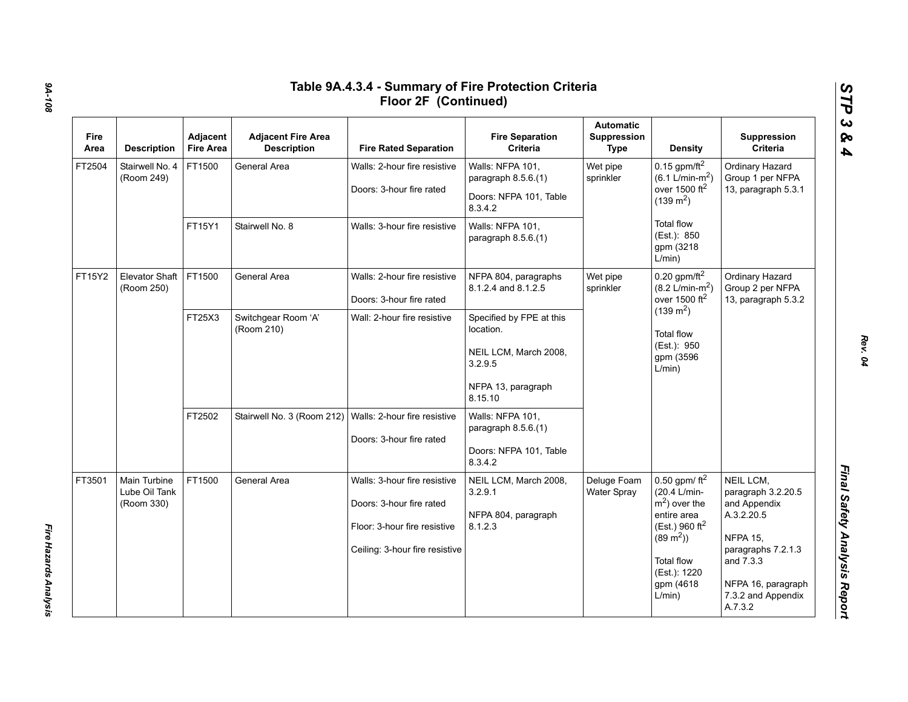| Fire<br>Area | <b>Description</b>                          | Adjacent<br><b>Fire Area</b> | <b>Adjacent Fire Area</b><br><b>Description</b> | <b>Fire Rated Separation</b>                                                                                               | <b>Fire Separation</b><br>Criteria                                                                         | <b>Automatic</b><br>Suppression<br>Type | <b>Density</b>                                                                                                                                                            | Suppression<br>Criteria                                                                                                                                                    |
|--------------|---------------------------------------------|------------------------------|-------------------------------------------------|----------------------------------------------------------------------------------------------------------------------------|------------------------------------------------------------------------------------------------------------|-----------------------------------------|---------------------------------------------------------------------------------------------------------------------------------------------------------------------------|----------------------------------------------------------------------------------------------------------------------------------------------------------------------------|
| FT2504       | Stairwell No. 4<br>(Room 249)               | FT1500                       | General Area                                    | Walls: 2-hour fire resistive<br>Doors: 3-hour fire rated                                                                   | Walls: NFPA 101,<br>paragraph 8.5.6.(1)<br>Doors: NFPA 101, Table<br>8.3.4.2                               | Wet pipe<br>sprinkler                   | 0.15 gpm/ft $^2$<br>$(6.1 L/min-m2)$<br>over 1500 $ft2$<br>$(139 \text{ m}^2)$                                                                                            | Ordinary Hazard<br>Group 1 per NFPA<br>13, paragraph 5.3.1                                                                                                                 |
|              |                                             | FT15Y1                       | Stairwell No. 8                                 | Walls: 3-hour fire resistive                                                                                               | Walls: NFPA 101,<br>paragraph $8.5.6(1)$                                                                   |                                         | <b>Total flow</b><br>(Est.): 850<br>gpm (3218<br>L/min)                                                                                                                   |                                                                                                                                                                            |
| FT15Y2       | <b>Elevator Shaft</b><br>(Room 250)         | FT1500                       | General Area                                    | Walls: 2-hour fire resistive<br>Doors: 3-hour fire rated                                                                   | NFPA 804, paragraphs<br>8.1.2.4 and 8.1.2.5                                                                | Wet pipe<br>sprinkler                   | $0.20$ gpm/ft <sup>2</sup><br>$(8.2 \text{ L/min-m}^2)$<br>over 1500 ft <sup>2</sup><br>$(139 \text{ m}^2)$<br><b>Total flow</b><br>(Est.): 950<br>gpm (3596<br>L/min)    | Ordinary Hazard<br>Group 2 per NFPA<br>13, paragraph 5.3.2                                                                                                                 |
|              |                                             | FT25X3                       | Switchgear Room 'A'<br>(Room 210)               | Wall: 2-hour fire resistive                                                                                                | Specified by FPE at this<br>location.<br>NEIL LCM, March 2008,<br>3.2.9.5<br>NFPA 13, paragraph<br>8.15.10 |                                         |                                                                                                                                                                           |                                                                                                                                                                            |
|              |                                             | FT2502                       | Stairwell No. 3 (Room 212)                      | Walls: 2-hour fire resistive<br>Doors: 3-hour fire rated                                                                   | Walls: NFPA 101,<br>paragraph 8.5.6.(1)<br>Doors: NFPA 101, Table<br>8.3.4.2                               |                                         |                                                                                                                                                                           |                                                                                                                                                                            |
| FT3501       | Main Turbine<br>Lube Oil Tank<br>(Room 330) | FT1500                       | General Area                                    | Walls: 3-hour fire resistive<br>Doors: 3-hour fire rated<br>Floor: 3-hour fire resistive<br>Ceiling: 3-hour fire resistive | NEIL LCM, March 2008,<br>3.2.9.1<br>NFPA 804, paragraph<br>8.1.2.3                                         | Deluge Foam<br>Water Spray              | 0.50 gpm/ $ft^2$<br>(20.4 L/min-<br>$m2$ ) over the<br>entire area<br>(Est.) 960 $ft^2$<br>$(89 \text{ m}^2)$<br><b>Total flow</b><br>(Est.): 1220<br>gpm (4618<br>L/min) | NEIL LCM,<br>paragraph 3.2.20.5<br>and Appendix<br>A.3.2.20.5<br><b>NFPA 15,</b><br>paragraphs 7.2.1.3<br>and 7.3.3<br>NFPA 16, paragraph<br>7.3.2 and Appendix<br>A.7.3.2 |

*9A-108*

*Fire Hazards Analysis* 

Fire Hazards Analysis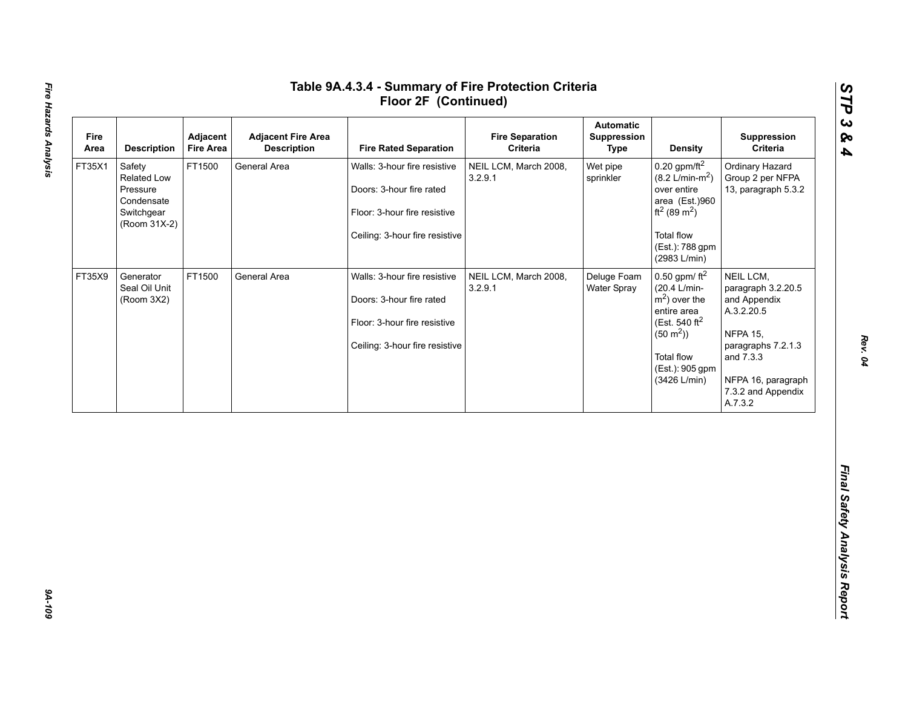| Area   | <b>Description</b>                                                            | Adjacent<br><b>Fire Area</b> | <b>Adjacent Fire Area</b><br><b>Description</b> | <b>Fire Rated Separation</b>                                                                                               | <b>Fire Separation</b><br>Criteria | <b>Automatic</b><br>Suppression<br><b>Type</b> | <b>Density</b>                                                                                                                                                                           | Suppression<br>Criteria                                                                                                                                                    |
|--------|-------------------------------------------------------------------------------|------------------------------|-------------------------------------------------|----------------------------------------------------------------------------------------------------------------------------|------------------------------------|------------------------------------------------|------------------------------------------------------------------------------------------------------------------------------------------------------------------------------------------|----------------------------------------------------------------------------------------------------------------------------------------------------------------------------|
| FT35X1 | Safety<br>Related Low<br>Pressure<br>Condensate<br>Switchgear<br>(Room 31X-2) | FT1500                       | General Area                                    | Walls: 3-hour fire resistive<br>Doors: 3-hour fire rated<br>Floor: 3-hour fire resistive<br>Ceiling: 3-hour fire resistive | NEIL LCM, March 2008,<br>3.2.9.1   | Wet pipe<br>sprinkler                          | $0.20$ gpm/ft <sup>2</sup><br>$(8.2 \text{ L/min-m}^2)$<br>over entire<br>area (Est.)960<br>ft <sup>2</sup> (89 m <sup>2</sup> )<br><b>Total flow</b><br>(Est.): 788 gpm<br>(2983 L/min) | Ordinary Hazard<br>Group 2 per NFPA<br>13, paragraph 5.3.2                                                                                                                 |
| FT35X9 | Generator<br>Seal Oil Unit<br>(Room 3X2)                                      | FT1500                       | General Area                                    | Walls: 3-hour fire resistive<br>Doors: 3-hour fire rated<br>Floor: 3-hour fire resistive<br>Ceiling: 3-hour fire resistive | NEIL LCM, March 2008,<br>3.2.9.1   | Deluge Foam<br>Water Spray                     | 0.50 gpm/ $ft^2$<br>(20.4 L/min-<br>$m2$ ) over the<br>entire area<br>(Est. 540 ft <sup>2</sup><br>$(50 \text{ m}^2)$<br><b>Total flow</b><br>(Est.): 905 gpm<br>(3426 L/min)            | NEIL LCM,<br>paragraph 3.2.20.5<br>and Appendix<br>A.3.2.20.5<br><b>NFPA 15,</b><br>paragraphs 7.2.1.3<br>and 7.3.3<br>NFPA 16, paragraph<br>7.3.2 and Appendix<br>A.7.3.2 |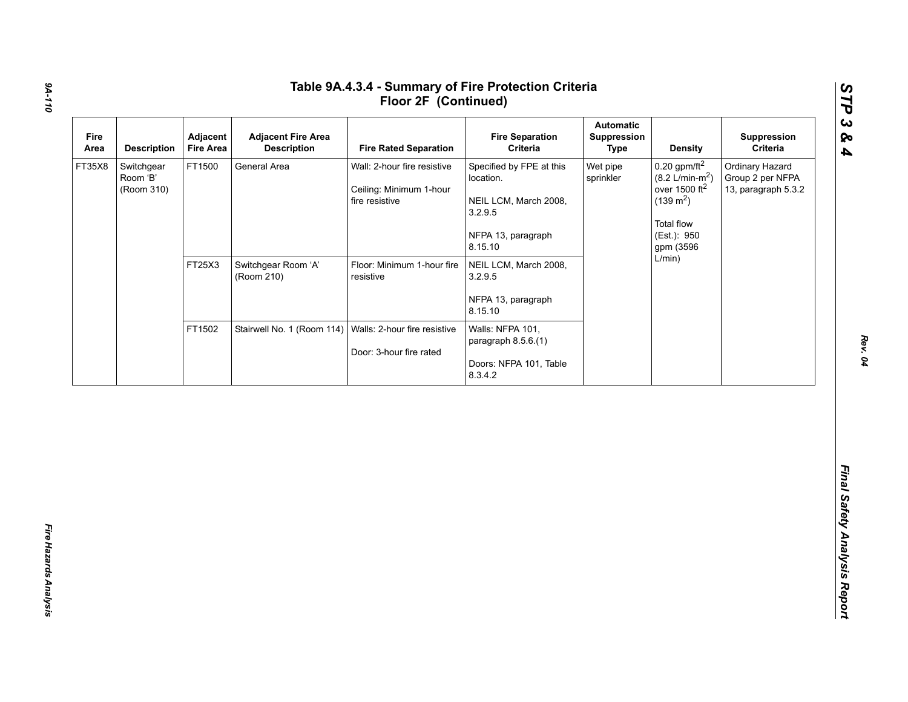| FT35X8 | <b>Description</b>                   | Adjacent<br><b>Fire Area</b> | <b>Adjacent Fire Area</b><br><b>Description</b> | <b>Fire Rated Separation</b>                                             | <b>Fire Separation</b><br>Criteria                                                                         | <b>Automatic</b><br>Suppression<br><b>Type</b> | <b>Density</b>                                                                                                                                     | Suppression<br>Criteria                                    |
|--------|--------------------------------------|------------------------------|-------------------------------------------------|--------------------------------------------------------------------------|------------------------------------------------------------------------------------------------------------|------------------------------------------------|----------------------------------------------------------------------------------------------------------------------------------------------------|------------------------------------------------------------|
|        | Switchgear<br>Room 'B'<br>(Room 310) | FT1500                       | General Area                                    | Wall: 2-hour fire resistive<br>Ceiling: Minimum 1-hour<br>fire resistive | Specified by FPE at this<br>location.<br>NEIL LCM, March 2008,<br>3.2.9.5<br>NFPA 13, paragraph<br>8.15.10 | Wet pipe<br>sprinkler                          | $0.20$ gpm/ft <sup>2</sup><br>$(8.2 \text{ L/min-m}^2)$<br>over 1500 $ft2$<br>$(139 \text{ m}^2)$<br><b>Total flow</b><br>(Est.): 950<br>gpm (3596 | Ordinary Hazard<br>Group 2 per NFPA<br>13, paragraph 5.3.2 |
|        |                                      | FT25X3                       | Switchgear Room 'A'<br>(Room 210)               | Floor: Minimum 1-hour fire<br>resistive                                  | NEIL LCM, March 2008,<br>3.2.9.5<br>NFPA 13, paragraph<br>8.15.10                                          |                                                | L/min)                                                                                                                                             |                                                            |
|        |                                      | FT1502                       | Stairwell No. 1 (Room 114)                      | Walls: 2-hour fire resistive<br>Door: 3-hour fire rated                  | Walls: NFPA 101,<br>paragraph 8.5.6.(1)<br>Doors: NFPA 101, Table<br>8.3.4.2                               |                                                |                                                                                                                                                    |                                                            |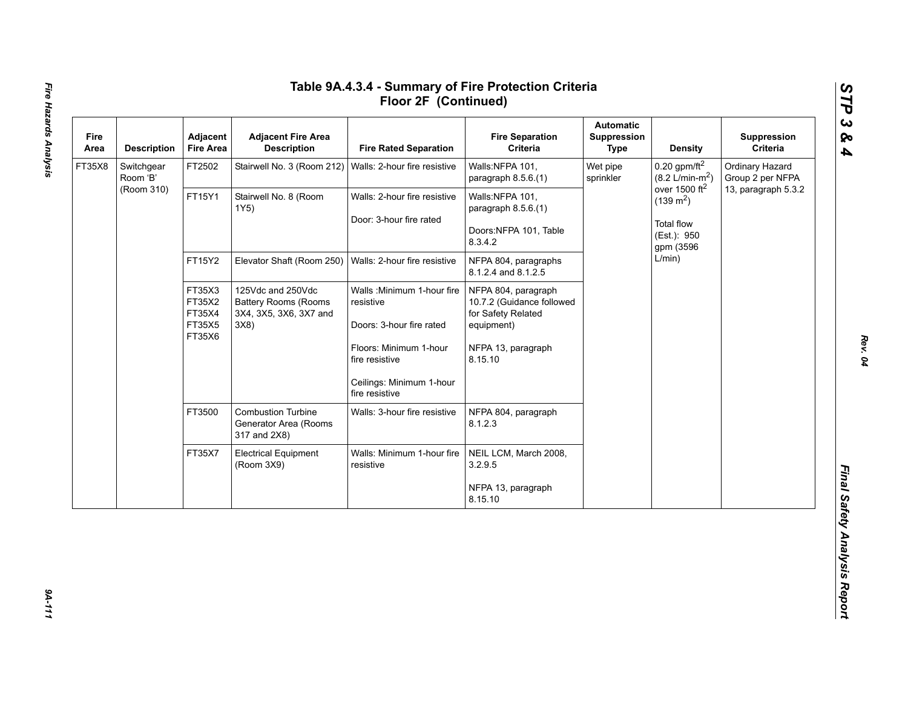| Fire<br>Area | <b>Description</b>                                       | Adjacent<br><b>Fire Area</b>                     | <b>Adjacent Fire Area</b><br><b>Description</b>                    | <b>Fire Rated Separation</b>                                           | <b>Fire Separation</b><br>Criteria          | <b>Automatic</b><br><b>Suppression</b><br><b>Type</b> | <b>Density</b>                                          | Suppression<br>Criteria             |
|--------------|----------------------------------------------------------|--------------------------------------------------|--------------------------------------------------------------------|------------------------------------------------------------------------|---------------------------------------------|-------------------------------------------------------|---------------------------------------------------------|-------------------------------------|
| FT35X8       | Switchgear<br>Room 'B'                                   | FT2502                                           | Stairwell No. 3 (Room 212)                                         | Walls: 2-hour fire resistive                                           | Walls:NFPA 101,<br>paragraph 8.5.6.(1)      | Wet pipe<br>sprinkler                                 | $0.20$ gpm/ft <sup>2</sup><br>$(8.2 \text{ L/min-m}^2)$ | Ordinary Hazard<br>Group 2 per NFPA |
|              | (Room 310)                                               | FT15Y1                                           | Stairwell No. 8 (Room<br>1Y5)                                      | Walls: 2-hour fire resistive                                           | Walls:NFPA 101,<br>paragraph 8.5.6.(1)      |                                                       | over 1500 ft <sup>2</sup><br>$(139 \text{ m}^2)$        | 13, paragraph 5.3.2                 |
|              |                                                          |                                                  |                                                                    | Door: 3-hour fire rated                                                | Doors:NFPA 101, Table<br>8.3.4.2            |                                                       | <b>Total flow</b><br>(Est.): 950<br>gpm (3596           |                                     |
|              | FT15Y2<br>FT35X3<br>FT35X2<br>FT35X4<br>FT35X5<br>FT35X6 |                                                  | Elevator Shaft (Room 250)                                          | Walls: 2-hour fire resistive                                           | NFPA 804, paragraphs<br>8.1.2.4 and 8.1.2.5 |                                                       | L/min)                                                  |                                     |
|              |                                                          | 125Vdc and 250Vdc<br><b>Battery Rooms (Rooms</b> | Walls: Minimum 1-hour fire<br>resistive                            | NFPA 804, paragraph<br>10.7.2 (Guidance followed<br>for Safety Related |                                             |                                                       |                                                         |                                     |
|              |                                                          |                                                  | 3X4, 3X5, 3X6, 3X7 and<br>3X8)                                     | Doors: 3-hour fire rated                                               | equipment)                                  |                                                       |                                                         |                                     |
|              |                                                          |                                                  |                                                                    | Floors: Minimum 1-hour<br>fire resistive                               | NFPA 13, paragraph<br>8.15.10               |                                                       |                                                         |                                     |
|              |                                                          |                                                  |                                                                    | Ceilings: Minimum 1-hour<br>fire resistive                             |                                             |                                                       |                                                         |                                     |
|              |                                                          | FT3500                                           | <b>Combustion Turbine</b><br>Generator Area (Rooms<br>317 and 2X8) | Walls: 3-hour fire resistive                                           | NFPA 804, paragraph<br>8.1.2.3              |                                                       |                                                         |                                     |
|              |                                                          | FT35X7                                           | <b>Electrical Equipment</b><br>(Room 3X9)                          | Walls: Minimum 1-hour fire<br>resistive                                | NEIL LCM, March 2008,<br>3.2.9.5            |                                                       |                                                         |                                     |
|              |                                                          |                                                  |                                                                    |                                                                        | NFPA 13, paragraph<br>8.15.10               |                                                       |                                                         |                                     |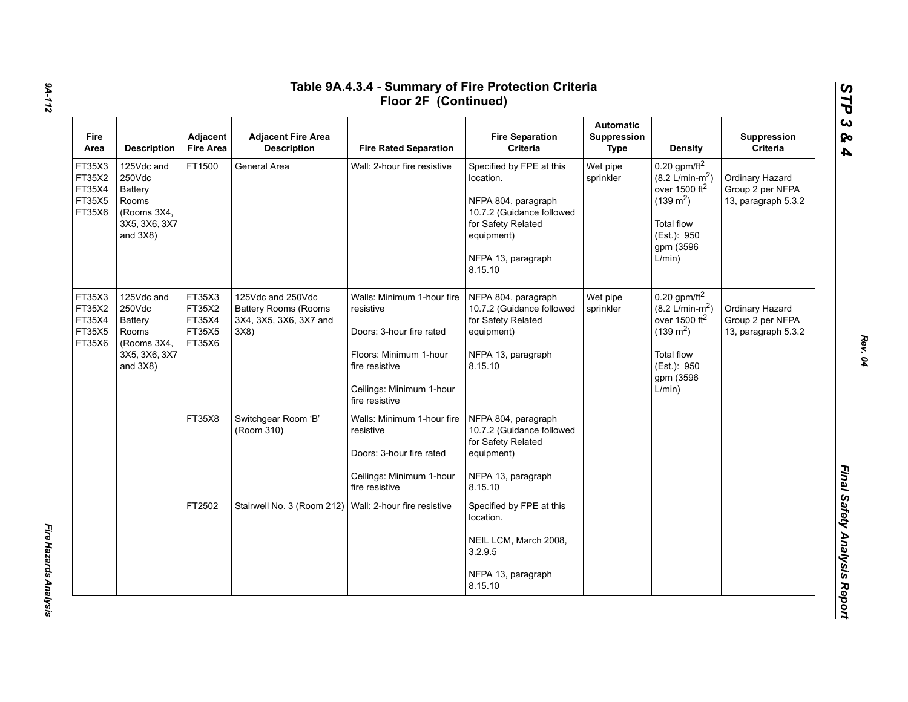| <b>Fire</b><br>Area                            | <b>Description</b>                                                                             | Adjacent<br><b>Fire Area</b>                   | <b>Adjacent Fire Area</b><br><b>Description</b>                                   | <b>Fire Rated Separation</b>                                                                                                                                  | <b>Fire Separation</b><br>Criteria                                                                                                                             | <b>Automatic</b><br>Suppression<br><b>Type</b> | <b>Density</b>                                                                                                                                                         | Suppression<br>Criteria                                    |
|------------------------------------------------|------------------------------------------------------------------------------------------------|------------------------------------------------|-----------------------------------------------------------------------------------|---------------------------------------------------------------------------------------------------------------------------------------------------------------|----------------------------------------------------------------------------------------------------------------------------------------------------------------|------------------------------------------------|------------------------------------------------------------------------------------------------------------------------------------------------------------------------|------------------------------------------------------------|
| FT35X3<br>FT35X2<br>FT35X4<br>FT35X5<br>FT35X6 | 125Vdc and<br>250Vdc<br>Battery<br><b>Rooms</b><br>(Rooms 3X4,<br>3X5, 3X6, 3X7<br>and $3X8$ ) | FT1500                                         | General Area                                                                      | Wall: 2-hour fire resistive                                                                                                                                   | Specified by FPE at this<br>location.<br>NFPA 804, paragraph<br>10.7.2 (Guidance followed<br>for Safety Related<br>equipment)<br>NFPA 13, paragraph<br>8.15.10 | Wet pipe<br>sprinkler                          | $0.20$ gpm/ft <sup>2</sup><br>$(8.2 \text{ L/min-m}^2)$<br>over 1500 ft <sup>2</sup><br>$(139 \text{ m}^2)$<br><b>Total flow</b><br>(Est.): 950<br>gpm (3596<br>L/min) | Ordinary Hazard<br>Group 2 per NFPA<br>13, paragraph 5.3.2 |
| FT35X3<br>FT35X2<br>FT35X4<br>FT35X5<br>FT35X6 | 125Vdc and<br>250Vdc<br>Battery<br>Rooms<br>(Rooms 3X4,<br>3X5, 3X6, 3X7<br>and $3X8$ )        | FT35X3<br>FT35X2<br>FT35X4<br>FT35X5<br>FT35X6 | 125Vdc and 250Vdc<br><b>Battery Rooms (Rooms</b><br>3X4, 3X5, 3X6, 3X7 and<br>3X8 | Walls: Minimum 1-hour fire<br>resistive<br>Doors: 3-hour fire rated<br>Floors: Minimum 1-hour<br>fire resistive<br>Ceilings: Minimum 1-hour<br>fire resistive | NFPA 804, paragraph<br>10.7.2 (Guidance followed<br>for Safety Related<br>equipment)<br>NFPA 13, paragraph<br>8.15.10                                          | Wet pipe<br>sprinkler                          | $0.20$ gpm/ft <sup>2</sup><br>$(8.2 \text{ L/min-m}^2)$<br>over 1500 $ft2$<br>$(139 \text{ m}^2)$<br><b>Total flow</b><br>(Est.): 950<br>gpm (3596<br>L/min)           | Ordinary Hazard<br>Group 2 per NFPA<br>13, paragraph 5.3.2 |
|                                                |                                                                                                | FT35X8                                         | Switchgear Room 'B'<br>(Room 310)                                                 | Walls: Minimum 1-hour fire<br>resistive<br>Doors: 3-hour fire rated<br>Ceilings: Minimum 1-hour<br>fire resistive                                             | NFPA 804, paragraph<br>10.7.2 (Guidance followed<br>for Safety Related<br>equipment)<br>NFPA 13, paragraph<br>8.15.10                                          |                                                |                                                                                                                                                                        |                                                            |
|                                                |                                                                                                | FT2502                                         | Stairwell No. 3 (Room 212)                                                        | Wall: 2-hour fire resistive                                                                                                                                   | Specified by FPE at this<br>location.<br>NEIL LCM, March 2008,<br>3.2.9.5<br>NFPA 13, paragraph<br>8.15.10                                                     |                                                |                                                                                                                                                                        |                                                            |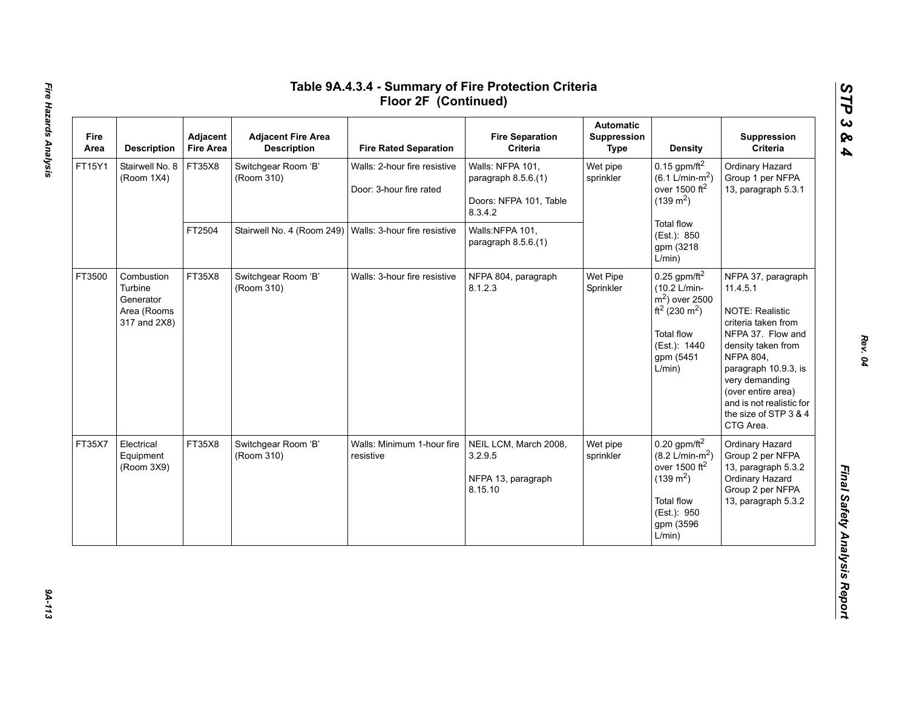| Fire<br>Area | <b>Description</b>                                                | Adjacent<br><b>Fire Area</b> | <b>Adjacent Fire Area</b><br><b>Description</b> | <b>Fire Rated Separation</b>                            | <b>Fire Separation</b><br>Criteria                                           | <b>Automatic</b><br>Suppression<br>Type | Density                                                                                                                                                         | Suppression<br>Criteria                                                                                                                                                                                                                                                          |
|--------------|-------------------------------------------------------------------|------------------------------|-------------------------------------------------|---------------------------------------------------------|------------------------------------------------------------------------------|-----------------------------------------|-----------------------------------------------------------------------------------------------------------------------------------------------------------------|----------------------------------------------------------------------------------------------------------------------------------------------------------------------------------------------------------------------------------------------------------------------------------|
| FT15Y1       | Stairwell No. 8<br>(Room 1X4)                                     | FT35X8                       | Switchgear Room 'B'<br>(Room 310)               | Walls: 2-hour fire resistive<br>Door: 3-hour fire rated | Walls: NFPA 101,<br>paragraph 8.5.6.(1)<br>Doors: NFPA 101, Table<br>8.3.4.2 | Wet pipe<br>sprinkler                   | 0.15 gpm/ft $^2$<br>$(6.1 \text{ L/min-m}^2)$<br>over 1500 $ft2$<br>$(139 \text{ m}^2)$                                                                         | Ordinary Hazard<br>Group 1 per NFPA<br>13, paragraph 5.3.1                                                                                                                                                                                                                       |
|              |                                                                   | FT2504                       | Stairwell No. 4 (Room 249)                      | Walls: 3-hour fire resistive                            | Walls:NFPA 101,<br>paragraph 8.5.6.(1)                                       |                                         | Total flow<br>(Est.): 850<br>gpm (3218<br>L/min)                                                                                                                |                                                                                                                                                                                                                                                                                  |
| FT3500       | Combustion<br>Turbine<br>Generator<br>Area (Rooms<br>317 and 2X8) | FT35X8                       | Switchgear Room 'B'<br>(Room 310)               | Walls: 3-hour fire resistive                            | NFPA 804, paragraph<br>8.1.2.3                                               | Wet Pipe<br>Sprinkler                   | $0.25$ gpm/ft <sup>2</sup><br>(10.2 L/min-<br>$m2$ ) over 2500<br>ft <sup>2</sup> (230 m <sup>2</sup> )<br>Total flow<br>(Est.): 1440<br>gpm (5451<br>L/min)    | NFPA 37, paragraph<br>11.4.5.1<br><b>NOTE: Realistic</b><br>criteria taken from<br>NFPA 37. Flow and<br>density taken from<br><b>NFPA 804,</b><br>paragraph 10.9.3, is<br>very demanding<br>(over entire area)<br>and is not realistic for<br>the size of STP 3 & 4<br>CTG Area. |
| FT35X7       | Electrical<br>Equipment<br>(Room 3X9)                             | FT35X8                       | Switchgear Room 'B'<br>(Room 310)               | Walls: Minimum 1-hour fire<br>resistive                 | NEIL LCM, March 2008,<br>3.2.9.5<br>NFPA 13, paragraph<br>8.15.10            | Wet pipe<br>sprinkler                   | $0.20$ gpm/ft <sup>2</sup><br>$(8.2 \text{ L/min-m}^2)$<br>over 1500 ft <sup>2</sup><br>$(139 \text{ m}^2)$<br>Total flow<br>(Est.): 950<br>gpm (3596<br>L/min) | Ordinary Hazard<br>Group 2 per NFPA<br>13, paragraph 5.3.2<br>Ordinary Hazard<br>Group 2 per NFPA<br>13, paragraph 5.3.2                                                                                                                                                         |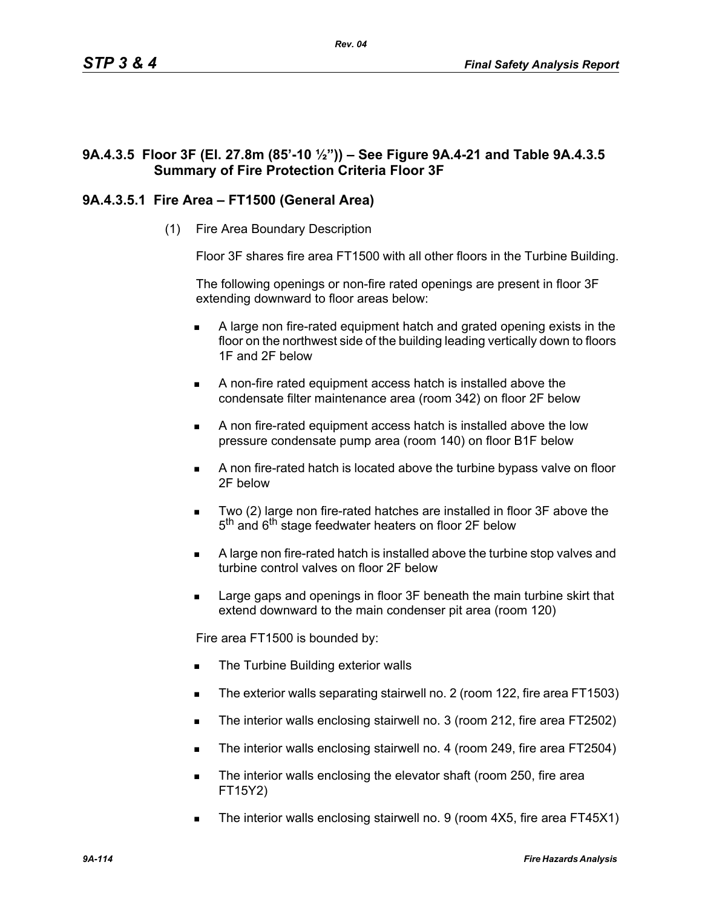# **9A.4.3.5 Floor 3F (El. 27.8m (85'-10 ½")) – See Figure 9A.4-21 and Table 9A.4.3.5 Summary of Fire Protection Criteria Floor 3F**

# **9A.4.3.5.1 Fire Area – FT1500 (General Area)**

(1) Fire Area Boundary Description

Floor 3F shares fire area FT1500 with all other floors in the Turbine Building.

The following openings or non-fire rated openings are present in floor 3F extending downward to floor areas below:

- A large non fire-rated equipment hatch and grated opening exists in the floor on the northwest side of the building leading vertically down to floors 1F and 2F below
- A non-fire rated equipment access hatch is installed above the condensate filter maintenance area (room 342) on floor 2F below
- A non fire-rated equipment access hatch is installed above the low pressure condensate pump area (room 140) on floor B1F below
- A non fire-rated hatch is located above the turbine bypass valve on floor 2F below
- Two (2) large non fire-rated hatches are installed in floor 3F above the 5<sup>th</sup> and 6<sup>th</sup> stage feedwater heaters on floor 2F below
- A large non fire-rated hatch is installed above the turbine stop valves and turbine control valves on floor 2F below
- Large gaps and openings in floor 3F beneath the main turbine skirt that extend downward to the main condenser pit area (room 120)

Fire area FT1500 is bounded by:

- The Turbine Building exterior walls
- The exterior walls separating stairwell no. 2 (room 122, fire area FT1503)
- The interior walls enclosing stairwell no. 3 (room 212, fire area FT2502)
- The interior walls enclosing stairwell no. 4 (room 249, fire area FT2504)
- The interior walls enclosing the elevator shaft (room 250, fire area FT15Y2)
- The interior walls enclosing stairwell no. 9 (room 4X5, fire area FT45X1)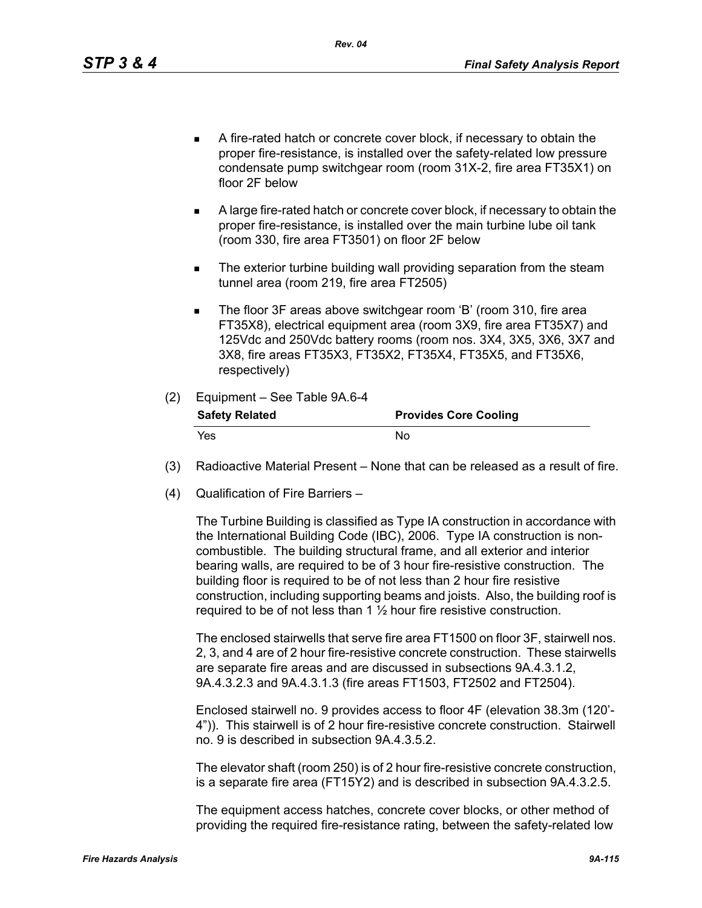- A fire-rated hatch or concrete cover block, if necessary to obtain the proper fire-resistance, is installed over the safety-related low pressure condensate pump switchgear room (room 31X-2, fire area FT35X1) on floor 2F below
- A large fire-rated hatch or concrete cover block, if necessary to obtain the proper fire-resistance, is installed over the main turbine lube oil tank (room 330, fire area FT3501) on floor 2F below
- **The exterior turbine building wall providing separation from the steam** tunnel area (room 219, fire area FT2505)
- The floor 3F areas above switchgear room 'B' (room 310, fire area FT35X8), electrical equipment area (room 3X9, fire area FT35X7) and 125Vdc and 250Vdc battery rooms (room nos. 3X4, 3X5, 3X6, 3X7 and 3X8, fire areas FT35X3, FT35X2, FT35X4, FT35X5, and FT35X6, respectively)

#### (2) Equipment – See Table 9A.6-4

| <b>Safety Related</b> | <b>Provides Core Cooling</b> |
|-----------------------|------------------------------|
| Yes.                  | No.                          |

- (3) Radioactive Material Present None that can be released as a result of fire.
- (4) Qualification of Fire Barriers –

The Turbine Building is classified as Type IA construction in accordance with the International Building Code (IBC), 2006. Type IA construction is noncombustible. The building structural frame, and all exterior and interior bearing walls, are required to be of 3 hour fire-resistive construction. The building floor is required to be of not less than 2 hour fire resistive construction, including supporting beams and joists. Also, the building roof is required to be of not less than 1 ½ hour fire resistive construction.

The enclosed stairwells that serve fire area FT1500 on floor 3F, stairwell nos. 2, 3, and 4 are of 2 hour fire-resistive concrete construction. These stairwells are separate fire areas and are discussed in subsections 9A.4.3.1.2, 9A.4.3.2.3 and 9A.4.3.1.3 (fire areas FT1503, FT2502 and FT2504).

Enclosed stairwell no. 9 provides access to floor 4F (elevation 38.3m (120'- 4")). This stairwell is of 2 hour fire-resistive concrete construction. Stairwell no. 9 is described in subsection 9A.4.3.5.2.

The elevator shaft (room 250) is of 2 hour fire-resistive concrete construction, is a separate fire area (FT15Y2) and is described in subsection 9A.4.3.2.5.

The equipment access hatches, concrete cover blocks, or other method of providing the required fire-resistance rating, between the safety-related low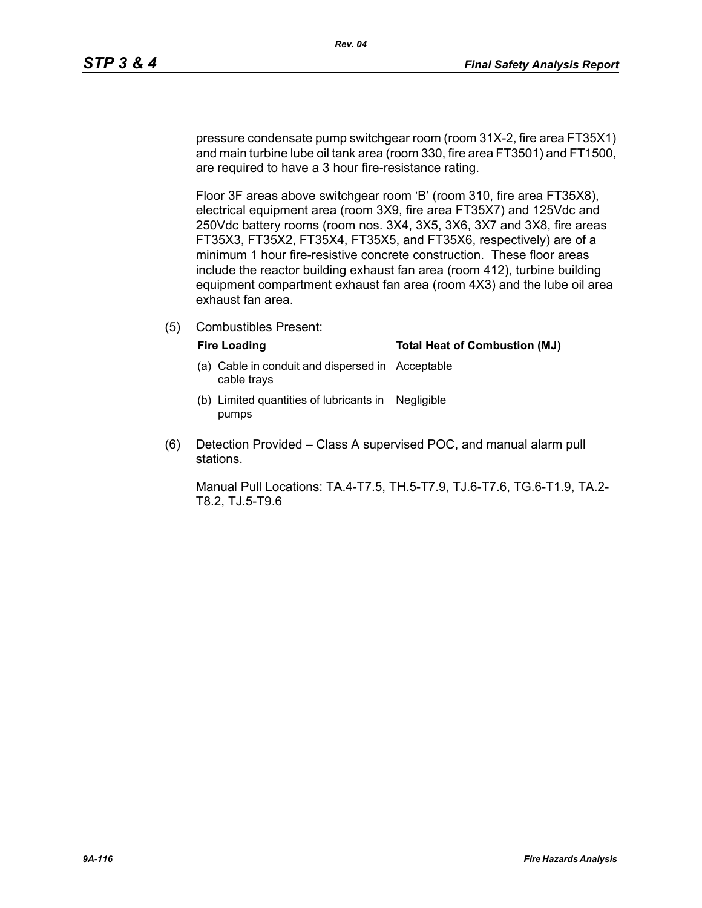pressure condensate pump switchgear room (room 31X-2, fire area FT35X1) and main turbine lube oil tank area (room 330, fire area FT3501) and FT1500, are required to have a 3 hour fire-resistance rating.

Floor 3F areas above switchgear room 'B' (room 310, fire area FT35X8), electrical equipment area (room 3X9, fire area FT35X7) and 125Vdc and 250Vdc battery rooms (room nos. 3X4, 3X5, 3X6, 3X7 and 3X8, fire areas FT35X3, FT35X2, FT35X4, FT35X5, and FT35X6, respectively) are of a minimum 1 hour fire-resistive concrete construction. These floor areas include the reactor building exhaust fan area (room 412), turbine building equipment compartment exhaust fan area (room 4X3) and the lube oil area exhaust fan area.

(5) Combustibles Present:

|     | <b>Fire Loading</b>                                         | <b>Total Heat of Combustion (MJ)</b> |
|-----|-------------------------------------------------------------|--------------------------------------|
| a). | Cable in conduit and dispersed in Acceptable<br>cable trays |                                      |
|     | (b) Limited quantities of lubricants in Negligible<br>pumps |                                      |

(6) Detection Provided – Class A supervised POC, and manual alarm pull stations.

Manual Pull Locations: TA.4-T7.5, TH.5-T7.9, TJ.6-T7.6, TG.6-T1.9, TA.2- T8.2, TJ.5-T9.6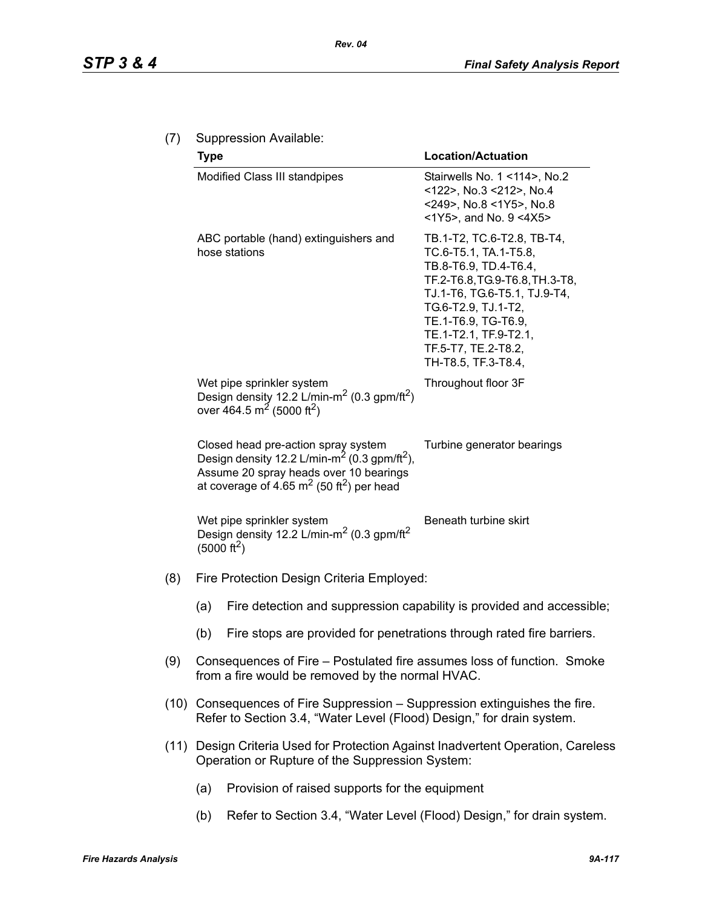| (7) | Suppression Available: |
|-----|------------------------|
|-----|------------------------|

|     | <b>Type</b>                                                                                                                                                                                                      | <b>Location/Actuation</b>                                                                                                                                                                                                                                           |  |  |  |
|-----|------------------------------------------------------------------------------------------------------------------------------------------------------------------------------------------------------------------|---------------------------------------------------------------------------------------------------------------------------------------------------------------------------------------------------------------------------------------------------------------------|--|--|--|
|     | Modified Class III standpipes                                                                                                                                                                                    | Stairwells No. 1 <114>, No.2<br><122>, No.3 <212>, No.4<br><249>, No.8 <1Y5>, No.8<br><1Y5>, and No. 9 <4X5>                                                                                                                                                        |  |  |  |
|     | ABC portable (hand) extinguishers and<br>hose stations                                                                                                                                                           | TB.1-T2, TC.6-T2.8, TB-T4,<br>TC.6-T5.1, TA.1-T5.8,<br>TB.8-T6.9, TD.4-T6.4,<br>TF.2-T6.8, TG.9-T6.8, TH.3-T8,<br>TJ.1-T6, TG.6-T5.1, TJ.9-T4,<br>TG.6-T2.9, TJ.1-T2,<br>TE.1-T6.9, TG-T6.9,<br>TE.1-T2.1, TF.9-T2.1,<br>TF.5-T7, TE.2-T8.2,<br>TH-T8.5, TF.3-T8.4, |  |  |  |
|     | Wet pipe sprinkler system<br>Design density 12.2 L/min-m <sup>2</sup> (0.3 gpm/ft <sup>2</sup> )<br>over 464.5 m <sup>2</sup> (5000 ft <sup>2</sup> )                                                            | Throughout floor 3F                                                                                                                                                                                                                                                 |  |  |  |
|     | Closed head pre-action spray system<br>Design density 12.2 L/min-m <sup>2</sup> (0.3 gpm/ft <sup>2</sup> ),<br>Assume 20 spray heads over 10 bearings<br>at coverage of 4.65 $m2$ (50 ft <sup>2</sup> ) per head | Turbine generator bearings                                                                                                                                                                                                                                          |  |  |  |
|     | Wet pipe sprinkler system<br>Design density 12.2 L/min-m <sup>2</sup> (0.3 gpm/ft <sup>2</sup> )<br>(5000 ft <sup>2</sup> )                                                                                      | Beneath turbine skirt                                                                                                                                                                                                                                               |  |  |  |
| (8) | Fire Protection Design Criteria Employed:                                                                                                                                                                        |                                                                                                                                                                                                                                                                     |  |  |  |
|     | (a)                                                                                                                                                                                                              | Fire detection and suppression capability is provided and accessible;                                                                                                                                                                                               |  |  |  |
|     | Fire stops are provided for penetrations through rated fire barriers.<br>(b)                                                                                                                                     |                                                                                                                                                                                                                                                                     |  |  |  |
| (9) | Consequences of Fire – Postulated fire assumes loss of function. Smoke<br>from a fire would be removed by the normal HVAC.                                                                                       |                                                                                                                                                                                                                                                                     |  |  |  |
|     | (10) Consequences of Fire Suppression – Suppression extinguishes the fire.<br>Refer to Section 3.4, "Water Level (Flood) Design," for drain system.                                                              |                                                                                                                                                                                                                                                                     |  |  |  |
|     | (11) Design Criteria Used for Protection Against Inadvertent Operation, Careless<br>Operation or Rupture of the Suppression System:                                                                              |                                                                                                                                                                                                                                                                     |  |  |  |
|     | Provision of raised supports for the equipment<br>(a)                                                                                                                                                            |                                                                                                                                                                                                                                                                     |  |  |  |

(b) Refer to Section 3.4, "Water Level (Flood) Design," for drain system.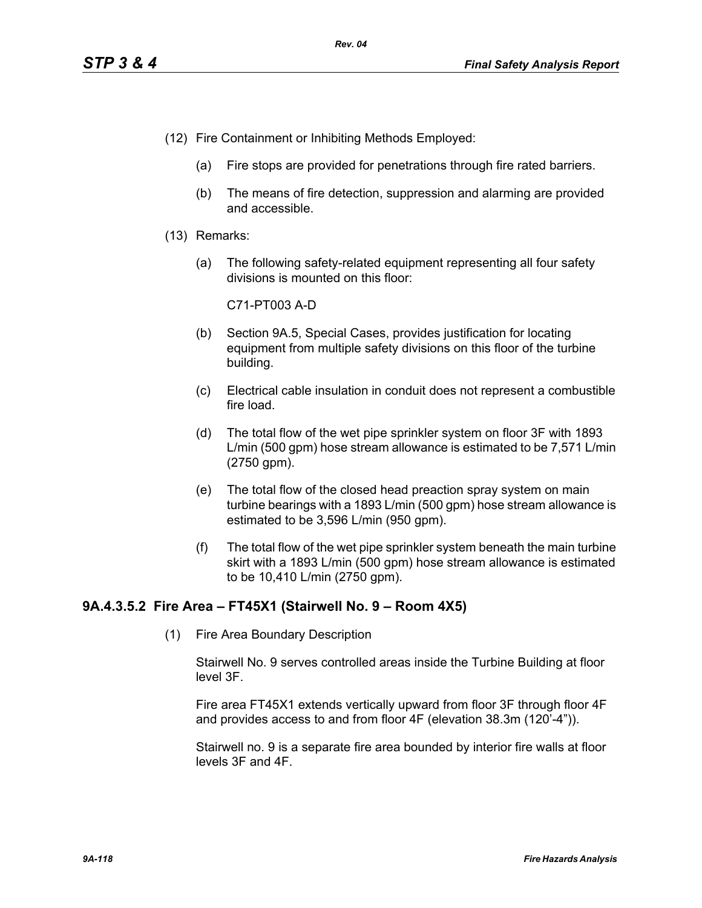- (12) Fire Containment or Inhibiting Methods Employed:
	- (a) Fire stops are provided for penetrations through fire rated barriers.
	- (b) The means of fire detection, suppression and alarming are provided and accessible.
- (13) Remarks:
	- (a) The following safety-related equipment representing all four safety divisions is mounted on this floor:

C71-PT003 A-D

- (b) Section 9A.5, Special Cases, provides justification for locating equipment from multiple safety divisions on this floor of the turbine building.
- (c) Electrical cable insulation in conduit does not represent a combustible fire load.
- (d) The total flow of the wet pipe sprinkler system on floor 3F with 1893 L/min (500 gpm) hose stream allowance is estimated to be 7,571 L/min (2750 gpm).
- (e) The total flow of the closed head preaction spray system on main turbine bearings with a 1893 L/min (500 gpm) hose stream allowance is estimated to be 3,596 L/min (950 gpm).
- (f) The total flow of the wet pipe sprinkler system beneath the main turbine skirt with a 1893 L/min (500 gpm) hose stream allowance is estimated to be 10,410 L/min (2750 gpm).

## **9A.4.3.5.2 Fire Area – FT45X1 (Stairwell No. 9 – Room 4X5)**

(1) Fire Area Boundary Description

Stairwell No. 9 serves controlled areas inside the Turbine Building at floor level 3F.

Fire area FT45X1 extends vertically upward from floor 3F through floor 4F and provides access to and from floor 4F (elevation 38.3m (120'-4")).

Stairwell no. 9 is a separate fire area bounded by interior fire walls at floor levels 3F and 4F.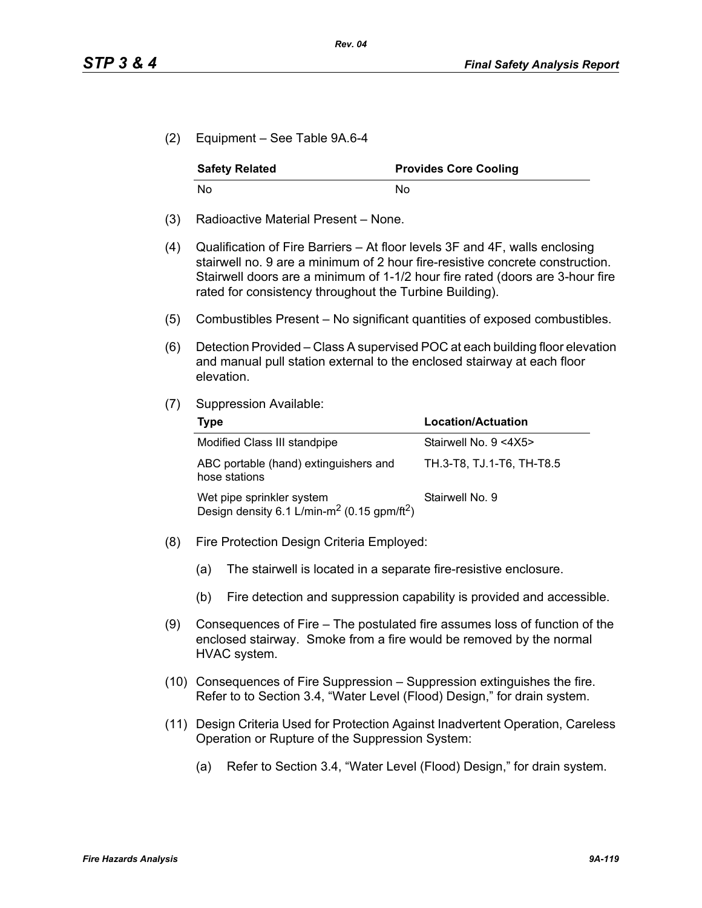(2) Equipment – See Table 9A.6-4

| <b>Safety Related</b> | <b>Provides Core Cooling</b> |
|-----------------------|------------------------------|
| No                    | Nο                           |

- (3) Radioactive Material Present None.
- (4) Qualification of Fire Barriers At floor levels 3F and 4F, walls enclosing stairwell no. 9 are a minimum of 2 hour fire-resistive concrete construction. Stairwell doors are a minimum of 1-1/2 hour fire rated (doors are 3-hour fire rated for consistency throughout the Turbine Building).
- (5) Combustibles Present No significant quantities of exposed combustibles.
- (6) Detection Provided Class A supervised POC at each building floor elevation and manual pull station external to the enclosed stairway at each floor elevation.
- (7) Suppression Available:

| Type                                                                                             | <b>Location/Actuation</b> |
|--------------------------------------------------------------------------------------------------|---------------------------|
| Modified Class III standpipe                                                                     | Stairwell No. 9 <4X5>     |
| ABC portable (hand) extinguishers and<br>hose stations                                           | TH.3-T8, TJ.1-T6, TH-T8.5 |
| Wet pipe sprinkler system<br>Design density 6.1 L/min-m <sup>2</sup> (0.15 gpm/ft <sup>2</sup> ) | Stairwell No. 9           |

- (8) Fire Protection Design Criteria Employed:
	- (a) The stairwell is located in a separate fire-resistive enclosure.
	- (b) Fire detection and suppression capability is provided and accessible.
- (9) Consequences of Fire The postulated fire assumes loss of function of the enclosed stairway. Smoke from a fire would be removed by the normal HVAC system.
- (10) Consequences of Fire Suppression Suppression extinguishes the fire. Refer to to Section 3.4, "Water Level (Flood) Design," for drain system.
- (11) Design Criteria Used for Protection Against Inadvertent Operation, Careless Operation or Rupture of the Suppression System:
	- (a) Refer to Section 3.4, "Water Level (Flood) Design," for drain system.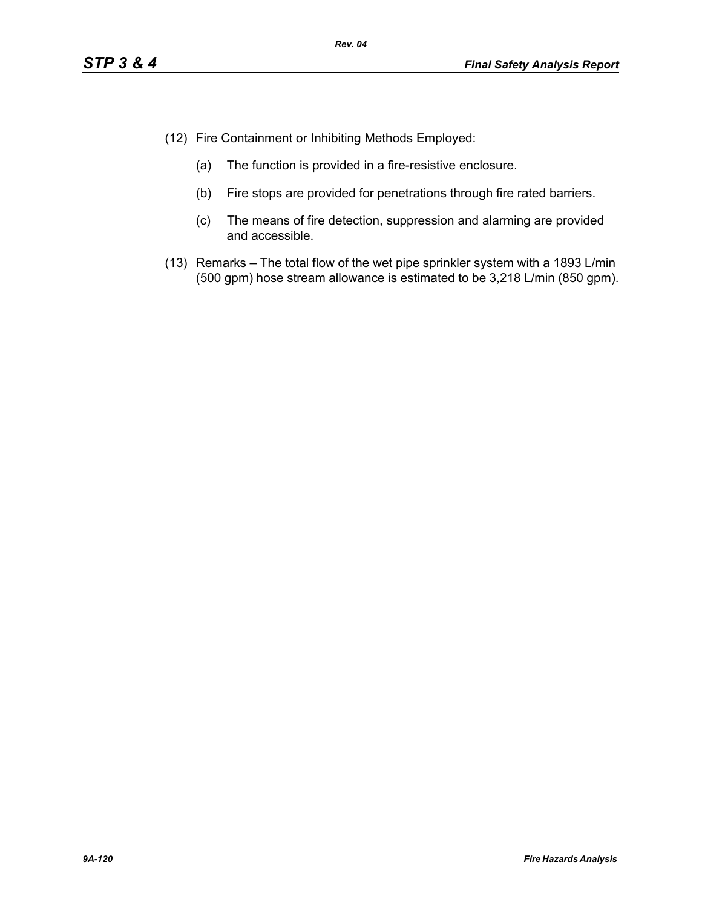- (12) Fire Containment or Inhibiting Methods Employed:
	- (a) The function is provided in a fire-resistive enclosure.
	- (b) Fire stops are provided for penetrations through fire rated barriers.
	- (c) The means of fire detection, suppression and alarming are provided and accessible.
- (13) Remarks The total flow of the wet pipe sprinkler system with a 1893 L/min (500 gpm) hose stream allowance is estimated to be 3,218 L/min (850 gpm).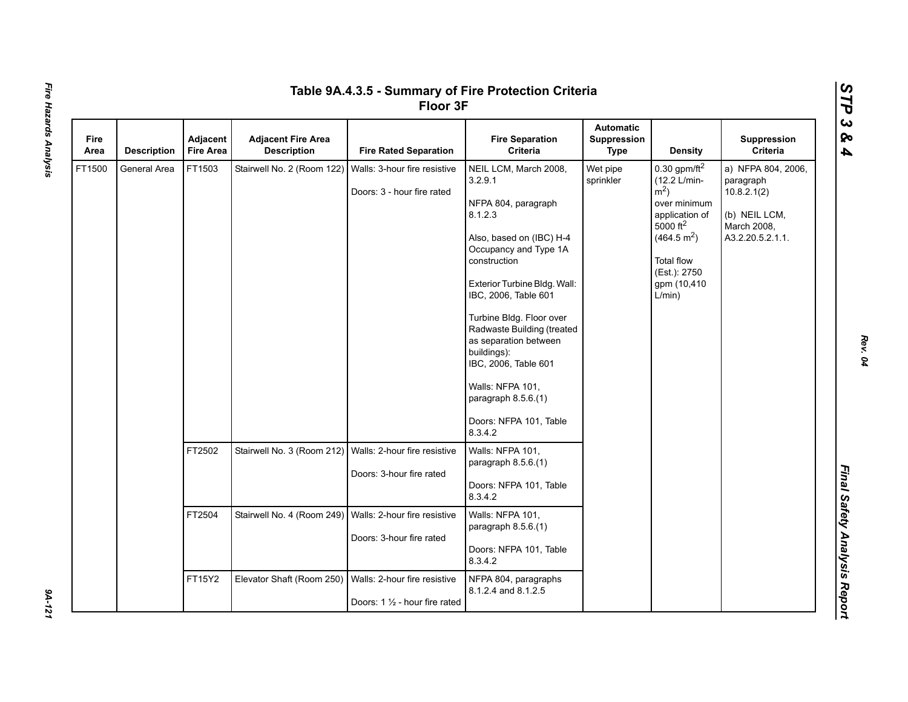|              |                    |                              |                                                 | Table 9A.4.3.5 - Summary of Fire Protection Criteria<br>Floor 3F |                                                                                                                                                                                                                                                                                                                                                                                                           |                                                       |                                                                                                                                                                                                      |                                                                                                    |
|--------------|--------------------|------------------------------|-------------------------------------------------|------------------------------------------------------------------|-----------------------------------------------------------------------------------------------------------------------------------------------------------------------------------------------------------------------------------------------------------------------------------------------------------------------------------------------------------------------------------------------------------|-------------------------------------------------------|------------------------------------------------------------------------------------------------------------------------------------------------------------------------------------------------------|----------------------------------------------------------------------------------------------------|
| Fire<br>Area | <b>Description</b> | Adjacent<br><b>Fire Area</b> | <b>Adjacent Fire Area</b><br><b>Description</b> | <b>Fire Rated Separation</b>                                     | <b>Fire Separation</b><br>Criteria                                                                                                                                                                                                                                                                                                                                                                        | <b>Automatic</b><br><b>Suppression</b><br><b>Type</b> | <b>Density</b>                                                                                                                                                                                       | Suppression<br><b>Criteria</b>                                                                     |
| FT1500       | General Area       | FT1503                       | Stairwell No. 2 (Room 122)                      | Walls: 3-hour fire resistive<br>Doors: 3 - hour fire rated       | NEIL LCM, March 2008,<br>3.2.9.1<br>NFPA 804, paragraph<br>8.1.2.3<br>Also, based on (IBC) H-4<br>Occupancy and Type 1A<br>construction<br>Exterior Turbine Bldg. Wall:<br>IBC, 2006, Table 601<br>Turbine Bldg. Floor over<br>Radwaste Building (treated<br>as separation between<br>buildings):<br>IBC, 2006, Table 601<br>Walls: NFPA 101,<br>paragraph 8.5.6.(1)<br>Doors: NFPA 101, Table<br>8.3.4.2 | Wet pipe<br>sprinkler                                 | 0.30 gpm/ft $^2$<br>(12.2 L/min-<br>$\rm \dot{m}^2$ )<br>over minimum<br>application of<br>$5000$ ft <sup>2</sup><br>(464.5 m <sup>2</sup> )<br>Total flow<br>(Est.): 2750<br>gpm (10,410)<br>L/min) | a) NFPA 804, 2006,<br>paragraph<br>10.8.2.1(2)<br>(b) NEIL LCM,<br>March 2008,<br>A3.2.20.5.2.1.1. |
|              |                    | FT2502                       | Stairwell No. 3 (Room 212)                      | Walls: 2-hour fire resistive<br>Doors: 3-hour fire rated         | Walls: NFPA 101,<br>paragraph 8.5.6.(1)<br>Doors: NFPA 101, Table<br>8.3.4.2                                                                                                                                                                                                                                                                                                                              |                                                       |                                                                                                                                                                                                      |                                                                                                    |
|              |                    | FT2504                       | Stairwell No. 4 (Room 249)                      | Walls: 2-hour fire resistive<br>Doors: 3-hour fire rated         | Walls: NFPA 101,<br>paragraph 8.5.6.(1)<br>Doors: NFPA 101, Table<br>8.3.4.2                                                                                                                                                                                                                                                                                                                              |                                                       |                                                                                                                                                                                                      |                                                                                                    |
|              |                    | FT15Y2                       | Elevator Shaft (Room 250)                       | Walls: 2-hour fire resistive<br>Doors: 1 1/2 - hour fire rated   | NFPA 804, paragraphs<br>8.1.2.4 and 8.1.2.5                                                                                                                                                                                                                                                                                                                                                               |                                                       |                                                                                                                                                                                                      |                                                                                                    |

9A-121

*Rev. 04*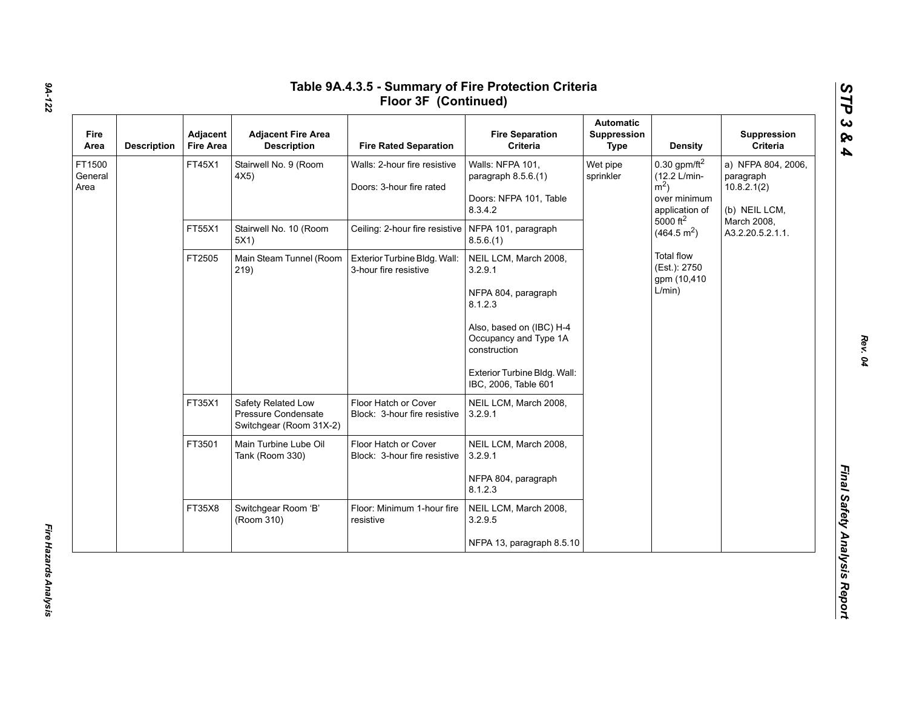| Fire<br>Area              | <b>Description</b> | Adjacent<br><b>Fire Area</b>   | <b>Adjacent Fire Area</b><br><b>Description</b>                      | <b>Fire Rated Separation</b>                             | <b>Fire Separation</b><br>Criteria                                                                                                                                                              | Automatic<br>Suppression<br><b>Type</b>           | <b>Density</b>                                                                          | Suppression<br>Criteria                                         |
|---------------------------|--------------------|--------------------------------|----------------------------------------------------------------------|----------------------------------------------------------|-------------------------------------------------------------------------------------------------------------------------------------------------------------------------------------------------|---------------------------------------------------|-----------------------------------------------------------------------------------------|-----------------------------------------------------------------|
| FT1500<br>General<br>Area |                    | FT45X1                         | Stairwell No. 9 (Room<br>4X5)                                        | Walls: 2-hour fire resistive<br>Doors: 3-hour fire rated | Walls: NFPA 101,<br>paragraph 8.5.6.(1)<br>Doors: NFPA 101, Table<br>8.3.4.2                                                                                                                    | Wet pipe<br>sprinkler                             | 0.30 gpm/ft $^2$<br>(12.2 L/min-<br>$\rm \dot{m}^2$ )<br>over minimum<br>application of | a) NFPA 804, 2006,<br>paragraph<br>10.8.2.1(2)<br>(b) NEIL LCM, |
|                           | FT55X1             | Stairwell No. 10 (Room<br>5X1) | Ceiling: 2-hour fire resistive   NFPA 101, paragraph                 | 8.5.6(1)                                                 |                                                                                                                                                                                                 | $5000$ ft <sup>2</sup><br>(464.5 m <sup>2</sup> ) | March 2008,<br>A3.2.20.5.2.1.1.                                                         |                                                                 |
|                           |                    | FT2505                         | Main Steam Tunnel (Room<br>219)                                      | Exterior Turbine Bldg. Wall:<br>3-hour fire resistive    | NEIL LCM, March 2008,<br>3.2.9.1<br>NFPA 804, paragraph<br>8.1.2.3<br>Also, based on (IBC) H-4<br>Occupancy and Type 1A<br>construction<br>Exterior Turbine Bldg. Wall:<br>IBC, 2006, Table 601 |                                                   | <b>Total flow</b><br>(Est.): 2750<br>gpm (10,410)<br>L/min)                             |                                                                 |
|                           |                    | FT35X1                         | Safety Related Low<br>Pressure Condensate<br>Switchgear (Room 31X-2) | Floor Hatch or Cover<br>Block: 3-hour fire resistive     | NEIL LCM, March 2008,<br>3.2.9.1                                                                                                                                                                |                                                   |                                                                                         |                                                                 |
|                           |                    | FT3501                         | Main Turbine Lube Oil<br>Tank (Room 330)                             | Floor Hatch or Cover<br>Block: 3-hour fire resistive     | NEIL LCM, March 2008,<br>3.2.9.1<br>NFPA 804, paragraph<br>8.1.2.3                                                                                                                              |                                                   |                                                                                         |                                                                 |
|                           |                    | FT35X8                         | Switchgear Room 'B'<br>(Room 310)                                    | Floor: Minimum 1-hour fire<br>resistive                  | NEIL LCM, March 2008,<br>3.2.9.5                                                                                                                                                                |                                                   |                                                                                         |                                                                 |
|                           |                    |                                |                                                                      |                                                          | NFPA 13, paragraph 8.5.10                                                                                                                                                                       |                                                   |                                                                                         |                                                                 |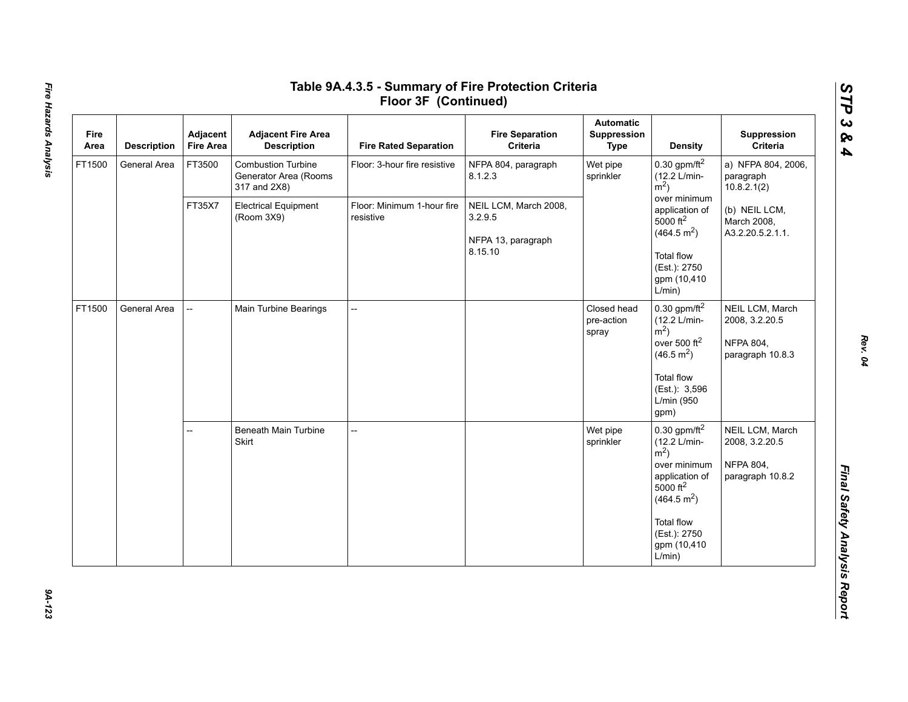| Fire<br>Area | <b>Description</b> | Adjacent<br><b>Fire Area</b> | <b>Adjacent Fire Area</b><br><b>Description</b>                    | <b>Fire Rated Separation</b>            | <b>Fire Separation</b><br>Criteria                     | <b>Automatic</b><br>Suppression<br><b>Type</b> | <b>Density</b>                                                                                                                                                                                        | Suppression<br>Criteria                                                   |
|--------------|--------------------|------------------------------|--------------------------------------------------------------------|-----------------------------------------|--------------------------------------------------------|------------------------------------------------|-------------------------------------------------------------------------------------------------------------------------------------------------------------------------------------------------------|---------------------------------------------------------------------------|
| FT1500       | General Area       | FT3500                       | <b>Combustion Turbine</b><br>Generator Area (Rooms<br>317 and 2X8) | Floor: 3-hour fire resistive            | NFPA 804, paragraph<br>8.1.2.3                         | Wet pipe<br>sprinkler                          | 0.30 gpm/ft $^2$<br>(12.2 L/min-<br>$\rm \dot{m}^2$ )                                                                                                                                                 | a) NFPA 804, 2006,<br>paragraph<br>10.8.2.1(2)                            |
|              |                    | FT35X7                       | <b>Electrical Equipment</b><br>(Room 3X9)                          | Floor: Minimum 1-hour fire<br>resistive | NEIL LCM, March 2008,<br>3.2.9.5<br>NFPA 13, paragraph |                                                | over minimum<br>application of<br>$5000$ ft <sup>2</sup><br>(464.5 m <sup>2</sup> )                                                                                                                   | (b) NEIL LCM,<br>March 2008,<br>A3.2.20.5.2.1.1.                          |
|              |                    |                              |                                                                    |                                         | 8.15.10                                                |                                                | <b>Total flow</b><br>(Est.): 2750<br>gpm (10,410)<br>L/min)                                                                                                                                           |                                                                           |
| FT1500       | General Area       | --                           | Main Turbine Bearings                                              | $\overline{a}$                          |                                                        | Closed head<br>pre-action<br>spray             | $0.30$ gpm/ft <sup>2</sup><br>(12.2 L/min-<br>$\rm \dot{m}^2$ )<br>over 500 $ft^2$<br>(46.5 m <sup>2</sup> )<br><b>Total flow</b><br>(Est.): 3,596<br>L/min (950<br>gpm)                              | NEIL LCM, March<br>2008, 3.2.20.5<br><b>NFPA 804,</b><br>paragraph 10.8.3 |
|              |                    | --                           | <b>Beneath Main Turbine</b><br>Skirt                               | --                                      |                                                        | Wet pipe<br>sprinkler                          | $0.30$ gpm/ft $^2$<br>(12.2 L/min-<br>$\rm \dot{m}^2$ )<br>over minimum<br>application of<br>$5000$ ft <sup>2</sup><br>(464.5 m <sup>2</sup> )<br>Total flow<br>(Est.): 2750<br>gpm (10,410<br>L/min) | NEIL LCM, March<br>2008, 3.2.20.5<br><b>NFPA 804,</b><br>paragraph 10.8.2 |

# Fire Hazards Analysis *Fire Hazards Analysis 9A-123*

*STP 3 & 4*

94-123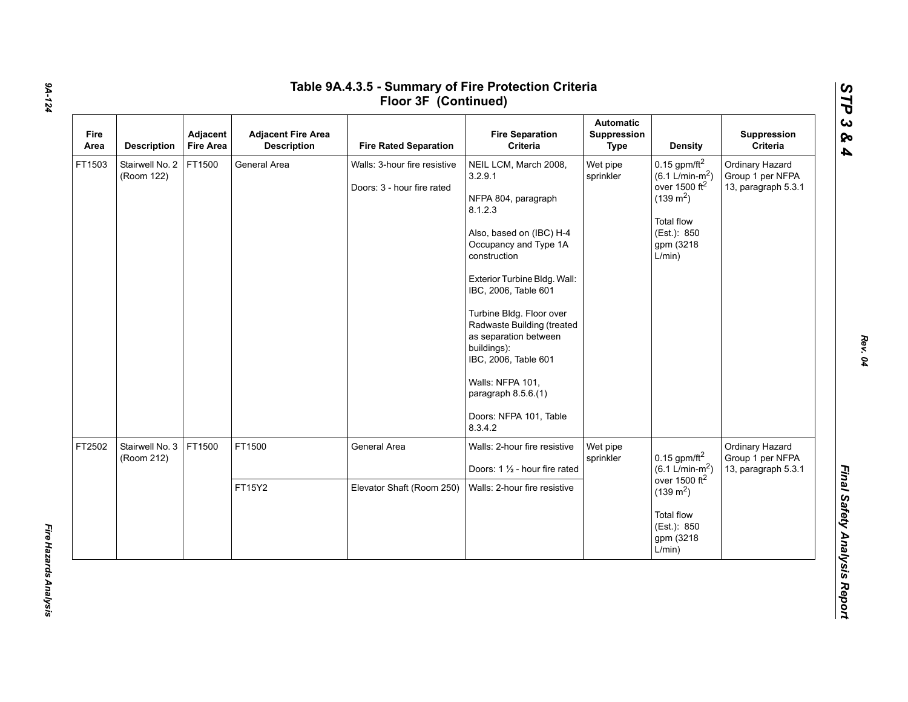| Fire<br>Area | <b>Description</b>            | Adjacent<br><b>Fire Area</b> | <b>Adjacent Fire Area</b><br><b>Description</b> | <b>Fire Rated Separation</b>                               | <b>Fire Separation</b><br>Criteria                                                                                                                                                                                                                                                                                                                                                                        | <b>Automatic</b><br>Suppression<br><b>Type</b> | <b>Density</b>                                                                                                                                        | Suppression<br>Criteria                                    |  |  |  |  |        |              |                                                                |                       |                                                         |                                                            |
|--------------|-------------------------------|------------------------------|-------------------------------------------------|------------------------------------------------------------|-----------------------------------------------------------------------------------------------------------------------------------------------------------------------------------------------------------------------------------------------------------------------------------------------------------------------------------------------------------------------------------------------------------|------------------------------------------------|-------------------------------------------------------------------------------------------------------------------------------------------------------|------------------------------------------------------------|--|--|--|--|--------|--------------|----------------------------------------------------------------|-----------------------|---------------------------------------------------------|------------------------------------------------------------|
| FT1503       | Stairwell No. 2<br>(Room 122) | FT1500                       | General Area                                    | Walls: 3-hour fire resistive<br>Doors: 3 - hour fire rated | NEIL LCM, March 2008,<br>3.2.9.1<br>NFPA 804, paragraph<br>8.1.2.3<br>Also, based on (IBC) H-4<br>Occupancy and Type 1A<br>construction<br>Exterior Turbine Bldg. Wall:<br>IBC, 2006, Table 601<br>Turbine Bldg. Floor over<br>Radwaste Building (treated<br>as separation between<br>buildings):<br>IBC, 2006, Table 601<br>Walls: NFPA 101,<br>paragraph 8.5.6.(1)<br>Doors: NFPA 101, Table<br>8.3.4.2 | Wet pipe<br>sprinkler                          | $0.15$ gpm/ft <sup>2</sup><br>$(6.1 \text{ L/min-m}^2)$<br>over 1500 $ft2$<br>$(139 \text{ m}^2)$<br>Total flow<br>(Est.): 850<br>gpm (3218<br>L/min) | Ordinary Hazard<br>Group 1 per NFPA<br>13, paragraph 5.3.1 |  |  |  |  |        |              |                                                                |                       |                                                         |                                                            |
| FT2502       | Stairwell No. 3<br>(Room 212) | FT1500                       |                                                 |                                                            |                                                                                                                                                                                                                                                                                                                                                                                                           |                                                |                                                                                                                                                       |                                                            |  |  |  |  | FT1500 | General Area | Walls: 2-hour fire resistive<br>Doors: 1 1/2 - hour fire rated | Wet pipe<br>sprinkler | 0.15 gpm/ft $^2$<br>$(6.1 L/min-m2)$<br>over 1500 $ft2$ | Ordinary Hazard<br>Group 1 per NFPA<br>13, paragraph 5.3.1 |
|              |                               |                              | FT15Y2                                          | Elevator Shaft (Room 250)                                  | Walls: 2-hour fire resistive                                                                                                                                                                                                                                                                                                                                                                              |                                                | $(139 \text{ m}^2)$<br><b>Total flow</b><br>(Est.): 850<br>gpm (3218)<br>L/min)                                                                       |                                                            |  |  |  |  |        |              |                                                                |                       |                                                         |                                                            |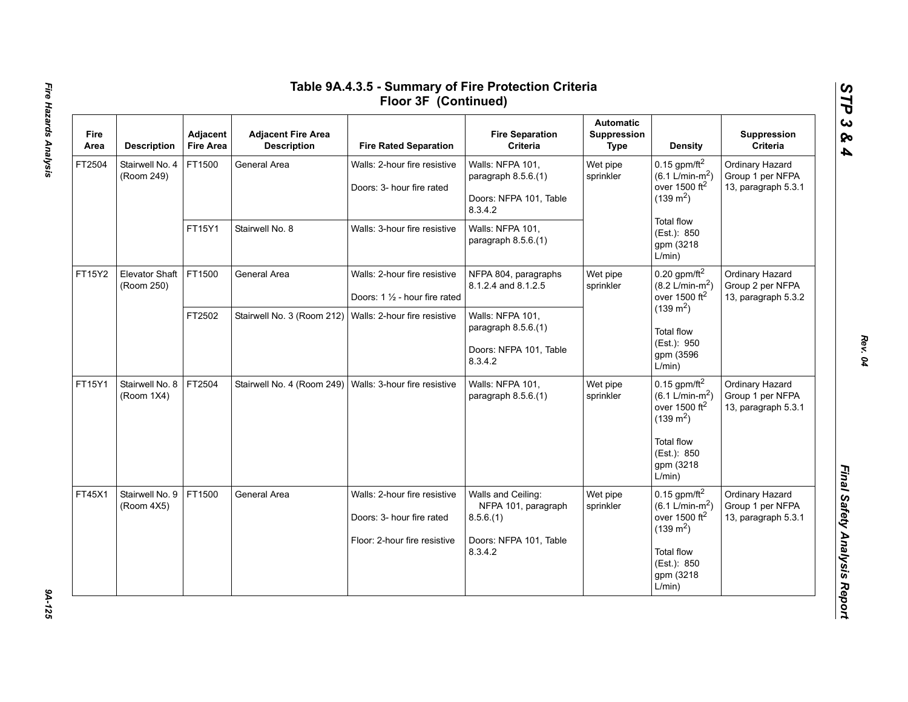| Fire<br>Area | <b>Description</b>                  | Adjacent<br><b>Fire Area</b> | <b>Adjacent Fire Area</b><br><b>Description</b>           | <b>Fire Rated Separation</b>                                                              | <b>Fire Separation</b><br>Criteria                                                         | <b>Automatic</b><br>Suppression<br><b>Type</b>         | Density                                                                                                                                                                     | Suppression<br>Criteria                                    |
|--------------|-------------------------------------|------------------------------|-----------------------------------------------------------|-------------------------------------------------------------------------------------------|--------------------------------------------------------------------------------------------|--------------------------------------------------------|-----------------------------------------------------------------------------------------------------------------------------------------------------------------------------|------------------------------------------------------------|
| FT2504       | Stairwell No. 4<br>(Room 249)       | FT1500                       | General Area                                              | Walls: 2-hour fire resistive<br>Doors: 3- hour fire rated                                 | Walls: NFPA 101,<br>paragraph 8.5.6.(1)<br>Doors: NFPA 101, Table<br>8.3.4.2               | Wet pipe<br>sprinkler                                  | $0.15$ gpm/ft <sup>2</sup><br>$(6.1 \text{ L/min-m}^2)$<br>over 1500 $ft2$<br>$(139 \text{ m}^2)$                                                                           | Ordinary Hazard<br>Group 1 per NFPA<br>13, paragraph 5.3.1 |
|              |                                     | FT15Y1                       | Stairwell No. 8                                           | Walls: 3-hour fire resistive                                                              | Walls: NFPA 101,<br>paragraph 8.5.6.(1)                                                    |                                                        | <b>Total flow</b><br>(Est.): 850<br>gpm (3218<br>L/min)                                                                                                                     |                                                            |
| FT15Y2       | <b>Elevator Shaft</b><br>(Room 250) | FT1500                       | General Area                                              | Walls: 2-hour fire resistive<br>Doors: $1\frac{1}{2}$ - hour fire rated                   | NFPA 804, paragraphs<br>8.1.2.4 and 8.1.2.5                                                | Wet pipe<br>sprinkler<br>$(139 \text{ m}^2)$<br>L/min) | $0.20$ gpm/ft <sup>2</sup><br>$(8.2 \text{ L/min-m}^2)$<br>over 1500 $ft2$                                                                                                  | Ordinary Hazard<br>Group 2 per NFPA<br>13, paragraph 5.3.2 |
|              |                                     | FT2502                       | Stairwell No. 3 (Room 212)   Walls: 2-hour fire resistive |                                                                                           | Walls: NFPA 101,<br>paragraph 8.5.6.(1)<br>Doors: NFPA 101, Table<br>8.3.4.2               |                                                        | <b>Total flow</b><br>(Est.): 950<br>gpm (3596                                                                                                                               |                                                            |
| FT15Y1       | Stairwell No. 8<br>(Room 1X4)       | FT2504                       | Stairwell No. 4 (Room 249)   Walls: 3-hour fire resistive |                                                                                           | Walls: NFPA 101,<br>paragraph 8.5.6.(1)                                                    | Wet pipe<br>sprinkler                                  | $0.15$ gpm/ft $^2$<br>$(6.1 \text{ L/min-m}^2)$<br>over 1500 $ft2$<br>$(139 \text{ m}^2)$<br><b>Total flow</b><br>(Est.): 850<br>gpm (3218<br>L/min)                        | Ordinary Hazard<br>Group 1 per NFPA<br>13, paragraph 5.3.1 |
| FT45X1       | Stairwell No. 9<br>(Room 4X5)       | FT1500                       | General Area                                              | Walls: 2-hour fire resistive<br>Doors: 3- hour fire rated<br>Floor: 2-hour fire resistive | Walls and Ceiling:<br>NFPA 101, paragraph<br>8.5.6(1)<br>Doors: NFPA 101, Table<br>8.3.4.2 | Wet pipe<br>sprinkler                                  | $0.15$ gpm/ft <sup>2</sup><br>$(6.1 \text{ L/min-m}^2)$<br>over 1500 $\,$ ft <sup>2</sup><br>$(139 \text{ m}^2)$<br><b>Total flow</b><br>(Est.): 850<br>gpm (3218<br>L/min) | Ordinary Hazard<br>Group 1 per NFPA<br>13, paragraph 5.3.1 |

*STP 3 & 4*

9A-125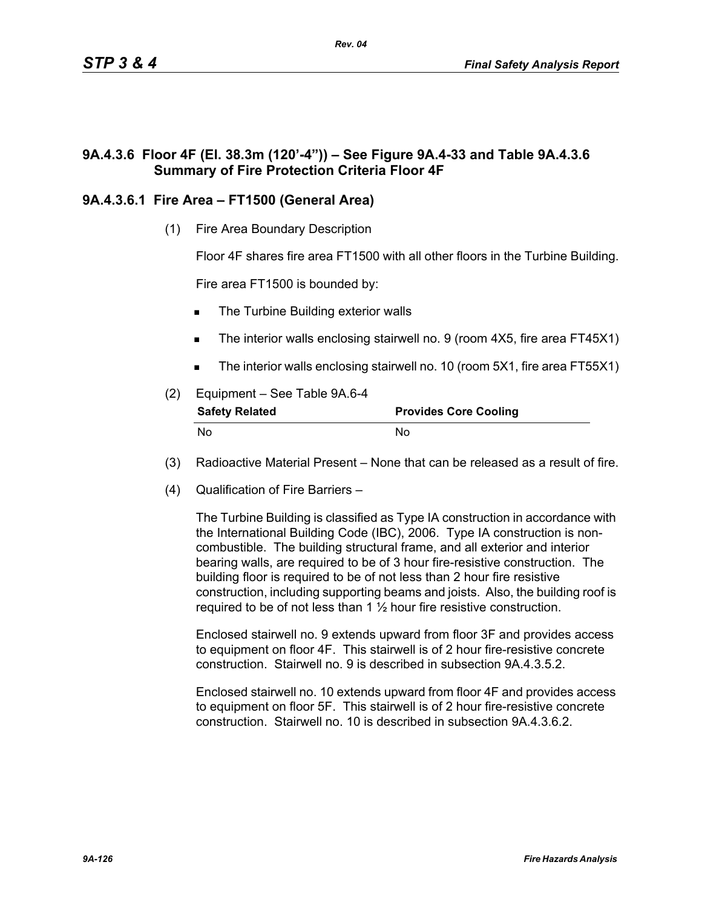# **9A.4.3.6 Floor 4F (El. 38.3m (120'-4")) – See Figure 9A.4-33 and Table 9A.4.3.6 Summary of Fire Protection Criteria Floor 4F**

# **9A.4.3.6.1 Fire Area – FT1500 (General Area)**

(1) Fire Area Boundary Description

Floor 4F shares fire area FT1500 with all other floors in the Turbine Building.

Fire area FT1500 is bounded by:

- The Turbine Building exterior walls
- The interior walls enclosing stairwell no. 9 (room 4X5, fire area FT45X1)
- The interior walls enclosing stairwell no. 10 (room 5X1, fire area FT55X1)
- (2) Equipment See Table 9A.6-4 **Safety Related Provides Core Cooling** No No
- (3) Radioactive Material Present None that can be released as a result of fire.
- (4) Qualification of Fire Barriers –

The Turbine Building is classified as Type IA construction in accordance with the International Building Code (IBC), 2006. Type IA construction is noncombustible. The building structural frame, and all exterior and interior bearing walls, are required to be of 3 hour fire-resistive construction. The building floor is required to be of not less than 2 hour fire resistive construction, including supporting beams and joists. Also, the building roof is required to be of not less than  $1\frac{1}{2}$  hour fire resistive construction.

Enclosed stairwell no. 9 extends upward from floor 3F and provides access to equipment on floor 4F. This stairwell is of 2 hour fire-resistive concrete construction. Stairwell no. 9 is described in subsection 9A.4.3.5.2.

Enclosed stairwell no. 10 extends upward from floor 4F and provides access to equipment on floor 5F. This stairwell is of 2 hour fire-resistive concrete construction. Stairwell no. 10 is described in subsection 9A.4.3.6.2.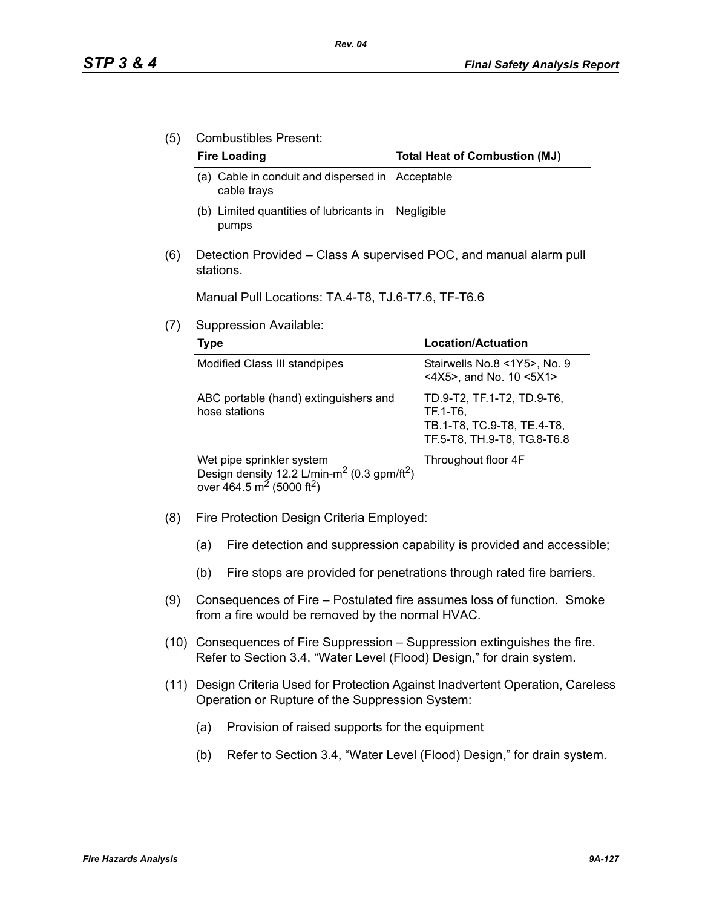(5) Combustibles Present:

#### Fire Loading **Fire Loading Fire Loading Fire Loading Total Heat of Combustion (MJ)**

- (a) Cable in conduit and dispersed in Acceptable cable trays
- (b) Limited quantities of lubricants in Negligible pumps
- (6) Detection Provided Class A supervised POC, and manual alarm pull stations.

Manual Pull Locations: TA.4-T8, TJ.6-T7.6, TF-T6.6

(7) Suppression Available:

| Type                                                                                                                                                  | Location/Actuation                                                                                  |
|-------------------------------------------------------------------------------------------------------------------------------------------------------|-----------------------------------------------------------------------------------------------------|
| Modified Class III standpipes                                                                                                                         | Stairwells No.8 <1Y5>, No. 9<br><4X5>, and No. 10 <5X1>                                             |
| ABC portable (hand) extinguishers and<br>hose stations                                                                                                | TD.9-T2, TF.1-T2, TD.9-T6,<br>TF.1-T6,<br>TB.1-T8, TC.9-T8, TE.4-T8,<br>TF.5-T8, TH.9-T8, TG.8-T6.8 |
| Wet pipe sprinkler system<br>Design density 12.2 L/min-m <sup>2</sup> (0.3 gpm/ft <sup>2</sup> )<br>over 464.5 m <sup>2</sup> (5000 ft <sup>2</sup> ) | Throughout floor 4F                                                                                 |

- (8) Fire Protection Design Criteria Employed:
	- (a) Fire detection and suppression capability is provided and accessible;
	- (b) Fire stops are provided for penetrations through rated fire barriers.
- (9) Consequences of Fire Postulated fire assumes loss of function. Smoke from a fire would be removed by the normal HVAC.
- (10) Consequences of Fire Suppression Suppression extinguishes the fire. Refer to Section 3.4, "Water Level (Flood) Design," for drain system.
- (11) Design Criteria Used for Protection Against Inadvertent Operation, Careless Operation or Rupture of the Suppression System:
	- (a) Provision of raised supports for the equipment
	- (b) Refer to Section 3.4, "Water Level (Flood) Design," for drain system.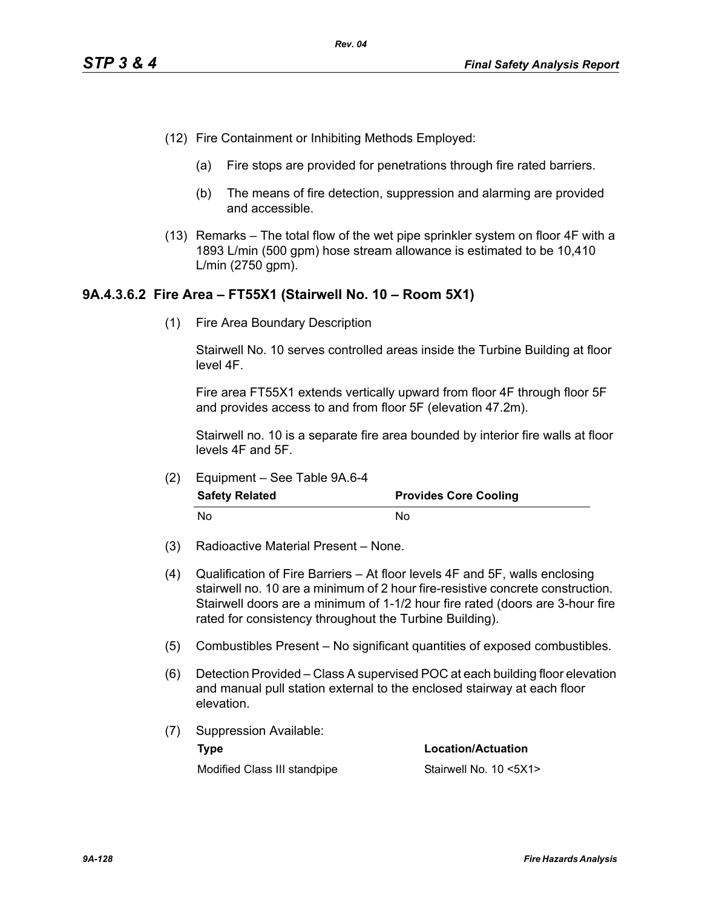- (12) Fire Containment or Inhibiting Methods Employed:
	- (a) Fire stops are provided for penetrations through fire rated barriers.
	- (b) The means of fire detection, suppression and alarming are provided and accessible.
- (13) Remarks The total flow of the wet pipe sprinkler system on floor 4F with a 1893 L/min (500 gpm) hose stream allowance is estimated to be 10,410 L/min (2750 gpm).

## **9A.4.3.6.2 Fire Area – FT55X1 (Stairwell No. 10 – Room 5X1)**

(1) Fire Area Boundary Description

Stairwell No. 10 serves controlled areas inside the Turbine Building at floor level 4F.

Fire area FT55X1 extends vertically upward from floor 4F through floor 5F and provides access to and from floor 5F (elevation 47.2m).

Stairwell no. 10 is a separate fire area bounded by interior fire walls at floor levels 4F and 5F.

(2) Equipment – See Table 9A.6-4

| <b>Safety Related</b> | <b>Provides Core Cooling</b> |  |  |
|-----------------------|------------------------------|--|--|
| No                    | Nο                           |  |  |

- (3) Radioactive Material Present None.
- (4) Qualification of Fire Barriers At floor levels 4F and 5F, walls enclosing stairwell no. 10 are a minimum of 2 hour fire-resistive concrete construction. Stairwell doors are a minimum of 1-1/2 hour fire rated (doors are 3-hour fire rated for consistency throughout the Turbine Building).
- (5) Combustibles Present No significant quantities of exposed combustibles.
- (6) Detection Provided Class A supervised POC at each building floor elevation and manual pull station external to the enclosed stairway at each floor elevation.
- (7) Suppression Available: **Type Location/Actuation**

Modified Class III standpipe Stairwell No. 10 <5X1>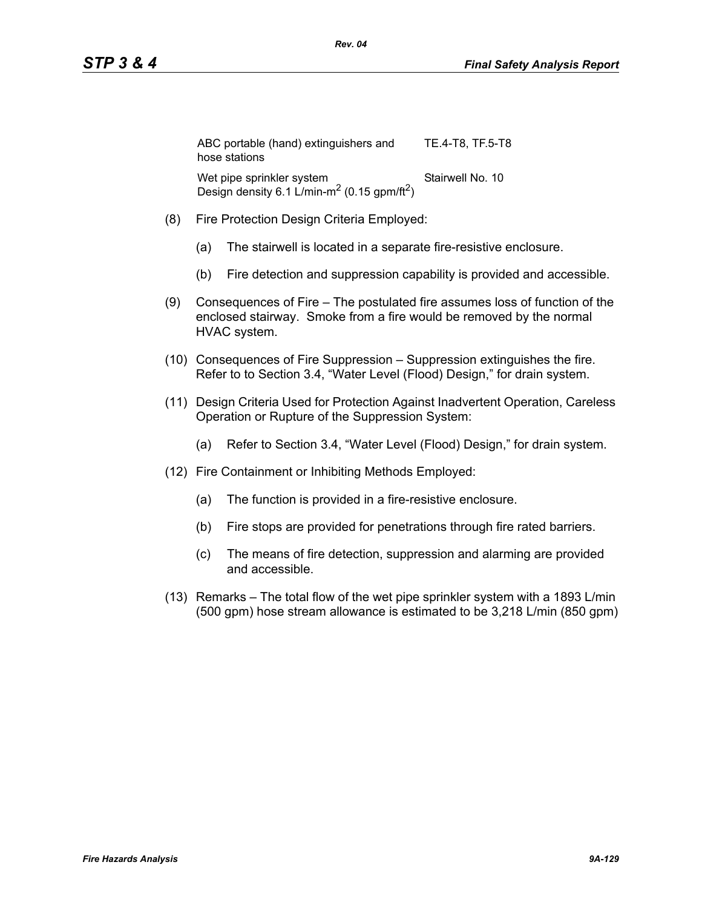| ABC portable (hand) extinguishers and<br>hose stations                                           | TE.4-T8. TF.5-T8 |
|--------------------------------------------------------------------------------------------------|------------------|
| Wet pipe sprinkler system<br>Design density 6.1 L/min-m <sup>2</sup> (0.15 gpm/ft <sup>2</sup> ) | Stairwell No. 10 |

- (8) Fire Protection Design Criteria Employed:
	- (a) The stairwell is located in a separate fire-resistive enclosure.
	- (b) Fire detection and suppression capability is provided and accessible.
- (9) Consequences of Fire The postulated fire assumes loss of function of the enclosed stairway. Smoke from a fire would be removed by the normal HVAC system.
- (10) Consequences of Fire Suppression Suppression extinguishes the fire. Refer to to Section 3.4, "Water Level (Flood) Design," for drain system.
- (11) Design Criteria Used for Protection Against Inadvertent Operation, Careless Operation or Rupture of the Suppression System:
	- (a) Refer to Section 3.4, "Water Level (Flood) Design," for drain system.
- (12) Fire Containment or Inhibiting Methods Employed:
	- (a) The function is provided in a fire-resistive enclosure.
	- (b) Fire stops are provided for penetrations through fire rated barriers.
	- (c) The means of fire detection, suppression and alarming are provided and accessible.
- (13) Remarks The total flow of the wet pipe sprinkler system with a 1893 L/min (500 gpm) hose stream allowance is estimated to be 3,218 L/min (850 gpm)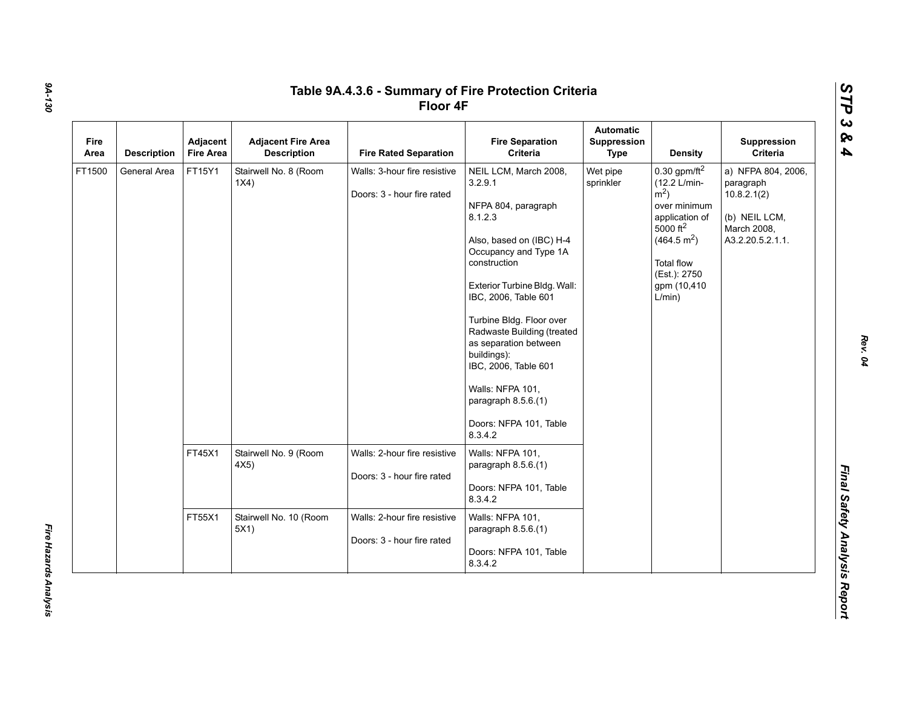| Fire<br>Area | <b>Description</b> | Adjacent<br><b>Fire Area</b> | <b>Adjacent Fire Area</b><br><b>Description</b> | <b>Fire Rated Separation</b>                               | <b>Fire Separation</b><br>Criteria                                                                                                                                                                                                                                                                                                                                                                      | <b>Automatic</b><br><b>Suppression</b><br><b>Type</b> | <b>Density</b>                                                                                                                                                                                              | Suppression<br>Criteria                                                                            |
|--------------|--------------------|------------------------------|-------------------------------------------------|------------------------------------------------------------|---------------------------------------------------------------------------------------------------------------------------------------------------------------------------------------------------------------------------------------------------------------------------------------------------------------------------------------------------------------------------------------------------------|-------------------------------------------------------|-------------------------------------------------------------------------------------------------------------------------------------------------------------------------------------------------------------|----------------------------------------------------------------------------------------------------|
| FT1500       | General Area       | FT15Y1                       | Stairwell No. 8 (Room<br>1X4)                   | Walls: 3-hour fire resistive<br>Doors: 3 - hour fire rated | NEIL LCM, March 2008,<br>3.2.9.1<br>NFPA 804, paragraph<br>8.1.2.3<br>Also, based on (IBC) H-4<br>Occupancy and Type 1A<br>construction<br>Exterior Turbine Bldg. Wall:<br>IBC, 2006, Table 601<br>Turbine Bldg. Floor over<br>Radwaste Building (treated<br>as separation between<br>buildings):<br>IBC, 2006, Table 601<br>Walls: NFPA 101,<br>paragraph $8.5.6(1)$<br>Doors: NFPA 101, Table<br>8342 | Wet pipe<br>sprinkler                                 | $0.30$ gpm/ft <sup>2</sup><br>(12.2 L/min-<br>$\rm \dot{m}^2$ )<br>over minimum<br>application of<br>5000 ft <sup>2</sup><br>(464.5 m <sup>2</sup> )<br>Total flow<br>(Est.): 2750<br>gpm (10,410<br>L/min) | a) NFPA 804, 2006,<br>paragraph<br>10.8.2.1(2)<br>(b) NEIL LCM,<br>March 2008,<br>A3.2.20.5.2.1.1. |
|              |                    | FT45X1                       | Stairwell No. 9 (Room<br>4X5)                   | Walls: 2-hour fire resistive<br>Doors: 3 - hour fire rated | Walls: NFPA 101,<br>paragraph 8.5.6.(1)<br>Doors: NFPA 101, Table<br>8.3.4.2                                                                                                                                                                                                                                                                                                                            |                                                       |                                                                                                                                                                                                             |                                                                                                    |
|              |                    | FT55X1                       | Stairwell No. 10 (Room<br>5X1)                  | Walls: 2-hour fire resistive<br>Doors: 3 - hour fire rated | Walls: NFPA 101,<br>paragraph $8.5.6(1)$<br>Doors: NFPA 101, Table<br>8.3.4.2                                                                                                                                                                                                                                                                                                                           |                                                       |                                                                                                                                                                                                             |                                                                                                    |

*9A-130*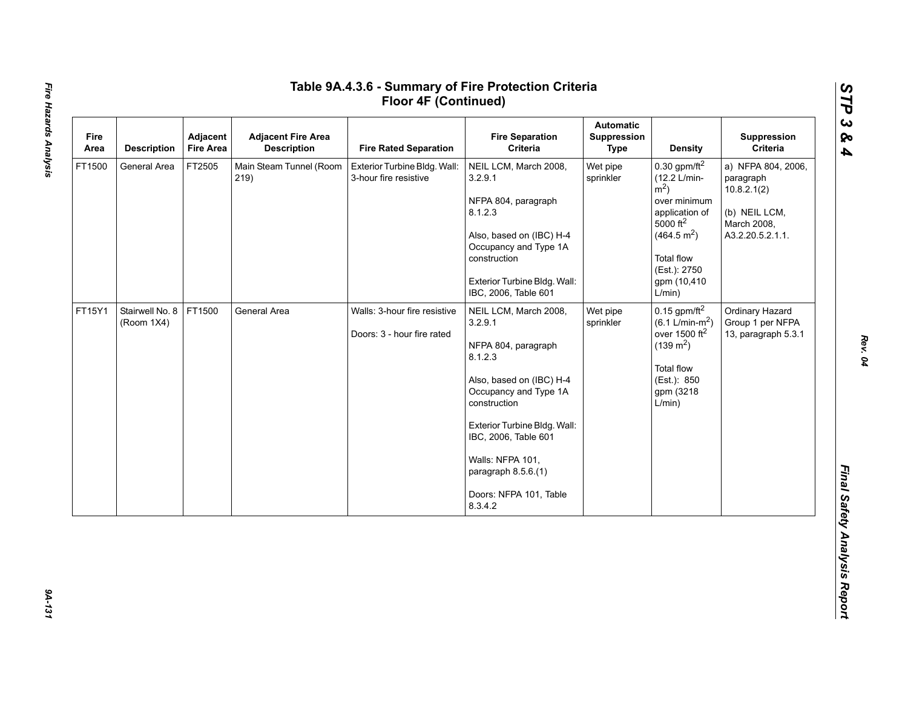| Fire<br>Area | <b>Description</b>            | Adjacent<br><b>Fire Area</b> | <b>Adjacent Fire Area</b><br><b>Description</b> | <b>Fire Rated Separation</b>                               | <b>Fire Separation</b><br>Criteria                                                                                                                                                                                                                                              | <b>Automatic</b><br>Suppression<br><b>Type</b> | <b>Density</b>                                                                                                                                                                               | Suppression<br>Criteria                                                                            |
|--------------|-------------------------------|------------------------------|-------------------------------------------------|------------------------------------------------------------|---------------------------------------------------------------------------------------------------------------------------------------------------------------------------------------------------------------------------------------------------------------------------------|------------------------------------------------|----------------------------------------------------------------------------------------------------------------------------------------------------------------------------------------------|----------------------------------------------------------------------------------------------------|
| FT1500       | General Area                  | FT2505                       | Main Steam Tunnel (Room<br>219)                 | Exterior Turbine Bldg. Wall:<br>3-hour fire resistive      | NEIL LCM, March 2008,<br>3.2.9.1<br>NFPA 804, paragraph<br>8.1.2.3<br>Also, based on (IBC) H-4<br>Occupancy and Type 1A<br>construction<br>Exterior Turbine Bldg. Wall:<br>IBC, 2006, Table 601                                                                                 | Wet pipe<br>sprinkler                          | 0.30 gpm/ft $^2$<br>(12.2 L/min-<br>$m2$ )<br>over minimum<br>application of<br>$5000 \text{ ft}^2$<br>(464.5 m <sup>2</sup> )<br><b>Total flow</b><br>(Est.): 2750<br>gpm (10,410<br>L/min) | a) NFPA 804, 2006,<br>paragraph<br>10.8.2.1(2)<br>(b) NEIL LCM,<br>March 2008,<br>A3.2.20.5.2.1.1. |
| FT15Y1       | Stairwell No. 8<br>(Room 1X4) | FT1500                       | General Area                                    | Walls: 3-hour fire resistive<br>Doors: 3 - hour fire rated | NEIL LCM, March 2008,<br>3.2.9.1<br>NFPA 804, paragraph<br>8.1.2.3<br>Also, based on (IBC) H-4<br>Occupancy and Type 1A<br>construction<br>Exterior Turbine Bldg. Wall:<br>IBC, 2006, Table 601<br>Walls: NFPA 101,<br>paragraph 8.5.6.(1)<br>Doors: NFPA 101, Table<br>8.3.4.2 | Wet pipe<br>sprinkler                          | $0.15$ gpm/ft <sup>2</sup><br>$(6.1 \text{ L/min-m}^2)$<br>over 1500 $ft2$<br>$(139 \text{ m}^2)$<br><b>Total flow</b><br>(Est.): 850<br>gpm (3218<br>L/min)                                 | Ordinary Hazard<br>Group 1 per NFPA<br>13, paragraph 5.3.1                                         |

*STP 3 & 4*

9A-131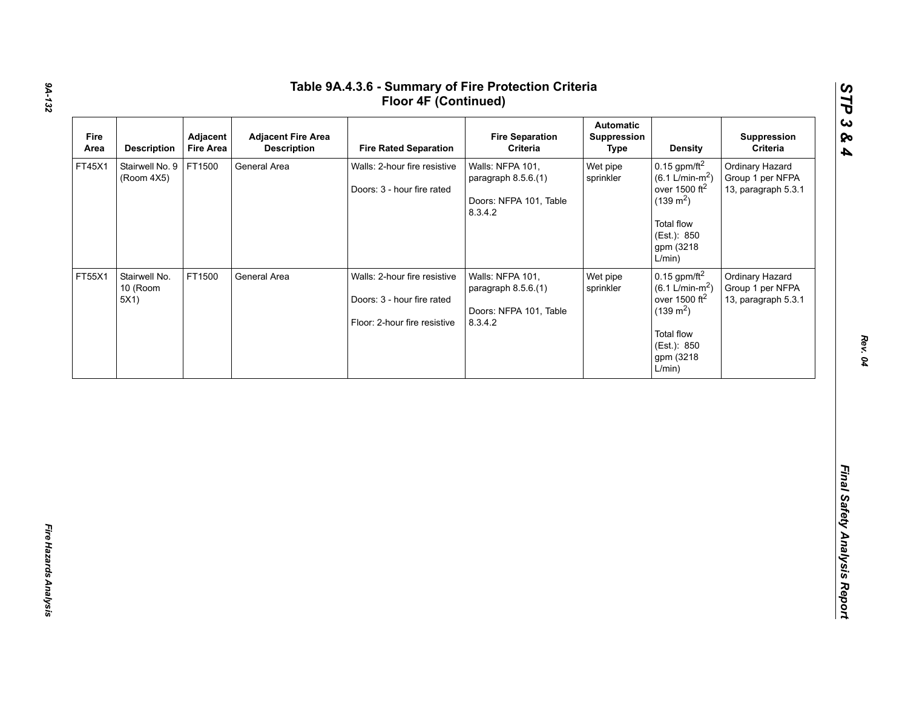| $0.15$ gpm/ft <sup>2</sup><br>Walls: NFPA 101,<br>Wet pipe<br>Ordinary Hazard<br>Stairwell No. 9<br>FT1500<br>FT45X1<br>General Area<br>Walls: 2-hour fire resistive<br>$(6.1 \text{ L/min-m}^2)$<br>sprinkler<br>Group 1 per NFPA<br>(Room 4X5)<br>paragraph 8.5.6.(1)<br>over 1500 $ft2$<br>13, paragraph 5.3.1<br>Doors: 3 - hour fire rated<br>$(139 \text{ m}^2)$<br>Doors: NFPA 101, Table<br>8.3.4.2<br><b>Total flow</b><br>(Est.): 850<br>gpm (3218                                |
|---------------------------------------------------------------------------------------------------------------------------------------------------------------------------------------------------------------------------------------------------------------------------------------------------------------------------------------------------------------------------------------------------------------------------------------------------------------------------------------------|
| L/min)                                                                                                                                                                                                                                                                                                                                                                                                                                                                                      |
| $0.15$ gpm/ft $^2$<br>FT1500<br>FT55X1<br>Stairwell No.<br>General Area<br>Walls: 2-hour fire resistive<br>Walls: NFPA 101,<br>Wet pipe<br>Ordinary Hazard<br>$(6.1 \text{ L/min-m}^2)$<br>10 (Room<br>sprinkler<br>Group 1 per NFPA<br>paragraph 8.5.6.(1)<br>over 1500 $ft2$<br>5X1)<br>Doors: 3 - hour fire rated<br>13, paragraph 5.3.1<br>$(139 \text{ m}^2)$<br>Doors: NFPA 101, Table<br>Floor: 2-hour fire resistive<br>8.3.4.2<br>Total flow<br>(Est.): 850<br>gpm (3218<br>L/min) |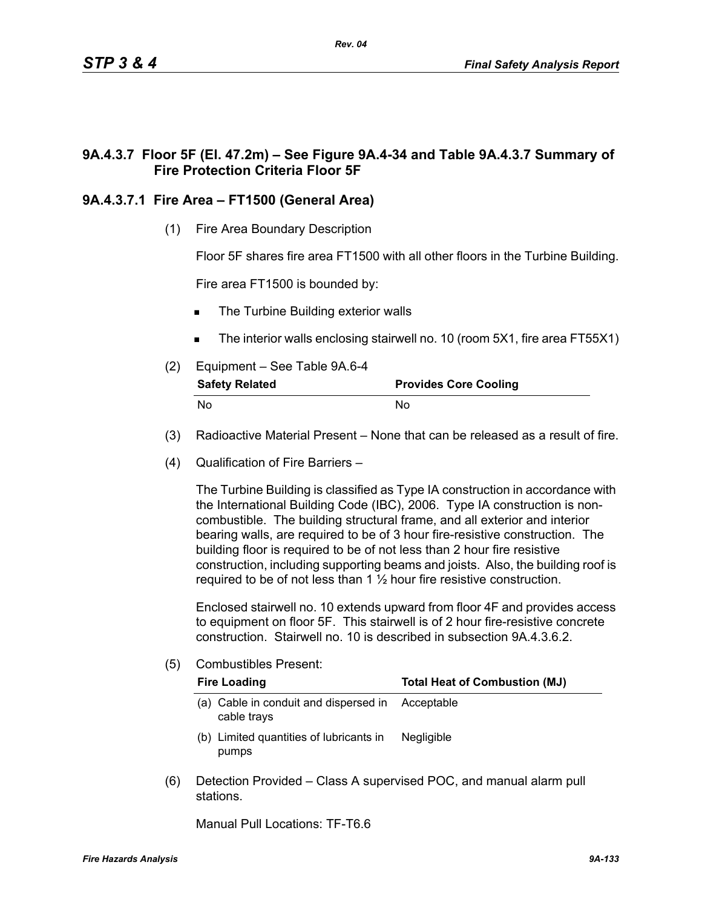## **9A.4.3.7 Floor 5F (El. 47.2m) – See Figure 9A.4-34 and Table 9A.4.3.7 Summary of Fire Protection Criteria Floor 5F**

## **9A.4.3.7.1 Fire Area – FT1500 (General Area)**

(1) Fire Area Boundary Description

Floor 5F shares fire area FT1500 with all other floors in the Turbine Building.

Fire area FT1500 is bounded by:

- The Turbine Building exterior walls
- The interior walls enclosing stairwell no. 10 (room 5X1, fire area FT55X1)
- (2) Equipment See Table 9A.6-4

| <b>Safety Related</b> | <b>Provides Core Cooling</b> |  |  |
|-----------------------|------------------------------|--|--|
| No                    | No.                          |  |  |

- (3) Radioactive Material Present None that can be released as a result of fire.
- (4) Qualification of Fire Barriers –

The Turbine Building is classified as Type IA construction in accordance with the International Building Code (IBC), 2006. Type IA construction is noncombustible. The building structural frame, and all exterior and interior bearing walls, are required to be of 3 hour fire-resistive construction. The building floor is required to be of not less than 2 hour fire resistive construction, including supporting beams and joists. Also, the building roof is required to be of not less than  $1\frac{1}{2}$  hour fire resistive construction.

Enclosed stairwell no. 10 extends upward from floor 4F and provides access to equipment on floor 5F. This stairwell is of 2 hour fire-resistive concrete construction. Stairwell no. 10 is described in subsection 9A.4.3.6.2.

(5) Combustibles Present:

|     | <b>Fire Loading</b>                                  | <b>Total Heat of Combustion (MJ)</b>                               |  |  |  |
|-----|------------------------------------------------------|--------------------------------------------------------------------|--|--|--|
|     | (a) Cable in conduit and dispersed in<br>cable trays | Acceptable                                                         |  |  |  |
|     | (b) Limited quantities of lubricants in<br>pumps     | <b>Negligible</b>                                                  |  |  |  |
| (6) | stations                                             | Detection Provided – Class A supervised POC, and manual alarm pull |  |  |  |

Manual Pull Locations: TF-T6.6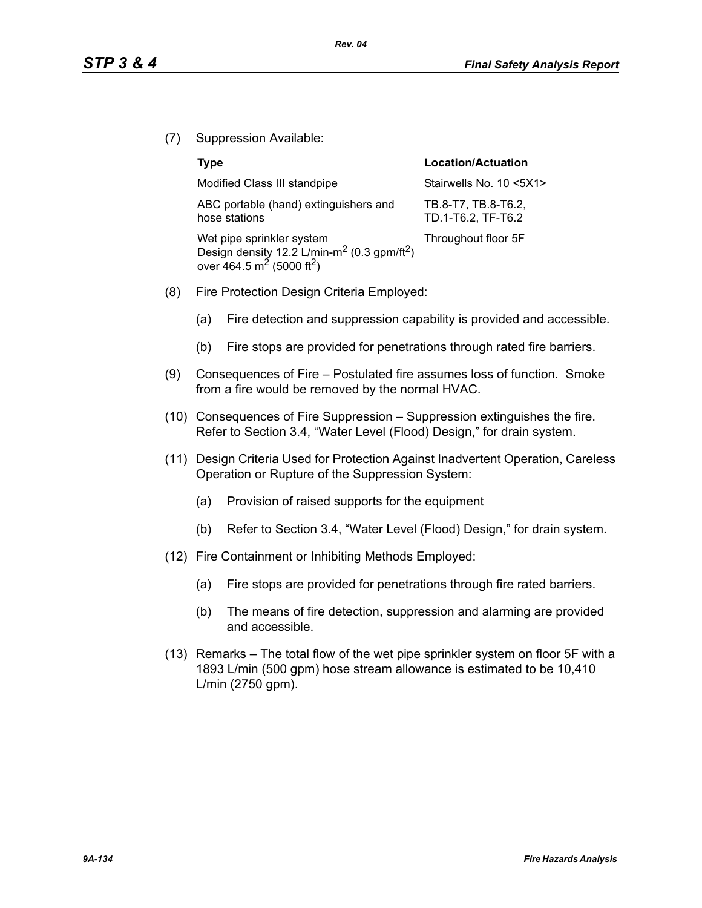(7) Suppression Available:

| <b>Type</b>                                                                                                                                           | <b>Location/Actuation</b>                 |
|-------------------------------------------------------------------------------------------------------------------------------------------------------|-------------------------------------------|
| Modified Class III standpipe                                                                                                                          | Stairwells No. 10 <5X1>                   |
| ABC portable (hand) extinguishers and<br>hose stations                                                                                                | TB.8-T7, TB.8-T6.2,<br>TD.1-T6.2, TF-T6.2 |
| Wet pipe sprinkler system<br>Design density 12.2 L/min-m <sup>2</sup> (0.3 gpm/ft <sup>2</sup> )<br>over 464.5 m <sup>2</sup> (5000 ft <sup>2</sup> ) | Throughout floor 5F                       |

- (8) Fire Protection Design Criteria Employed:
	- (a) Fire detection and suppression capability is provided and accessible.
	- (b) Fire stops are provided for penetrations through rated fire barriers.
- (9) Consequences of Fire Postulated fire assumes loss of function. Smoke from a fire would be removed by the normal HVAC.
- (10) Consequences of Fire Suppression Suppression extinguishes the fire. Refer to Section 3.4, "Water Level (Flood) Design," for drain system.
- (11) Design Criteria Used for Protection Against Inadvertent Operation, Careless Operation or Rupture of the Suppression System:
	- (a) Provision of raised supports for the equipment
	- (b) Refer to Section 3.4, "Water Level (Flood) Design," for drain system.
- (12) Fire Containment or Inhibiting Methods Employed:
	- (a) Fire stops are provided for penetrations through fire rated barriers.
	- (b) The means of fire detection, suppression and alarming are provided and accessible.
- (13) Remarks The total flow of the wet pipe sprinkler system on floor 5F with a 1893 L/min (500 gpm) hose stream allowance is estimated to be 10,410 L/min (2750 gpm).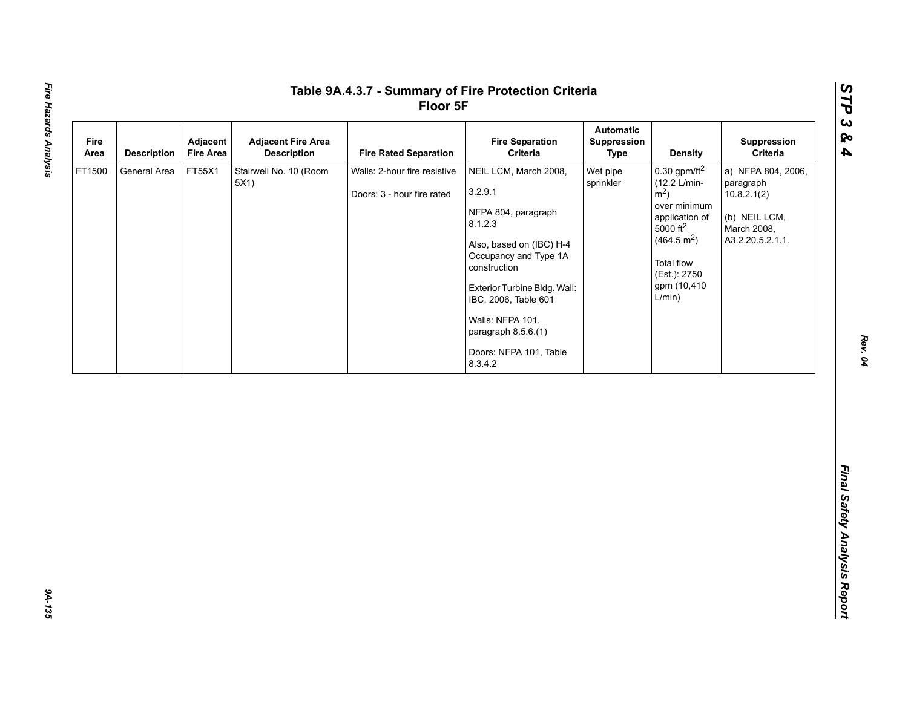| Fire<br>Area | Adjacent<br><b>Description</b><br><b>Fire Area</b> | <b>Adjacent Fire Area</b><br><b>Description</b> | <b>Fire Rated Separation</b>                               | <b>Fire Separation</b><br>Criteria                                                                                                                                                                                                                                              | <b>Automatic</b><br>Suppression<br><b>Type</b> | <b>Density</b>                                                                                                                                                                                            | Suppression<br>Criteria                                                                            |
|--------------|----------------------------------------------------|-------------------------------------------------|------------------------------------------------------------|---------------------------------------------------------------------------------------------------------------------------------------------------------------------------------------------------------------------------------------------------------------------------------|------------------------------------------------|-----------------------------------------------------------------------------------------------------------------------------------------------------------------------------------------------------------|----------------------------------------------------------------------------------------------------|
| FT1500       | FT55X1<br>General Area                             | Stairwell No. 10 (Room<br>5X1)                  | Walls: 2-hour fire resistive<br>Doors: 3 - hour fire rated | NEIL LCM, March 2008,<br>3.2.9.1<br>NFPA 804, paragraph<br>8.1.2.3<br>Also, based on (IBC) H-4<br>Occupancy and Type 1A<br>construction<br>Exterior Turbine Bldg. Wall:<br>IBC, 2006, Table 601<br>Walls: NFPA 101,<br>paragraph 8.5.6.(1)<br>Doors: NFPA 101, Table<br>8.3.4.2 | Wet pipe<br>sprinkler                          | $0.30$ gpm/ft <sup>2</sup><br>(12.2 L/min-<br>$\rm \dot{m}^2$ )<br>over minimum<br>application of<br>5000 $ft^2$<br>(464.5 m <sup>2</sup> )<br><b>Total flow</b><br>(Est.): 2750<br>gpm (10,410<br>L/min) | a) NFPA 804, 2006,<br>paragraph<br>10.8.2.1(2)<br>(b) NEIL LCM,<br>March 2008,<br>A3.2.20.5.2.1.1. |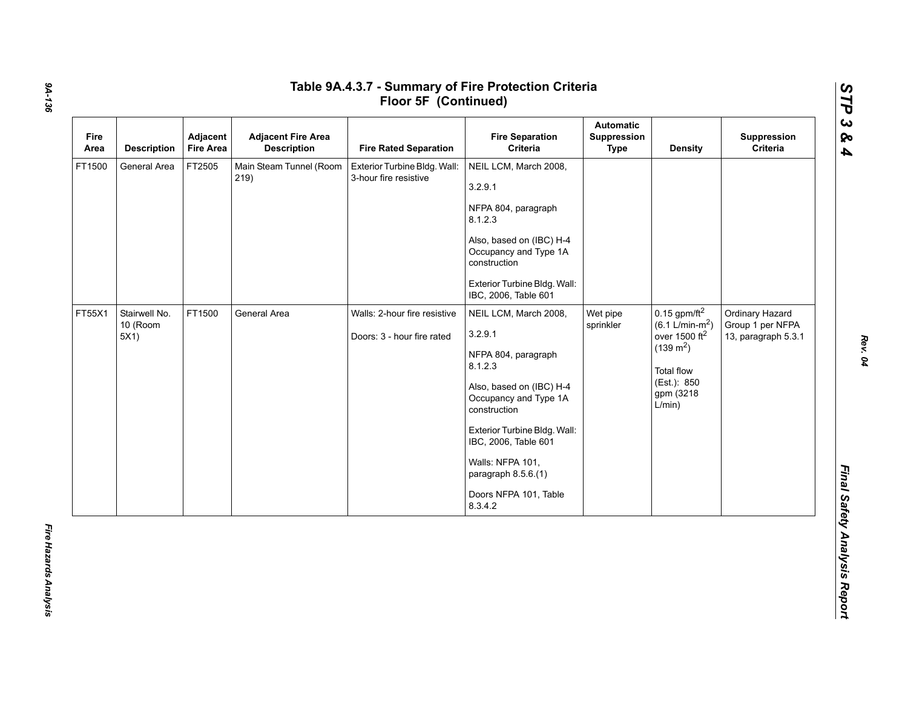| Fire<br>Area | <b>Description</b>                | Adjacent<br><b>Fire Area</b> | <b>Adjacent Fire Area</b><br><b>Description</b> | <b>Fire Rated Separation</b>                               | <b>Fire Separation</b><br>Criteria                                                                                                                                                                                                                                                                     | Automatic<br>Suppression<br><b>Type</b> | <b>Density</b>                                                                                                                               | Suppression<br>Criteria                                    |
|--------------|-----------------------------------|------------------------------|-------------------------------------------------|------------------------------------------------------------|--------------------------------------------------------------------------------------------------------------------------------------------------------------------------------------------------------------------------------------------------------------------------------------------------------|-----------------------------------------|----------------------------------------------------------------------------------------------------------------------------------------------|------------------------------------------------------------|
| FT1500       | General Area                      | FT2505                       | Main Steam Tunnel (Room<br>219)                 | Exterior Turbine Bldg. Wall:<br>3-hour fire resistive      | NEIL LCM, March 2008,<br>3.2.9.1<br>NFPA 804, paragraph<br>8.1.2.3<br>Also, based on (IBC) H-4<br>Occupancy and Type 1A<br>construction<br>Exterior Turbine Bldg. Wall:                                                                                                                                |                                         |                                                                                                                                              |                                                            |
| FT55X1       | Stairwell No.<br>10 (Room<br>5X1) | FT1500                       | General Area                                    | Walls: 2-hour fire resistive<br>Doors: 3 - hour fire rated | IBC, 2006, Table 601<br>NEIL LCM, March 2008,<br>3.2.9.1<br>NFPA 804, paragraph<br>8.1.2.3<br>Also, based on (IBC) H-4<br>Occupancy and Type 1A<br>construction<br>Exterior Turbine Bldg. Wall:<br>IBC, 2006, Table 601<br>Walls: NFPA 101,<br>paragraph 8.5.6.(1)<br>Doors NFPA 101, Table<br>8.3.4.2 | Wet pipe<br>sprinkler                   | $0.15$ gpm/ft <sup>2</sup><br>$(6.1 L/min-m2)$<br>over 1500 $ft2$<br>$(139 \text{ m}^2)$<br>Total flow<br>(Est.): 850<br>gpm (3218<br>L/min) | Ordinary Hazard<br>Group 1 per NFPA<br>13, paragraph 5.3.1 |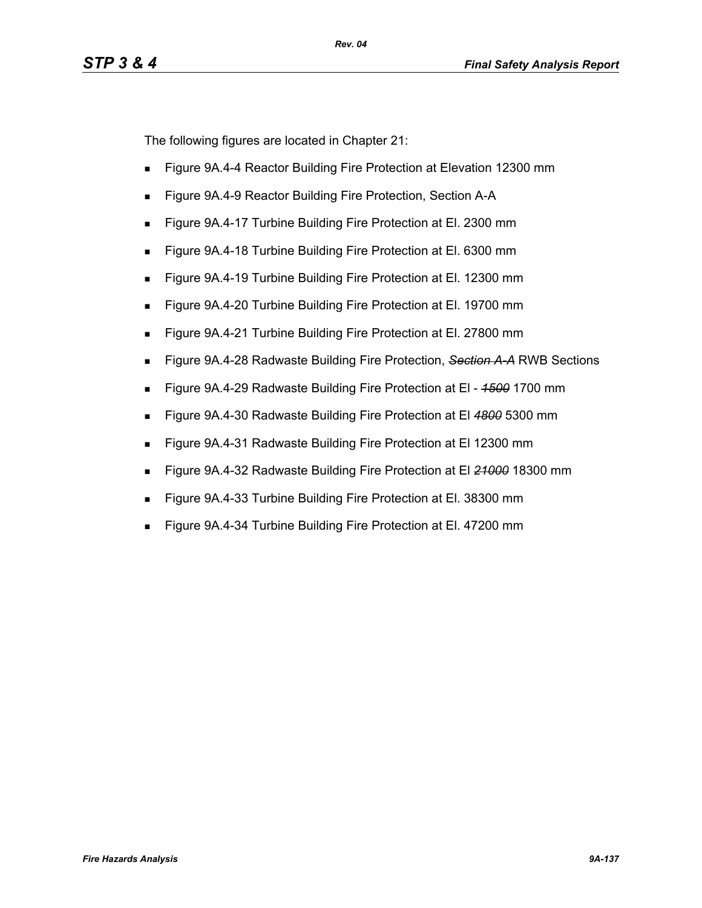The following figures are located in Chapter 21:

- **Figure 9A.4-4 Reactor Building Fire Protection at Elevation 12300 mm**
- **Figure 9A.4-9 Reactor Building Fire Protection, Section A-A**
- Figure 9A.4-17 Turbine Building Fire Protection at El. 2300 mm
- Figure 9A.4-18 Turbine Building Fire Protection at El. 6300 mm
- Figure 9A.4-19 Turbine Building Fire Protection at El. 12300 mm
- Figure 9A.4-20 Turbine Building Fire Protection at El. 19700 mm
- Figure 9A.4-21 Turbine Building Fire Protection at El. 27800 mm
- Figure 9A.4-28 Radwaste Building Fire Protection, *Section A-A* RWB Sections
- Figure 9A.4-29 Radwaste Building Fire Protection at El *1500* 1700 mm
- Figure 9A.4-30 Radwaste Building Fire Protection at El *4800* 5300 mm
- **Figure 9A.4-31 Radwaste Building Fire Protection at El 12300 mm**
- Figure 9A.4-32 Radwaste Building Fire Protection at El *21000* 18300 mm
- Figure 9A.4-33 Turbine Building Fire Protection at El. 38300 mm
- Figure 9A.4-34 Turbine Building Fire Protection at El. 47200 mm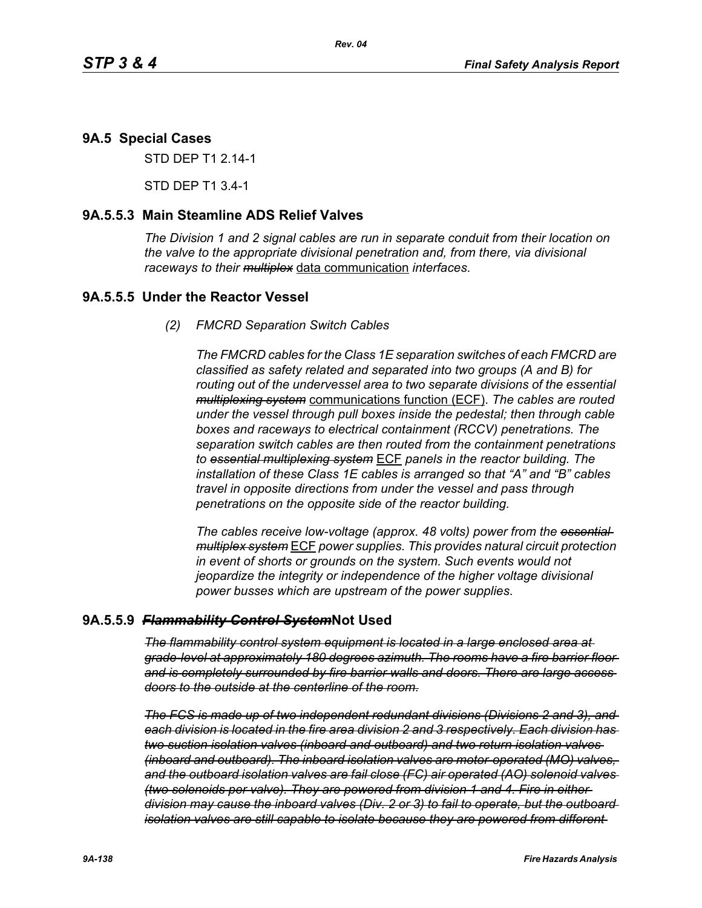## **9A.5 Special Cases**

STD DEP T1 2.14-1

STD DEP T1 3.4-1

#### **9A.5.5.3 Main Steamline ADS Relief Valves**

*The Division 1 and 2 signal cables are run in separate conduit from their location on the valve to the appropriate divisional penetration and, from there, via divisional raceways to their multiplex* data communication *interfaces*.

#### **9A.5.5.5 Under the Reactor Vessel**

*(2) FMCRD Separation Switch Cables*

*The FMCRD cables for the Class 1E separation switches of each FMCRD are classified as safety related and separated into two groups (A and B) for routing out of the undervessel area to two separate divisions of the essential multiplexing system* communications function (ECF). *The cables are routed under the vessel through pull boxes inside the pedestal; then through cable boxes and raceways to electrical containment (RCCV) penetrations. The separation switch cables are then routed from the containment penetrations to essential multiplexing system* ECF *panels in the reactor building. The installation of these Class 1E cables is arranged so that "A" and "B" cables travel in opposite directions from under the vessel and pass through penetrations on the opposite side of the reactor building.*

*The cables receive low-voltage (approx. 48 volts) power from the essential multiplex system* ECF *power supplies. This provides natural circuit protection in event of shorts or grounds on the system. Such events would not jeopardize the integrity or independence of the higher voltage divisional power busses which are upstream of the power supplies*.

#### **9A.5.5.9** *Flammability Control System***Not Used**

*The flammability control system equipment is located in a large enclosed area at grade-level at approximately 180 degrees azimuth. The rooms have a fire barrier floor and is completely surrounded by fire barrier walls and doors. There are large access doors to the outside at the centerline of the room.*

*The FCS is made up of two independent redundant divisions (Divisions 2 and 3), and each division is located in the fire area division 2 and 3 respectively. Each division has two suction isolation valves (inboard and outboard) and two return isolation valves (inboard and outboard). The inboard isolation valves are motor-operated (MO) valves, and the outboard isolation valves are fail close (FC) air operated (AO) solenoid valves (two solenoids per valve). They are powered from division 1 and 4. Fire in either division may cause the inboard valves (Div. 2 or 3) to fail to operate, but the outboard isolation valves are still capable to isolate because they are powered from different*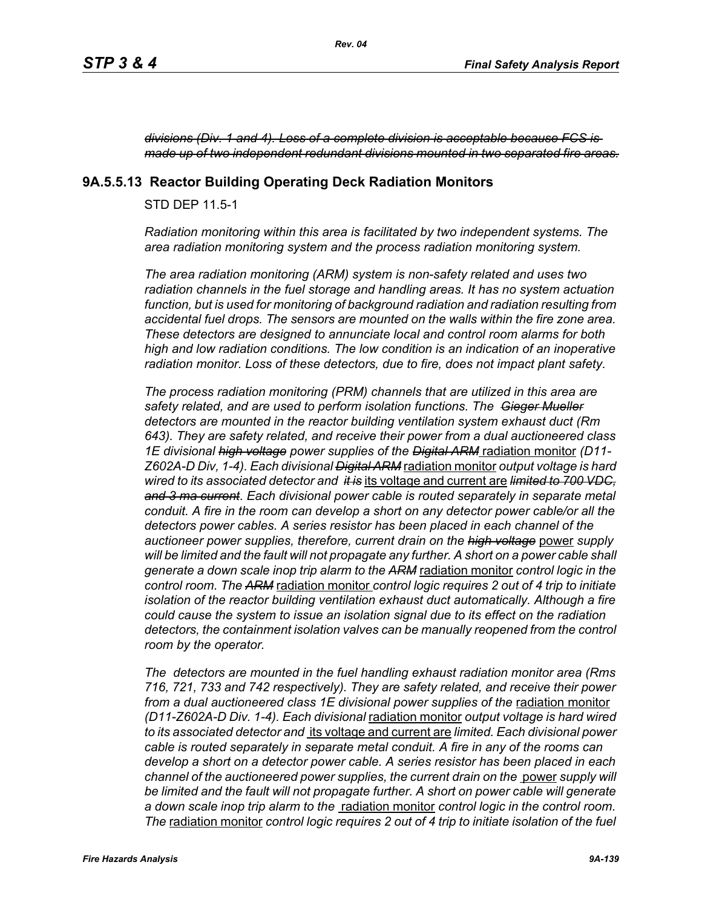*divisions (Div. 1 and 4). Loss of a complete division is acceptable because FCS is made up of two independent redundant divisions mounted in two separated fire areas.*

#### **9A.5.5.13 Reactor Building Operating Deck Radiation Monitors**

STD DEP 11.5-1

*Radiation monitoring within this area is facilitated by two independent systems. The area radiation monitoring system and the process radiation monitoring system.* 

*The area radiation monitoring (ARM) system is non-safety related and uses two radiation channels in the fuel storage and handling areas. It has no system actuation function, but is used for monitoring of background radiation and radiation resulting from accidental fuel drops. The sensors are mounted on the walls within the fire zone area. These detectors are designed to annunciate local and control room alarms for both high and low radiation conditions. The low condition is an indication of an inoperative radiation monitor. Loss of these detectors, due to fire, does not impact plant safety.*

*The process radiation monitoring (PRM) channels that are utilized in this area are safety related, and are used to perform isolation functions. The Gieger Mueller detectors are mounted in the reactor building ventilation system exhaust duct (Rm 643). They are safety related, and receive their power from a dual auctioneered class 1E divisional high voltage power supplies of the Digital ARM* radiation monitor *(D11- Z602A-D Div, 1-4). Each divisional Digital ARM* radiation monitor *output voltage is hard wired to its associated detector and it is* its voltage and current are *limited to 700 VDC, and 3 ma current*. *Each divisional power cable is routed separately in separate metal conduit. A fire in the room can develop a short on any detector power cable/or all the detectors power cables. A series resistor has been placed in each channel of the auctioneer power supplies, therefore, current drain on the high voltage* power *supply*  will be limited and the fault will not propagate any further. A short on a power cable shall *generate a down scale inop trip alarm to the ARM* radiation monitor *control logic in the control room. The ARM* radiation monitor *control logic requires 2 out of 4 trip to initiate isolation of the reactor building ventilation exhaust duct automatically. Although a fire could cause the system to issue an isolation signal due to its effect on the radiation*  detectors, the containment isolation valves can be manually reopened from the control *room by the operator.*

*The detectors are mounted in the fuel handling exhaust radiation monitor area (Rms 716, 721, 733 and 742 respectively). They are safety related, and receive their power*  from a dual auctioneered class 1E divisional power supplies of the radiation monitor *(D11-Z602A-D Div. 1-4). Each divisional* radiation monitor *output voltage is hard wired to its associated detector and* its voltage and current are *limited. Each divisional power cable is routed separately in separate metal conduit. A fire in any of the rooms can develop a short on a detector power cable. A series resistor has been placed in each channel of the auctioneered power supplies, the current drain on the* power *supply will be limited and the fault will not propagate further. A short on power cable will generate a down scale inop trip alarm to the* radiation monitor *control logic in the control room. The* radiation monitor *control logic requires 2 out of 4 trip to initiate isolation of the fuel*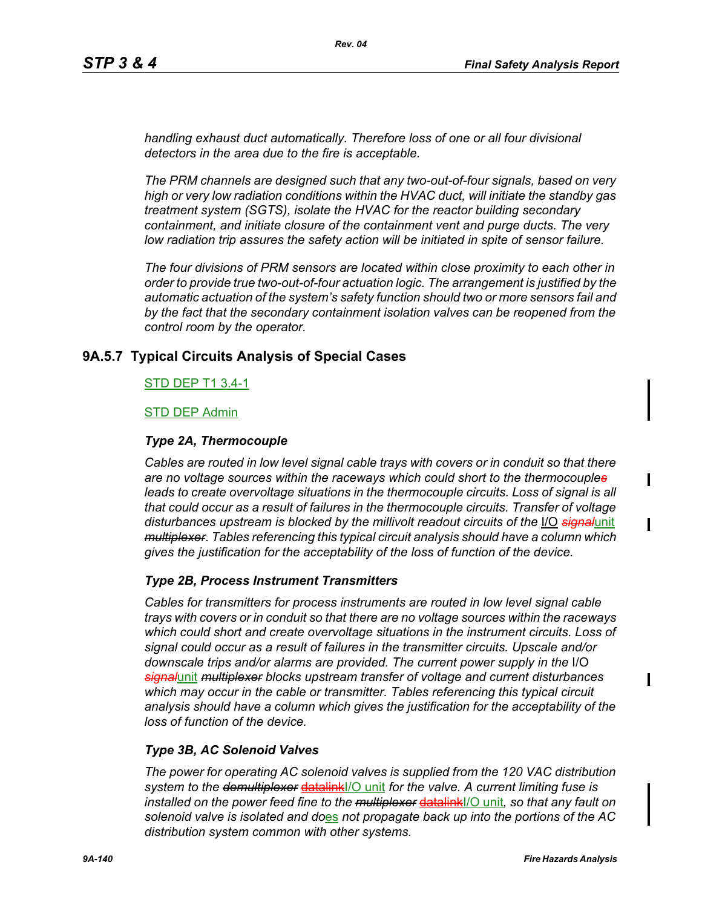*handling exhaust duct automatically. Therefore loss of one or all four divisional detectors in the area due to the fire is acceptable.*

*The PRM channels are designed such that any two-out-of-four signals, based on very high or very low radiation conditions within the HVAC duct, will initiate the standby gas treatment system (SGTS), isolate the HVAC for the reactor building secondary containment, and initiate closure of the containment vent and purge ducts. The very low radiation trip assures the safety action will be initiated in spite of sensor failure.*

*The four divisions of PRM sensors are located within close proximity to each other in order to provide true two-out-of-four actuation logic. The arrangement is justified by the automatic actuation of the system's safety function should two or more sensors fail and*  by the fact that the secondary containment isolation valves can be reopened from the *control room by the operator.*

## **9A.5.7 Typical Circuits Analysis of Special Cases**

#### STD DEP T1 3.4-1

#### STD DEP Admin

#### *Type 2A, Thermocouple*

*Cables are routed in low level signal cable trays with covers or in conduit so that there are no voltage sources within the raceways which could short to the thermocouples* leads to create overvoltage situations in the thermocouple circuits. Loss of signal is all *that could occur as a result of failures in the thermocouple circuits. Transfer of voltage disturbances upstream is blocked by the millivolt readout circuits of the* I/O *signal*unit *multiplexer*. *Tables referencing this typical circuit analysis should have a column which gives the justification for the acceptability of the loss of function of the device.*

#### *Type 2B, Process Instrument Transmitters*

*Cables for transmitters for process instruments are routed in low level signal cable trays with covers or in conduit so that there are no voltage sources within the raceways which could short and create overvoltage situations in the instrument circuits. Loss of signal could occur as a result of failures in the transmitter circuits. Upscale and/or downscale trips and/or alarms are provided. The current power supply in the* I/O *signal*unit *multiplexer blocks upstream transfer of voltage and current disturbances which may occur in the cable or transmitter. Tables referencing this typical circuit analysis should have a column which gives the justification for the acceptability of the loss of function of the device.*

#### *Type 3B, AC Solenoid Valves*

*The power for operating AC solenoid valves is supplied from the 120 VAC distribution system to the demultiplexer* datalinkI/O unit *for the valve. A current limiting fuse is installed on the power feed fine to the multiplexer* datalinkI/O unit*, so that any fault on solenoid valve is isolated and do*es *not propagate back up into the portions of the AC distribution system common with other systems.*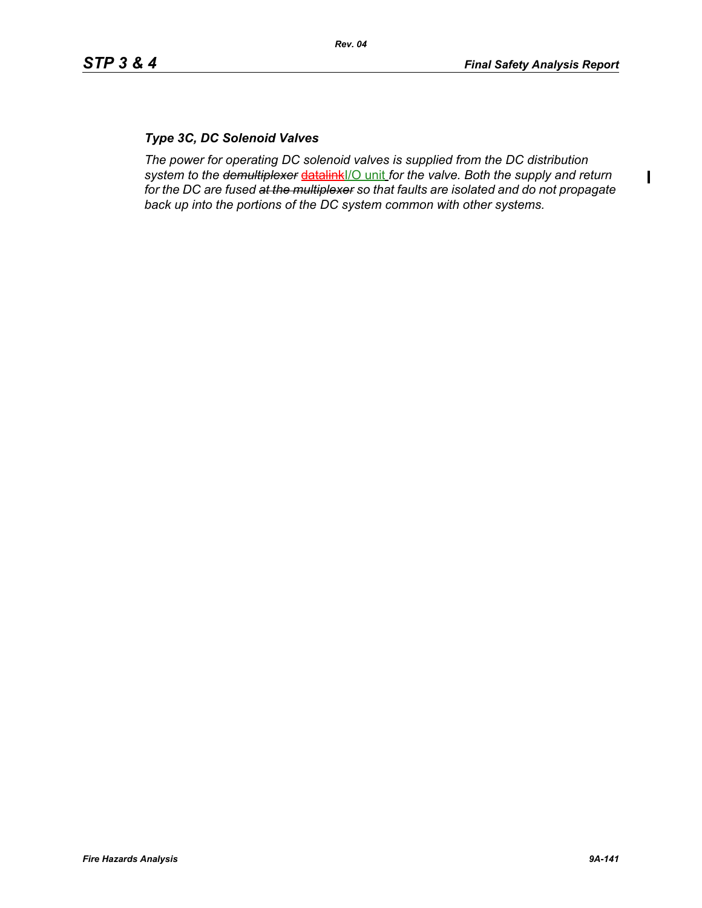$\blacksquare$ 

## *Type 3C, DC Solenoid Valves*

*The power for operating DC solenoid valves is supplied from the DC distribution system to the demultiplexer* datalinkI/O unit *for the valve. Both the supply and return for the DC are fused at the multiplexer so that faults are isolated and do not propagate back up into the portions of the DC system common with other systems.*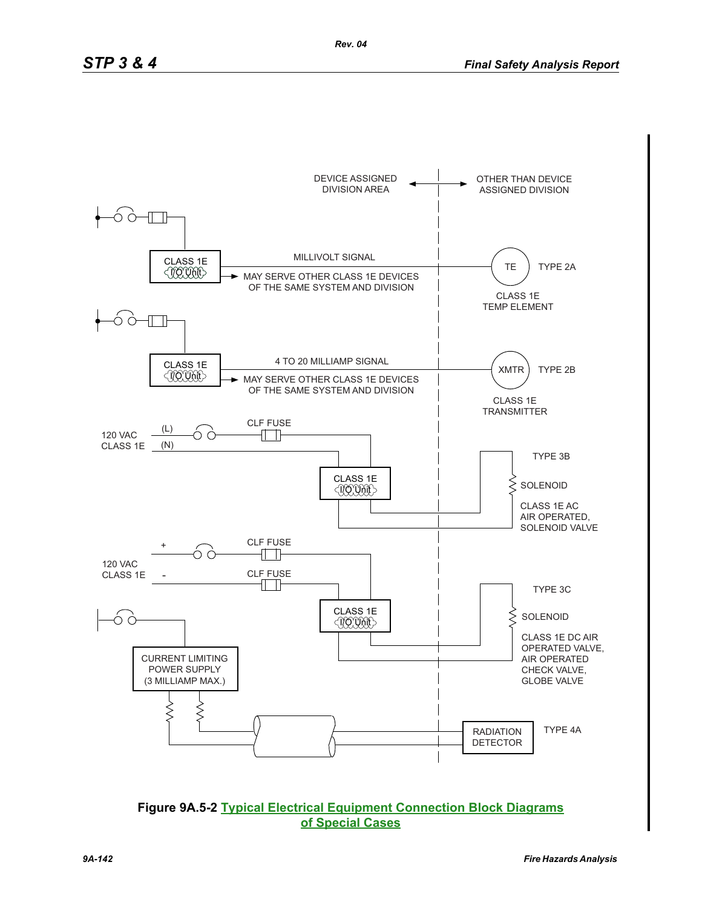

**Figure 9A.5-2 Typical Electrical Equipment Connection Block Diagrams of Special Cases**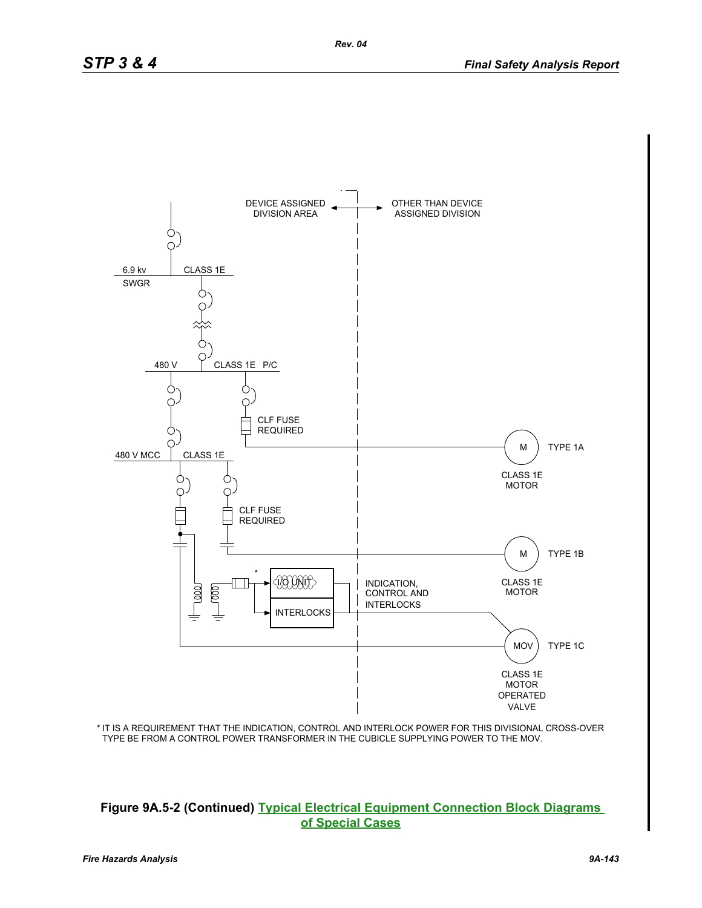

IT IS A REQUIREMENT THAT THE INDICATION, CONTROL AND INTERLOCK POWER FOR THIS DIVISIONAL CROSS-OVER \* TYPE BE FROM A CONTROL POWER TRANSFORMER IN THE CUBICLE SUPPLYING POWER TO THE MOV.

#### **Figure 9A.5-2 (Continued) Typical Electrical Equipment Connection Block Diagrams of Special Cases**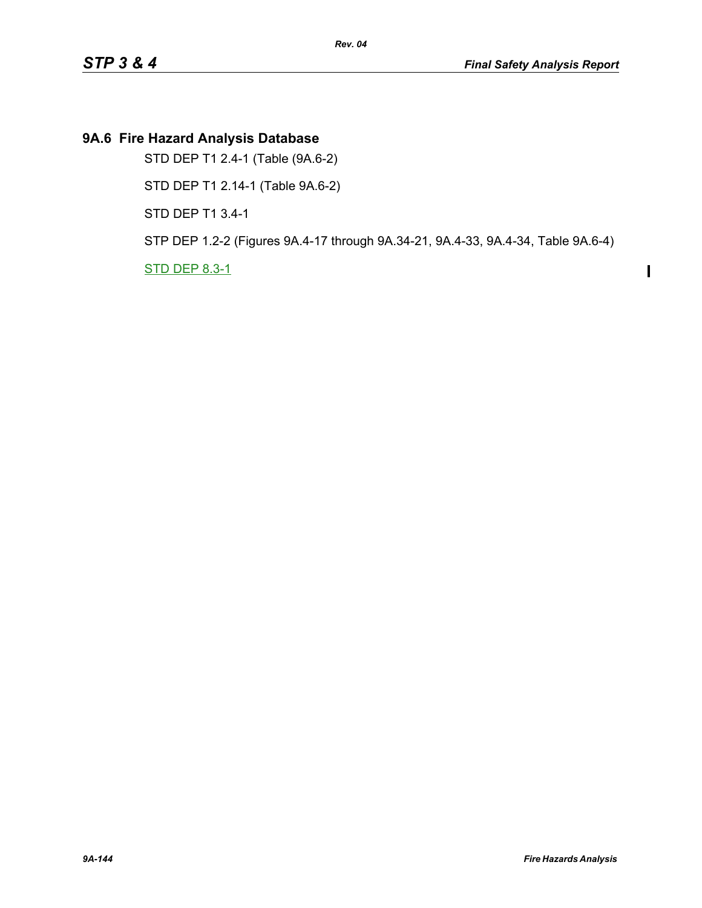# **9A.6 Fire Hazard Analysis Database**

STD DEP T1 2.4-1 (Table (9A.6-2)

STD DEP T1 2.14-1 (Table 9A.6-2)

STD DEP T1 3.4-1

STP DEP 1.2-2 (Figures 9A.4-17 through 9A.34-21, 9A.4-33, 9A.4-34, Table 9A.6-4)

STD DEP 8.3-1

 $\mathbf I$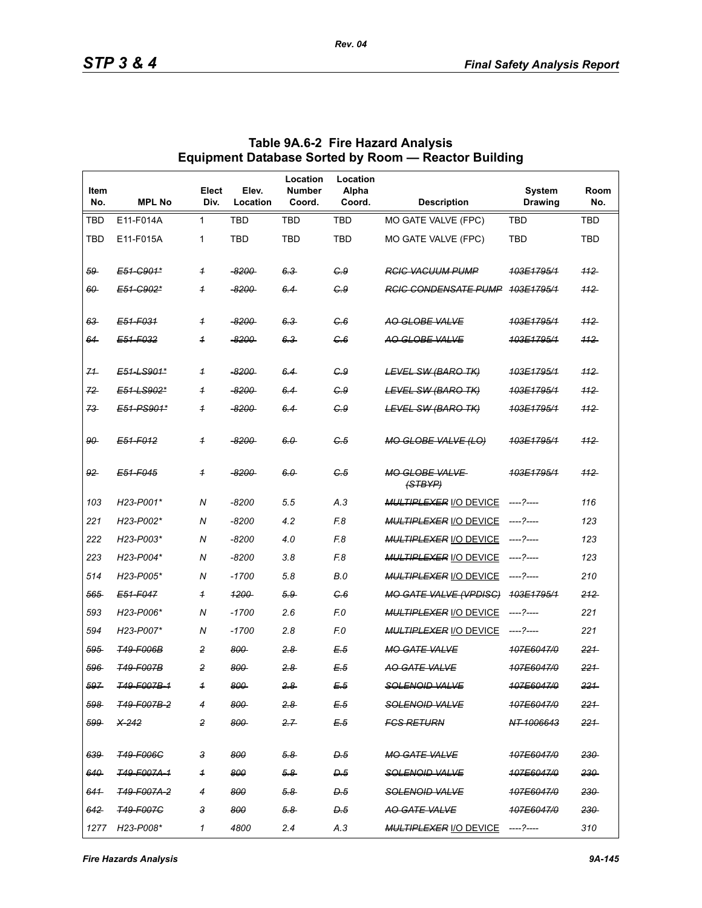| Item<br>No.    | <b>MPL No</b>                       | Elect<br>Div.           | Elev.<br>Location | Location<br><b>Number</b><br>Coord. | Location<br>Alpha<br>Coord. | <b>Description</b>                      | <b>System</b><br><b>Drawing</b> | Room<br>No. |
|----------------|-------------------------------------|-------------------------|-------------------|-------------------------------------|-----------------------------|-----------------------------------------|---------------------------------|-------------|
| TBD            | E11-F014A                           | 1                       | TBD               | TBD                                 | <b>TBD</b>                  | MO GATE VALVE (FPC)                     | <b>TBD</b>                      | <b>TBD</b>  |
| <b>TBD</b>     | E11-F015A                           | 1                       | <b>TBD</b>        | <b>TBD</b>                          | <b>TBD</b>                  | MO GATE VALVE (FPC)                     | <b>TBD</b>                      | <b>TBD</b>  |
| 59             | E51-C901*                           | $\overline{1}$          | -8200-            | $6.3 -$                             | C.9                         | <b>RGIG VACUUM PUMP</b>                 | 103E1795/1                      | 112         |
| $60 -$         | E51-C902*                           | $\overline{1}$          | <del>-8200-</del> | 6.4                                 | G.9                         | <b>RGIG CONDENSATE PUMP</b>             | <del>103E1795/1</del>           | $+12$       |
| 63             | F51-F031                            | $\overline{1}$          | $-8200$           | $6.3 -$                             | G.6                         | AO GLOBE VALVE                          | 103E1795/1                      | 112         |
| 64             | E51-F032                            | $\overline{1}$          | -8200-            | $6.3 -$                             | C.6                         | AO GLOBE VALVE                          | 103E1795/1                      | 112         |
| 71             | E51-LS901*                          | $\overline{1}$          | -8200             | 6.4                                 | G.9                         | <b>LEVEL SW (BARO TK)</b>               | 103E1795/1                      | 112         |
| 72             | E51-LS902*                          | $\overline{1}$          | $-8200$           | 6.4                                 | G.9                         | <b>LEVEL SW (BARO TK)</b>               | 103E1795/1                      | 112         |
| 73             | E51-PS901*                          | $\overline{1}$          | -8200-            | 6.4                                 | G.9                         | LEVEL SW (BARO TK)                      | 103E1795/1                      | 112         |
| 90             | E51-F012                            | $\overline{\mathbf{1}}$ | -8200-            | 6.0                                 | C 5                         | <b>MO GLOBE VALVE (LO)</b>              | <del>103E1795/1</del>           | 112         |
| 92             | E51-F045                            | $\overline{1}$          | -8200-            | 6.0                                 | G.5                         | <b>MO GLOBE VALVE</b><br>(STBYP)        | 403E1795/1                      | 112         |
| 103            | H23-P001*                           | N                       | $-8200$           | 5.5                                 | A.3                         | <b>MULTIPLEXER I/O DEVICE</b>           | -----?----                      | 116         |
| 221            | H23-P002*                           | N                       | $-8200$           | 4.2                                 | F.8                         | <b>MULTIPLEXER I/O DEVICE</b>           | ----- ?-----                    | 123         |
| 222            | H23-P003*                           | N                       | $-8200$           | 4.0                                 | F.8                         | <b>MULTIPLEXER I/O DEVICE</b>           | -----?-----                     | 123         |
| 223            | H23-P004*                           | N                       | $-8200$           | 3.8                                 | F.8                         | <b>MULTIPLEXER I/O DEVICE</b>           | -----?----                      | 123         |
| 514            | H <sub>23</sub> -P <sub>005</sub> * | N                       | $-1700$           | 5.8                                 | B.0                         | <b>MULTIPLEXER I/O DEVICE</b>           | -----?-----                     | 210         |
| 565            | E51-F047                            | $\overline{1}$          | <u>1200-</u>      | $5.9 -$                             | C.6                         | <b>MO GATE VALVE (VPDISC)</b>           | 103E1795/1                      | 212         |
| 593            | H23-P006*                           | N                       | $-1700$           | 2.6                                 | F.O                         | <b>MULTIPLEXER I/O DEVICE</b>           |                                 | 221         |
| 594            | H <sub>23</sub> -P <sub>007</sub> * | N                       | $-1700$           | 2.8                                 | F.O                         | <b>MULTIPLEXER I/O DEVICE</b>           | -----?-----                     | 221         |
| 595            | <b>T49-F006B</b>                    | $\overline{c}$          | 800               | $2.8 -$                             | E.5                         | <b>MO GATE VALVE</b>                    | 107E6047/0                      | 221         |
| 596            | <b>T49-F007B</b>                    | 2                       | 800               | $2.8 -$                             | E.5                         | <b>AO GATE VALVE</b>                    | 107E6047/0                      | 221         |
| 597            | <del>T49-F007B-1</del>              | 1                       | 800-              | 2.8                                 | E 5                         | <b>SOLENOID VALVE</b>                   | <del>107E6047/0</del>           | 221         |
| 598            | <del>T49-F007B-2</del>              | $\overline{4}$          | 800               | 2.8                                 | E.5                         | <del>SOLENOID VALVE</del>               | 107E6047/0                      | 221         |
| 599            | X-242                               | 2                       | 800               | 2.7                                 | E.5                         | FGS RETURN                              | NT-1006643                      | 221         |
| 639            | <del>T49-F006C</del>                | 3                       | 800               | 5.8                                 | D.5                         | <b>MO GATE VALVE</b>                    | 107E6047/0                      | 230         |
| 640            | <del>T49-F007A-1</del>              | $\overline{1}$          | 800               | $5.8 -$                             | D.5                         | <del>SOLENOID VALVE</del>               | 107E6047/0                      | 230         |
| 641            | <del>149-F007A-2</del>              | 4                       | 800               | $5.8 -$                             | D.5                         | <b>SOLENOID VALVE</b>                   | 107E6047/0                      | 230         |
| <del>642</del> | <b>T49-F007C</b>                    | з                       | 800               | 5.8                                 | D.5                         | <del>AO GATE VALVE</del>                | 107E6047/0                      | $230 -$     |
|                | 1277 H23-P008*                      | 1                       | 4800              | 2.4                                 | A.3                         | <b>MULTIPLEXER I/O DEVICE</b> ----?---- |                                 | 310         |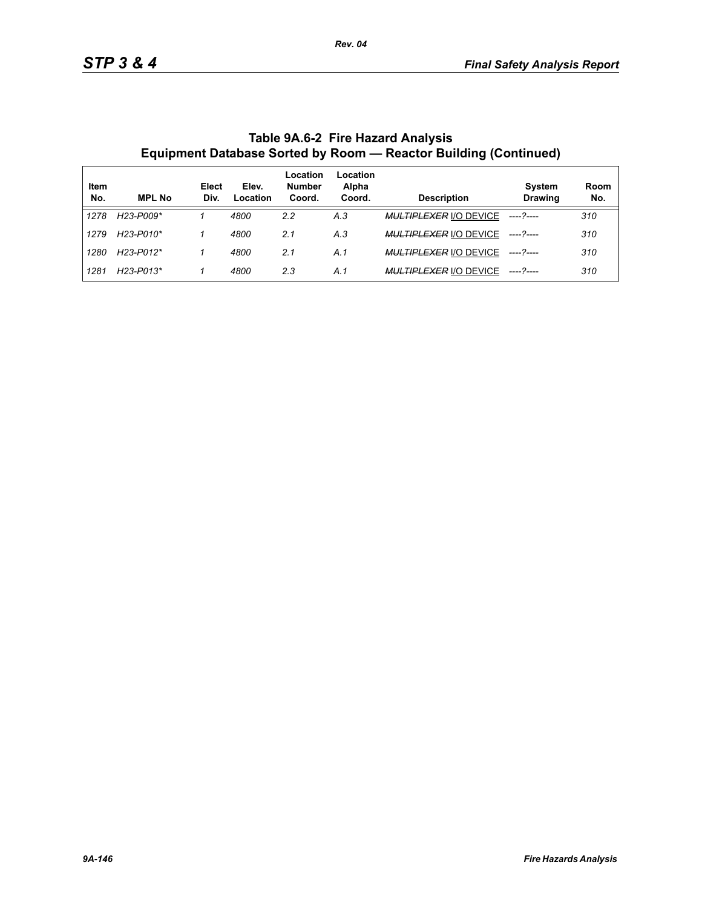| Item<br>No. | <b>MPL No</b>                       | Elect<br>Div. | Elev.<br>Location | Location<br><b>Number</b><br>Coord. | Location<br>Alpha<br>Coord. | <b>Description</b>            | <b>System</b><br><b>Drawing</b> | Room<br>No. |
|-------------|-------------------------------------|---------------|-------------------|-------------------------------------|-----------------------------|-------------------------------|---------------------------------|-------------|
| 1278        | H23-P009*                           |               | 4800              | 2.2                                 | A.3                         | <b>MULTIPLEXER I/O DEVICE</b> | ----- 2----                     | 310         |
| 1279        | H23-P010*                           |               | 4800              | 2.1                                 | A.3                         | <b>MULTIPLEXER I/O DEVICE</b> |                                 | 310         |
| 1280        | H <sub>23</sub> -P <sub>012</sub> * |               | 4800              | 2.1                                 | A.1                         | <b>MULTIPLEXER I/O DEVICE</b> |                                 | 310         |
| 1281        | H <sub>23</sub> -P <sub>013</sub> * |               | 4800              | 2.3                                 | A.1                         | <b>MULTIPLEXER I/O DEVICE</b> |                                 | 310         |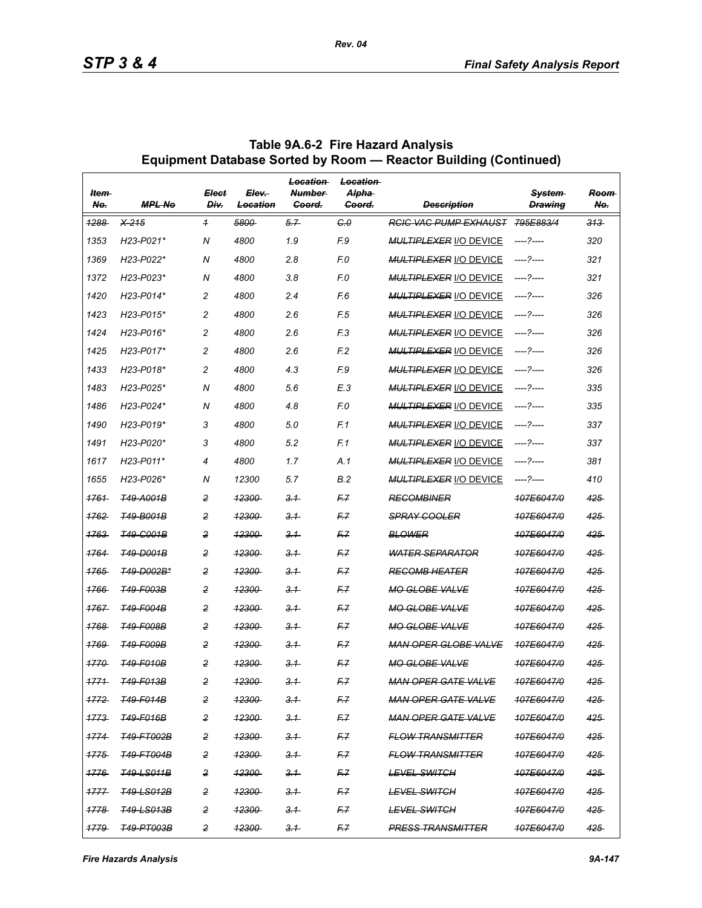| ltem-<br>No.     | <b>MPL No</b>                       | <b>Elect</b><br>Div. | Elev-<br>Location | Location<br><b>Number</b><br>Goord. | <b>Location</b><br>Alpha-<br>Goord. | <b>Description</b>            | System<br><b>Drawina</b> | <b>Reem</b><br>No. |
|------------------|-------------------------------------|----------------------|-------------------|-------------------------------------|-------------------------------------|-------------------------------|--------------------------|--------------------|
| 1288             | $X-215$                             | $\overline{1}$       | 5800              | 5.7                                 | C <sub>0</sub>                      | <b>RCIC VAC PUMP EXHAUST</b>  | 795E883/4                | $313 -$            |
| 1353             | H23-P021*                           | N                    | 4800              | 1.9                                 | F.9                                 | <b>MULTIPLEXER I/O DEVICE</b> |                          | 320                |
| 1369             | H23-P022*                           | N                    | 4800              | 2.8                                 | F.O                                 | <b>MULTIPLEXER I/O DEVICE</b> | ----- 2-----             | 321                |
| 1372             | H23-P023*                           | N                    | 4800              | 3.8                                 | F.O                                 | <b>MULTIPLEXER I/O DEVICE</b> | ----?----                | 321                |
| 1420             | H23-P014*                           | $\overline{c}$       | 4800              | 2.4                                 | F.6                                 | <b>MULTIPLEXER I/O DEVICE</b> | ----?----                | 326                |
| 1423             | H <sub>23</sub> -P <sub>015</sub> * | $\overline{c}$       | 4800              | 2.6                                 | F.5                                 | <b>MULTIPLEXER I/O DEVICE</b> |                          | 326                |
| 1424             | $H23-P016*$                         | $\overline{c}$       | 4800              | 2.6                                 | F <sub>3</sub>                      | <b>MULTIPLEXER I/O DEVICE</b> | ----?----                | 326                |
| 1425             | H23-P017*                           | $\overline{c}$       | 4800              | 2.6                                 | F <sub>2</sub>                      | <b>MULTIPLEXER I/O DEVICE</b> | ----?----                | 326                |
| 1433             | H23-P018*                           | $\overline{c}$       | 4800              | 4.3                                 | F.9                                 | <b>MULTIPLEXER I/O DEVICE</b> | ----- 2-----             | 326                |
| 1483             | H23-P025*                           | N                    | 4800              | 5.6                                 | E.3                                 | <b>MULTIPLEXER I/O DEVICE</b> | ----?----                | 335                |
| 1486             | H23-P024*                           | N                    | 4800              | 4.8                                 | F.O                                 | <b>MULTIPLEXER I/O DEVICE</b> | ----- 2-----             | 335                |
| 1490             | $H23-P019*$                         | 3                    | 4800              | 5.0                                 | F.1                                 | <b>MULTIPLEXER I/O DEVICE</b> |                          | 337                |
| 1491             | H23-P020*                           | 3                    | 4800              | 5.2                                 | F.1                                 | <b>MULTIPLEXER I/O DEVICE</b> | ----?----                | 337                |
| 1617             | H23-P011*                           | 4                    | 4800              | 1.7                                 | A.1                                 | <b>MULTIPLEXER I/O DEVICE</b> | ----?----                | 381                |
| 1655             | H23-P026*                           | N                    | 12300             | 5.7                                 | <b>B.2</b>                          | <b>MULTIPLEXER I/O DEVICE</b> |                          | 410                |
| 1761             | <b>T49-A001B</b>                    | $\overline{c}$       | <del>12300</del>  | 3.1                                 | F.Z                                 | <b>RECOMBINER</b>             | 107E6047/0               | 425                |
| 1762             | <b>T49-B001B</b>                    | 2                    | <b>12300</b>      | 3.1                                 | F7                                  | <b>SPRAY COOLER</b>           | 107E6047/0               | 425                |
| 1763             | <b>T49-G001B</b>                    | 2                    | <del>12300</del>  | 3.1                                 | F.7                                 | <b>BLOWER</b>                 | 107E6047/0               | 425                |
| 1764             | <b>T49-D001B</b>                    | $\overline{c}$       | <del>12300</del>  | 3.1                                 | F.Z                                 | <b>WATER SEPARATOR</b>        | 107E6047/0               | 425                |
| 1765             | <b>T49-D002B*</b>                   | 2                    | <b>12300</b>      | 3.1                                 | F.Z                                 | <b>RECOMB HEATER</b>          | 107E6047/0               | 425                |
| 1766             | <b>T49-F003B</b>                    | $\overline{2}$       | <del>12300</del>  | 3.1                                 | F.7                                 | <b>MO GLOBE VALVE</b>         | 107E6047/0               | 425                |
| 1767             | <b>T49-F004B</b>                    | $\overline{c}$       | <del>12300</del>  | 3.1                                 | F.Z                                 | <b>MO GLOBE VALVE</b>         | 107E6047/0               | 425                |
| 1768             | <b>T49-F008B</b>                    | $\overline{c}$       | <b>12300</b>      | 3.1                                 | F.Z                                 | <b>MO GLOBE VALVE</b>         | 107E6047/0               | 425                |
| 1769             | <b>T49-F009B</b>                    | $\overline{2}$       | <del>12300</del>  | 3.1                                 | F.7                                 | <b>MAN OPER GLOBE VALVE</b>   | <del>107E6047/0</del>    | 425                |
| 1770             | T49-F010B                           | $\overline{c}$       | <del>12300</del>  | 3.1                                 | F.Z                                 | <b>MO GLOBE VALVE</b>         | 107E6047/0               | 425                |
| 1771             | <b>T49-F013B</b>                    | 2                    | 12300             | 3.1                                 | F.Z                                 | <b>MAN OPER GATE VALVE</b>    | 107E6047/0               | 425                |
| <del>1772.</del> | <b>T49-F014B</b>                    | 2                    | <del>12300</del>  | $-3.1$                              | F.7                                 | MAN OPER GATE VALVE           | 107E6047/0               | 425                |
| 1773             | <b>T49-F016B</b>                    | 2                    | <u> 12300-</u>    | 3.1                                 | F7                                  | <b>MAN OPER GATE VALVE</b>    | 107E6047/0               | 425.               |
| 1774             | <b>T49-FT002B</b>                   | 2                    | 12300             | 3.1                                 | F7                                  | <b>FLOW TRANSMITTER</b>       | 107F6047/0               | 425                |
| 1775             | <b>T49-FT004B</b>                   | 2                    | <del>12300</del>  | $-3.1$                              | F.7                                 | <b>FLOW TRANSMITTER</b>       | 107E6047/0               | 425                |
| 1776             | <del>T49-LS011B</del>               | 2                    | <u> 12300-</u>    | 3.1                                 | F7                                  | <del>LEVEL SWITCH</del>       | 107E6047/0               | 425                |
| 1777             | <b>T49-LS012B</b>                   | 2                    | 12300             | 3.1                                 | F7                                  | <b>LEVEL SWITCH</b>           | 107E6047/0               | 425                |
| 1778             | <b>T49-LS013B</b>                   | 2                    | <del>12300</del>  | $-3.1$                              | F.7                                 | <b>LEVEL SWITCH</b>           | <del>107E6047/0</del>    | $425 -$            |
| 1779             | <b>T49-PT003B</b>                   | 2                    | 12300             | 3.1                                 | F.Z                                 | <b>PRESS TRANSMITTER</b>      | 107E6047/0               | $425 -$            |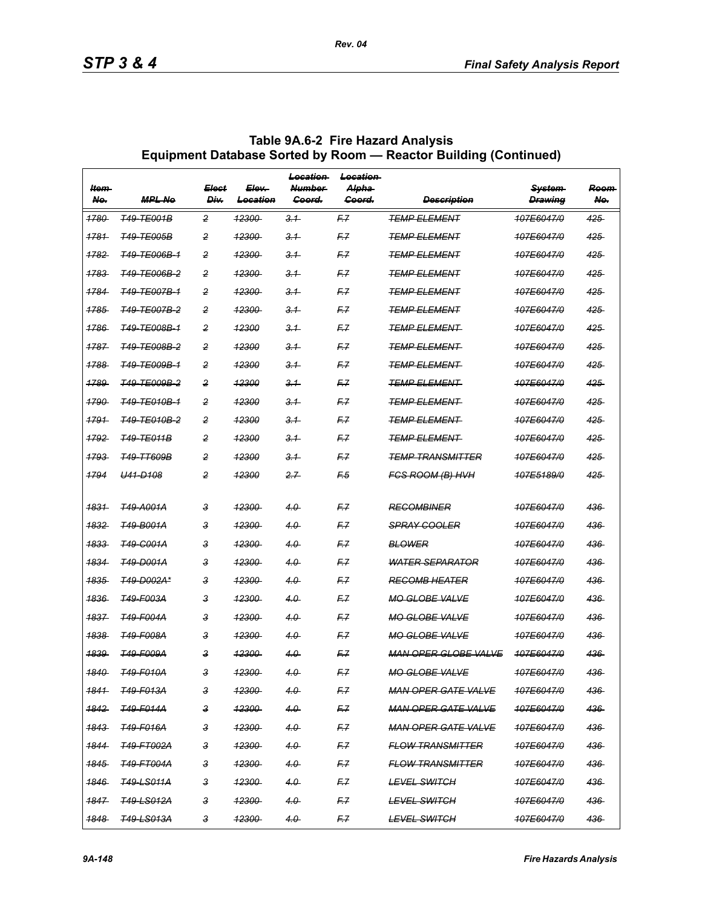| ltem-<br>No.     | <b>MPL Ne</b>           | <b>Elect</b><br>Div. | Elev-<br><del>Location</del> | <b>Location</b><br><b>Number</b><br><del>Goord.</del> | Location<br><del>Alpha</del><br><del>Coord.</del> | <b>Description</b>          | <del>System</del><br><b>Drawing</b> | Room<br>No. |
|------------------|-------------------------|----------------------|------------------------------|-------------------------------------------------------|---------------------------------------------------|-----------------------------|-------------------------------------|-------------|
| <del>1780</del>  | <b>T49-TE001B</b>       | $\overline{2}$       | 12300                        | 3.1                                                   | F7                                                | <b>TEMP ELEMENT</b>         | 407E6047/0                          | $425 -$     |
| 1781             | <b>T49-TE005B</b>       | 2                    | 12300                        | 3.1                                                   | F.Z                                               | <b>TEMP ELEMENT</b>         | 107F6047/0                          | 425         |
| <del>1782-</del> | <del>T49-TE006B-1</del> | 2                    | <del>12300</del>             | 3.1                                                   | F.7                                               | <del>TEMP ELEMENT</del>     | <del>107E6047/0</del>               | 425         |
| 1783             | <del>T49-TE006B-2</del> | $\overline{2}$       | <del>12300</del>             | $-3.1$                                                | F.7                                               | <b>TEMP ELEMENT</b>         | 107E6047/0                          | 425         |
| 1784             | <b>T49-TE007B-1</b>     | 2                    | 12300                        | 3.1                                                   | F.Z                                               | <b>TEMP ELEMENT</b>         | 107F6047/0                          | 425         |
| <del>1785</del>  | <b>T49-TE007B-2</b>     | 2                    | <del>12300</del>             | 3.1                                                   | F.7                                               | <del>TEMP ELEMENT</del>     | <del>107E6047/0</del>               | 425         |
| 1786             | T49-TE008B-1            | $\overline{2}$       | <b>12300</b>                 | $-3.1$                                                | F.Z                                               | <b>TEMP ELEMENT</b>         | <del>107E6047/0</del>               | $425 -$     |
| 1787             | <b>T49-TE008B-2</b>     | 2                    | 12300                        | 3.1                                                   | F.Z                                               | <b>TEMP ELEMENT</b>         | 107E6047/0                          | 425         |
| <del>1788</del>  | <del>T49-TE009B-1</del> | 2                    | <del>12300</del>             | 3.1                                                   | F.7                                               | <del>TEMP ELEMENT-</del>    | <del>107E6047/0</del>               | 425         |
| 1789             | <del>T49-TE009B-2</del> | $\overline{2}$       | <b>12300</b>                 | $-3.1$                                                | F.7                                               | <b>TEMP ELEMENT</b>         | <del>107E6047/0</del>               | $425 -$     |
| 1790             | <b>T49-TE010B-1</b>     | 2                    | 12300                        | 3.1                                                   | F.Z                                               | <b>TEMP ELEMENT</b>         | 107F6047/0                          | 425         |
| 1791             | <del>T49-TE010B-2</del> | 2                    | 12300                        | 3.1                                                   | F7                                                | TEMP ELEMENT                | 107E6047/0                          | 425         |
| 1792             | <b>T49-TE011B</b>       | $\overline{2}$       | <b>12300</b>                 | $-3.1$                                                | F.7                                               | <del>TEMP ELEMENT-</del>    | <del>107E6047/0</del>               | $425 -$     |
| 1793             | <b>T49-TT609B</b>       | 2                    | 12300                        | 3.1                                                   | F.Z                                               | <b>TEMP TRANSMITTER</b>     | 107E6047/0                          | 425         |
| 1794             | <del>U41-D108</del>     | 2                    | 12300                        | 2.7                                                   | F5                                                | <b>FCS ROOM (B) HVH</b>     | 107E5189/0                          | 425         |
| <del>1831-</del> | <del>T49-A001A</del>    | 3                    | <del>12300</del>             | 4.0                                                   | F.7                                               | <b>REGOMBINER</b>           | 107E6047/0                          | 436         |
| 1832             | <b>T49-B001A</b>        | 3                    | 12300                        | 4.0                                                   | F.Z                                               | <b>SPRAY COOLER</b>         | 107E6047/0                          | 436         |
| 1833             | T49-C001A               | 3                    | 12300                        | 4.0                                                   | F.Z                                               | <b>BLOWER</b>               | 107E6047/0                          | 436         |
| <del>1834</del>  | <b>T49-D001A</b>        | 3                    | <del>12300</del>             | 4.0                                                   | F7                                                | <b>WATER SEPARATOR</b>      | <del>107E6047/0</del>               | 436         |
| 1835             | <b>T49-D002A*</b>       | 3                    | 12300                        | 4.0                                                   | F.Z                                               | <b>RECOMB HEATER</b>        | 107E6047/0                          | 436         |
| 1836             | <del>749-F003A</del>    | 3                    | <u> 12300 </u>               | 4.0                                                   | F7                                                | <b>MO GLOBE VALVE</b>       | 107E6047/0                          | 436         |
| <del>1837-</del> | T49-F004A               | 3                    | <del>12300</del>             | 4.0                                                   | F.Z                                               | <b>MO GLOBE VALVE</b>       | <del>107E6047/0</del>               | 436         |
| 1838             | <b>T49-F008A</b>        | 3                    | <b>12300</b>                 | 4.0                                                   | F.Z                                               | <b>MO GLOBE VALVE</b>       | 107E6047/0                          | 436         |
| 1839             | <b>T49-F009A</b>        | 3                    | <u> 12300 </u>               | 4.0                                                   | F.Z                                               | <b>MAN OPER GLOBE VALVE</b> | 107E6047/0                          | 436         |
| <del>1840-</del> | <del>T49-F010A</del>    | 3                    | <del>12300</del>             | $4.0 -$                                               | F.7                                               | <b>MO GLOBE VALVE</b>       | <del>107E6047/0</del>               | 436         |
| 1841             | <b>T49-F013A</b>        | 3                    | 12300                        | 4.0                                                   | F7                                                | <b>MAN OPER GATE VALVE</b>  | 107E6047/0                          | $436 -$     |
|                  | 1842 T49-F014A          | 3                    | <del>12300</del>             | $4.0 -$                                               | F7                                                | MAN OPER GATE VALVE         | 107E6047/0                          | 436         |
|                  | 1843 T49-F016A          | з                    | <del>12300</del>             | 4.0                                                   | F7                                                | <b>MAN OPER GATE VALVE</b>  | 107E6047/0                          | 436         |
| 1844             | <del>T49-FT002A</del>   | 3                    | 12300                        | $4.0 -$                                               | F7                                                | <b>FLOW TRANSMITTER</b>     | 107E6047/0                          | $436 -$     |
| <del>1845</del>  | <del>T49-FT004A</del>   | з                    | 12300                        | $4.0 -$                                               | F7                                                | <b>FLOW TRANSMITTER</b>     | 107E6047/0                          | $436 -$     |
| <del>1846</del>  | <del>749 LS011A</del>   | з                    | <del>12300</del>             | 4.0                                                   | F7                                                | <b>LEVEL SWITCH</b>         | <del>107E6047/0</del>               | 436         |
| 1847             | <del>T49-LS012A</del>   | з                    | 12300                        | 4.0                                                   | F7                                                | <b>LEVEL SWITCH</b>         | 107E6047/0                          | $436 -$     |
| <del>1848.</del> | <del>749-LS013A</del>   | 3                    | 12300                        | $4.0 -$                                               | F7                                                | <b>LEVEL SWITCH</b>         | 107E6047/0                          | $436 -$     |

*Rev. 04*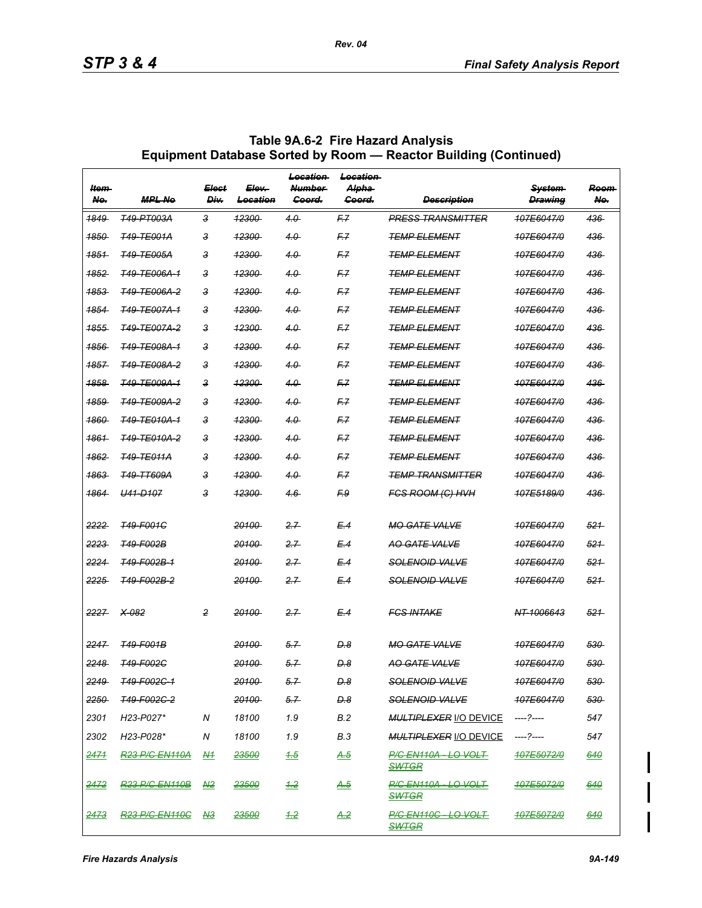| ltem-<br>No.    | <b>MPL No</b>           | <b>Elect</b><br>Div. | Elev-<br>Location | Location<br><b>Number</b><br>Goord. | Location<br><del>Alpha</del><br>Goord. | <b>Description</b>                          | <b>System</b><br><b>Drawing</b> | Room<br>No. |
|-----------------|-------------------------|----------------------|-------------------|-------------------------------------|----------------------------------------|---------------------------------------------|---------------------------------|-------------|
| <u> 1849 </u>   | <b>T49-PT003A</b>       | 3                    | 12300             | 4.0                                 | F7                                     | <b>PRESS TRANSMITTER</b>                    | 107E6047/0                      | 436         |
| 1850            | <b>T49-TE001A</b>       | 3                    | <del>12300</del>  | 4.0                                 | F.Z                                    | <b>TEMP ELEMENT</b>                         | 107E6047/0                      | 436         |
| 1851            | <b>T49-TE005A</b>       | 3                    | <del>12300</del>  | 4.0                                 | F.7                                    | <b>TEMP ELEMENT</b>                         | 107E6047/0                      | 436         |
| <del>1852</del> | <b>T49-TE006A-1</b>     | з                    | <del>12300</del>  | 4.0                                 | F.Z                                    | <b>TEMP ELEMENT</b>                         | 107E6047/0                      | 436         |
| 1853            | <b>T49-TE006A-2</b>     | 3                    | <del>12300</del>  | $4.0 -$                             | F7                                     | <b>TEMP ELEMENT</b>                         | 107E6047/0                      | 436         |
| 1854            | <b>T49-TE007A-1</b>     | 3                    | <del>12300</del>  | 4.0                                 | F.7                                    | <b>TEMP ELEMENT</b>                         | 107E6047/0                      | 436         |
| <del>1855</del> | <b>T49-TE007A-2</b>     | з                    | <del>12300</del>  | 4.0                                 | F.Z                                    | <del>TEMP ELEMENT</del>                     | 107E6047/0                      | 436         |
| 1856            | <b>T49-TE008A-1</b>     | 3                    | <del>12300</del>  | $4.0 -$                             | F.Z                                    | <b>TEMP ELEMENT</b>                         | 107E6047/0                      | 436         |
| 1857            | <del>T49-TE008A-2</del> | 3                    | <del>12300</del>  | 4.0                                 | F.Z                                    | <b>TEMP ELEMENT</b>                         | 107E6047/0                      | 436         |
| <del>1858</del> | <b>T49-TE009A-1</b>     | з                    | <del>12300</del>  | 4.0                                 | F.Z                                    | <del>TEMP ELEMENT</del>                     | 107E6047/0                      | 436         |
| 1859            | <b>T49-TE009A-2</b>     | 3                    | <del>12300</del>  | $4.0 -$                             | F7                                     | <i><b>TEMP ELEMENT</b></i>                  | 107E6047/0                      | 436         |
| 1860            | <b>T49-TE010A-1</b>     | 3                    | 12300             | 4.0                                 | F.Z                                    | <b>TEMP ELEMENT</b>                         | 107E6047/0                      | 436         |
| 1861            | <del>T49-TE010A-2</del> | з                    | <del>12300</del>  | 4.0                                 | F.Z                                    | <b>TEMP ELEMENT</b>                         | 107E6047/0                      | 436         |
| <u> 1862 </u>   | <b>T49-TE011A</b>       | 3                    | <del>12300</del>  | $4.0 -$                             | F7                                     | <b>TEMP ELEMENT</b>                         | 107E6047/0                      | 436         |
| 1863            | <b>T49-TT609A</b>       | 3                    | <b>12300</b>      | 4.0                                 | F.Z                                    | <b>TEMP TRANSMITTER</b>                     | 107E6047/0                      | 436         |
| 1864            | <b>H41-D107</b>         | з                    | <del>12300</del>  | $4.6 -$                             | F9                                     | <b>FGS ROOM (G) HVH</b>                     | <del>107E5189/0</del>           | 436         |
|                 |                         |                      |                   |                                     |                                        |                                             |                                 |             |
| 2222            | <b>T49-F001C</b>        |                      | 20100             | 2.7                                 | E.4                                    | <b>MO GATE VALVE</b>                        | 107E6047/0                      | 521         |
| 2223            | <b>T49-F002B</b>        |                      | 20100             | 2.7                                 | E.4                                    | <b>AO GATE VALVE</b>                        | 107E6047/0                      | 521         |
| 2224            | <del>T49-F002B-1</del>  |                      | <b>20100</b>      | 2.7                                 | E.4                                    | <b>SOLENOID VALVE</b>                       | 107E6047/0                      | 521         |
| 2225            | T49-F002B-2             |                      | 20100             | 2.7                                 | E.4                                    | <del>SOLENOID VALVE</del>                   | 107E6047/0                      | 521         |
| 2227            | $X-082$                 | 2                    | 20100             | 2.7                                 | E.4                                    | <b>FCS INTAKE</b>                           | NT-1006643                      | 521         |
| 2247            | <b>T49-F001B</b>        |                      | 20100             | 5.7                                 | D.8                                    | <b>MO GATE VALVE</b>                        | 107E6047/0                      | 530         |
| 2248            | <b>T49-F002C</b>        |                      | 20100             | 5.7                                 | D.8                                    | <b>AO GATE VALVE</b>                        | 107E6047/0                      | 530         |
| 2249            | T49-F002C-1             |                      | 20100             | 5.7                                 | $D-8$                                  | SOLENOID VALVE                              | 407E6047/0                      | 530         |
| 2250            | <del>749-F002C-2</del>  |                      | <del>20100</del>  | 5.7                                 | D.8                                    | <del>SOLENOID VALVE</del>                   | <del>107E6047/0</del>           | 530         |
| 2301            | H23-P027*               | N                    | 18100             | 1.9                                 | B.2                                    | MULTIPLEXER I/O DEVICE ----?----            |                                 | 547         |
| 2302            | H23-P028*               | N                    | 18100             | 1.9                                 | B.3                                    | MULTIPLEXER <u>I/O DEVICE</u>               | ----?----                       | 547         |
| <u> 2471 </u>   | <b>R23 P/G EN110A</b>   | <u>N1</u>            | <del>23500</del>  | 4.5                                 | <u>A.5</u>                             | <b>P/G EN110A - LO VOLT</b><br><b>SWTGR</b> | <del>107E5072/0</del>           | 640         |
| 2472            | <b>R23 P/C EN110B</b>   | A2                   | 23500             | 4.2                                 | <u>A.5</u>                             | <b>P/C EN110A - LO VOLT</b><br><b>SWTGR</b> | 107E5072/0                      | <u>640</u>  |
| <u> 2473 </u>   | <b>R23 P/C EN110C</b>   | <u>N3</u>            | <u> 23500 </u>    | $\pm 2$                             | <u>A.2</u>                             | <b>P/C EN110C - LO VOLT</b><br><b>SWTGR</b> | <b>407E5072/0</b>               | <u>640</u>  |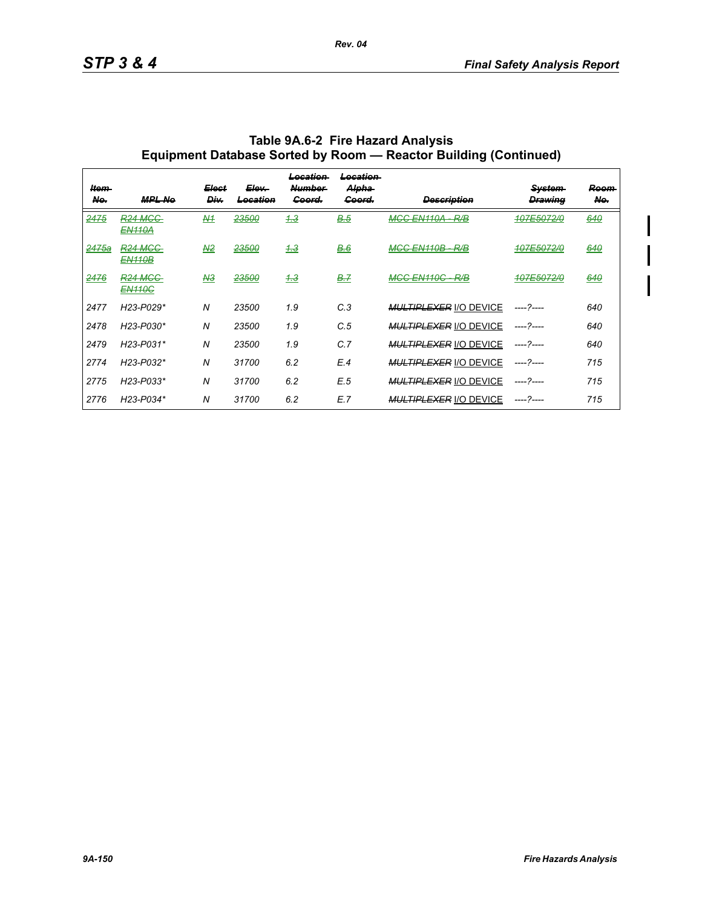$\mathbf l$ 

| ltem-<br>No.     | <b>MPL Ne</b>                            | Elect<br>Div.  | <del>Elev.</del><br><del>Location</del> | <del>Location</del><br><b>Number</b><br>Goord. | <del>Location</del><br>Alpha<br>Goord. | <del>Description</del>              | <b>System</b><br><b>Drawing</b> | <del>Room</del><br>No. |
|------------------|------------------------------------------|----------------|-----------------------------------------|------------------------------------------------|----------------------------------------|-------------------------------------|---------------------------------|------------------------|
| 2475             | <del>R24 MGC</del><br><b>EN110A</b>      | A              | <del>23500</del>                        | 4.3                                            | <b>B.5</b>                             | MGG EN110A<br>D/D<br>$\overline{ }$ | <del>107E5072/0</del>           | 640                    |
| <del>2475a</del> | <del>R24 MGC-</del><br><b>EN110B</b>     | A2             | <del>23500</del>                        | 4.3                                            | B.6                                    | MGG EN110B - R/B                    | <del>107E5072/0</del>           | 640                    |
| 2476             | <del>R24 MCC-</del><br><del>EN110C</del> | A3             | 23500                                   | 4.3                                            | <b>B.7</b>                             | MGG EN110C<br>-R/B                  | 107E5072/0                      | 640                    |
| 2477             | H23-P029*                                | $\overline{N}$ | 23500                                   | 1.9                                            | C.3                                    | <b>MULTIPLEXER I/O DEVICE</b>       | ----- 2----                     | 640                    |
| 2478             | H23-P030*                                | N              | 23500                                   | 1.9                                            | C.5                                    | <b>MULTIPLEXER I/O DEVICE</b>       | ----- 2----                     | 640                    |
| 2479             | H23-P031*                                | N              | 23500                                   | 1.9                                            | C.7                                    | <b>MULTIPLEXER I/O DEVICE</b>       | ----- 2----                     | 640                    |
| 2774             | H23-P032*                                | N              | 31700                                   | 6.2                                            | E.4                                    | <b>MULTIPLEXER I/O DEVICE</b>       | ----- 2----                     | 715                    |
| 2775             | H23-P033*                                | N              | 31700                                   | 6.2                                            | E.5                                    | <b>MULTIPLEXER I/O DEVICE</b>       | ----- 2----                     | 715                    |
| 2776             | H23-P034*                                | N              | 31700                                   | 6.2                                            | E.7                                    | <b>MULTIPLEXER I/O DEVICE</b>       | ----- 2----                     | 715                    |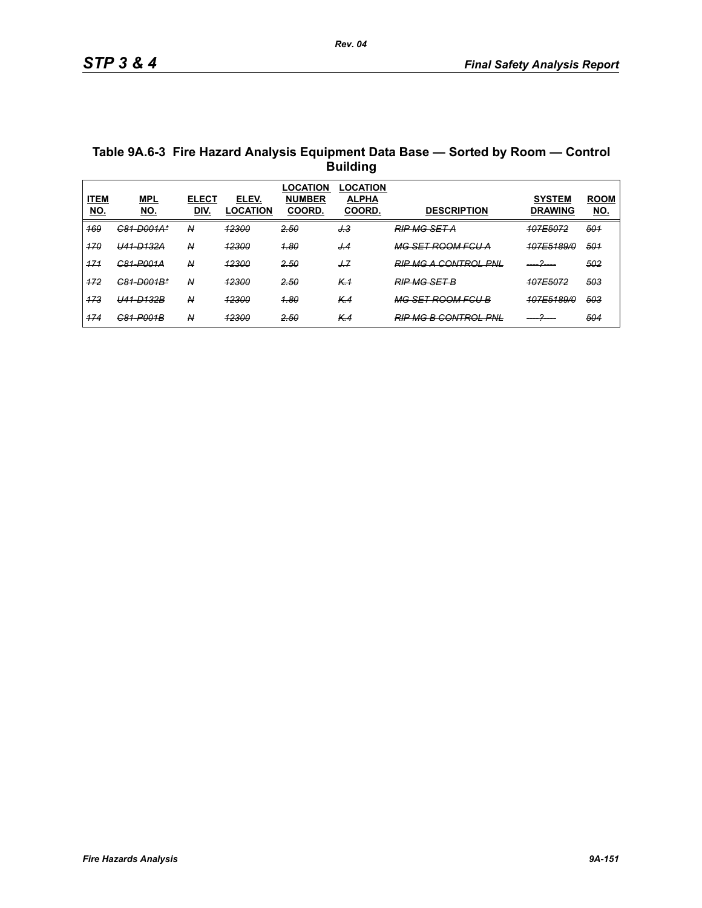| Table 9A.6-3 Fire Hazard Analysis Equipment Data Base - Sorted by Room - Control |
|----------------------------------------------------------------------------------|
| <b>Building</b>                                                                  |

| <b>ITEM</b><br><u>NO.</u> | <b>MPL</b><br><u>NO.</u>  | <b>ELECT</b><br>DIV.    | ELEV.<br>LOCATION      | _OCATION<br><b>NUMBER</b><br><b>COORD</b> | <b>LOCATION</b><br><b>ALPHA</b><br><b>COORD.</b> | <b>DESCRIPTION</b>           | <b>SYSTEM</b><br><b>DRAWING</b> | <b>ROOM</b><br><u>NO.</u> |
|---------------------------|---------------------------|-------------------------|------------------------|-------------------------------------------|--------------------------------------------------|------------------------------|---------------------------------|---------------------------|
| 169                       | <del>C81-D001A*</del>     | N                       | <b>12300</b>           | 2.50                                      | <u>J.3</u>                                       | <b>RIP MG SET A</b>          | 107E5072                        | 501                       |
| 170                       | U41-D132A                 | N                       | <b>12300</b>           | <b>1.80</b>                               | J.4                                              | <del>MG SET ROOM FCU A</del> | <b>107E5189/0</b>               | 501                       |
| 171                       | <del>C81-P001A</del>      | $\overline{\mathsf{A}}$ | 12300                  | 2.50                                      | J.7                                              | <b>RIP MG A CONTROL PNL</b>  |                                 | 502                       |
| 172                       | C81-D001B*                | N                       | <u> 12200</u><br>72300 | 2.50                                      | K <sub>1</sub>                                   | <b>RIP MG SET B</b>          | <b>107E5072</b>                 | 503                       |
| 173                       | <del>U41-D132B</del>      | N                       | <b>12300</b>           | <b>1.80</b>                               | K.4                                              | <b>MG SET ROOM FGU B</b>     | <b>107E5189/0</b>               | 503                       |
| 474                       | C81_P001R<br><del>.</del> | Ν                       | 12300<br>.             | 2.50                                      | K.4                                              | <b>RIP MG B CONTROL PNL</b>  |                                 | 504                       |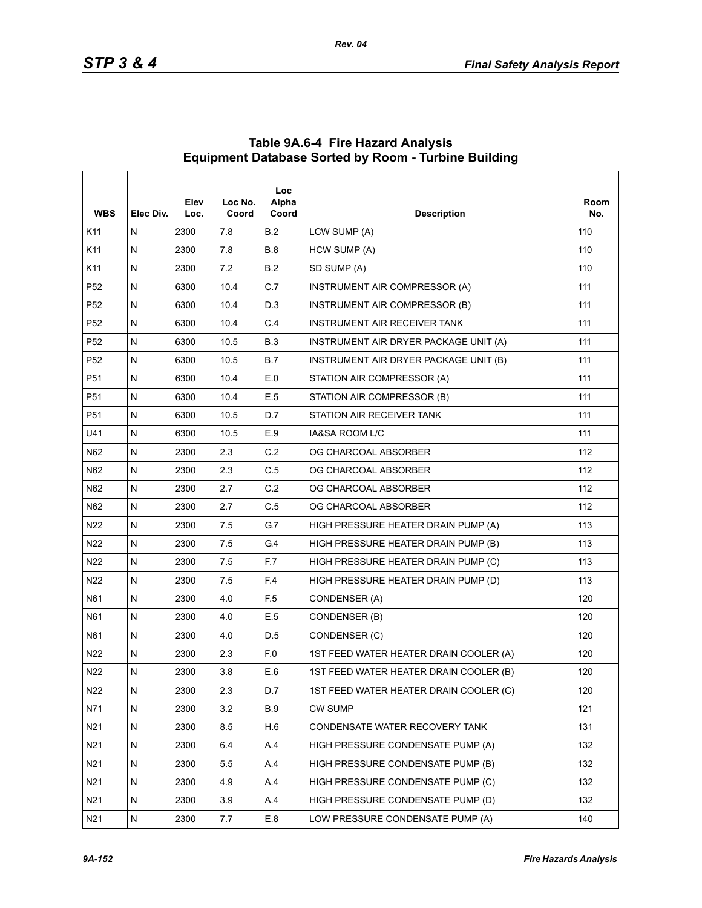| <b>WBS</b>      | Elec Div. | Elev<br>Loc. | Loc No.<br>Coord | <b>Loc</b><br>Alpha<br>Coord | <b>Description</b>                     | Room<br>No. |
|-----------------|-----------|--------------|------------------|------------------------------|----------------------------------------|-------------|
| K11             | N         | 2300         | 7.8              | B.2                          | LCW SUMP (A)                           | 110         |
| K11             | N         | 2300         | 7.8              | <b>B.8</b>                   | HCW SUMP (A)                           | 110         |
| K11             | Ν         | 2300         | 7.2              | <b>B.2</b>                   | SD SUMP (A)                            | 110         |
| P <sub>52</sub> | N         | 6300         | 10.4             | C.7                          | INSTRUMENT AIR COMPRESSOR (A)          | 111         |
| P <sub>52</sub> | N         | 6300         | 10.4             | D.3                          | INSTRUMENT AIR COMPRESSOR (B)          | 111         |
| P <sub>52</sub> | Ν         | 6300         | 10.4             | C.4                          | INSTRUMENT AIR RECEIVER TANK           | 111         |
| P <sub>52</sub> | N         | 6300         | 10.5             | <b>B.3</b>                   | INSTRUMENT AIR DRYER PACKAGE UNIT (A)  | 111         |
| P <sub>52</sub> | N         | 6300         | 10.5             | B.7                          | INSTRUMENT AIR DRYER PACKAGE UNIT (B)  | 111         |
| P51             | N         | 6300         | 10.4             | E.0                          | STATION AIR COMPRESSOR (A)             | 111         |
| P51             | N         | 6300         | 10.4             | E.5                          | STATION AIR COMPRESSOR (B)             | 111         |
| P <sub>51</sub> | N         | 6300         | 10.5             | D.7                          | STATION AIR RECEIVER TANK              | 111         |
| U41             | N         | 6300         | 10.5             | E.9                          | IA&SA ROOM L/C                         | 111         |
| N62             | N         | 2300         | 2.3              | C.2                          | OG CHARCOAL ABSORBER                   | 112         |
| N62             | N         | 2300         | 2.3              | C.5                          | OG CHARCOAL ABSORBER                   | 112         |
| N62             | N         | 2300         | 2.7              | C.2                          | OG CHARCOAL ABSORBER                   | 112         |
| N62             | N         | 2300         | 2.7              | C.5                          | OG CHARCOAL ABSORBER                   | 112         |
| N22             | N         | 2300         | 7.5              | G.7                          | HIGH PRESSURE HEATER DRAIN PUMP (A)    | 113         |
| N <sub>22</sub> | N         | 2300         | 7.5              | G <sub>4</sub>               | HIGH PRESSURE HEATER DRAIN PUMP (B)    | 113         |
| N22             | N         | 2300         | 7.5              | F.7                          | HIGH PRESSURE HEATER DRAIN PUMP (C)    | 113         |
| N22             | N         | 2300         | 7.5              | F.4                          | HIGH PRESSURE HEATER DRAIN PUMP (D)    | 113         |
| N61             | N         | 2300         | 4.0              | F <sub>5</sub>               | CONDENSER (A)                          | 120         |
| N61             | N         | 2300         | 4.0              | E.5                          | CONDENSER (B)                          | 120         |
| N61             | N         | 2300         | 4.0              | D.5                          | CONDENSER (C)                          | 120         |
| N <sub>22</sub> | N         | 2300         | 2.3              | F.O                          | 1ST FEED WATER HEATER DRAIN COOLER (A) | 120         |
| N <sub>22</sub> | N         | 2300         | 3.8              | E.6                          | 1ST FEED WATER HEATER DRAIN COOLER (B) | 120         |
| N22             | N         | 2300         | 2.3              | D.7                          | 1ST FEED WATER HEATER DRAIN COOLER (C) | 120         |
| N71             | N         | 2300         | 3.2              | <b>B.9</b>                   | CW SUMP                                | 121         |
| N21             | N         | 2300         | 8.5              | H.6                          | CONDENSATE WATER RECOVERY TANK         | 131         |
| N21             | N         | 2300         | 6.4              | A.4                          | HIGH PRESSURE CONDENSATE PUMP (A)      | 132         |
| N21             | N         | 2300         | 5.5              | A.4                          | HIGH PRESSURE CONDENSATE PUMP (B)      | 132         |
| N21             | N         | 2300         | 4.9              | A.4                          | HIGH PRESSURE CONDENSATE PUMP (C)      | 132         |
| N21             | N         | 2300         | 3.9              | A.4                          | HIGH PRESSURE CONDENSATE PUMP (D)      | 132         |
| N21             | N         | 2300         | 7.7              | E.8                          | LOW PRESSURE CONDENSATE PUMP (A)       | 140         |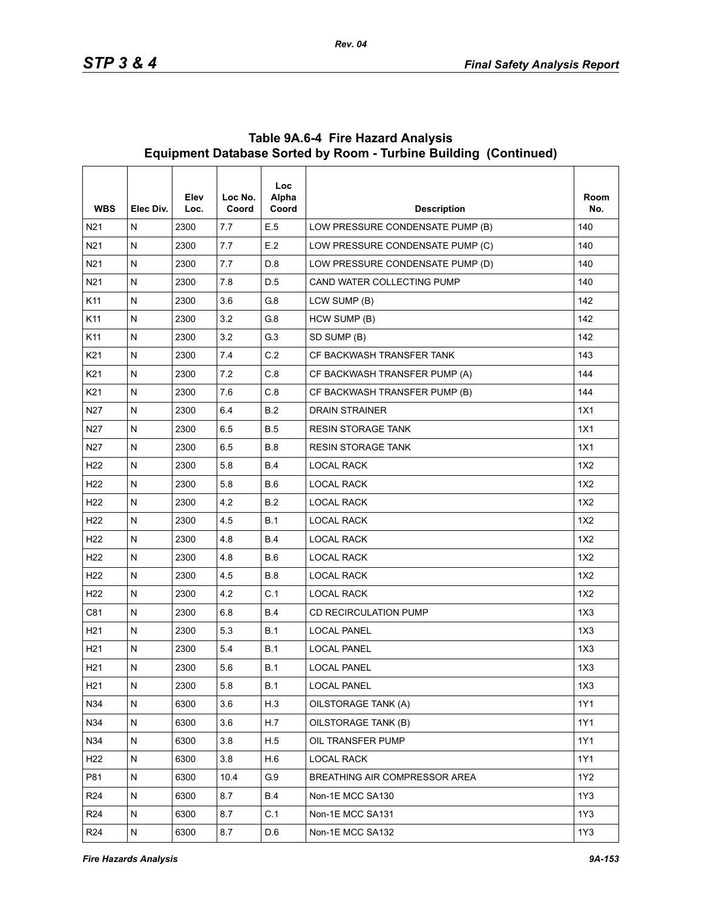| <b>WBS</b>      | Elec Div.    | Elev<br>Loc. | Loc No.<br>Coord | <b>Loc</b><br>Alpha<br>Coord | <b>Description</b>               | Room<br>No. |
|-----------------|--------------|--------------|------------------|------------------------------|----------------------------------|-------------|
| N <sub>21</sub> | N            | 2300         | 7.7              | E.5                          | LOW PRESSURE CONDENSATE PUMP (B) | 140         |
| N21             | ${\sf N}$    | 2300         | 7.7              | E.2                          | LOW PRESSURE CONDENSATE PUMP (C) | 140         |
| N21             | $\mathsf{N}$ | 2300         | 7.7              | D.8                          | LOW PRESSURE CONDENSATE PUMP (D) | 140         |
| N <sub>21</sub> | N            | 2300         | 7.8              | D.5                          | CAND WATER COLLECTING PUMP       | 140         |
| K11             | ${\sf N}$    | 2300         | 3.6              | G8                           | LCW SUMP (B)                     | 142         |
| K11             | $\mathsf{N}$ | 2300         | 3.2              | G.8                          | HCW SUMP (B)                     | 142         |
| K11             | ${\sf N}$    | 2300         | 3.2              | G.3                          | SD SUMP (B)                      | 142         |
| K21             | ${\sf N}$    | 2300         | 7.4              | C.2                          | CF BACKWASH TRANSFER TANK        | 143         |
| K21             | $\mathsf{N}$ | 2300         | 7.2              | C.8                          | CF BACKWASH TRANSFER PUMP (A)    | 144         |
| K <sub>21</sub> | N            | 2300         | 7.6              | C.8                          | CF BACKWASH TRANSFER PUMP (B)    | 144         |
| N27             | N            | 2300         | 6.4              | <b>B.2</b>                   | <b>DRAIN STRAINER</b>            | 1X1         |
| N <sub>27</sub> | N            | 2300         | 6.5              | <b>B.5</b>                   | <b>RESIN STORAGE TANK</b>        | 1X1         |
| N <sub>27</sub> | ${\sf N}$    | 2300         | 6.5              | <b>B.8</b>                   | <b>RESIN STORAGE TANK</b>        | 1X1         |
| H <sub>22</sub> | ${\sf N}$    | 2300         | 5.8              | <b>B.4</b>                   | LOCAL RACK                       | 1X2         |
| H <sub>22</sub> | $\mathsf{N}$ | 2300         | 5.8              | <b>B.6</b>                   | LOCAL RACK                       | 1X2         |
| H <sub>22</sub> | N            | 2300         | 4.2              | B.2                          | <b>LOCAL RACK</b>                | 1X2         |
| H <sub>22</sub> | N            | 2300         | 4.5              | <b>B.1</b>                   | LOCAL RACK                       | 1X2         |
| H <sub>22</sub> | N            | 2300         | 4.8              | <b>B.4</b>                   | LOCAL RACK                       | 1X2         |
| H <sub>22</sub> | ${\sf N}$    | 2300         | 4.8              | <b>B.6</b>                   | <b>LOCAL RACK</b>                | 1X2         |
| H <sub>22</sub> | ${\sf N}$    | 2300         | 4.5              | <b>B.8</b>                   | LOCAL RACK                       | 1X2         |
| H <sub>22</sub> | N            | 2300         | 4.2              | C.1                          | LOCAL RACK                       | 1X2         |
| C81             | N            | 2300         | 6.8              | <b>B.4</b>                   | CD RECIRCULATION PUMP            | 1X3         |
| H21             | ${\sf N}$    | 2300         | 5.3              | <b>B.1</b>                   | <b>LOCAL PANEL</b>               | 1X3         |
| H <sub>21</sub> | $\mathsf{N}$ | 2300         | 5.4              | B.1                          | <b>LOCAL PANEL</b>               | 1X3         |
| H <sub>21</sub> | N            | 2300         | 5.6              | <b>B.1</b>                   | <b>LOCAL PANEL</b>               | 1X3         |
| H <sub>21</sub> | ${\sf N}$    | 2300         | 5.8              | B.1                          | <b>LOCAL PANEL</b>               | 1X3         |
| N34             | ${\sf N}$    | 6300         | 3.6              | H.3                          | OILSTORAGE TANK (A)              | 1Y1         |
| N34             | N            | 6300         | 3.6              | H.7                          | OILSTORAGE TANK (B)              | 1Y1         |
| N34             | N            | 6300         | 3.8              | H.5                          | OIL TRANSFER PUMP                | 1Y1         |
| H <sub>22</sub> | ${\sf N}$    | 6300         | 3.8              | H.6                          | <b>LOCAL RACK</b>                | 1Y1         |
| P81             | N            | 6300         | 10.4             | G.9                          | BREATHING AIR COMPRESSOR AREA    | 1Y2         |
| R24             | N            | 6300         | 8.7              | <b>B.4</b>                   | Non-1E MCC SA130                 | 1Y3         |
| R <sub>24</sub> | ${\sf N}$    | 6300         | 8.7              | C.1                          | Non-1E MCC SA131                 | 1Y3         |
| R <sub>24</sub> | N            | 6300         | 8.7              | D.6                          | Non-1E MCC SA132                 | 1Y3         |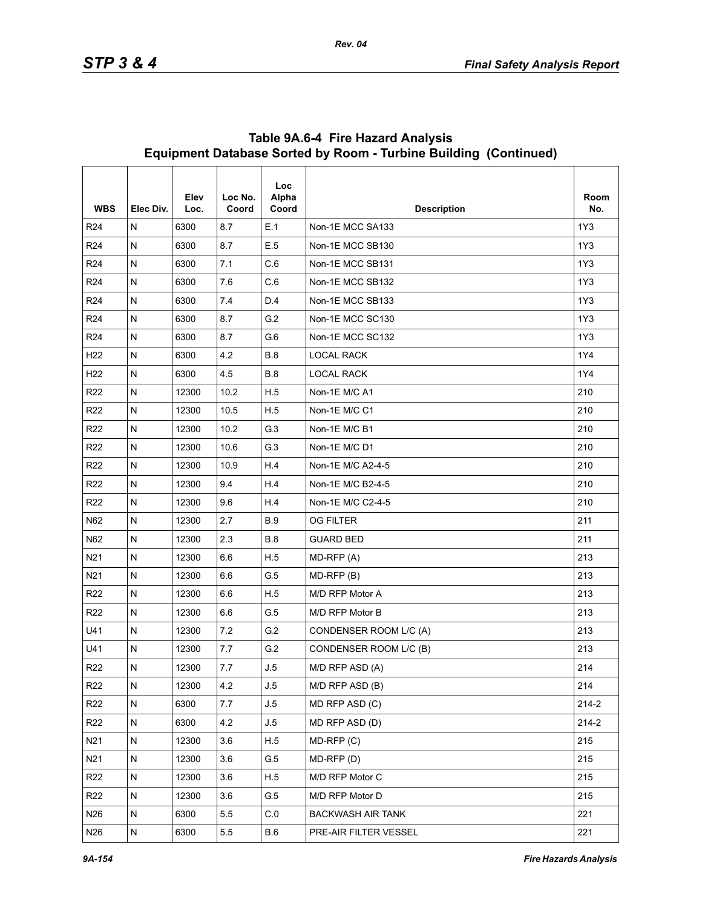| <b>WBS</b>      | Elec Div.    | Elev<br>Loc. | Loc No.<br>Coord | Loc<br>Alpha<br>Coord | <b>Description</b>       | Room<br>No. |
|-----------------|--------------|--------------|------------------|-----------------------|--------------------------|-------------|
| R <sub>24</sub> | N            | 6300         | 8.7              | E.1                   | Non-1E MCC SA133         | 1Y3         |
| R <sub>24</sub> | N            | 6300         | 8.7              | E.5                   | Non-1E MCC SB130         | 1Y3         |
| R <sub>24</sub> | N            | 6300         | 7.1              | C.6                   | Non-1E MCC SB131         | 1Y3         |
| R <sub>24</sub> | N            | 6300         | 7.6              | C.6                   | Non-1E MCC SB132         | 1Y3         |
| R <sub>24</sub> | N            | 6300         | 74               | D.4                   | Non-1E MCC SB133         | 1Y3         |
| R <sub>24</sub> | N            | 6300         | 8.7              | G.2                   | Non-1E MCC SC130         | 1Y3         |
| R <sub>24</sub> | N            | 6300         | 8.7              | G.6                   | Non-1E MCC SC132         | 1Y3         |
| H <sub>22</sub> | N            | 6300         | 4.2              | <b>B.8</b>            | <b>LOCAL RACK</b>        | 1Y4         |
| H <sub>22</sub> | N            | 6300         | 4.5              | <b>B.8</b>            | <b>LOCAL RACK</b>        | 1Y4         |
| R <sub>22</sub> | N            | 12300        | 10.2             | H.5                   | Non-1E M/C A1            | 210         |
| R <sub>22</sub> | N            | 12300        | 10.5             | H.5                   | Non-1E M/C C1            | 210         |
| R <sub>22</sub> | N            | 12300        | 10.2             | G.3                   | Non-1E M/C B1            | 210         |
| R <sub>22</sub> | N            | 12300        | 10.6             | G.3                   | Non-1E M/C D1            | 210         |
| R <sub>22</sub> | N            | 12300        | 10.9             | H.4                   | Non-1E M/C A2-4-5        | 210         |
| R <sub>22</sub> | N            | 12300        | 9.4              | H.4                   | Non-1E M/C B2-4-5        | 210         |
| R <sub>22</sub> | Ν            | 12300        | 9.6              | H.4                   | Non-1E M/C C2-4-5        | 210         |
| N62             | N            | 12300        | 2.7              | <b>B.9</b>            | <b>OG FILTER</b>         | 211         |
| N62             | N            | 12300        | 2.3              | <b>B.8</b>            | <b>GUARD BED</b>         | 211         |
| N <sub>21</sub> | N            | 12300        | 6.6              | H.5                   | MD-RFP (A)               | 213         |
| N <sub>21</sub> | N            | 12300        | 6.6              | G.5                   | $MD-RFP(B)$              | 213         |
| R <sub>22</sub> | N            | 12300        | 6.6              | H.5                   | M/D RFP Motor A          | 213         |
| R <sub>22</sub> | Ν            | 12300        | 6.6              | G.5                   | M/D RFP Motor B          | 213         |
| U41             | N            | 12300        | 7.2              | G.2                   | CONDENSER ROOM L/C (A)   | 213         |
| U41             | N            | 12300        | 7.7              | G.2                   | CONDENSER ROOM L/C (B)   | 213         |
| R <sub>22</sub> | N            | 12300        | 7.7              | J.5                   | M/D RFP ASD (A)          | 214         |
| R <sub>22</sub> | N            | 12300        | 4.2              | J.5                   | M/D RFP ASD (B)          | 214         |
| R <sub>22</sub> | N            | 6300         | 7.7              | J.5                   | MD RFP ASD (C)           | 214-2       |
| R <sub>22</sub> | Ν            | 6300         | 4.2              | J.5                   | MD RFP ASD (D)           | 214-2       |
| N21             | $\mathsf{N}$ | 12300        | 3.6              | H.5                   | $MD-RFP(C)$              | 215         |
| N21             | $\mathsf{N}$ | 12300        | 3.6              | G.5                   | MD-RFP (D)               | 215         |
| R <sub>22</sub> | Ν            | 12300        | 3.6              | H.5                   | M/D RFP Motor C          | 215         |
| R <sub>22</sub> | N            | 12300        | 3.6              | G.5                   | M/D RFP Motor D          | 215         |
| N26             | N            | 6300         | 5.5              | C.0                   | <b>BACKWASH AIR TANK</b> | 221         |
| N26             | N            | 6300         | 5.5              | <b>B.6</b>            | PRE-AIR FILTER VESSEL    | 221         |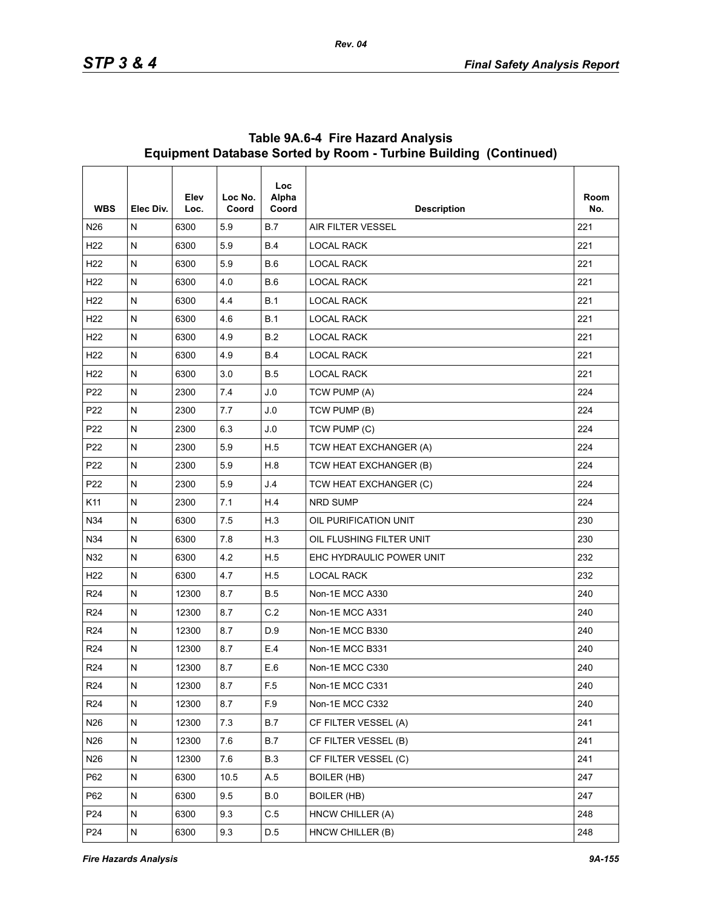| <b>WBS</b>      | Elec Div. | Elev<br>Loc. | Loc No.<br>Coord | <b>Loc</b><br>Alpha<br>Coord | <b>Description</b>       | Room<br>No. |
|-----------------|-----------|--------------|------------------|------------------------------|--------------------------|-------------|
| N <sub>26</sub> | N         | 6300         | 5.9              | B.7                          | <b>AIR FILTER VESSEL</b> | 221         |
| H <sub>22</sub> | N         | 6300         | 5.9              | <b>B.4</b>                   | <b>LOCAL RACK</b>        | 221         |
| H <sub>22</sub> | ${\sf N}$ | 6300         | 5.9              | B.6                          | <b>LOCAL RACK</b>        | 221         |
| H <sub>22</sub> | N         | 6300         | 4.0              | B.6                          | <b>LOCAL RACK</b>        | 221         |
| H <sub>22</sub> | N         | 6300         | 4.4              | <b>B.1</b>                   | <b>LOCAL RACK</b>        | 221         |
| H <sub>22</sub> | ${\sf N}$ | 6300         | 4.6              | B.1                          | <b>LOCAL RACK</b>        | 221         |
| H <sub>22</sub> | N         | 6300         | 4.9              | B.2                          | <b>LOCAL RACK</b>        | 221         |
| H <sub>22</sub> | N         | 6300         | 4.9              | <b>B.4</b>                   | <b>LOCAL RACK</b>        | 221         |
| H <sub>22</sub> | ${\sf N}$ | 6300         | 3.0              | <b>B.5</b>                   | <b>LOCAL RACK</b>        | 221         |
| P <sub>22</sub> | ${\sf N}$ | 2300         | 7.4              | J.0                          | TCW PUMP (A)             | 224         |
| P <sub>22</sub> | N         | 2300         | 7.7              | J.0                          | TCW PUMP (B)             | 224         |
| P <sub>22</sub> | ${\sf N}$ | 2300         | 6.3              | J.0                          | TCW PUMP (C)             | 224         |
| P <sub>22</sub> | N         | 2300         | 5.9              | H.5                          | TCW HEAT EXCHANGER (A)   | 224         |
| P <sub>22</sub> | N         | 2300         | 5.9              | H.8                          | TCW HEAT EXCHANGER (B)   | 224         |
| P <sub>22</sub> | ${\sf N}$ | 2300         | 5.9              | J.4                          | TCW HEAT EXCHANGER (C)   | 224         |
| K11             | N         | 2300         | 7.1              | H.4                          | <b>NRD SUMP</b>          | 224         |
| N34             | N         | 6300         | 7.5              | H.3                          | OIL PURIFICATION UNIT    | 230         |
| N34             | ${\sf N}$ | 6300         | 7.8              | H.3                          | OIL FLUSHING FILTER UNIT | 230         |
| N32             | N         | 6300         | 4.2              | H.5                          | EHC HYDRAULIC POWER UNIT | 232         |
| H <sub>22</sub> | N         | 6300         | 4.7              | H.5                          | <b>LOCAL RACK</b>        | 232         |
| R <sub>24</sub> | ${\sf N}$ | 12300        | 8.7              | <b>B.5</b>                   | Non-1E MCC A330          | 240         |
| R <sub>24</sub> | N         | 12300        | 8.7              | C.2                          | Non-1E MCC A331          | 240         |
| R <sub>24</sub> | N         | 12300        | 8.7              | D.9                          | Non-1E MCC B330          | 240         |
| R <sub>24</sub> | ${\sf N}$ | 12300        | 8.7              | E.4                          | Non-1E MCC B331          | 240         |
| R <sub>24</sub> | N         | 12300        | 8.7              | E.6                          | Non-1E MCC C330          | 240         |
| R <sub>24</sub> | N         | 12300        | 8.7              | F.5                          | Non-1E MCC C331          | 240         |
| R <sub>24</sub> | N         | 12300        | 8.7              | F.9                          | Non-1E MCC C332          | 240         |
| N26             | N         | 12300        | 7.3              | <b>B.7</b>                   | CF FILTER VESSEL (A)     | 241         |
| N26             | N         | 12300        | 7.6              | <b>B.7</b>                   | CF FILTER VESSEL (B)     | 241         |
| N26             | ${\sf N}$ | 12300        | 7.6              | <b>B.3</b>                   | CF FILTER VESSEL (C)     | 241         |
| P62             | N         | 6300         | 10.5             | A.5                          | <b>BOILER (HB)</b>       | 247         |
| P62             | N         | 6300         | 9.5              | B.0                          | <b>BOILER (HB)</b>       | 247         |
| P24             | N         | 6300         | 9.3              | C.5                          | HNCW CHILLER (A)         | 248         |
| P24             | N         | 6300         | 9.3              | D.5                          | HNCW CHILLER (B)         | 248         |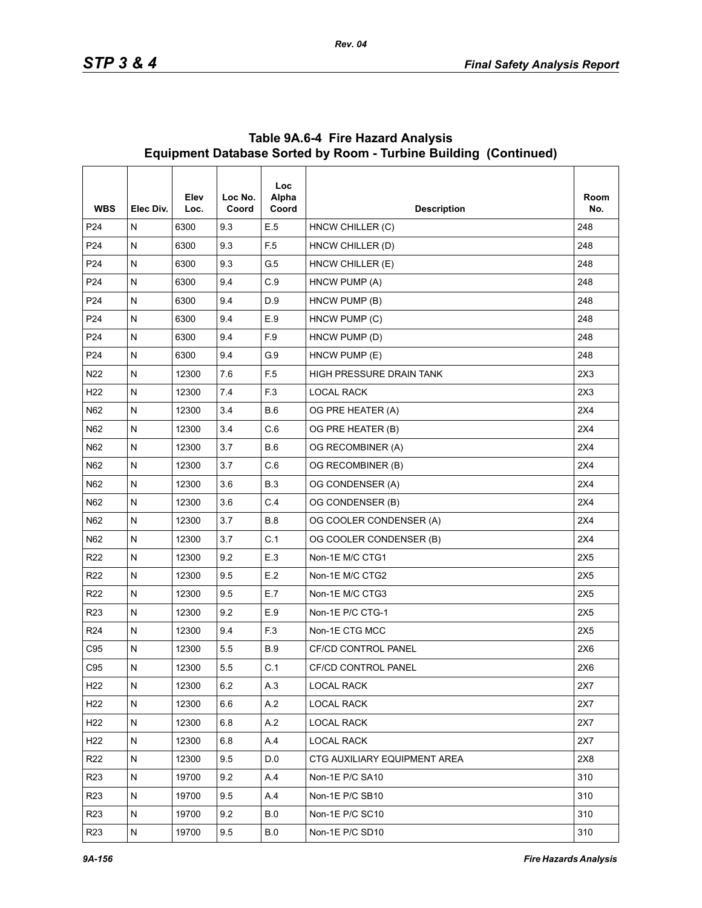| <b>WBS</b>      | Elec Div.    | Elev<br>Loc. | Loc No.<br>Coord | <b>Loc</b><br>Alpha<br>Coord | <b>Description</b>           | Room<br>No. |
|-----------------|--------------|--------------|------------------|------------------------------|------------------------------|-------------|
| P <sub>24</sub> | N            | 6300         | 9.3              | E.5                          | HNCW CHILLER (C)             | 248         |
| P <sub>24</sub> | $\mathsf{N}$ | 6300         | 9.3              | F <sub>5</sub>               | HNCW CHILLER (D)             | 248         |
| P <sub>24</sub> | ${\sf N}$    | 6300         | 9.3              | G.5                          | HNCW CHILLER (E)             | 248         |
| P <sub>24</sub> | N            | 6300         | 9.4              | C.9                          | HNCW PUMP (A)                | 248         |
| P <sub>24</sub> | N            | 6300         | 9.4              | D.9                          | HNCW PUMP (B)                | 248         |
| P <sub>24</sub> | N            | 6300         | 9.4              | E.9                          | HNCW PUMP (C)                | 248         |
| P <sub>24</sub> | N            | 6300         | 9.4              | F.9                          | HNCW PUMP (D)                | 248         |
| P <sub>24</sub> | $\mathsf{N}$ | 6300         | 9.4              | G.9                          | HNCW PUMP (E)                | 248         |
| N22             | N            | 12300        | 7.6              | F <sub>5</sub>               | HIGH PRESSURE DRAIN TANK     | 2X3         |
| H <sub>22</sub> | N            | 12300        | 7.4              | F <sub>3</sub>               | <b>LOCAL RACK</b>            | 2X3         |
| N62             | N            | 12300        | 3.4              | <b>B.6</b>                   | OG PRE HEATER (A)            | 2X4         |
| N62             | N            | 12300        | 3.4              | C.6                          | OG PRE HEATER (B)            | 2X4         |
| N62             | N            | 12300        | 3.7              | <b>B.6</b>                   | OG RECOMBINER (A)            | 2X4         |
| N62             | N            | 12300        | 3.7              | C.6                          | OG RECOMBINER (B)            | 2X4         |
| N62             | N            | 12300        | 3.6              | <b>B.3</b>                   | OG CONDENSER (A)             | 2X4         |
| N62             | N            | 12300        | 3.6              | C.4                          | OG CONDENSER (B)             | 2X4         |
| N62             | N            | 12300        | 3.7              | <b>B.8</b>                   | OG COOLER CONDENSER (A)      | 2X4         |
| N62             | N            | 12300        | 3.7              | C.1                          | OG COOLER CONDENSER (B)      | 2X4         |
| R <sub>22</sub> | $\mathsf{N}$ | 12300        | 9.2              | E.3                          | Non-1E M/C CTG1              | 2X5         |
| R <sub>22</sub> | $\mathsf{N}$ | 12300        | 9.5              | E.2                          | Non-1E M/C CTG2              | 2X5         |
| R <sub>22</sub> | ${\sf N}$    | 12300        | 9.5              | E.7                          | Non-1E M/C CTG3              | 2X5         |
| R <sub>23</sub> | $\mathsf{N}$ | 12300        | 9.2              | E.9                          | Non-1E P/C CTG-1             | 2X5         |
| R <sub>24</sub> | N            | 12300        | 9.4              | F.3                          | Non-1E CTG MCC               | 2X5         |
| C95             | N            | 12300        | 5.5              | <b>B.9</b>                   | <b>CF/CD CONTROL PANEL</b>   | 2X6         |
| C95             | N            | 12300        | 5.5              | C.1                          | <b>CF/CD CONTROL PANEL</b>   | 2X6         |
| H <sub>22</sub> | N            | 12300        | 6.2              | A.3                          | <b>LOCAL RACK</b>            | 2X7         |
| H <sub>22</sub> | N            | 12300        | 6.6              | A.2                          | <b>LOCAL RACK</b>            | 2X7         |
| H <sub>22</sub> | N            | 12300        | 6.8              | A.2                          | LOCAL RACK                   | 2X7         |
| H <sub>22</sub> | N            | 12300        | 6.8              | A.4                          | <b>LOCAL RACK</b>            | 2X7         |
| R <sub>22</sub> | N            | 12300        | 9.5              | D.0                          | CTG AUXILIARY EQUIPMENT AREA | 2X8         |
| R <sub>23</sub> | ${\sf N}$    | 19700        | 9.2              | A.4                          | Non-1E P/C SA10              | 310         |
| R <sub>23</sub> | N            | 19700        | 9.5              | A.4                          | Non-1E P/C SB10              | 310         |
| R <sub>23</sub> | N            | 19700        | 9.2              | <b>B.0</b>                   | Non-1E P/C SC10              | 310         |
| R <sub>23</sub> | ${\sf N}$    | 19700        | 9.5              | $\mathsf B.0$                | Non-1E P/C SD10              | 310         |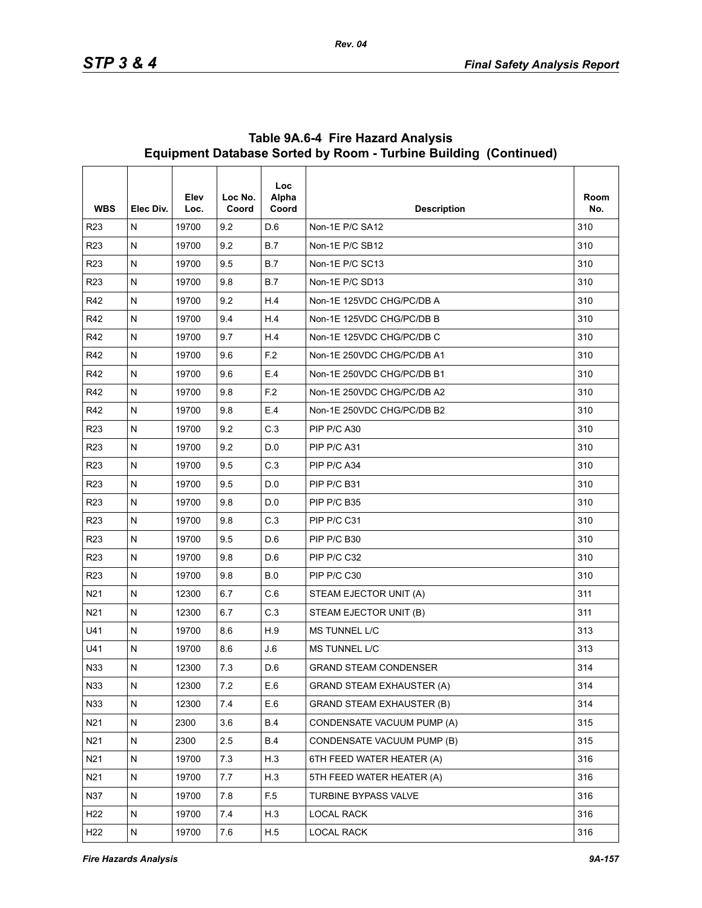| <b>WBS</b>      | Elec Div. | Elev<br>Loc. | Loc No.<br>Coord | Loc<br>Alpha<br>Coord | <b>Description</b>               | Room<br>No. |
|-----------------|-----------|--------------|------------------|-----------------------|----------------------------------|-------------|
| R <sub>23</sub> | N         | 19700        | 9.2              | D.6                   | Non-1E P/C SA12                  | 310         |
| <b>R23</b>      | N         | 19700        | 9.2              | B.7                   | Non-1E P/C SB12                  | 310         |
| R <sub>23</sub> | N         | 19700        | 9.5              | B.7                   | Non-1E P/C SC13                  | 310         |
| R <sub>23</sub> | N         | 19700        | 9.8              | <b>B.7</b>            | Non-1E P/C SD13                  | 310         |
| R42             | N         | 19700        | 9.2              | H.4                   | Non-1E 125VDC CHG/PC/DB A        | 310         |
| R42             | N         | 19700        | 9.4              | H.4                   | Non-1E 125VDC CHG/PC/DB B        | 310         |
| R42             | N         | 19700        | 9.7              | H.4                   | Non-1E 125VDC CHG/PC/DB C        | 310         |
| R42             | N         | 19700        | 9.6              | F.2                   | Non-1E 250VDC CHG/PC/DB A1       | 310         |
| R42             | N         | 19700        | 9.6              | E.4                   | Non-1E 250VDC CHG/PC/DB B1       | 310         |
| R42             | N         | 19700        | 9.8              | F.2                   | Non-1E 250VDC CHG/PC/DB A2       | 310         |
| R42             | N         | 19700        | 9.8              | E.4                   | Non-1E 250VDC CHG/PC/DB B2       | 310         |
| R <sub>23</sub> | N         | 19700        | 9.2              | C.3                   | PIP P/C A30                      | 310         |
| R <sub>23</sub> | N         | 19700        | 9.2              | D.0                   | PIP P/C A31                      | 310         |
| <b>R23</b>      | N         | 19700        | 9.5              | C.3                   | PIP P/C A34                      | 310         |
| R <sub>23</sub> | N         | 19700        | 9.5              | D.0                   | PIP P/C B31                      | 310         |
| R <sub>23</sub> | N         | 19700        | 9.8              | D.0                   | PIP P/C B35                      | 310         |
| R <sub>23</sub> | N         | 19700        | 9.8              | C.3                   | PIP P/C C31                      | 310         |
| R <sub>23</sub> | N         | 19700        | 9.5              | D.6                   | PIP P/C B30                      | 310         |
| R <sub>23</sub> | N         | 19700        | 9.8              | D.6                   | PIP P/C C32                      | 310         |
| <b>R23</b>      | N         | 19700        | 9.8              | <b>B.0</b>            | PIP P/C C30                      | 310         |
| N21             | N         | 12300        | 6.7              | C.6                   | STEAM EJECTOR UNIT (A)           | 311         |
| N <sub>21</sub> | N         | 12300        | 6.7              | C.3                   | STEAM EJECTOR UNIT (B)           | 311         |
| U41             | N         | 19700        | 8.6              | H.9                   | <b>MS TUNNEL L/C</b>             | 313         |
| U41             | N         | 19700        | 8.6              | J.6                   | <b>MS TUNNEL L/C</b>             | 313         |
| N33             | N         | 12300        | 7.3              | D.6                   | <b>GRAND STEAM CONDENSER</b>     | 314         |
| N33             | N         | 12300        | 7.2              | E.6                   | <b>GRAND STEAM EXHAUSTER (A)</b> | 314         |
| N33             | N         | 12300        | 7.4              | E.6                   | <b>GRAND STEAM EXHAUSTER (B)</b> | 314         |
| N21             | N         | 2300         | 3.6              | <b>B.4</b>            | CONDENSATE VACUUM PUMP (A)       | 315         |
| N21             | N         | 2300         | 2.5              | <b>B.4</b>            | CONDENSATE VACUUM PUMP (B)       | 315         |
| N21             | N         | 19700        | 7.3              | H.3                   | 6TH FEED WATER HEATER (A)        | 316         |
| N21             | N         | 19700        | 7.7              | H.3                   | 5TH FEED WATER HEATER (A)        | 316         |
| N37             | N         | 19700        | 7.8              | F <sub>5</sub>        | TURBINE BYPASS VALVE             | 316         |
| H <sub>22</sub> | N         | 19700        | 74               | H.3                   | <b>LOCAL RACK</b>                | 316         |
| H <sub>22</sub> | N         | 19700        | 7.6              | H.5                   | LOCAL RACK                       | 316         |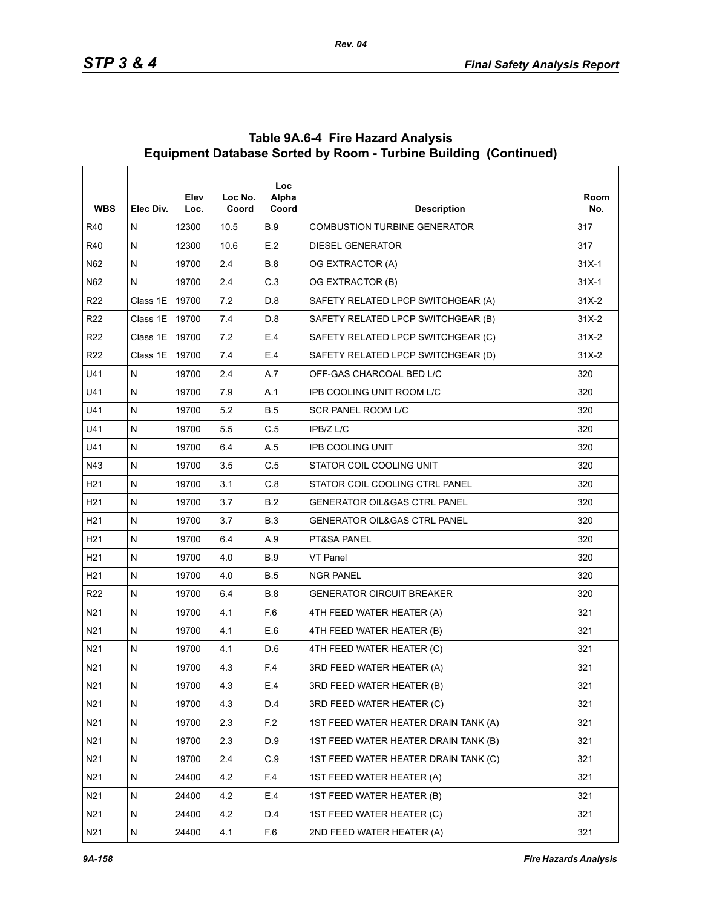| <b>WBS</b>      | Elec Div.    | Elev<br>Loc. | Loc No.<br>Coord | <b>Loc</b><br>Alpha<br>Coord | <b>Description</b>                      | Room<br>No. |
|-----------------|--------------|--------------|------------------|------------------------------|-----------------------------------------|-------------|
| R40             | N            | 12300        | 10.5             | <b>B.9</b>                   | <b>COMBUSTION TURBINE GENERATOR</b>     | 317         |
| R40             | $\mathsf{N}$ | 12300        | 10.6             | E.2                          | <b>DIESEL GENERATOR</b>                 | 317         |
| N62             | N            | 19700        | 2.4              | B.8                          | OG EXTRACTOR (A)                        | $31X-1$     |
| N62             | N            | 19700        | 2.4              | C.3                          | OG EXTRACTOR (B)                        | $31X-1$     |
| R <sub>22</sub> | Class 1E     | 19700        | 7.2              | D.8                          | SAFETY RELATED LPCP SWITCHGEAR (A)      | $31X-2$     |
| R <sub>22</sub> | Class 1E     | 19700        | 7.4              | D.8                          | SAFETY RELATED LPCP SWITCHGEAR (B)      | $31X-2$     |
| R <sub>22</sub> | Class 1E     | 19700        | 7.2              | E.4                          | SAFETY RELATED LPCP SWITCHGEAR (C)      | $31X-2$     |
| R <sub>22</sub> | Class 1E     | 19700        | 7.4              | E.4                          | SAFETY RELATED LPCP SWITCHGEAR (D)      | $31X-2$     |
| U41             | N            | 19700        | 2.4              | A.7                          | OFF-GAS CHARCOAL BED L/C                | 320         |
| U41             | N            | 19700        | 7.9              | A.1                          | IPB COOLING UNIT ROOM L/C               | 320         |
| U41             | $\mathsf{N}$ | 19700        | 5.2              | <b>B.5</b>                   | SCR PANEL ROOM L/C                      | 320         |
| U41             | N            | 19700        | 5.5              | C.5                          | IPB/Z L/C                               | 320         |
| U41             | N            | 19700        | 6.4              | A.5                          | <b>IPB COOLING UNIT</b>                 | 320         |
| N43             | N            | 19700        | 3.5              | C.5                          | STATOR COIL COOLING UNIT                | 320         |
| H <sub>21</sub> | N            | 19700        | 3.1              | C.8                          | STATOR COIL COOLING CTRL PANEL          | 320         |
| H <sub>21</sub> | N            | 19700        | 3.7              | B.2                          | <b>GENERATOR OIL&amp;GAS CTRL PANEL</b> | 320         |
| H <sub>21</sub> | ${\sf N}$    | 19700        | 3.7              | <b>B.3</b>                   | <b>GENERATOR OIL&amp;GAS CTRL PANEL</b> | 320         |
| H <sub>21</sub> | N            | 19700        | 6.4              | A.9                          | PT&SA PANEL                             | 320         |
| H <sub>21</sub> | N            | 19700        | 4.0              | <b>B.9</b>                   | VT Panel                                | 320         |
| H <sub>21</sub> | $\mathsf{N}$ | 19700        | 4.0              | <b>B.5</b>                   | <b>NGR PANEL</b>                        | 320         |
| R <sub>22</sub> | N            | 19700        | 6.4              | <b>B.8</b>                   | <b>GENERATOR CIRCUIT BREAKER</b>        | 320         |
| N21             | N            | 19700        | 4.1              | F.6                          | 4TH FEED WATER HEATER (A)               | 321         |
| N21             | $\mathsf{N}$ | 19700        | 4.1              | E.6                          | 4TH FEED WATER HEATER (B)               | 321         |
| N21             | N            | 19700        | 4.1              | D.6                          | 4TH FEED WATER HEATER (C)               | 321         |
| N21             | N            | 19700        | 4.3              | F.4                          | 3RD FEED WATER HEATER (A)               | 321         |
| N <sub>21</sub> | ${\sf N}$    | 19700        | 4.3              | E.4                          | 3RD FEED WATER HEATER (B)               | 321         |
| N <sub>21</sub> | ${\sf N}$    | 19700        | 4.3              | D.4                          | 3RD FEED WATER HEATER (C)               | 321         |
| N <sub>21</sub> | ${\sf N}$    | 19700        | 2.3              | F.2                          | 1ST FEED WATER HEATER DRAIN TANK (A)    | 321         |
| N <sub>21</sub> | ${\sf N}$    | 19700        | 2.3              | D.9                          | 1ST FEED WATER HEATER DRAIN TANK (B)    | 321         |
| N21             | N            | 19700        | 2.4              | C.9                          | 1ST FEED WATER HEATER DRAIN TANK (C)    | 321         |
| N <sub>21</sub> | ${\sf N}$    | 24400        | 4.2              | F.4                          | 1ST FEED WATER HEATER (A)               | 321         |
| N <sub>21</sub> | ${\sf N}$    | 24400        | 4.2              | E.4                          | 1ST FEED WATER HEATER (B)               | 321         |
| N21             | ${\sf N}$    | 24400        | 4.2              | D.4                          | 1ST FEED WATER HEATER (C)               | 321         |
| N <sub>21</sub> | N            | 24400        | 4.1              | F.6                          | 2ND FEED WATER HEATER (A)               | 321         |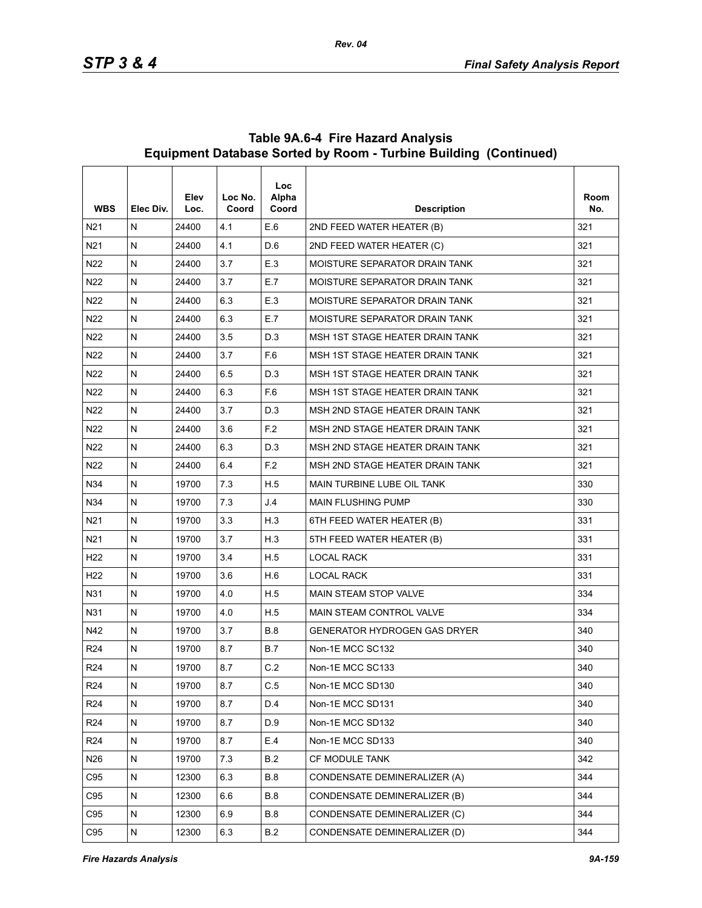| <b>WBS</b>      | Elec Div.    | Elev<br>Loc. | Loc No.<br>Coord | <b>Loc</b><br>Alpha<br>Coord | <b>Description</b>                  | Room<br>No. |
|-----------------|--------------|--------------|------------------|------------------------------|-------------------------------------|-------------|
| N <sub>21</sub> | N            | 24400        | 4.1              | E.6                          | 2ND FEED WATER HEATER (B)           | 321         |
| N <sub>21</sub> | N            | 24400        | 4.1              | D.6                          | 2ND FEED WATER HEATER (C)           | 321         |
| N22             | $\mathsf{N}$ | 24400        | 3.7              | E.3                          | MOISTURE SEPARATOR DRAIN TANK       | 321         |
| N22             | N            | 24400        | 3.7              | E.7                          | MOISTURE SEPARATOR DRAIN TANK       | 321         |
| N <sub>22</sub> | N            | 24400        | 6.3              | E.3                          | MOISTURE SEPARATOR DRAIN TANK       | 321         |
| N22             | $\mathsf{N}$ | 24400        | 6.3              | E.7                          | MOISTURE SEPARATOR DRAIN TANK       | 321         |
| N22             | N            | 24400        | 3.5              | D.3                          | MSH 1ST STAGE HEATER DRAIN TANK     | 321         |
| N <sub>22</sub> | N            | 24400        | 3.7              | F.6                          | MSH 1ST STAGE HEATER DRAIN TANK     | 321         |
| N <sub>22</sub> | $\mathsf{N}$ | 24400        | 6.5              | D.3                          | MSH 1ST STAGE HEATER DRAIN TANK     | 321         |
| N22             | N            | 24400        | 6.3              | F.6                          | MSH 1ST STAGE HEATER DRAIN TANK     | 321         |
| N <sub>22</sub> | N            | 24400        | 3.7              | D.3                          | MSH 2ND STAGE HEATER DRAIN TANK     | 321         |
| N <sub>22</sub> | $\mathsf{N}$ | 24400        | 3.6              | F.2                          | MSH 2ND STAGE HEATER DRAIN TANK     | 321         |
| N22             | N            | 24400        | 6.3              | D.3                          | MSH 2ND STAGE HEATER DRAIN TANK     | 321         |
| N22             | N            | 24400        | 6.4              | F.2                          | MSH 2ND STAGE HEATER DRAIN TANK     | 321         |
| N34             | $\mathsf{N}$ | 19700        | 7.3              | H.5                          | MAIN TURBINE LUBE OIL TANK          | 330         |
| N34             | N            | 19700        | 7.3              | J.4                          | <b>MAIN FLUSHING PUMP</b>           | 330         |
| N21             | N            | 19700        | 3.3              | H.3                          | 6TH FEED WATER HEATER (B)           | 331         |
| N <sub>21</sub> | $\mathsf{N}$ | 19700        | 3.7              | H.3                          | 5TH FEED WATER HEATER (B)           | 331         |
| H <sub>22</sub> | N            | 19700        | 3.4              | H.5                          | <b>LOCAL RACK</b>                   | 331         |
| H <sub>22</sub> | N            | 19700        | 3.6              | H.6                          | <b>LOCAL RACK</b>                   | 331         |
| N31             | $\mathsf{N}$ | 19700        | 4.0              | H.5                          | <b>MAIN STEAM STOP VALVE</b>        | 334         |
| N31             | N            | 19700        | 4.0              | H.5                          | <b>MAIN STEAM CONTROL VALVE</b>     | 334         |
| N42             | N            | 19700        | 3.7              | <b>B.8</b>                   | <b>GENERATOR HYDROGEN GAS DRYER</b> | 340         |
| R <sub>24</sub> | N            | 19700        | 8.7              | <b>B.7</b>                   | Non-1E MCC SC132                    | 340         |
| R <sub>24</sub> | $\mathsf{N}$ | 19700        | 8.7              | C.2                          | Non-1E MCC SC133                    | 340         |
| R <sub>24</sub> | ${\sf N}$    | 19700        | 8.7              | C.5                          | Non-1E MCC SD130                    | 340         |
| R <sub>24</sub> | ${\sf N}$    | 19700        | 8.7              | D.4                          | Non-1E MCC SD131                    | 340         |
| R <sub>24</sub> | ${\sf N}$    | 19700        | 8.7              | D.9                          | Non-1E MCC SD132                    | 340         |
| R24             | N            | 19700        | 8.7              | E.4                          | Non-1E MCC SD133                    | 340         |
| N26             | ${\sf N}$    | 19700        | 7.3              | B.2                          | CF MODULE TANK                      | 342         |
| C95             | N            | 12300        | 6.3              | <b>B.8</b>                   | CONDENSATE DEMINERALIZER (A)        | 344         |
| C95             | N            | 12300        | 6.6              | <b>B.8</b>                   | CONDENSATE DEMINERALIZER (B)        | 344         |
| C95             | ${\sf N}$    | 12300        | 6.9              | <b>B.8</b>                   | CONDENSATE DEMINERALIZER (C)        | 344         |
| C95             | N            | 12300        | 6.3              | B.2                          | CONDENSATE DEMINERALIZER (D)        | 344         |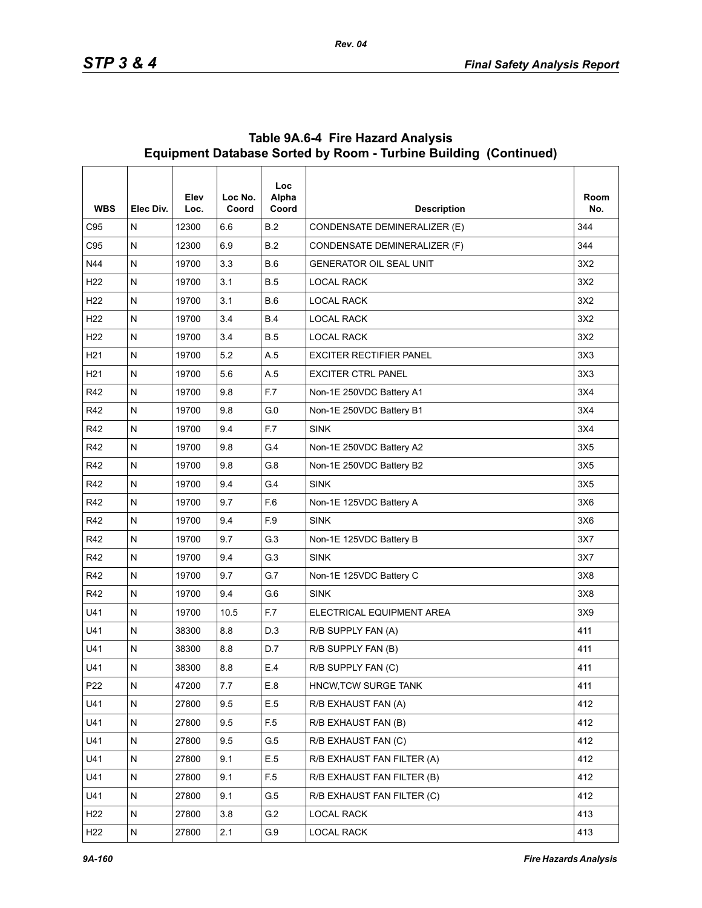| <b>WBS</b>      | Elec Div. | Elev<br>Loc. | Loc No.<br>Coord | <b>Loc</b><br>Alpha<br>Coord | <b>Description</b>             | Room<br>No. |
|-----------------|-----------|--------------|------------------|------------------------------|--------------------------------|-------------|
| C95             | N         | 12300        | 6.6              | B.2                          | CONDENSATE DEMINERALIZER (E)   | 344         |
| C95             | N         | 12300        | 6.9              | B.2                          | CONDENSATE DEMINERALIZER (F)   | 344         |
| N44             | N         | 19700        | 3.3              | B.6                          | <b>GENERATOR OIL SEAL UNIT</b> | 3X2         |
| H <sub>22</sub> | N         | 19700        | 3.1              | <b>B.5</b>                   | <b>LOCAL RACK</b>              | 3X2         |
| H <sub>22</sub> | N         | 19700        | 3.1              | B.6                          | <b>LOCAL RACK</b>              | 3X2         |
| H <sub>22</sub> | N         | 19700        | 3.4              | <b>B.4</b>                   | <b>LOCAL RACK</b>              | 3X2         |
| H <sub>22</sub> | N         | 19700        | 3.4              | <b>B.5</b>                   | <b>LOCAL RACK</b>              | 3X2         |
| H <sub>21</sub> | N         | 19700        | 5.2              | A.5                          | <b>EXCITER RECTIFIER PANEL</b> | 3X3         |
| H <sub>21</sub> | N         | 19700        | 5.6              | A.5                          | <b>EXCITER CTRL PANEL</b>      | 3X3         |
| R42             | N         | 19700        | 9.8              | F.7                          | Non-1E 250VDC Battery A1       | 3X4         |
| R42             | N         | 19700        | 9.8              | G <sub>0</sub>               | Non-1E 250VDC Battery B1       | 3X4         |
| R42             | N         | 19700        | 9.4              | F.7                          | <b>SINK</b>                    | 3X4         |
| R42             | N         | 19700        | 9.8              | G <sub>4</sub>               | Non-1E 250VDC Battery A2       | 3X5         |
| R42             | N         | 19700        | 9.8              | G.8                          | Non-1E 250VDC Battery B2       | 3X5         |
| R42             | N         | 19700        | 9.4              | G.4                          | <b>SINK</b>                    | 3X5         |
| R42             | N         | 19700        | 9.7              | F.6                          | Non-1E 125VDC Battery A        | 3X6         |
| R42             | N         | 19700        | 9.4              | F.9                          | <b>SINK</b>                    | 3X6         |
| R42             | N         | 19700        | 9.7              | G.3                          | Non-1E 125VDC Battery B        | 3X7         |
| R42             | N         | 19700        | 9.4              | G.3                          | <b>SINK</b>                    | 3X7         |
| R42             | N         | 19700        | 9.7              | G.7                          | Non-1E 125VDC Battery C        | 3X8         |
| R42             | N         | 19700        | 9.4              | G.6                          | <b>SINK</b>                    | 3X8         |
| U41             | N         | 19700        | 10.5             | F.7                          | ELECTRICAL EQUIPMENT AREA      | 3X9         |
| U41             | N         | 38300        | 8.8              | D.3                          | R/B SUPPLY FAN (A)             | 411         |
| U41             | N         | 38300        | 8.8              | D.7                          | R/B SUPPLY FAN (B)             | 411         |
| U41             | N         | 38300        | 8.8              | E.4                          | R/B SUPPLY FAN (C)             | 411         |
| P22             | ${\sf N}$ | 47200        | 7.7              | E.8                          | HNCW, TCW SURGE TANK           | 411         |
| U41             | N         | 27800        | 9.5              | E.5                          | R/B EXHAUST FAN (A)            | 412         |
| U41             | N         | 27800        | 9.5              | F <sub>5</sub>               | R/B EXHAUST FAN (B)            | 412         |
| U41             | N         | 27800        | 9.5              | G.5                          | R/B EXHAUST FAN (C)            | 412         |
| U41             | N         | 27800        | 9.1              | E.5                          | R/B EXHAUST FAN FILTER (A)     | 412         |
| U41             | ${\sf N}$ | 27800        | 9.1              | F <sub>5</sub>               | R/B EXHAUST FAN FILTER (B)     | 412         |
| U41             | N         | 27800        | 9.1              | G.5                          | R/B EXHAUST FAN FILTER (C)     | 412         |
| H <sub>22</sub> | N         | 27800        | 3.8              | G.2                          | <b>LOCAL RACK</b>              | 413         |
| H <sub>22</sub> | ${\sf N}$ | 27800        | 2.1              | G.9                          | LOCAL RACK                     | 413         |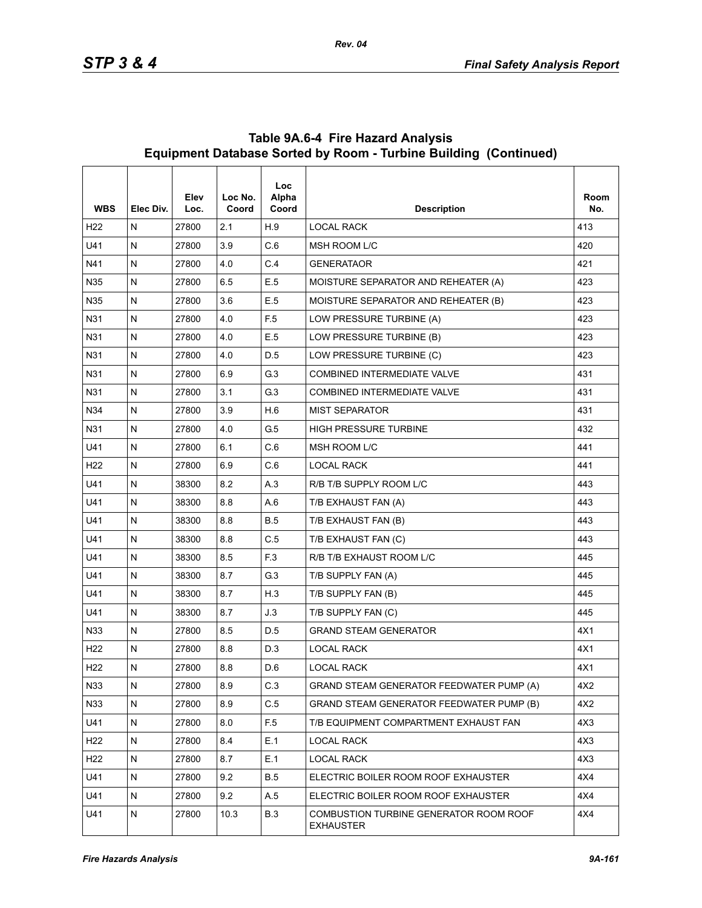| <b>WBS</b>      | Elec Div.    | Elev<br>Loc. | Loc No.<br>Coord | Loc<br>Alpha<br>Coord | <b>Description</b>                                         | Room<br>No. |
|-----------------|--------------|--------------|------------------|-----------------------|------------------------------------------------------------|-------------|
| H <sub>22</sub> | N            | 27800        | 2.1              | H.9                   | <b>LOCAL RACK</b>                                          | 413         |
| U41             | $\mathsf{N}$ | 27800        | 3.9              | C.6                   | MSH ROOM L/C                                               | 420         |
| N41             | N            | 27800        | 4.0              | C.4                   | <b>GENERATAOR</b>                                          | 421         |
| N35             | N            | 27800        | 6.5              | E.5                   | MOISTURE SEPARATOR AND REHEATER (A)                        | 423         |
| N35             | N            | 27800        | 3.6              | E.5                   | MOISTURE SEPARATOR AND REHEATER (B)                        | 423         |
| N31             | N            | 27800        | 4.0              | F <sub>5</sub>        | LOW PRESSURE TURBINE (A)                                   | 423         |
| N31             | N            | 27800        | 4.0              | E.5                   | LOW PRESSURE TURBINE (B)                                   | 423         |
| N31             | $\mathsf{N}$ | 27800        | 4.0              | D.5                   | LOW PRESSURE TURBINE (C)                                   | 423         |
| N31             | N            | 27800        | 6.9              | G.3                   | <b>COMBINED INTERMEDIATE VALVE</b>                         | 431         |
| N31             | N            | 27800        | 3.1              | G.3                   | <b>COMBINED INTERMEDIATE VALVE</b>                         | 431         |
| N34             | $\mathsf{N}$ | 27800        | 3.9              | H.6                   | <b>MIST SEPARATOR</b>                                      | 431         |
| N31             | N            | 27800        | 4.0              | G.5                   | <b>HIGH PRESSURE TURBINE</b>                               | 432         |
| U41             | N            | 27800        | 6.1              | C.6                   | MSH ROOM L/C                                               | 441         |
| H <sub>22</sub> | N            | 27800        | 6.9              | C.6                   | <b>LOCAL RACK</b>                                          | 441         |
| U41             | N            | 38300        | 8.2              | A.3                   | R/B T/B SUPPLY ROOM L/C                                    | 443         |
| U41             | N            | 38300        | 8.8              | A.6                   | T/B EXHAUST FAN (A)                                        | 443         |
| U41             | $\mathsf{N}$ | 38300        | 8.8              | <b>B.5</b>            | T/B EXHAUST FAN (B)                                        | 443         |
| U41             | N            | 38300        | 8.8              | C.5                   | T/B EXHAUST FAN (C)                                        | 443         |
| U41             | N            | 38300        | 8.5              | F.3                   | R/B T/B EXHAUST ROOM L/C                                   | 445         |
| U41             | N            | 38300        | 8.7              | G.3                   | T/B SUPPLY FAN (A)                                         | 445         |
| U41             | N            | 38300        | 8.7              | H.3                   | T/B SUPPLY FAN (B)                                         | 445         |
| U41             | N            | 38300        | 8.7              | J.3                   | T/B SUPPLY FAN (C)                                         | 445         |
| N33             | $\mathsf{N}$ | 27800        | 8.5              | D.5                   | <b>GRAND STEAM GENERATOR</b>                               | 4X1         |
| H <sub>22</sub> | N            | 27800        | 8.8              | D.3                   | <b>LOCAL RACK</b>                                          | 4X1         |
| H <sub>22</sub> | N            | 27800        | 8.8              | D.6                   | <b>LOCAL RACK</b>                                          | 4X1         |
| N33             | ${\sf N}$    | 27800        | 8.9              | C.3                   | GRAND STEAM GENERATOR FEEDWATER PUMP (A)                   | 4X2         |
| N33             | N            | 27800        | 8.9              | C.5                   | GRAND STEAM GENERATOR FEEDWATER PUMP (B)                   | 4X2         |
| U41             | N            | 27800        | 8.0              | F <sub>5</sub>        | T/B EQUIPMENT COMPARTMENT EXHAUST FAN                      | 4X3         |
| H <sub>22</sub> | ${\sf N}$    | 27800        | 8.4              | E.1                   | <b>LOCAL RACK</b>                                          | 4X3         |
| H <sub>22</sub> | N            | 27800        | 8.7              | E.1                   | <b>LOCAL RACK</b>                                          | 4X3         |
| U41             | N            | 27800        | 9.2              | <b>B.5</b>            | ELECTRIC BOILER ROOM ROOF EXHAUSTER                        | 4X4         |
| U41             | ${\sf N}$    | 27800        | 9.2              | A.5                   | ELECTRIC BOILER ROOM ROOF EXHAUSTER                        | 4X4         |
| U41             | N            | 27800        | 10.3             | <b>B.3</b>            | COMBUSTION TURBINE GENERATOR ROOM ROOF<br><b>EXHAUSTER</b> | 4X4         |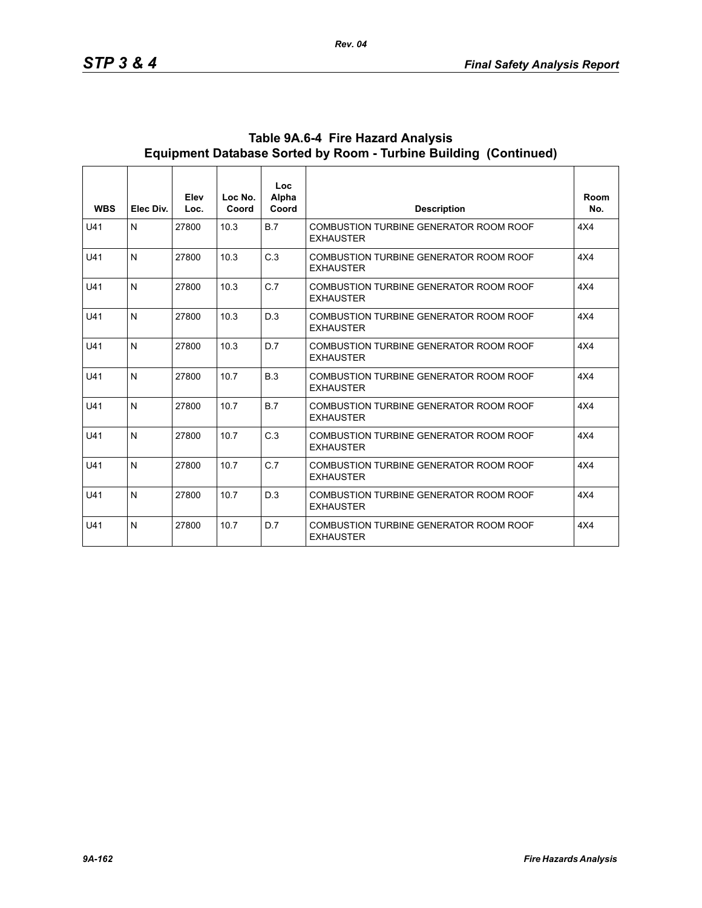| <b>WBS</b> | Elec Div.    | Elev<br>Loc. | Loc No.<br>Coord | Loc<br>Alpha<br>Coord | <b>Description</b>                                         | Room<br>No. |
|------------|--------------|--------------|------------------|-----------------------|------------------------------------------------------------|-------------|
| U41        | N            | 27800        | 10.3             | B.7                   | COMBUSTION TURBINE GENERATOR ROOM ROOF<br><b>EXHAUSTER</b> | 4X4         |
| U41        | N            | 27800        | 10.3             | C.3                   | COMBUSTION TURBINE GENERATOR ROOM ROOF<br><b>EXHAUSTER</b> | 4X4         |
| U41        | $\mathsf{N}$ | 27800        | 10.3             | C.7                   | COMBUSTION TURBINE GENERATOR ROOM ROOF<br><b>EXHAUSTER</b> | 4X4         |
| U41        | N            | 27800        | 10.3             | D.3                   | COMBUSTION TURBINE GENERATOR ROOM ROOF<br><b>EXHAUSTER</b> | 4X4         |
| U41        | N            | 27800        | 10.3             | D.7                   | COMBUSTION TURBINE GENERATOR ROOM ROOF<br><b>EXHAUSTER</b> | 4X4         |
| U41        | N            | 27800        | 10.7             | B.3                   | COMBUSTION TURBINE GENERATOR ROOM ROOF<br><b>EXHAUSTER</b> | 4X4         |
| U41        | $\mathsf{N}$ | 27800        | 10.7             | B.7                   | COMBUSTION TURBINE GENERATOR ROOM ROOF<br><b>EXHAUSTER</b> | 4X4         |
| U41        | $\mathsf{N}$ | 27800        | 10.7             | C.3                   | COMBUSTION TURBINE GENERATOR ROOM ROOF<br><b>EXHAUSTER</b> | 4X4         |
| U41        | N            | 27800        | 10.7             | C.7                   | COMBUSTION TURBINE GENERATOR ROOM ROOF<br><b>EXHAUSTER</b> | 4X4         |
| U41        | N            | 27800        | 10.7             | D.3                   | COMBUSTION TURBINE GENERATOR ROOM ROOF<br><b>EXHAUSTER</b> | 4X4         |
| U41        | N            | 27800        | 10.7             | D.7                   | COMBUSTION TURBINE GENERATOR ROOM ROOF<br><b>EXHAUSTER</b> | 4X4         |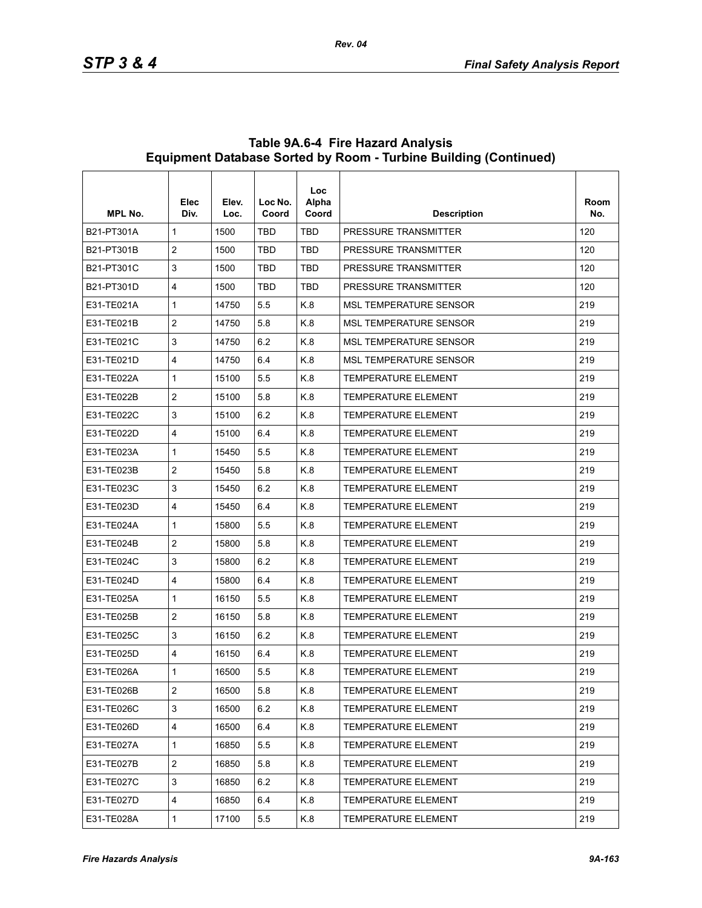| <b>MPL No.</b> | Elec<br>Div.   | Elev.<br>Loc. | Loc No.<br>Coord | Loc<br>Alpha<br>Coord | <b>Description</b>            | Room<br>No. |
|----------------|----------------|---------------|------------------|-----------------------|-------------------------------|-------------|
| B21-PT301A     | $\mathbf{1}$   | 1500          | <b>TBD</b>       | TBD                   | PRESSURE TRANSMITTER          | 120         |
| B21-PT301B     | $\overline{2}$ | 1500          | <b>TBD</b>       | <b>TBD</b>            | PRESSURE TRANSMITTER          | 120         |
| B21-PT301C     | 3              | 1500          | <b>TBD</b>       | TBD                   | PRESSURE TRANSMITTER          | 120         |
| B21-PT301D     | 4              | 1500          | <b>TBD</b>       | TBD                   | <b>PRESSURE TRANSMITTER</b>   | 120         |
| F31-TF021A     | 1              | 14750         | 5.5              | K.8                   | <b>MSL TEMPERATURE SENSOR</b> | 219         |
| E31-TE021B     | $\overline{c}$ | 14750         | 5.8              | K.8                   | <b>MSL TEMPERATURE SENSOR</b> | 219         |
| E31-TE021C     | 3              | 14750         | 6.2              | K.8                   | <b>MSL TEMPERATURE SENSOR</b> | 219         |
| E31-TE021D     | 4              | 14750         | 6.4              | K.8                   | <b>MSL TEMPERATURE SENSOR</b> | 219         |
| E31-TE022A     | 1              | 15100         | 5.5              | K.8                   | <b>TEMPERATURE ELEMENT</b>    | 219         |
| E31-TE022B     | $\overline{2}$ | 15100         | 5.8              | K.8                   | <b>TEMPERATURE ELEMENT</b>    | 219         |
| E31-TE022C     | 3              | 15100         | 6.2              | K.8                   | <b>TEMPERATURE ELEMENT</b>    | 219         |
| E31-TE022D     | 4              | 15100         | 6.4              | K.8                   | <b>TEMPERATURE ELEMENT</b>    | 219         |
| E31-TE023A     | 1              | 15450         | 5.5              | K.8                   | <b>TEMPERATURE ELEMENT</b>    | 219         |
| E31-TE023B     | $\overline{c}$ | 15450         | 5.8              | K.8                   | <b>TEMPERATURE ELEMENT</b>    | 219         |
| E31-TE023C     | 3              | 15450         | 6.2              | K.8                   | <b>TEMPERATURE ELEMENT</b>    | 219         |
| E31-TE023D     | 4              | 15450         | 6.4              | K.8                   | <b>TEMPERATURE ELEMENT</b>    | 219         |
| E31-TE024A     | 1              | 15800         | 5.5              | K.8                   | <b>TEMPERATURE ELEMENT</b>    | 219         |
| E31-TE024B     | 2              | 15800         | 5.8              | K.8                   | <b>TEMPERATURE ELEMENT</b>    | 219         |
| E31-TE024C     | 3              | 15800         | 6.2              | K.8                   | <b>TEMPERATURE ELEMENT</b>    | 219         |
| E31-TE024D     | 4              | 15800         | 6.4              | K.8                   | <b>TEMPERATURE ELEMENT</b>    | 219         |
| E31-TE025A     | 1              | 16150         | 5.5              | K.8                   | <b>TEMPERATURE ELEMENT</b>    | 219         |
| E31-TE025B     | $\overline{c}$ | 16150         | 5.8              | K.8                   | <b>TEMPERATURE ELEMENT</b>    | 219         |
| E31-TE025C     | 3              | 16150         | 6.2              | K.8                   | <b>TEMPERATURE ELEMENT</b>    | 219         |
| E31-TE025D     | 4              | 16150         | 6.4              | K.8                   | <b>TEMPERATURE ELEMENT</b>    | 219         |
| E31-TE026A     | 1              | 16500         | 5.5              | K.8                   | <b>TEMPERATURE ELEMENT</b>    | 219         |
| E31-TE026B     | $\overline{2}$ | 16500         | 5.8              | K.8                   | TEMPERATURE ELEMENT           | 219         |
| E31-TE026C     | 3              | 16500         | 6.2              | K.8                   | <b>TEMPERATURE ELEMENT</b>    | 219         |
| E31-TE026D     | 4              | 16500         | 6.4              | K.8                   | TEMPERATURE ELEMENT           | 219         |
| E31-TE027A     | 1              | 16850         | 5.5              | K.8                   | <b>TEMPERATURE ELEMENT</b>    | 219         |
| E31-TE027B     | $\overline{2}$ | 16850         | 5.8              | K.8                   | TEMPERATURE ELEMENT           | 219         |
| E31-TE027C     | 3              | 16850         | 6.2              | K.8                   | TEMPERATURE ELEMENT           | 219         |
| E31-TE027D     | 4              | 16850         | 6.4              | K.8                   | TEMPERATURE ELEMENT           | 219         |
| E31-TE028A     | 1              | 17100         | 5.5              | K.8                   | TEMPERATURE ELEMENT           | 219         |